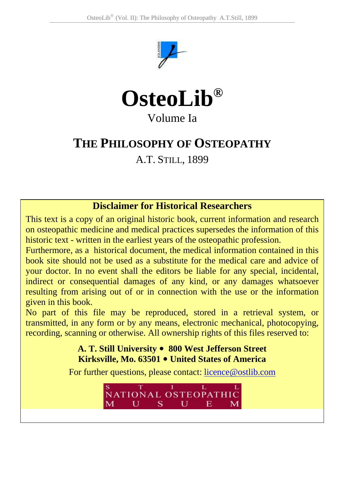



# Volume Ia

# **THE PHILOSOPHY OF OSTEOPATHY**

A.T. STILL, 1899

# **Disclaimer for Historical Researchers**

This text is a copy of an original historic book, current information and research on osteopathic medicine and medical practices supersedes the information of this historic text - written in the earliest years of the osteopathic profession.

Furthermore, as a historical document, the medical information contained in this book site should not be used as a substitute for the medical care and advice of your doctor. In no event shall the editors be liable for any special, incidental, indirect or consequential damages of any kind, or any damages whatsoever resulting from arising out of or in connection with the use or the information given in this book.

No part of this file may be reproduced, stored in a retrieval system, or transmitted, in any form or by any means, electronic mechanical, photocopying, recording, scanning or otherwise. All ownership rights of this files reserved to:

> **A. T. Still University** y **800 West Jefferso[n Street](mailto:licence@ostlib.com)  Kirksville, Mo. 63501** y **United States of America**

For further questions, please contact: licence@ostlib.com

NATIONAL OSTEOPATHIC  $U$  S  $U$ Е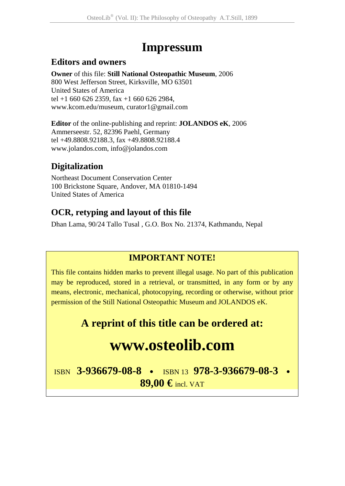# **Impressum**

# **Editors and owners**

**Owner** of this file: **Still National Osteopathic Museum**, 2006 800 West Jefferson Street, Kirksville, MO 63501 United States of America tel +1 660 626 2359, fax +1 660 626 2984, www.kcom.edu/museum, curator1@gmail.com

**Editor** of the online-publishing and reprint: **JOLANDOS eK**, 2006 Ammerseestr. 52, 82396 Paehl, Germany tel +49.8808.92188.3, fax +49.8808.92188.4 www.jolandos.com, info@jolandos.com

# **Digitalization**

Northeast Document Conservation Center 100 Brickstone Square, Andover, MA 01810-1494 United States of America

# **OCR, retyping and layout of this file**

Dhan Lama, 90/24 Tallo Tusal , G.O. Box No. 21374, Kathmandu, Nepal

# **IMPORTANT NOTE!**

This file contains hidden marks to prevent illegal usage. No part of this publication may be reproduced, stored in a retrieval, or transmitted, in any form or by any means, electronic, mechanical, photocopying, recording or otherwise, without prior permission of the Still National Osteopathic Museum and JOLANDOS eK.

# **A reprint of this title can be ordered at:**

# **www.osteolib.com**

ISBN **3-936679-08-8** <sup>y</sup> ISBN 13 **978-3-936679-08-3** <sup>y</sup> **89,00 €** incl. VAT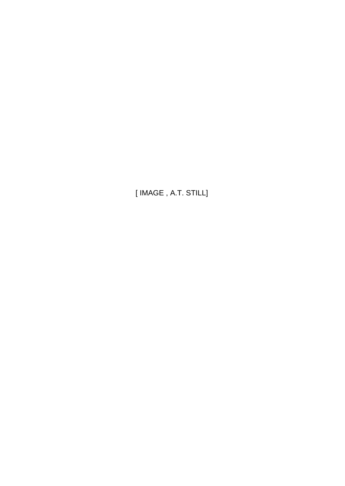[ IMAGE , A.T. STILL]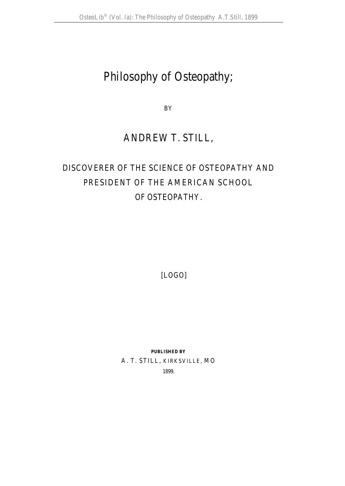# Philosophy of Osteopathy;

BY

# ANDREW T. STILL,

# DISCOVERER OF THE SCIENCE OF OSTEOPATHY AND PRESIDENT OF THE AMERICAN SCHOOL OF OSTEOPATHY.

[LOGO]

**PUBLISHED BY**  A. T. STILL, KIRKSVILLE, MO

1899.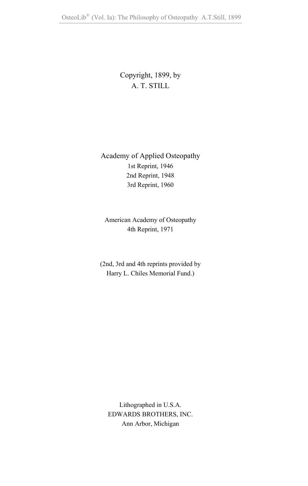# Copyright, 1899, by A. T. STILL

Academy of Applied Osteopathy 1st Reprint, 1946 2nd Reprint, 1948 3rd Reprint, 1960

American Academy of Osteopathy 4th Reprint, 1971

(2nd, 3rd and 4th reprints provided by Harry L. Chiles Memorial Fund.)

Lithographed in U.S.A. EDWARDS BROTHERS, INC. Ann Arbor, Michigan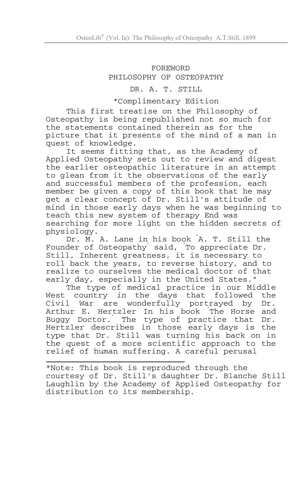#### FOREWORD PHILOSOPHY OF OSTEOPATHY

#### DR. A. T. STILL

#### \*Complimentary Edition

This first treatise on the Philosophy of Osteopathy is being republished not so much for the statements contained therein as for the picture that it presents of the mind of a man in quest of knowledge.

It seems fitting that, as the Academy of Applied Osteopathy sets out to review and digest the earlier osteopathic literature in an attempt to glean from it the observations of the early and successful members of the profession, each member be given a copy of this book that he may get a clear concept of Dr. Still's attitude of mind in those early days when he was beginning to teach this new system of therapy End was searching for more light on the hidden secrets of physiology.

Dr. M. A. Lane in his book " A. T. Still the Founder of Osteopathy said, To appreciate Dr. Still, Inherent greatness, it is necessary to roll back the years, to reverse history, and to realize to ourselves the medical doctor of that early day, especially in the United States."

The type of medical practice in our Middle West country *in* the days that followed the Civil War are wonderfully portrayed by Dr. Arthur E. Hertzler In his book " The Horse and Buggy Doctor." The type of practice that Dr. Hertzler describes in those early days is the type that Dr. Still was turning his back on in the quest of a more scientific approach to the relief of human suffering. A careful perusal

\*Note: This book is reproduced through the courtesy of Dr. Still's daughter Dr. Blanche Still Laughlin by the Academy of Applied Osteopathy for distribution to its membership.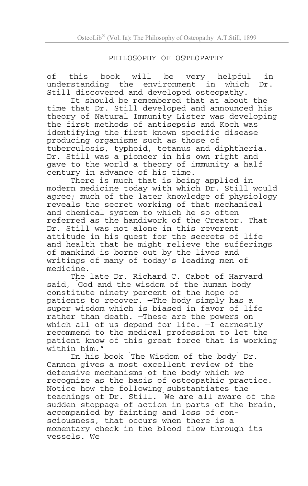#### PHILOSOPHY OF OSTEOPATHY

of this book will be very helpful in understanding the environment in which Dr. Still discovered and developed osteopathy.

It should be remembered that at about the time that Dr. Still developed and announced his theory of Natural Immunity Lister was developing the first methods of antisepsis and Koch was identifying the first known specific disease producing organisms such as those of tuberculosis, typhoid, tetanus and diphtheria. Dr. Still was a pioneer in his own right and gave to the world a theory of immunity a half century in advance of his time.

There is much that is being applied in modern medicine today with which Dr. Still would agree; much of the later knowledge of physiology reveals the secret working of that mechanical and chemical system to which he so often referred as the handiwork of the Creator. That Dr. Still was not alone in this reverent attitude in his quest for the secrets of life and health that he might relieve the sufferings of mankind is borne out by the lives and writings of many of today's leading men of medicine.

The late Dr. Richard C. Cabot of Harvard said, " God and the wisdom of the human body constitute ninety percent of the hope of patients to recover. —The body simply has a super wisdom which is biased in favor of life rather than death. —These are the powers on which all of us depend for life.  $-\bar{I}$  earnestly recommend to the medical profession to let the patient know of this great force that is working within him."

In his book " The Wisdom of the body" Dr. Cannon gives a most excellent review of the<br>defensive mechanisms of the body which we recognize as the basis of osteopathic practice. Notice how the following substantiates the teachings of Dr. Still. " We are all aware of the sudden stoppage of action in parts of the brain, accompanied by fainting and loss of consciousness, that occurs when there is a momentary check in the blood flow through its vessels. We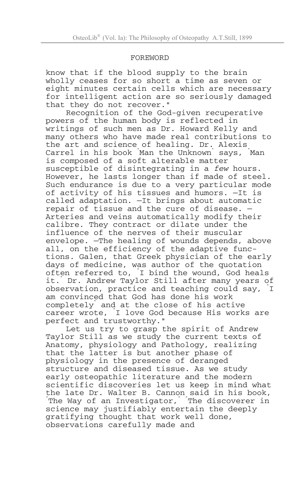#### FOREWORD

know that if the blood supply to the brain wholly ceases for so short a time as seven or eight minutes certain cells which are necessary for intelligent action are so seriously damaged that they do not recover."

Recognition of the God-given recuperative powers of the human body is reflected in writings of such men as Dr. Howard Kelly and many others who have made real contributions to the art and science of healing. Dr. Alexis Carrel in his book " Man the Unknown" says, " Man is composed of a soft alterable matter susceptible of disintegrating in a *few* hours. However, he lasts longer than if made of steel. Such endurance is due to a very particular mode of activity of his tissues and humors. —It is called adaptation. —It brings about automatic repair of tissue and the cure of disease. — Arteries and veins automatically modify their calibre. They contract or dilate under the influence of the nerves of their muscular envelope. —The healing of wounds depends, above all, on the efficiency of the adaptive functions. Galen, that Greek physician of the early days of medicine, was author of the quotation often referred to, " I bind the wound, God heals it." Dr. Andrew Taylor Still after many years of observation, practice and teaching could say, " I am convinced that God has done his work completely" and at the close of his active career wrote, " I love God because His works are perfect and trustworthy."

Let us try to grasp the spirit of Andrew Taylor Still as we study the current texts of Anatomy, physiology and Pathology, realizing that the latter is but another phase of physiology in the presence of deranged structure and diseased tissue. As we study early osteopathic literature and the modern scientific discoveries let us keep in mind what the late Dr. Walter B. Cannon said in his book, The Way of an Investigator, The discoverer in science may justifiably entertain the deeply gratifying thought that work well done, observations carefully made and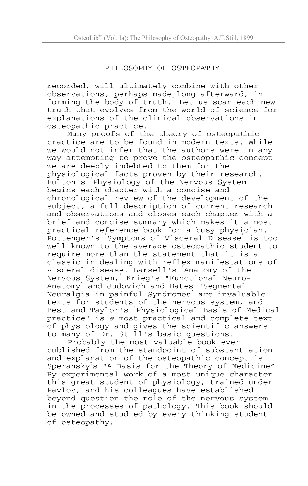#### PHILOSOPHY OF OSTEOPATHY

recorded, will ultimately combine with other observations, perhaps made long afterward, in forming the body of truth. Let us scan each new truth that evolves from the world of science for explanations of the clinical observations in osteopathic practice.

Many proofs of the theory of osteopathic practice are to be found in modern texts. While we would not infer that the authors were in any way attempting to prove the osteopathic concept we are deeply indebted to them for the physiological facts proven by their research. Fulton's " Physiology of the Nervous System" begins each chapter with a concise and chronological review of the development of the subject, a full description of current research and observations and closes each chapter with a brief and concise summary which makes it a most practical reference book for a busy physician. .<br>Pottenger's Symptoms of Visceral Disease is too well known to the average osteopathic student to require more than the statement that it is a classic in dealing with reflex manifestations of visceral disease. Larsell's " Anatomy of the Nervous System," Krieg's "Functional Neuro-Anatomy" and Judovich and Bates "Segmental Neuralgia in painful Syndromes" are invaluable texts for students of the nervous system, and Best and Taylor's " Physiological Basis of Medical practice" is *a* most practical and complete text of physiology and gives the scientific answers to many of Dr. Still's basic questions.

Probably the most valuable book ever published from the standpoint of substantiation and explanation of the osteopathic concept is Speranskyt s "A Basis for the Theory of Medicine" By experimental work of a most unique character this great student of physiology, trained under Pavlov, and his colleagues have established beyond question the role of the nervous system in the processes of pathology. This book should be owned and studied by every thinking student of osteopathy.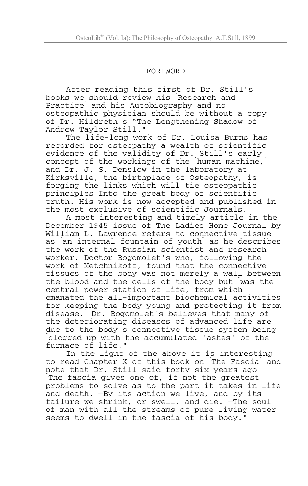#### FOREWORD

After reading this first of Dr. Still's books we should review his " Research and Practice" and his Autobiography and no osteopathic physician should be without a copy of Dr. Hildreth's "The Lengthening Shadow of Andrew Taylor Still."

The life-long work of Dr. Louisa Burns has recorded for osteopathy a wealth of scientific evidence of the validity of Dr. Still's early concept of the workings of the human machine, and Dr. J. S. Denslow in the laboratory at Kirksville, the birthplace of Osteopathy, is forging the links which will tie osteopathic principles Into the great body of scientific truth. His work is now accepted and published in the most exclusive of scientific Journals.

A most interesting and timely article in the December 1945 issue of The Ladies Home Journal by William L. Lawrence refers to connective tissue as an internal fountain of youth as he describes the work of the Russian scientist and research worker, Doctor Bogomolet's who, following the work of Metchnikoff, found that the connective tissues of the body was not merely a wall between the blood and the cells of the body but " was the central power station of life, from which emanated the all-important biochemical activities for keeping the body young and protecting it from disease." Dr. Bogomolet's believes that many of the deteriorating diseases of advanced life are due to the body's connective tissue system being " clogged up with the accumulated 'ashes' of the furnace of life."

In the light of the above it is interesting to read Chapter X of this book on The Fascia and note that Dr. Still said forty-six years ago - " The fascia gives one of, if not the greatest problems to solve as to the part it takes in life and death. —By its action we live, and by its failure we shrink, or swell, and die. —The soul of man with all the streams of pure living water seems to dwell in the fascia of his body."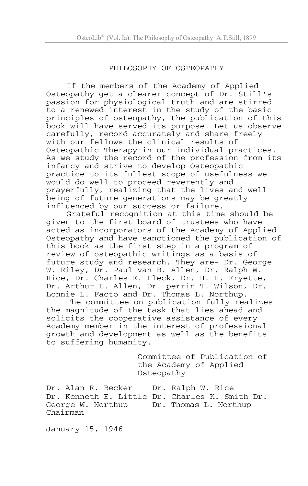#### PHILOSOPHY OF OSTEOPATHY

If the members of the Academy of Applied Osteopathy get a clearer concept of Dr. Still's passion for physiological truth and are stirred to a renewed interest in the study of the basic principles of osteopathy, the publication of this book will have served its purpose. Let us observe carefully, record accurately and share freely with our fellows the clinical results of Osteopathic Therapy in our individual practices. As we study the record of the profession from its infancy and strive to develop Osteopathic practice to its fullest scope of usefulness we would do well to proceed reverently and prayerfully, realizing that the lives and well being of future generations may be greatly influenced by our success or failure.

Grateful recognition at this time should be given to the first board of trustees who have acted as incorporators of the Academy of Applied Osteopathy and have sanctioned the publication of this book as the first step in a program of review of osteopathic writings as a basis of future study and research. They are- Dr. George W. Riley, Dr. Paul van B. Allen, Dr. Ralph W. Rice, Dr. Charles E. Fleck, Dr. H. H. Fryette, Dr. Arthur E. Allen, Dr. perrin T. Wilson, Dr. Lonnie L. Facto and Dr. Thomas L. Northup.

The committee on publication fully realizes the magnitude of the task that lies ahead and solicits the cooperative assistance of every Academy member in the interest of professional growth and development as well as the benefits to suffering humanity.

> Committee of Publication of the Academy of Applied Osteopathy

Dr. Alan R. Becker Dr. Ralph W. Rice Dr. Kenneth E. Little Dr. Charles K. Smith Dr. George W. Northup Dr. Thomas L. Northup Chairman

January 15, 1946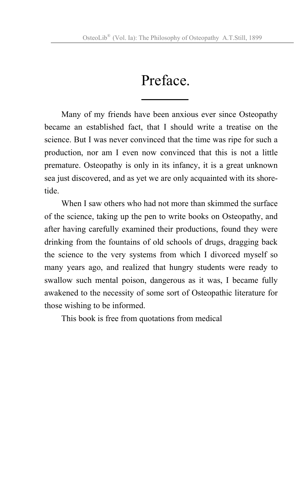# Preface.

Many of my friends have been anxious ever since Osteopathy became an established fact, that I should write a treatise on the science. But I was never convinced that the time was ripe for such a production, nor am I even now convinced that this is not a little premature. Osteopathy is only in its infancy, it is a great unknown sea just discovered, and as yet we are only acquainted with its shoretide.

When I saw others who had not more than skimmed the surface of the science, taking up the pen to write books on Osteopathy, and after having carefully examined their productions, found they were drinking from the fountains of old schools of drugs, dragging back the science to the very systems from which I divorced myself so many years ago, and realized that hungry students were ready to swallow such mental poison, dangerous as it was, I became fully awakened to the necessity of some sort of Osteopathic literature for those wishing to be informed.

This book is free from quotations from medical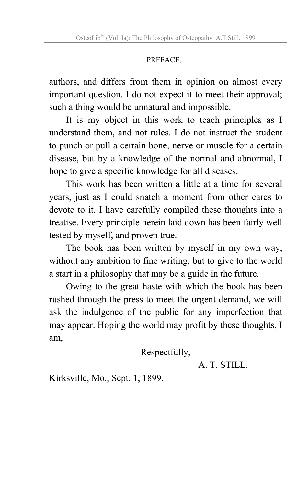# PREFACE.

authors, and differs from them in opinion on almost every important question. I do not expect it to meet their approval; such a thing would be unnatural and impossible.

It is my object in this work to teach principles as I understand them, and not rules. I do not instruct the student to punch or pull a certain bone, nerve or muscle for a certain disease, but by a knowledge of the normal and abnormal, I hope to give a specific knowledge for all diseases.

This work has been written a little at a time for several years, just as I could snatch a moment from other cares to devote to it. I have carefully compiled these thoughts into a treatise. Every principle herein laid down has been fairly well tested by myself, and proven true.

The book has been written by myself in my own way, without any ambition to fine writing, but to give to the world a start in a philosophy that may be a guide in the future.

Owing to the great haste with which the book has been rushed through the press to meet the urgent demand, we will ask the indulgence of the public for any imperfection that may appear. Hoping the world may profit by these thoughts, I am,

Respectfully,

A. T. STILL.

Kirksville, Mo., Sept. 1, 1899.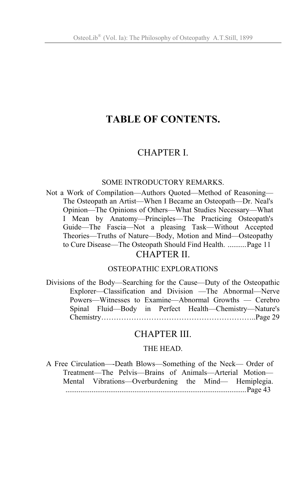# **TABLE OF CONTENTS.**

# CHAPTER I.

#### SOME INTRODUCTORY REMARKS.

Not a Work of Compilation—Authors Quoted—Method of Reasoning— The Osteopath an Artist—When I Became an Osteopath—Dr. Neal's Opinion—The Opinions of Others—What Studies Necessary—What I Mean by Anatomy—Principles—The Practicing Osteopath's Guide—The Fascia—Not a pleasing Task—Without Accepted Theories—Truths of Nature—Body, Motion and Mind—Osteopathy to Cure Disease—The Osteopath Should Find Health. ..........Page 11 CHAPTER II.

#### OSTEOPATHIC EXPLORATIONS

Divisions of the Body—Searching for the Cause—Duty of the Osteopathic Explorer—Classification and Division —The Abnormal—Nerve Powers—Witnesses to Examine—Abnormal Growths — Cerebro Spinal Fluid—Body in Perfect Health—Chemistry—Nature's Chemistry……………………………………………………..Page 29

# CHAPTER III.

#### THE HEAD.

A Free Circulation—-Death Blows—Something of the Neck— Order of Treatment—The Pelvis—Brains of Animals—Arterial Motion— Mental Vibrations—Overburdening the Mind— Hemiplegia. .................................................................................................Page 43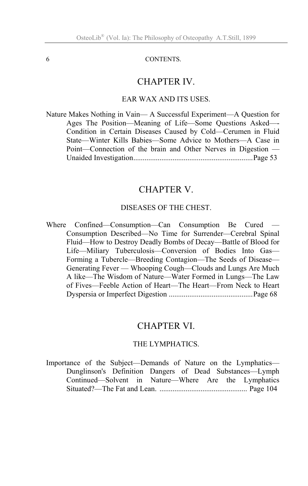#### 6 CONTENTS.

#### CHAPTER IV.

#### EAR WAX AND ITS USES.

Nature Makes Nothing in Vain— A Successful Experiment—A Question for Ages The Position—Meaning of Life—Some Questions Asked—- Condition in Certain Diseases Caused by Cold—Cerumen in Fluid State—Winter Kills Babies—Some Advice to Mothers—A Case in Point—Connection of the brain and Other Nerves in Digestion — Unaided Investigation................................................................Page 53

#### CHAPTER V.

#### DISEASES OF THE CHEST.

Where Confined—Consumption—Can Consumption Be Cured — Consumption Described—No Time for Surrender—Cerebral Spinal Fluid—How to Destroy Deadly Bombs of Decay—Battle of Blood for Life—Miliary Tuberculosis—Conversion of Bodies Into Gas— Forming a Tubercle—Breeding Contagion—The Seeds of Disease— Generating Fever — Whooping Cough—Clouds and Lungs Are Much A like—The Wisdom of Nature—Water Formed in Lungs—The Law of Fives—Feeble Action of Heart—The Heart—From Neck to Heart Dyspersia or Imperfect Digestion .............................................Page 68

# CHAPTER VI.

#### THE LYMPHATICS.

Importance of the Subject—Demands of Nature on the Lymphatics— Dunglinson's Definition Dangers of Dead Substances—Lymph Continued—Solvent in Nature—Where Are the Lymphatics Situated?—The Fat and Lean. ............................................... Page 104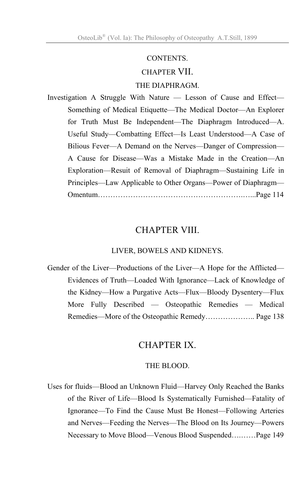#### CONTENTS.

# CHAPTER VII.

## THE DIAPHRAGM.

Investigation A Struggle With Nature — Lesson of Cause and Effect— Something of Medical Etiquette—The Medical Doctor—An Explorer for Truth Must Be Independent—The Diaphragm Introduced—A. Useful Study—Combatting Effect—Is Least Understood—A Case of Bilious Fever—A Demand on the Nerves—Danger of Compression— A Cause for Disease—Was a Mistake Made in the Creation—An Exploration—Resuit of Removal of Diaphragm—Sustaining Life in Principles—Law Applicable to Other Organs—Power of Diaphragm— Omentum………………………………………………….…...Page 114

# CHAPTER VIII.

#### LIVER, BOWELS AND KIDNEYS.

Gender of the Liver—Productions of the Liver—A Hope for the Afflicted— Evidences of Truth—Loaded With Ignorance—Lack of Knowledge of the Kidney—How a Purgative Acts—Flux—Bloody Dysentery—Flux More Fully Described — Osteopathic Remedies — Medical Remedies—More of the Osteopathic Remedy……………….. Page 138

# CHAPTER IX.

#### THE BLOOD.

Uses for fluids—Blood an Unknown Fluid—Harvey Only Reached the Banks of the River of Life—Blood Is Systematically Furnished—Fatality of Ignorance—To Find the Cause Must Be Honest—Following Arteries and Nerves—Feeding the Nerves—The Blood on Its Journey—Powers Necessary to Move Blood—Venous Blood Suspended….……Page 149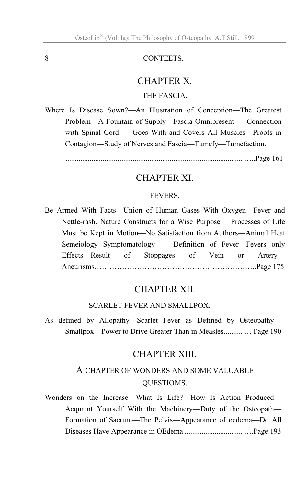#### 8 CONTEETS.

#### CHAPTER X.

## THE FASCIA.

Where Is Disease Sown?—An Illustration of Conception—The Greatest Problem—A Fountain of Supply—Fascia Omnipresent — Connection with Spinal Cord — Goes With and Covers All Muscles—Proofs in Contagion—Study of Nerves and Fascia—Tumefy—Tumefaction.

............................................................................................... …..Page 161

# CHAPTER XI.

#### FEVERS.

Be Armed With Facts—Union of Human Gases With Oxygen—Fever and Nettle-rash. Nature Constructs for a Wise Purpose —Processes of Life Must be Kept in Motion—No Satisfaction from Authors—Animal Heat Semeiology Symptomatology — Definition of Fever—Fevers only Effects—Result of Stoppages of Vein or Artery— Aneurisms………………………………………………………..Page 175

# CHAPTER XII.

#### SCARLET FEVER AND SMALLPOX.

As defined by Allopathy—Scarlet Fever as Defined by Osteopathy— Smallpox—Power to Drive Greater Than in Measles.......... … Page 190

# CHAPTER XIII.

# A CHAPTER OF WONDERS AND SOME VALUABLE QUESTIOMS.

Wonders on the Increase—What Is Life?—How Is Action Produced— Acquaint Yourself With the Machinery—Duty of the Osteopath— Formation of Sacrum—The Pelvis—Appearance of oedema—Do All Diseases Have Appearance in OEdema ............................... ….Page 193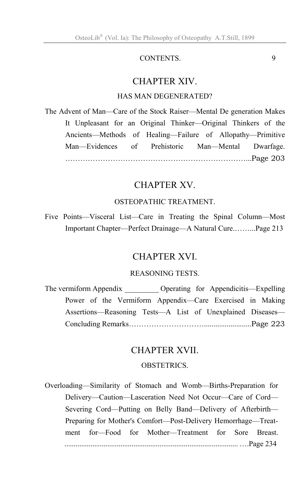## CONTENTS. 9

# CHAPTER XIV.

#### HAS MAN DEGENERATED?

The Advent of Man—Care of the Stock Raiser—Mental De generation Makes It Unpleasant for an Original Thinker—Original Thinkers of the Ancients—Methods of Healing—Failure of Allopathy—Primitive Man—Evidences of Prehistoric Man—Mental Dwarfage. ………………………………………………………………...Page 203

# CHAPTER XV.

#### OSTEOPATHIC TREATMENT.

Five Points—Visceral List—Care in Treating the Spinal Column—Most Important Chapter—Perfect Drainage—A Natural Cure.……...Page 213

# CHAPTER XVI.

## REASONING TESTS.

The vermiform Appendix **Expelling** Constanting for Appendicitis—Expelling Power of the Vermiform Appendix—Care Exercised in Making Assertions—Reasoning Tests—A List of Unexplained Diseases— Concluding Remarks………………………….........................Page 223

#### CHAPTER XVII.

#### **OBSTETRICS**

[jj" and "atsu"] ............................................................................................. ….Page 234 Overloading—Similarity of Stomach and Womb—Births-Preparation for Delivery—Caution—Lasceration Need Not Occur—Care of Cord— Severing Cord—Putting on Belly Band—Delivery of Afterbirth— Preparing for Mother's Comfort—Post-Delivery Hemorrhage—Treatment for—Food for Mother—Treatment for Sore Breast.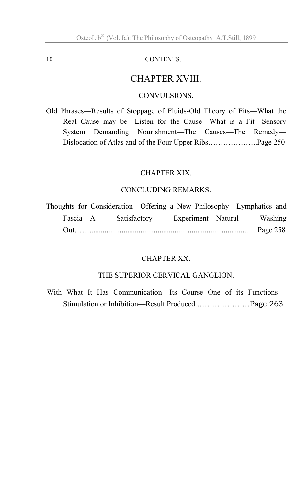#### 10 CONTENTS.

# CHAPTER XVIII.

#### CONVULSIONS.

Old Phrases—Results of Stoppage of Fluids-Old Theory of Fits—What the Real Cause may be—Listen for the Cause—What is a Fit—Sensory System Demanding Nourishment—The Causes—The Remedy— Dislocation of Atlas and of the Four Upper Ribs………………..Page 250

#### CHAPTER XIX.

#### CONCLUDING REMARKS.

|          | Thoughts for Consideration—Offering a New Philosophy—Lymphatics and |                    |         |
|----------|---------------------------------------------------------------------|--------------------|---------|
| Fascia—A | Satisfactory                                                        | Experiment—Natural | Washing |
|          |                                                                     |                    |         |

#### CHAPTER XX.

#### THE SUPERIOR CERVICAL GANGLION.

With What It Has Communication—Its Course One of its Functions— Stimulation or Inhibition—Result Produced.…………………Page 263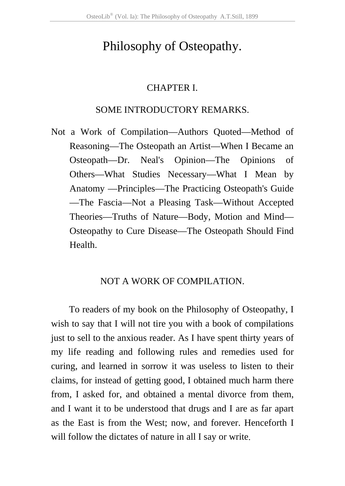# Philosophy of Osteopathy.

#### CHAPTER I.

# SOME INTRODUCTORY REMARKS.

Not a Work of Compilation—Authors Quoted—Method of Reasoning—The Osteopath an Artist—When I Became an Osteopath—Dr. Neal's Opinion—The Opinions of Others—What Studies Necessary—What I Mean by Anatomy —Principles—The Practicing Osteopath's Guide —The Fascia—Not a Pleasing Task—Without Accepted Theories—Truths of Nature—Body, Motion and Mind— Osteopathy to Cure Disease—The Osteopath Should Find Health.

# NOT A WORK OF COMPILATION.

To readers of my book on the Philosophy of Osteopathy, I wish to say that I will not tire you with a book of compilations just to sell to the anxious reader. As I have spent thirty years of my life reading and following rules and remedies used for curing, and learned in sorrow it was useless to listen to their claims, for instead of getting good, I obtained much harm there from, I asked for, and obtained a mental divorce from them, and I want it to be understood that drugs and I are as far apart as the East is from the West; now, and forever. Henceforth I will follow the dictates of nature in all I say or write.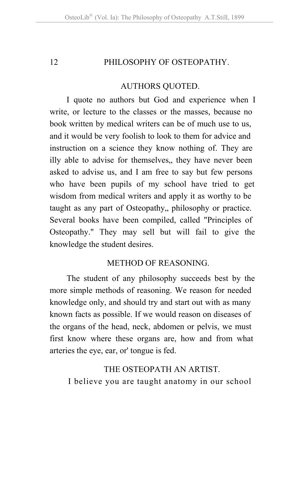# 12 **PHILOSOPHY OF OSTEOPATHY**

#### AUTHORS QUOTED.

I quote no authors but God and experience when I write, or lecture to the classes or the masses, because no book written by medical writers can be of much use to us, and it would be very foolish to look to them for advice and instruction on a science they know nothing of. They are illy able to advise for themselves, they have never been asked to advise us, and I am free to say but few persons who have been pupils of my school have tried to get wisdom from medical writers and apply it as worthy to be taught as any part of Osteopathy, philosophy or practice. Several books have been compiled, called "Principles of Osteopathy." They may sell but will fail to give the knowledge the student desires.

# METHOD OF REASONING.

The student of any philosophy succeeds best by the more simple methods of reasoning. We reason for needed knowledge only, and should try and start out with as many known facts as possible. If we would reason on diseases of the organs of the head, neck, abdomen or pelvis, we must first know where these organs are, how and from what arteries the eye, ear, or' tongue is fed.

# THE OSTEOPATH AN ARTIST.

I believe you are taught anatomy in our school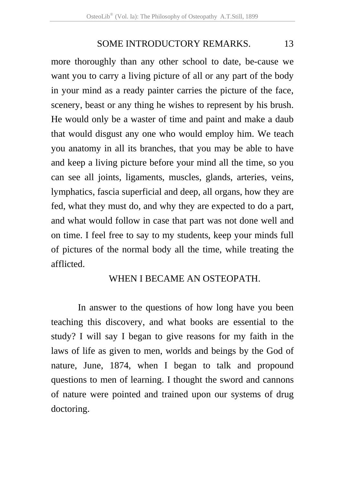more thoroughly than any other school to date, be-cause we want you to carry a living picture of all or any part of the body in your mind as a ready painter carries the picture of the face, scenery, beast or any thing he wishes to represent by his brush. He would only be a waster of time and paint and make a daub that would disgust any one who would employ him. We teach you anatomy in all its branches, that you may be able to have and keep a living picture before your mind all the time, so you can see all joints, ligaments, muscles, glands, arteries, veins, lymphatics, fascia superficial and deep, all organs, how they are fed, what they must do, and why they are expected to do a part, and what would follow in case that part was not done well and on time. I feel free to say to my students, keep your minds full of pictures of the normal body all the time, while treating the afflicted.

#### WHEN I BECAME AN OSTEOPATH.

 In answer to the questions of how long have you been teaching this discovery, and what books are essential to the study? I will say I began to give reasons for my faith in the laws of life as given to men, worlds and beings by the God of nature, June, 1874, when I began to talk and propound questions to men of learning. I thought the sword and cannons of nature were pointed and trained upon our systems of drug doctoring.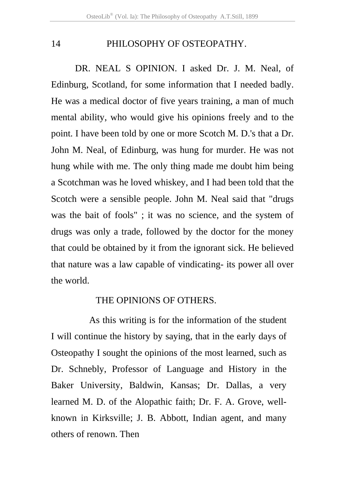## 14 PHILOSOPHY OF OSTEOPATHY.

DR. NEAL S OPINION. I asked Dr. J. M. Neal, of Edinburg, Scotland, for some information that I needed badly. He was a medical doctor of five years training, a man of much mental ability, who would give his opinions freely and to the point. I have been told by one or more Scotch M. D.'s that a Dr. John M. Neal, of Edinburg, was hung for murder. He was not hung while with me. The only thing made me doubt him being a Scotchman was he loved whiskey, and I had been told that the Scotch were a sensible people. John M. Neal said that "drugs was the bait of fools" ; it was no science, and the system of drugs was only a trade, followed by the doctor for the money that could be obtained by it from the ignorant sick. He believed that nature was a law capable of vindicating- its power all over the world.

#### THE OPINIONS OF OTHERS.

 As this writing is for the information of the student I will continue the history by saying, that in the early days of Osteopathy I sought the opinions of the most learned, such as Dr. Schnebly, Professor of Language and History in the Baker University, Baldwin, Kansas; Dr. Dallas, a very learned M. D. of the Alopathic faith; Dr. F. A. Grove, wellknown in Kirksville; J. B. Abbott, Indian agent, and many others of renown. Then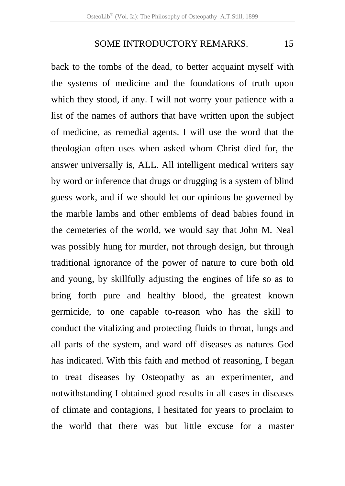back to the tombs of the dead, to better acquaint myself with the systems of medicine and the foundations of truth upon which they stood, if any. I will not worry your patience with a list of the names of authors that have written upon the subject of medicine, as remedial agents. I will use the word that the theologian often uses when asked whom Christ died for, the answer universally is, ALL. All intelligent medical writers say by word or inference that drugs or drugging is a system of blind guess work, and if we should let our opinions be governed by the marble lambs and other emblems of dead babies found in the cemeteries of the world, we would say that John M. Neal was possibly hung for murder, not through design, but through traditional ignorance of the power of nature to cure both old and young, by skillfully adjusting the engines of life so as to bring forth pure and healthy blood, the greatest known germicide, to one capable to-reason who has the skill to conduct the vitalizing and protecting fluids to throat, lungs and all parts of the system, and ward off diseases as natures God has indicated. With this faith and method of reasoning, I began to treat diseases by Osteopathy as an experimenter, and notwithstanding I obtained good results in all cases in diseases of climate and contagions, I hesitated for years to proclaim to the world that there was but little excuse for a master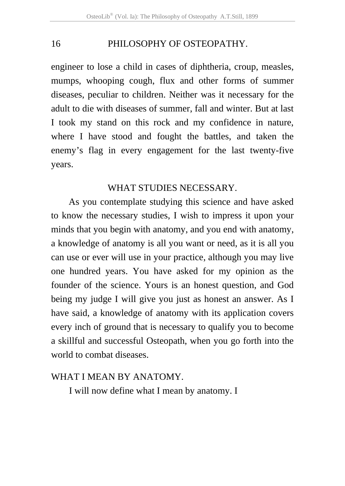# 16 PHILOSOPHY OF OSTEOPATHY.

engineer to lose a child in cases of diphtheria, croup, measles, mumps, whooping cough, flux and other forms of summer diseases, peculiar to children. Neither was it necessary for the adult to die with diseases of summer, fall and winter. But at last I took my stand on this rock and my confidence in nature, where I have stood and fought the battles, and taken the enemy's flag in every engagement for the last twenty-five years.

#### WHAT STUDIES NECESSARY.

As you contemplate studying this science and have asked to know the necessary studies, I wish to impress it upon your minds that you begin with anatomy, and you end with anatomy, a knowledge of anatomy is all you want or need, as it is all you can use or ever will use in your practice, although you may live one hundred years. You have asked for my opinion as the founder of the science. Yours is an honest question, and God being my judge I will give you just as honest an answer. As I have said, a knowledge of anatomy with its application covers every inch of ground that is necessary to qualify you to become a skillful and successful Osteopath, when you go forth into the world to combat diseases.

#### WHAT I MEAN BY ANATOMY.

I will now define what I mean by anatomy. I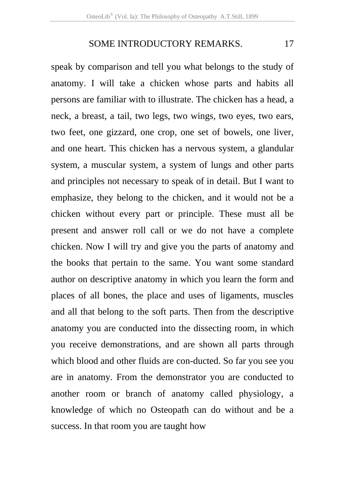speak by comparison and tell you what belongs to the study of anatomy. I will take a chicken whose parts and habits all persons are familiar with to illustrate. The chicken has a head, a neck, a breast, a tail, two legs, two wings, two eyes, two ears, two feet, one gizzard, one crop, one set of bowels, one liver, and one heart. This chicken has a nervous system, a glandular system, a muscular system, a system of lungs and other parts and principles not necessary to speak of in detail. But I want to emphasize, they belong to the chicken, and it would not be a chicken without every part or principle. These must all be present and answer roll call or we do not have a complete chicken. Now I will try and give you the parts of anatomy and the books that pertain to the same. You want some standard author on descriptive anatomy in which you learn the form and places of all bones, the place and uses of ligaments, muscles and all that belong to the soft parts. Then from the descriptive anatomy you are conducted into the dissecting room, in which you receive demonstrations, and are shown all parts through which blood and other fluids are con-ducted. So far you see you are in anatomy. From the demonstrator you are conducted to another room or branch of anatomy called physiology, a knowledge of which no Osteopath can do without and be a success. In that room you are taught how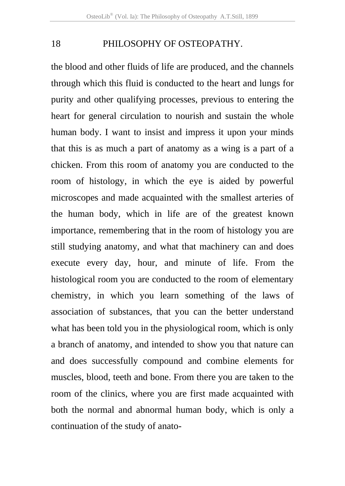#### 18 PHILOSOPHY OF OSTEOPATHY.

the blood and other fluids of life are produced, and the channels through which this fluid is conducted to the heart and lungs for purity and other qualifying processes, previous to entering the heart for general circulation to nourish and sustain the whole human body. I want to insist and impress it upon your minds that this is as much a part of anatomy as a wing is a part of a chicken. From this room of anatomy you are conducted to the room of histology, in which the eye is aided by powerful microscopes and made acquainted with the smallest arteries of the human body, which in life are of the greatest known importance, remembering that in the room of histology you are still studying anatomy, and what that machinery can and does execute every day, hour, and minute of life. From the histological room you are conducted to the room of elementary chemistry, in which you learn something of the laws of association of substances, that you can the better understand what has been told you in the physiological room, which is only a branch of anatomy, and intended to show you that nature can and does successfully compound and combine elements for muscles, blood, teeth and bone. From there you are taken to the room of the clinics, where you are first made acquainted with both the normal and abnormal human body, which is only a continuation of the study of anato-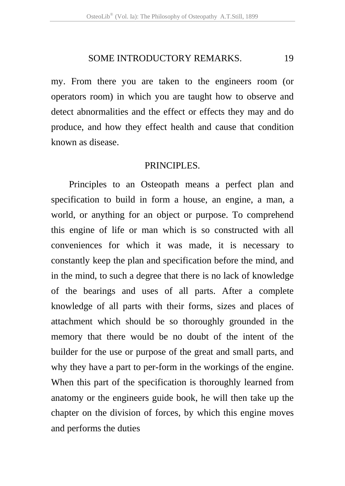my. From there you are taken to the engineers room (or operators room) in which you are taught how to observe and detect abnormalities and the effect or effects they may and do produce, and how they effect health and cause that condition known as disease.

#### PRINCIPLES.

Principles to an Osteopath means a perfect plan and specification to build in form a house, an engine, a man, a world, or anything for an object or purpose. To comprehend this engine of life or man which is so constructed with all conveniences for which it was made, it is necessary to constantly keep the plan and specification before the mind, and in the mind, to such a degree that there is no lack of knowledge of the bearings and uses of all parts. After a complete knowledge of all parts with their forms, sizes and places of attachment which should be so thoroughly grounded in the memory that there would be no doubt of the intent of the builder for the use or purpose of the great and small parts, and why they have a part to per-form in the workings of the engine. When this part of the specification is thoroughly learned from anatomy or the engineers guide book, he will then take up the chapter on the division of forces, by which this engine moves and performs the duties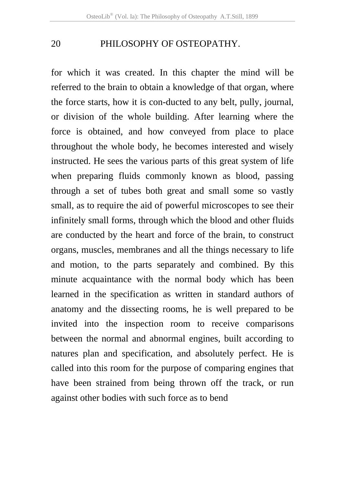## 20 PHILOSOPHY OF OSTEOPATHY.

for which it was created. In this chapter the mind will be referred to the brain to obtain a knowledge of that organ, where the force starts, how it is con-ducted to any belt, pully, journal, or division of the whole building. After learning where the force is obtained, and how conveyed from place to place throughout the whole body, he becomes interested and wisely instructed. He sees the various parts of this great system of life when preparing fluids commonly known as blood, passing through a set of tubes both great and small some so vastly small, as to require the aid of powerful microscopes to see their infinitely small forms, through which the blood and other fluids are conducted by the heart and force of the brain, to construct organs, muscles, membranes and all the things necessary to life and motion, to the parts separately and combined. By this minute acquaintance with the normal body which has been learned in the specification as written in standard authors of anatomy and the dissecting rooms, he is well prepared to be invited into the inspection room to receive comparisons between the normal and abnormal engines, built according to natures plan and specification, and absolutely perfect. He is called into this room for the purpose of comparing engines that have been strained from being thrown off the track, or run against other bodies with such force as to bend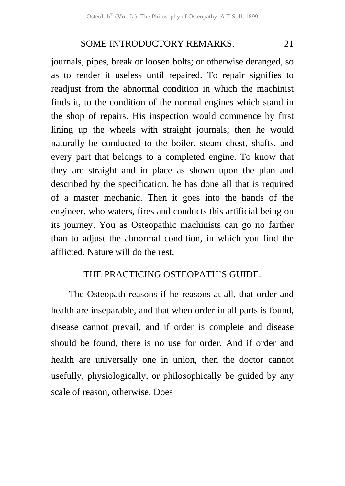journals, pipes, break or loosen bolts; or otherwise deranged, so as to render it useless until repaired. To repair signifies to readjust from the abnormal condition in which the machinist finds it, to the condition of the normal engines which stand in the shop of repairs. His inspection would commence by first lining up the wheels with straight journals; then he would naturally be conducted to the boiler, steam chest, shafts, and every part that belongs to a completed engine. To know that they are straight and in place as shown upon the plan and described by the specification, he has done all that is required of a master mechanic. Then it goes into the hands of the engineer, who waters, fires and conducts this artificial being on its journey. You as Osteopathic machinists can go no farther than to adjust the abnormal condition, in which you find the afflicted. Nature will do the rest.

#### THE PRACTICING OSTEOPATH'S GUIDE.

The Osteopath reasons if he reasons at all, that order and health are inseparable, and that when order in all parts is found, disease cannot prevail, and if order is complete and disease should be found, there is no use for order. And if order and health are universally one in union, then the doctor cannot usefully, physiologically, or philosophically be guided by any scale of reason, otherwise. Does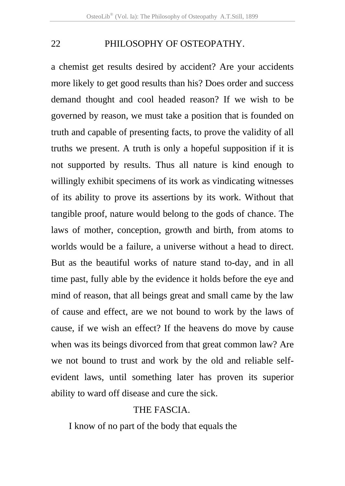## 22 PHILOSOPHY OF OSTEOPATHY.

a chemist get results desired by accident? Are your accidents more likely to get good results than his? Does order and success demand thought and cool headed reason? If we wish to be governed by reason, we must take a position that is founded on truth and capable of presenting facts, to prove the validity of all truths we present. A truth is only a hopeful supposition if it is not supported by results. Thus all nature is kind enough to willingly exhibit specimens of its work as vindicating witnesses of its ability to prove its assertions by its work. Without that tangible proof, nature would belong to the gods of chance. The laws of mother, conception, growth and birth, from atoms to worlds would be a failure, a universe without a head to direct. But as the beautiful works of nature stand to-day, and in all time past, fully able by the evidence it holds before the eye and mind of reason, that all beings great and small came by the law of cause and effect, are we not bound to work by the laws of cause, if we wish an effect? If the heavens do move by cause when was its beings divorced from that great common law? Are we not bound to trust and work by the old and reliable selfevident laws, until something later has proven its superior ability to ward off disease and cure the sick.

#### THE FASCIA.

I know of no part of the body that equals the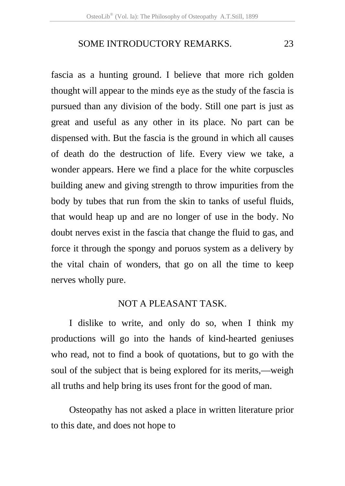fascia as a hunting ground. I believe that more rich golden thought will appear to the minds eye as the study of the fascia is pursued than any division of the body. Still one part is just as great and useful as any other in its place. No part can be dispensed with. But the fascia is the ground in which all causes of death do the destruction of life. Every view we take, a wonder appears. Here we find a place for the white corpuscles building anew and giving strength to throw impurities from the body by tubes that run from the skin to tanks of useful fluids, that would heap up and are no longer of use in the body. No doubt nerves exist in the fascia that change the fluid to gas, and force it through the spongy and poruos system as a delivery by the vital chain of wonders, that go on all the time to keep nerves wholly pure.

#### NOT A PLEASANT TASK.

I dislike to write, and only do so, when I think my productions will go into the hands of kind-hearted geniuses who read, not to find a book of quotations, but to go with the soul of the subject that is being explored for its merits,—weigh all truths and help bring its uses front for the good of man.

Osteopathy has not asked a place in written literature prior to this date, and does not hope to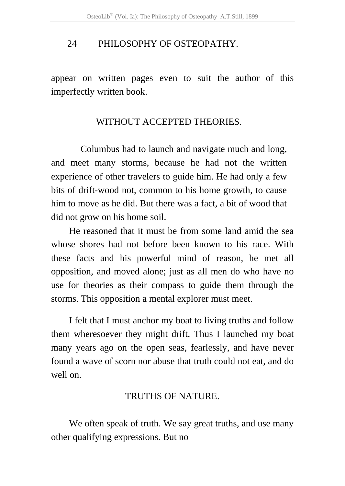#### 24 PHILOSOPHY OF OSTEOPATHY.

appear on written pages even to suit the author of this imperfectly written book.

## WITHOUT ACCEPTED THEORIES.

 Columbus had to launch and navigate much and long, and meet many storms, because he had not the written experience of other travelers to guide him. He had only a few bits of drift-wood not, common to his home growth, to cause him to move as he did. But there was a fact, a bit of wood that did not grow on his home soil.

He reasoned that it must be from some land amid the sea whose shores had not before been known to his race. With these facts and his powerful mind of reason, he met all opposition, and moved alone; just as all men do who have no use for theories as their compass to guide them through the storms. This opposition a mental explorer must meet.

I felt that I must anchor my boat to living truths and follow them wheresoever they might drift. Thus I launched my boat many years ago on the open seas, fearlessly, and have never found a wave of scorn nor abuse that truth could not eat, and do well on.

## TRUTHS OF NATURE.

We often speak of truth. We say great truths, and use many other qualifying expressions. But no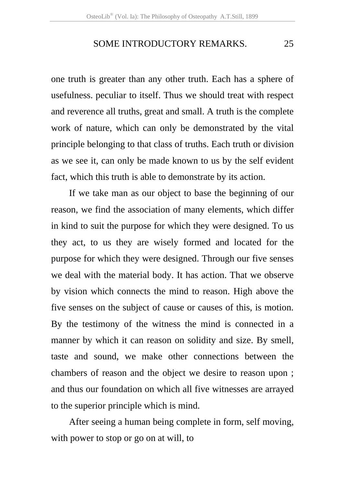one truth is greater than any other truth. Each has a sphere of usefulness. peculiar to itself. Thus we should treat with respect and reverence all truths, great and small. A truth is the complete work of nature, which can only be demonstrated by the vital principle belonging to that class of truths. Each truth or division as we see it, can only be made known to us by the self evident fact, which this truth is able to demonstrate by its action.

If we take man as our object to base the beginning of our reason, we find the association of many elements, which differ in kind to suit the purpose for which they were designed. To us they act, to us they are wisely formed and located for the purpose for which they were designed. Through our five senses we deal with the material body. It has action. That we observe by vision which connects the mind to reason. High above the five senses on the subject of cause or causes of this, is motion. By the testimony of the witness the mind is connected in a manner by which it can reason on solidity and size. By smell, taste and sound, we make other connections between the chambers of reason and the object we desire to reason upon ; and thus our foundation on which all five witnesses are arrayed to the superior principle which is mind.

After seeing a human being complete in form, self moving, with power to stop or go on at will, to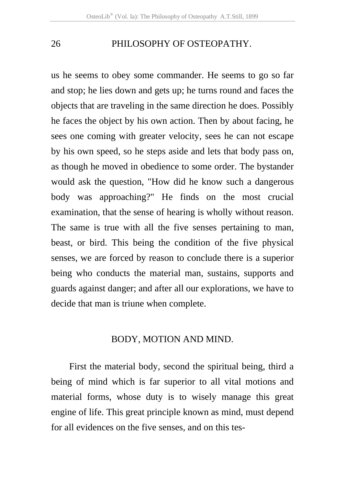26 PHILOSOPHY OF OSTEOPATHY.

us he seems to obey some commander. He seems to go so far and stop; he lies down and gets up; he turns round and faces the objects that are traveling in the same direction he does. Possibly he faces the object by his own action. Then by about facing, he sees one coming with greater velocity, sees he can not escape by his own speed, so he steps aside and lets that body pass on, as though he moved in obedience to some order. The bystander would ask the question, "How did he know such a dangerous body was approaching?" He finds on the most crucial examination, that the sense of hearing is wholly without reason. The same is true with all the five senses pertaining to man, beast, or bird. This being the condition of the five physical senses, we are forced by reason to conclude there is a superior being who conducts the material man, sustains, supports and guards against danger; and after all our explorations, we have to decide that man is triune when complete.

#### BODY, MOTION AND MIND.

First the material body, second the spiritual being, third a being of mind which is far superior to all vital motions and material forms, whose duty is to wisely manage this great engine of life. This great principle known as mind, must depend for all evidences on the five senses, and on this tes-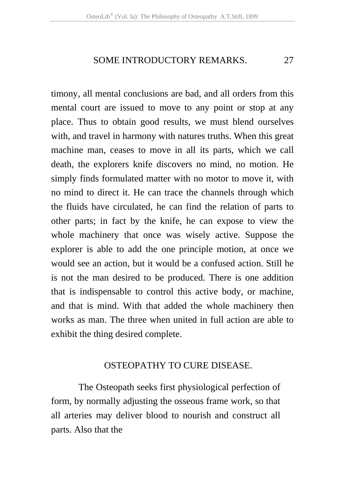timony, all mental conclusions are bad, and all orders from this mental court are issued to move to any point or stop at any place. Thus to obtain good results, we must blend ourselves with, and travel in harmony with natures truths. When this great machine man, ceases to move in all its parts, which we call death, the explorers knife discovers no mind, no motion. He simply finds formulated matter with no motor to move it, with no mind to direct it. He can trace the channels through which the fluids have circulated, he can find the relation of parts to other parts; in fact by the knife, he can expose to view the whole machinery that once was wisely active. Suppose the explorer is able to add the one principle motion, at once we would see an action, but it would be a confused action. Still he is not the man desired to be produced. There is one addition that is indispensable to control this active body, or machine, and that is mind. With that added the whole machinery then works as man. The three when united in full action are able to exhibit the thing desired complete.

## OSTEOPATHY TO CURE DISEASE.

 The Osteopath seeks first physiological perfection of form, by normally adjusting the osseous frame work, so that all arteries may deliver blood to nourish and construct all parts. Also that the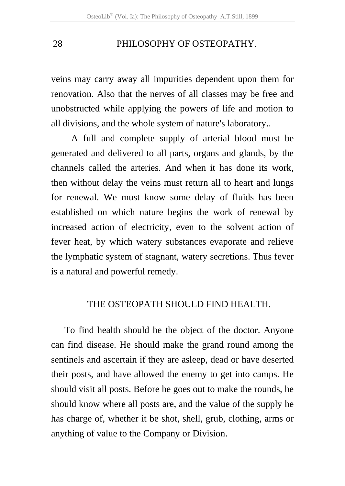veins may carry away all impurities dependent upon them for renovation. Also that the nerves of all classes may be free and unobstructed while applying the powers of life and motion to all divisions, and the whole system of nature's laboratory..

A full and complete supply of arterial blood must be generated and delivered to all parts, organs and glands, by the channels called the arteries. And when it has done its work, then without delay the veins must return all to heart and lungs for renewal. We must know some delay of fluids has been established on which nature begins the work of renewal by increased action of electricity, even to the solvent action of fever heat, by which watery substances evaporate and relieve the lymphatic system of stagnant, watery secretions. Thus fever is a natural and powerful remedy.

#### THE OSTEOPATH SHOULD FIND HEALTH.

To find health should be the object of the doctor. Anyone can find disease. He should make the grand round among the sentinels and ascertain if they are asleep, dead or have deserted their posts, and have allowed the enemy to get into camps. He should visit all posts. Before he goes out to make the rounds, he should know where all posts are, and the value of the supply he has charge of, whether it be shot, shell, grub, clothing, arms or anything of value to the Company or Division.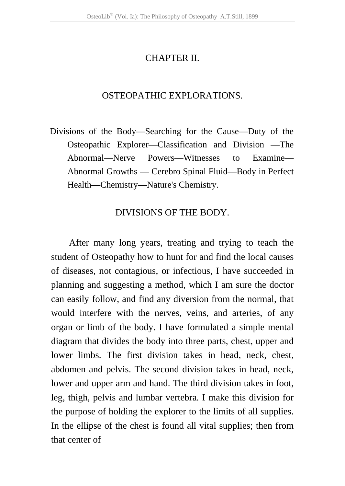## CHAPTER II.

## OSTEOPATHIC EXPLORATIONS.

Divisions of the Body—Searching for the Cause—Duty of the Osteopathic Explorer—Classification and Division —The Abnormal—Nerve Powers—Witnesses to Examine— Abnormal Growths — Cerebro Spinal Fluid—Body in Perfect Health—Chemistry—Nature's Chemistry.

## DIVISIONS OF THE BODY.

After many long years, treating and trying to teach the student of Osteopathy how to hunt for and find the local causes of diseases, not contagious, or infectious, I have succeeded in planning and suggesting a method, which I am sure the doctor can easily follow, and find any diversion from the normal, that would interfere with the nerves, veins, and arteries, of any organ or limb of the body. I have formulated a simple mental diagram that divides the body into three parts, chest, upper and lower limbs. The first division takes in head, neck, chest, abdomen and pelvis. The second division takes in head, neck, lower and upper arm and hand. The third division takes in foot, leg, thigh, pelvis and lumbar vertebra. I make this division for the purpose of holding the explorer to the limits of all supplies. In the ellipse of the chest is found all vital supplies; then from that center of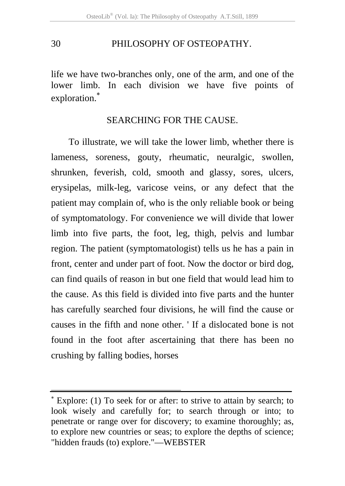life we have two-branches only, one of the arm, and one of the lower limb. In each division we have five points of exploration.<sup>∗</sup>

## SEARCHING FOR THE CAUSE.

To illustrate, we will take the lower limb, whether there is lameness, soreness, gouty, rheumatic, neuralgic, swollen, shrunken, feverish, cold, smooth and glassy, sores, ulcers, erysipelas, milk-leg, varicose veins, or any defect that the patient may complain of, who is the only reliable book or being of symptomatology. For convenience we will divide that lower limb into five parts, the foot, leg, thigh, pelvis and lumbar region. The patient (symptomatologist) tells us he has a pain in front, center and under part of foot. Now the doctor or bird dog, can find quails of reason in but one field that would lead him to the cause. As this field is divided into five parts and the hunter has carefully searched four divisions, he will find the cause or causes in the fifth and none other. ' If a dislocated bone is not found in the foot after ascertaining that there has been no crushing by falling bodies, horses

.

<sup>∗</sup> Explore: (1) To seek for or after: to strive to attain by search; to look wisely and carefully for; to search through or into; to penetrate or range over for discovery; to examine thoroughly; as, to explore new countries or seas; to explore the depths of science; "hidden frauds (to) explore."—WEBSTER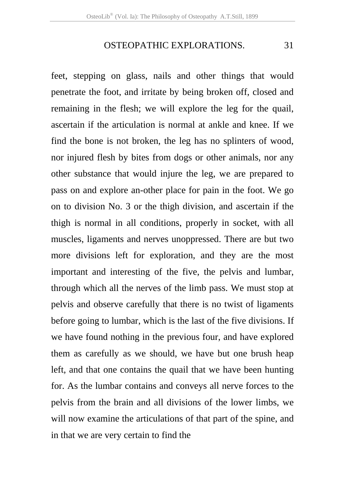#### OSTEOPATHIC EXPLORATIONS. 31

feet, stepping on glass, nails and other things that would penetrate the foot, and irritate by being broken off, closed and remaining in the flesh; we will explore the leg for the quail, ascertain if the articulation is normal at ankle and knee. If we find the bone is not broken, the leg has no splinters of wood, nor injured flesh by bites from dogs or other animals, nor any other substance that would injure the leg, we are prepared to pass on and explore an-other place for pain in the foot. We go on to division No. 3 or the thigh division, and ascertain if the thigh is normal in all conditions, properly in socket, with all muscles, ligaments and nerves unoppressed. There are but two more divisions left for exploration, and they are the most important and interesting of the five, the pelvis and lumbar, through which all the nerves of the limb pass. We must stop at pelvis and observe carefully that there is no twist of ligaments before going to lumbar, which is the last of the five divisions. If we have found nothing in the previous four, and have explored them as carefully as we should, we have but one brush heap left, and that one contains the quail that we have been hunting for. As the lumbar contains and conveys all nerve forces to the pelvis from the brain and all divisions of the lower limbs, we will now examine the articulations of that part of the spine, and in that we are very certain to find the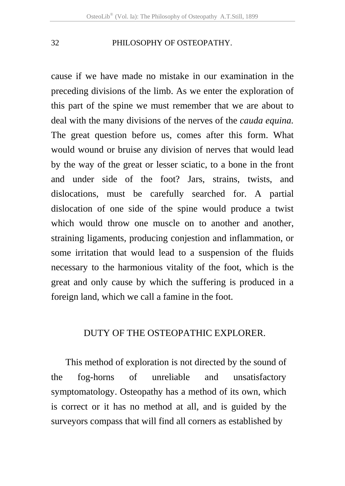cause if we have made no mistake in our examination in the preceding divisions of the limb. As we enter the exploration of this part of the spine we must remember that we are about to deal with the many divisions of the nerves of the *cauda equina.*  The great question before us, comes after this form. What would wound or bruise any division of nerves that would lead by the way of the great or lesser sciatic, to a bone in the front and under side of the foot? Jars, strains, twists, and dislocations, must be carefully searched for. A partial dislocation of one side of the spine would produce a twist which would throw one muscle on to another and another, straining ligaments, producing conjestion and inflammation, or some irritation that would lead to a suspension of the fluids necessary to the harmonious vitality of the foot, which is the great and only cause by which the suffering is produced in a foreign land, which we call a famine in the foot.

#### DUTY OF THE OSTEOPATHIC EXPLORER.

 This method of exploration is not directed by the sound of the fog-horns of unreliable and unsatisfactory symptomatology. Osteopathy has a method of its own, which is correct or it has no method at all, and is guided by the surveyors compass that will find all corners as established by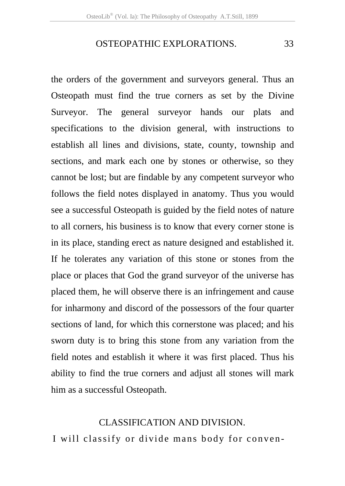#### OSTEOPATHIC EXPLORATIONS. 33

the orders of the government and surveyors general. Thus an Osteopath must find the true corners as set by the Divine Surveyor. The general surveyor hands our plats and specifications to the division general, with instructions to establish all lines and divisions, state, county, township and sections, and mark each one by stones or otherwise, so they cannot be lost; but are findable by any competent surveyor who follows the field notes displayed in anatomy. Thus you would see a successful Osteopath is guided by the field notes of nature to all corners, his business is to know that every corner stone is in its place, standing erect as nature designed and established it. If he tolerates any variation of this stone or stones from the place or places that God the grand surveyor of the universe has placed them, he will observe there is an infringement and cause for inharmony and discord of the possessors of the four quarter sections of land, for which this cornerstone was placed; and his sworn duty is to bring this stone from any variation from the field notes and establish it where it was first placed. Thus his ability to find the true corners and adjust all stones will mark him as a successful Osteopath.

#### CLASSIFICATION AND DIVISION.

I will classify or divide mans body for conven-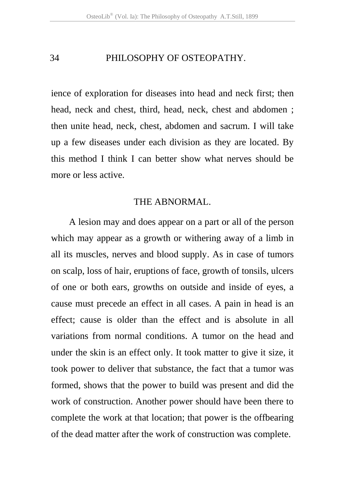ience of exploration for diseases into head and neck first; then head, neck and chest, third, head, neck, chest and abdomen ; then unite head, neck, chest, abdomen and sacrum. I will take up a few diseases under each division as they are located. By this method I think I can better show what nerves should be more or less active.

#### THE ABNORMAL.

A lesion may and does appear on a part or all of the person which may appear as a growth or withering away of a limb in all its muscles, nerves and blood supply. As in case of tumors on scalp, loss of hair, eruptions of face, growth of tonsils, ulcers of one or both ears, growths on outside and inside of eyes, a cause must precede an effect in all cases. A pain in head is an effect; cause is older than the effect and is absolute in all variations from normal conditions. A tumor on the head and under the skin is an effect only. It took matter to give it size, it took power to deliver that substance, the fact that a tumor was formed, shows that the power to build was present and did the work of construction. Another power should have been there to complete the work at that location; that power is the offbearing of the dead matter after the work of construction was complete.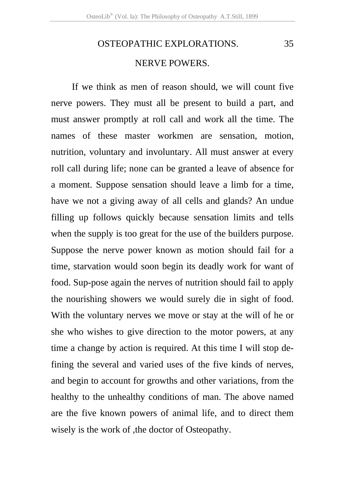# OSTEOPATHIC EXPLORATIONS. 35 NERVE POWERS.

If we think as men of reason should, we will count five nerve powers. They must all be present to build a part, and must answer promptly at roll call and work all the time. The names of these master workmen are sensation, motion, nutrition, voluntary and involuntary. All must answer at every roll call during life; none can be granted a leave of absence for a moment. Suppose sensation should leave a limb for a time, have we not a giving away of all cells and glands? An undue filling up follows quickly because sensation limits and tells when the supply is too great for the use of the builders purpose. Suppose the nerve power known as motion should fail for a time, starvation would soon begin its deadly work for want of food. Sup-pose again the nerves of nutrition should fail to apply the nourishing showers we would surely die in sight of food. With the voluntary nerves we move or stay at the will of he or she who wishes to give direction to the motor powers, at any time a change by action is required. At this time I will stop defining the several and varied uses of the five kinds of nerves, and begin to account for growths and other variations, from the healthy to the unhealthy conditions of man. The above named are the five known powers of animal life, and to direct them wisely is the work of , the doctor of Osteopathy.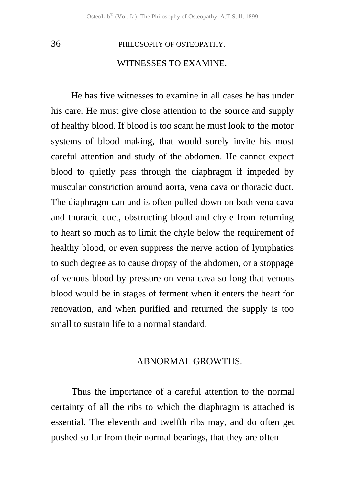## WITNESSES TO EXAMINE.

 He has five witnesses to examine in all cases he has under his care. He must give close attention to the source and supply of healthy blood. If blood is too scant he must look to the motor systems of blood making, that would surely invite his most careful attention and study of the abdomen. He cannot expect blood to quietly pass through the diaphragm if impeded by muscular constriction around aorta, vena cava or thoracic duct. The diaphragm can and is often pulled down on both vena cava and thoracic duct, obstructing blood and chyle from returning to heart so much as to limit the chyle below the requirement of healthy blood, or even suppress the nerve action of lymphatics to such degree as to cause dropsy of the abdomen, or a stoppage of venous blood by pressure on vena cava so long that venous blood would be in stages of ferment when it enters the heart for renovation, and when purified and returned the supply is too small to sustain life to a normal standard.

#### ABNORMAL GROWTHS.

Thus the importance of a careful attention to the normal certainty of all the ribs to which the diaphragm is attached is essential. The eleventh and twelfth ribs may, and do often get pushed so far from their normal bearings, that they are often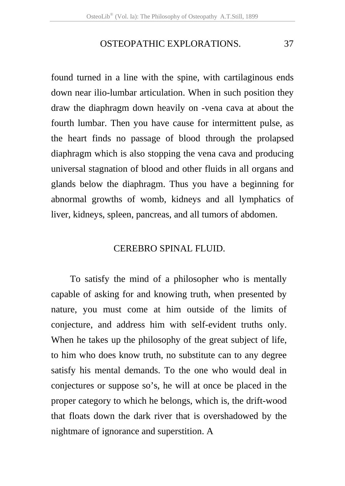#### OSTEOPATHIC EXPLORATIONS. 37

found turned in a line with the spine, with cartilaginous ends down near ilio-lumbar articulation. When in such position they draw the diaphragm down heavily on -vena cava at about the fourth lumbar. Then you have cause for intermittent pulse, as the heart finds no passage of blood through the prolapsed diaphragm which is also stopping the vena cava and producing universal stagnation of blood and other fluids in all organs and glands below the diaphragm. Thus you have a beginning for abnormal growths of womb, kidneys and all lymphatics of liver, kidneys, spleen, pancreas, and all tumors of abdomen.

#### CEREBRO SPINAL FLUID.

To satisfy the mind of a philosopher who is mentally capable of asking for and knowing truth, when presented by nature, you must come at him outside of the limits of conjecture, and address him with self-evident truths only. When he takes up the philosophy of the great subject of life, to him who does know truth, no substitute can to any degree satisfy his mental demands. To the one who would deal in conjectures or suppose so's, he will at once be placed in the proper category to which he belongs, which is, the drift-wood that floats down the dark river that is overshadowed by the nightmare of ignorance and superstition. A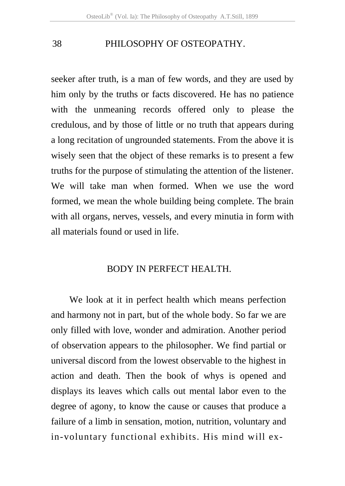seeker after truth, is a man of few words, and they are used by him only by the truths or facts discovered. He has no patience with the unmeaning records offered only to please the credulous, and by those of little or no truth that appears during a long recitation of ungrounded statements. From the above it is wisely seen that the object of these remarks is to present a few truths for the purpose of stimulating the attention of the listener. We will take man when formed. When we use the word formed, we mean the whole building being complete. The brain with all organs, nerves, vessels, and every minutia in form with all materials found or used in life.

#### BODY IN PERFECT HEALTH.

We look at it in perfect health which means perfection and harmony not in part, but of the whole body. So far we are only filled with love, wonder and admiration. Another period of observation appears to the philosopher. We find partial or universal discord from the lowest observable to the highest in action and death. Then the book of whys is opened and displays its leaves which calls out mental labor even to the degree of agony, to know the cause or causes that produce a failure of a limb in sensation, motion, nutrition, voluntary and in-voluntary functional exhibits. His mind will ex-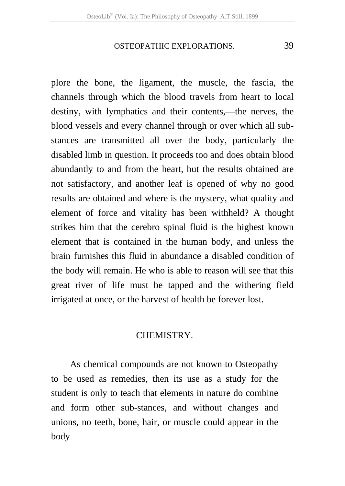#### OSTEOPATHIC EXPLORATIONS. 39

plore the bone, the ligament, the muscle, the fascia, the channels through which the blood travels from heart to local destiny, with lymphatics and their contents,—the nerves, the blood vessels and every channel through or over which all substances are transmitted all over the body, particularly the disabled limb in question. It proceeds too and does obtain blood abundantly to and from the heart, but the results obtained are not satisfactory, and another leaf is opened of why no good results are obtained and where is the mystery, what quality and element of force and vitality has been withheld? A thought strikes him that the cerebro spinal fluid is the highest known element that is contained in the human body, and unless the brain furnishes this fluid in abundance a disabled condition of the body will remain. He who is able to reason will see that this great river of life must be tapped and the withering field irrigated at once, or the harvest of health be forever lost.

#### CHEMISTRY.

As chemical compounds are not known to Osteopathy to be used as remedies, then its use as a study for the student is only to teach that elements in nature do combine and form other sub-stances, and without changes and unions, no teeth, bone, hair, or muscle could appear in the body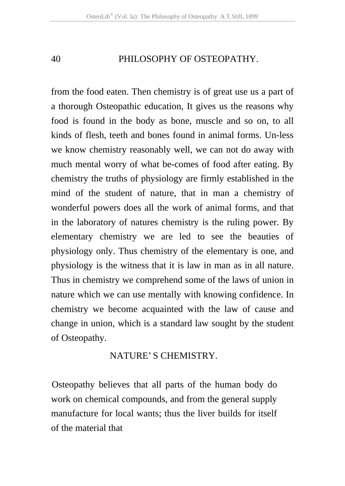from the food eaten. Then chemistry is of great use us a part of a thorough Osteopathic education, It gives us the reasons why food is found in the body as bone, muscle and so on, to all kinds of flesh, teeth and bones found in animal forms. Un-less we know chemistry reasonably well, we can not do away with much mental worry of what be-comes of food after eating. By chemistry the truths of physiology are firmly established in the mind of the student of nature, that in man a chemistry of wonderful powers does all the work of animal forms, and that in the laboratory of natures chemistry is the ruling power. By elementary chemistry we are led to see the beauties of physiology only. Thus chemistry of the elementary is one, and physiology is the witness that it is law in man as in all nature. Thus in chemistry we comprehend some of the laws of union in nature which we can use mentally with knowing confidence. In chemistry we become acquainted with the law of cause and change in union, which is a standard law sought by the student of Osteopathy.

## NATURE' S CHEMISTRY.

Osteopathy believes that all parts of the human body do work on chemical compounds, and from the general supply manufacture for local wants; thus the liver builds for itself of the material that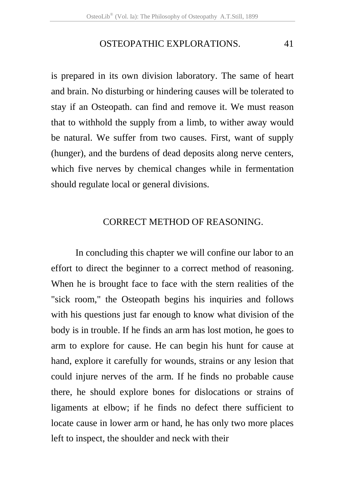#### OSTEOPATHIC EXPLORATIONS. 41

is prepared in its own division laboratory. The same of heart and brain. No disturbing or hindering causes will be tolerated to stay if an Osteopath. can find and remove it. We must reason that to withhold the supply from a limb, to wither away would be natural. We suffer from two causes. First, want of supply (hunger), and the burdens of dead deposits along nerve centers, which five nerves by chemical changes while in fermentation should regulate local or general divisions.

## CORRECT METHOD OF REASONING.

 In concluding this chapter we will confine our labor to an effort to direct the beginner to a correct method of reasoning. When he is brought face to face with the stern realities of the "sick room," the Osteopath begins his inquiries and follows with his questions just far enough to know what division of the body is in trouble. If he finds an arm has lost motion, he goes to arm to explore for cause. He can begin his hunt for cause at hand, explore it carefully for wounds, strains or any lesion that could injure nerves of the arm. If he finds no probable cause there, he should explore bones for dislocations or strains of ligaments at elbow; if he finds no defect there sufficient to locate cause in lower arm or hand, he has only two more places left to inspect, the shoulder and neck with their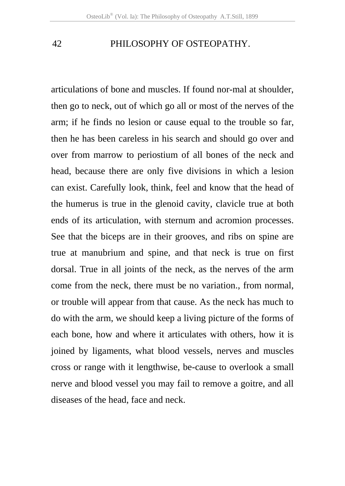articulations of bone and muscles. If found nor-mal at shoulder, then go to neck, out of which go all or most of the nerves of the arm; if he finds no lesion or cause equal to the trouble so far, then he has been careless in his search and should go over and over from marrow to periostium of all bones of the neck and head, because there are only five divisions in which a lesion can exist. Carefully look, think, feel and know that the head of the humerus is true in the glenoid cavity, clavicle true at both ends of its articulation, with sternum and acromion processes. See that the biceps are in their grooves, and ribs on spine are true at manubrium and spine, and that neck is true on first dorsal. True in all joints of the neck, as the nerves of the arm come from the neck, there must be no variation., from normal, or trouble will appear from that cause. As the neck has much to do with the arm, we should keep a living picture of the forms of each bone, how and where it articulates with others, how it is joined by ligaments, what blood vessels, nerves and muscles cross or range with it lengthwise, be-cause to overlook a small nerve and blood vessel you may fail to remove a goitre, and all diseases of the head, face and neck.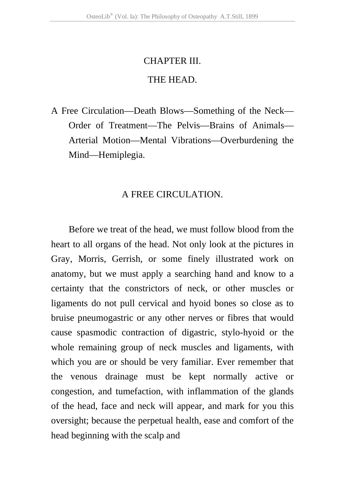# CHAPTER III. THE HEAD.

A Free Circulation—Death Blows—Something of the Neck— Order of Treatment—The Pelvis—Brains of Animals— Arterial Motion—Mental Vibrations—Overburdening the Mind—Hemiplegia.

#### A FREE CIRCULATION.

Before we treat of the head, we must follow blood from the heart to all organs of the head. Not only look at the pictures in Gray, Morris, Gerrish, or some finely illustrated work on anatomy, but we must apply a searching hand and know to a certainty that the constrictors of neck, or other muscles or ligaments do not pull cervical and hyoid bones so close as to bruise pneumogastric or any other nerves or fibres that would cause spasmodic contraction of digastric, stylo-hyoid or the whole remaining group of neck muscles and ligaments, with which you are or should be very familiar. Ever remember that the venous drainage must be kept normally active or congestion, and tumefaction, with inflammation of the glands of the head, face and neck will appear, and mark for you this oversight; because the perpetual health, ease and comfort of the head beginning with the scalp and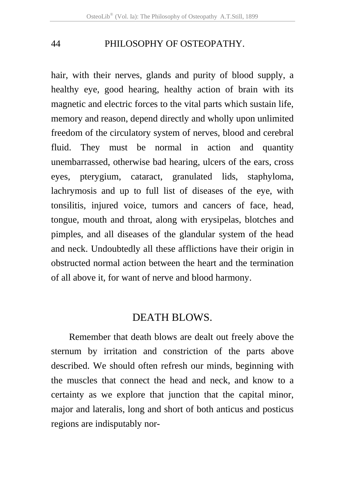hair, with their nerves, glands and purity of blood supply, a healthy eye, good hearing, healthy action of brain with its magnetic and electric forces to the vital parts which sustain life, memory and reason, depend directly and wholly upon unlimited freedom of the circulatory system of nerves, blood and cerebral fluid. They must be normal in action and quantity unembarrassed, otherwise bad hearing, ulcers of the ears, cross eyes, pterygium, cataract, granulated lids, staphyloma, lachrymosis and up to full list of diseases of the eye, with tonsilitis, injured voice, tumors and cancers of face, head, tongue, mouth and throat, along with erysipelas, blotches and pimples, and all diseases of the glandular system of the head and neck. Undoubtedly all these afflictions have their origin in obstructed normal action between the heart and the termination of all above it, for want of nerve and blood harmony.

# DEATH BLOWS.

Remember that death blows are dealt out freely above the sternum by irritation and constriction of the parts above described. We should often refresh our minds, beginning with the muscles that connect the head and neck, and know to a certainty as we explore that junction that the capital minor, major and lateralis, long and short of both anticus and posticus regions are indisputably nor-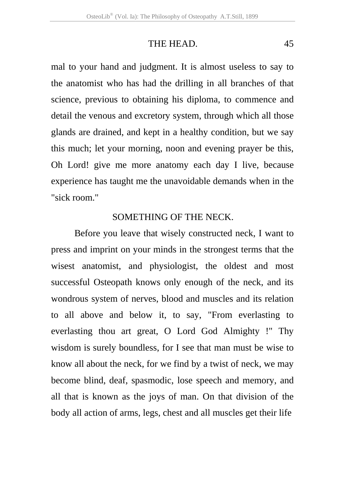#### THE HEAD. 45

mal to your hand and judgment. It is almost useless to say to the anatomist who has had the drilling in all branches of that science, previous to obtaining his diploma, to commence and detail the venous and excretory system, through which all those glands are drained, and kept in a healthy condition, but we say this much; let your morning, noon and evening prayer be this, Oh Lord! give me more anatomy each day I live, because experience has taught me the unavoidable demands when in the "sick room."

## SOMETHING OF THE NECK.

Before you leave that wisely constructed neck, I want to press and imprint on your minds in the strongest terms that the wisest anatomist, and physiologist, the oldest and most successful Osteopath knows only enough of the neck, and its wondrous system of nerves, blood and muscles and its relation to all above and below it, to say, "From everlasting to everlasting thou art great, O Lord God Almighty !" Thy wisdom is surely boundless, for I see that man must be wise to know all about the neck, for we find by a twist of neck, we may become blind, deaf, spasmodic, lose speech and memory, and all that is known as the joys of man. On that division of the body all action of arms, legs, chest and all muscles get their life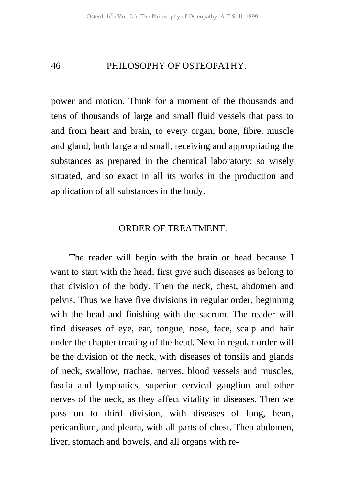power and motion. Think for a moment of the thousands and tens of thousands of large and small fluid vessels that pass to and from heart and brain, to every organ, bone, fibre, muscle and gland, both large and small, receiving and appropriating the substances as prepared in the chemical laboratory; so wisely situated, and so exact in all its works in the production and application of all substances in the body.

#### ORDER OF TREATMENT.

 The reader will begin with the brain or head because I want to start with the head; first give such diseases as belong to that division of the body. Then the neck, chest, abdomen and pelvis. Thus we have five divisions in regular order, beginning with the head and finishing with the sacrum. The reader will find diseases of eye, ear, tongue, nose, face, scalp and hair under the chapter treating of the head. Next in regular order will be the division of the neck, with diseases of tonsils and glands of neck, swallow, trachae, nerves, blood vessels and muscles, fascia and lymphatics, superior cervical ganglion and other nerves of the neck, as they affect vitality in diseases. Then we pass on to third division, with diseases of lung, heart, pericardium, and pleura, with all parts of chest. Then abdomen, liver, stomach and bowels, and all organs with re-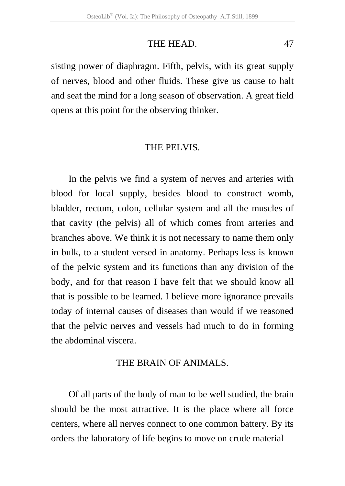#### THE HEAD. 47

sisting power of diaphragm. Fifth, pelvis, with its great supply of nerves, blood and other fluids. These give us cause to halt and seat the mind for a long season of observation. A great field opens at this point for the observing thinker.

#### THE PELVIS.

In the pelvis we find a system of nerves and arteries with blood for local supply, besides blood to construct womb, bladder, rectum, colon, cellular system and all the muscles of that cavity (the pelvis) all of which comes from arteries and branches above. We think it is not necessary to name them only in bulk, to a student versed in anatomy. Perhaps less is known of the pelvic system and its functions than any division of the body, and for that reason I have felt that we should know all that is possible to be learned. I believe more ignorance prevails today of internal causes of diseases than would if we reasoned that the pelvic nerves and vessels had much to do in forming the abdominal viscera.

## THE BRAIN OF ANIMALS.

Of all parts of the body of man to be well studied, the brain should be the most attractive. It is the place where all force centers, where all nerves connect to one common battery. By its orders the laboratory of life begins to move on crude material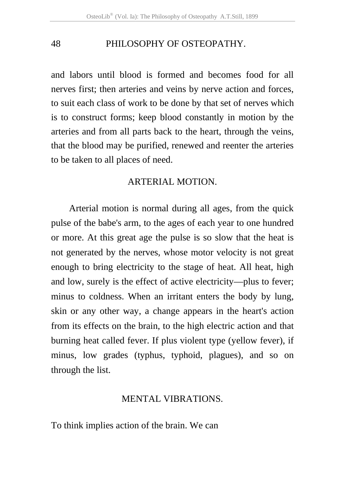and labors until blood is formed and becomes food for all nerves first; then arteries and veins by nerve action and forces, to suit each class of work to be done by that set of nerves which is to construct forms; keep blood constantly in motion by the arteries and from all parts back to the heart, through the veins, that the blood may be purified, renewed and reenter the arteries to be taken to all places of need.

## ARTERIAL MOTION.

Arterial motion is normal during all ages, from the quick pulse of the babe's arm, to the ages of each year to one hundred or more. At this great age the pulse is so slow that the heat is not generated by the nerves, whose motor velocity is not great enough to bring electricity to the stage of heat. All heat, high and low, surely is the effect of active electricity—plus to fever; minus to coldness. When an irritant enters the body by lung, skin or any other way, a change appears in the heart's action from its effects on the brain, to the high electric action and that burning heat called fever. If plus violent type (yellow fever), if minus, low grades (typhus, typhoid, plagues), and so on through the list.

## MENTAL VIBRATIONS.

To think implies action of the brain. We can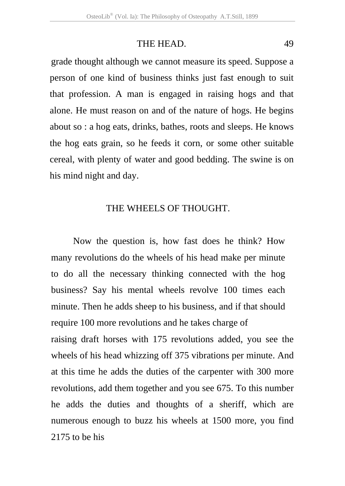## THE HEAD. 49

grade thought although we cannot measure its speed. Suppose a person of one kind of business thinks just fast enough to suit that profession. A man is engaged in raising hogs and that alone. He must reason on and of the nature of hogs. He begins about so : a hog eats, drinks, bathes, roots and sleeps. He knows the hog eats grain, so he feeds it corn, or some other suitable cereal, with plenty of water and good bedding. The swine is on his mind night and day.

#### THE WHEELS OF THOUGHT.

Now the question is, how fast does he think? How many revolutions do the wheels of his head make per minute to do all the necessary thinking connected with the hog business? Say his mental wheels revolve 100 times each minute. Then he adds sheep to his business, and if that should require 100 more revolutions and he takes charge of

raising draft horses with 175 revolutions added, you see the wheels of his head whizzing off 375 vibrations per minute. And at this time he adds the duties of the carpenter with 300 more revolutions, add them together and you see 675. To this number he adds the duties and thoughts of a sheriff, which are numerous enough to buzz his wheels at 1500 more, you find 2175 to be his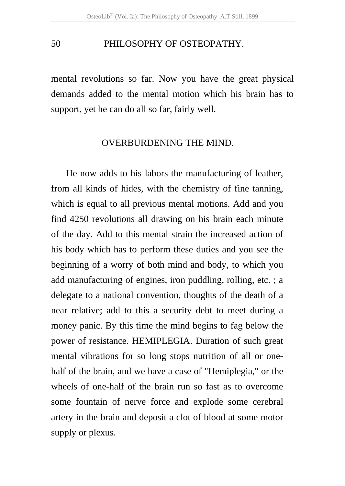mental revolutions so far. Now you have the great physical demands added to the mental motion which his brain has to support, yet he can do all so far, fairly well.

#### OVERBURDENING THE MIND.

 He now adds to his labors the manufacturing of leather, from all kinds of hides, with the chemistry of fine tanning, which is equal to all previous mental motions. Add and you find 4250 revolutions all drawing on his brain each minute of the day. Add to this mental strain the increased action of his body which has to perform these duties and you see the beginning of a worry of both mind and body, to which you add manufacturing of engines, iron puddling, rolling, etc. ; a delegate to a national convention, thoughts of the death of a near relative; add to this a security debt to meet during a money panic. By this time the mind begins to fag below the power of resistance. HEMIPLEGIA. Duration of such great mental vibrations for so long stops nutrition of all or onehalf of the brain, and we have a case of "Hemiplegia," or the wheels of one-half of the brain run so fast as to overcome some fountain of nerve force and explode some cerebral artery in the brain and deposit a clot of blood at some motor supply or plexus.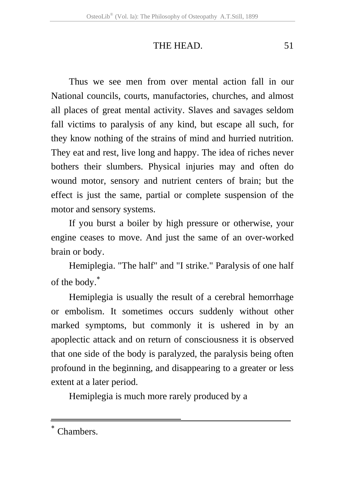#### THE HEAD. 51

Thus we see men from over mental action fall in our National councils, courts, manufactories, churches, and almost all places of great mental activity. Slaves and savages seldom fall victims to paralysis of any kind, but escape all such, for they know nothing of the strains of mind and hurried nutrition. They eat and rest, live long and happy. The idea of riches never bothers their slumbers. Physical injuries may and often do wound motor, sensory and nutrient centers of brain; but the effect is just the same, partial or complete suspension of the motor and sensory systems.

If you burst a boiler by high pressure or otherwise, your engine ceases to move. And just the same of an over-worked brain or body.

Hemiplegia. "The half" and "I strike." Paralysis of one half of the body.<sup>∗</sup>

Hemiplegia is usually the result of a cerebral hemorrhage or embolism. It sometimes occurs suddenly without other marked symptoms, but commonly it is ushered in by an apoplectic attack and on return of consciousness it is observed that one side of the body is paralyzed, the paralysis being often profound in the beginning, and disappearing to a greater or less extent at a later period.

Hemiplegia is much more rarely produced by a

-

Chambers.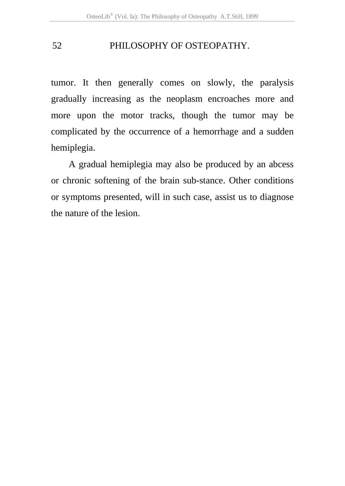tumor. It then generally comes on slowly, the paralysis gradually increasing as the neoplasm encroaches more and more upon the motor tracks, though the tumor may be complicated by the occurrence of a hemorrhage and a sudden hemiplegia.

A gradual hemiplegia may also be produced by an abcess or chronic softening of the brain sub-stance. Other conditions or symptoms presented, will in such case, assist us to diagnose the nature of the lesion.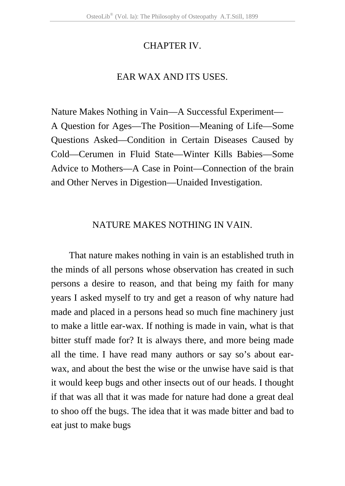## CHAPTER IV.

## EAR WAX AND ITS USES.

Nature Makes Nothing in Vain—A Successful Experiment— A Question for Ages—The Position—Meaning of Life—Some Questions Asked—Condition in Certain Diseases Caused by Cold—Cerumen in Fluid State—Winter Kills Babies—Some Advice to Mothers—A Case in Point—Connection of the brain and Other Nerves in Digestion—Unaided Investigation.

## NATURE MAKES NOTHING IN VAIN.

That nature makes nothing in vain is an established truth in the minds of all persons whose observation has created in such persons a desire to reason, and that being my faith for many years I asked myself to try and get a reason of why nature had made and placed in a persons head so much fine machinery just to make a little ear-wax. If nothing is made in vain, what is that bitter stuff made for? It is always there, and more being made all the time. I have read many authors or say so's about earwax, and about the best the wise or the unwise have said is that it would keep bugs and other insects out of our heads. I thought if that was all that it was made for nature had done a great deal to shoo off the bugs. The idea that it was made bitter and bad to eat just to make bugs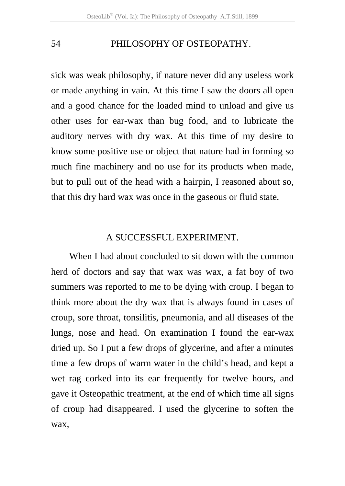sick was weak philosophy, if nature never did any useless work or made anything in vain. At this time I saw the doors all open and a good chance for the loaded mind to unload and give us other uses for ear-wax than bug food, and to lubricate the auditory nerves with dry wax. At this time of my desire to know some positive use or object that nature had in forming so much fine machinery and no use for its products when made, but to pull out of the head with a hairpin, I reasoned about so, that this dry hard wax was once in the gaseous or fluid state.

#### A SUCCESSFUL EXPERIMENT.

When I had about concluded to sit down with the common herd of doctors and say that wax was wax, a fat boy of two summers was reported to me to be dying with croup. I began to think more about the dry wax that is always found in cases of croup, sore throat, tonsilitis, pneumonia, and all diseases of the lungs, nose and head. On examination I found the ear-wax dried up. So I put a few drops of glycerine, and after a minutes time a few drops of warm water in the child's head, and kept a wet rag corked into its ear frequently for twelve hours, and gave it Osteopathic treatment, at the end of which time all signs of croup had disappeared. I used the glycerine to soften the wax,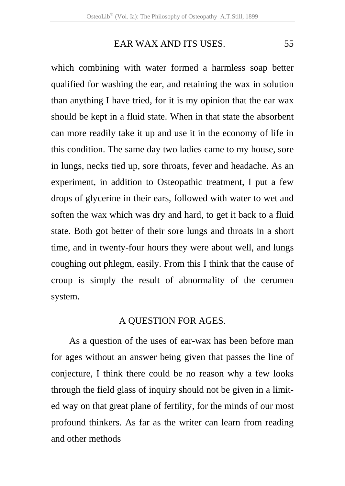## EAR WAX AND ITS USES. 55

which combining with water formed a harmless soap better qualified for washing the ear, and retaining the wax in solution than anything I have tried, for it is my opinion that the ear wax should be kept in a fluid state. When in that state the absorbent can more readily take it up and use it in the economy of life in this condition. The same day two ladies came to my house, sore in lungs, necks tied up, sore throats, fever and headache. As an experiment, in addition to Osteopathic treatment, I put a few drops of glycerine in their ears, followed with water to wet and soften the wax which was dry and hard, to get it back to a fluid state. Both got better of their sore lungs and throats in a short time, and in twenty-four hours they were about well, and lungs coughing out phlegm, easily. From this I think that the cause of croup is simply the result of abnormality of the cerumen system.

#### A QUESTION FOR AGES.

As a question of the uses of ear-wax has been before man for ages without an answer being given that passes the line of conjecture, I think there could be no reason why a few looks through the field glass of inquiry should not be given in a limited way on that great plane of fertility, for the minds of our most profound thinkers. As far as the writer can learn from reading and other methods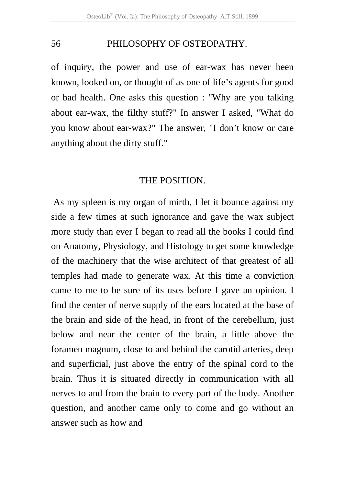of inquiry, the power and use of ear-wax has never been known, looked on, or thought of as one of life's agents for good or bad health. One asks this question : "Why are you talking about ear-wax, the filthy stuff?" In answer I asked, "What do you know about ear-wax?" The answer, "I don't know or care anything about the dirty stuff."

#### THE POSITION.

 As my spleen is my organ of mirth, I let it bounce against my side a few times at such ignorance and gave the wax subject more study than ever I began to read all the books I could find on Anatomy, Physiology, and Histology to get some knowledge of the machinery that the wise architect of that greatest of all temples had made to generate wax. At this time a conviction came to me to be sure of its uses before I gave an opinion. I find the center of nerve supply of the ears located at the base of the brain and side of the head, in front of the cerebellum, just below and near the center of the brain, a little above the foramen magnum, close to and behind the carotid arteries, deep and superficial, just above the entry of the spinal cord to the brain. Thus it is situated directly in communication with all nerves to and from the brain to every part of the body. Another question, and another came only to come and go without an answer such as how and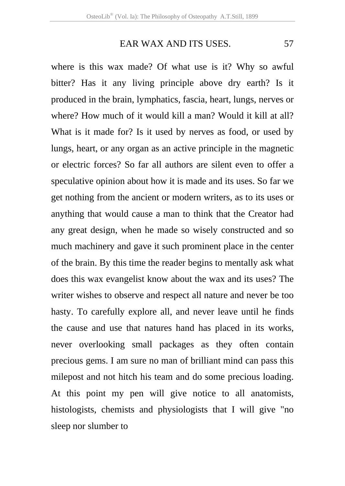# EAR WAX AND ITS USES. 57

where is this wax made? Of what use is it? Why so awful bitter? Has it any living principle above dry earth? Is it produced in the brain, lymphatics, fascia, heart, lungs, nerves or where? How much of it would kill a man? Would it kill at all? What is it made for? Is it used by nerves as food, or used by lungs, heart, or any organ as an active principle in the magnetic or electric forces? So far all authors are silent even to offer a speculative opinion about how it is made and its uses. So far we get nothing from the ancient or modern writers, as to its uses or anything that would cause a man to think that the Creator had any great design, when he made so wisely constructed and so much machinery and gave it such prominent place in the center of the brain. By this time the reader begins to mentally ask what does this wax evangelist know about the wax and its uses? The writer wishes to observe and respect all nature and never be too hasty. To carefully explore all, and never leave until he finds the cause and use that natures hand has placed in its works, never overlooking small packages as they often contain precious gems. I am sure no man of brilliant mind can pass this milepost and not hitch his team and do some precious loading. At this point my pen will give notice to all anatomists, histologists, chemists and physiologists that I will give "no sleep nor slumber to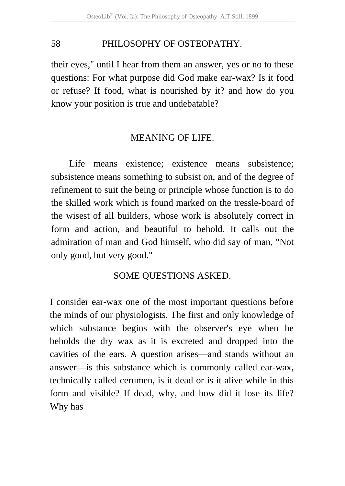their eyes," until I hear from them an answer, yes or no to these questions: For what purpose did God make ear-wax? Is it food or refuse? If food, what is nourished by it? and how do you know your position is true and undebatable?

## MEANING OF LIFE.

Life means existence; existence means subsistence; subsistence means something to subsist on, and of the degree of refinement to suit the being or principle whose function is to do the skilled work which is found marked on the tressle-board of the wisest of all builders, whose work is absolutely correct in form and action, and beautiful to behold. It calls out the admiration of man and God himself, who did say of man, "Not only good, but very good."

## SOME QUESTIONS ASKED.

I consider ear-wax one of the most important questions before the minds of our physiologists. The first and only knowledge of which substance begins with the observer's eye when he beholds the dry wax as it is excreted and dropped into the cavities of the ears. A question arises—and stands without an answer—is this substance which is commonly called ear-wax, technically called cerumen, is it dead or is it alive while in this form and visible? If dead, why, and how did it lose its life? Why has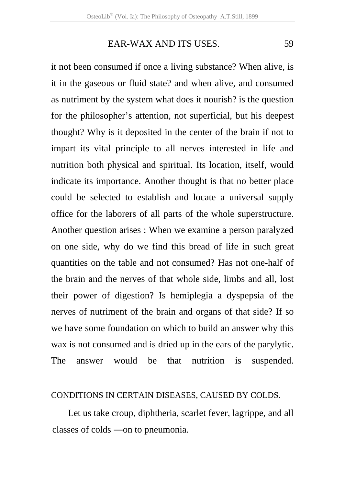### EAR-WAX AND ITS USES. 59

it not been consumed if once a living substance? When alive, is it in the gaseous or fluid state? and when alive, and consumed as nutriment by the system what does it nourish? is the question for the philosopher's attention, not superficial, but his deepest thought? Why is it deposited in the center of the brain if not to impart its vital principle to all nerves interested in life and nutrition both physical and spiritual. Its location, itself, would indicate its importance. Another thought is that no better place could be selected to establish and locate a universal supply office for the laborers of all parts of the whole superstructure. Another question arises : When we examine a person paralyzed on one side, why do we find this bread of life in such great quantities on the table and not consumed? Has not one-half of the brain and the nerves of that whole side, limbs and all, lost their power of digestion? Is hemiplegia a dyspepsia of the nerves of nutriment of the brain and organs of that side? If so we have some foundation on which to build an answer why this wax is not consumed and is dried up in the ears of the parylytic. The answer would be that nutrition is suspended.

#### CONDITIONS IN CERTAIN DISEASES, CAUSED BY COLDS.

 Let us take croup, diphtheria, scarlet fever, lagrippe, and all classes of colds ―on to pneumonia.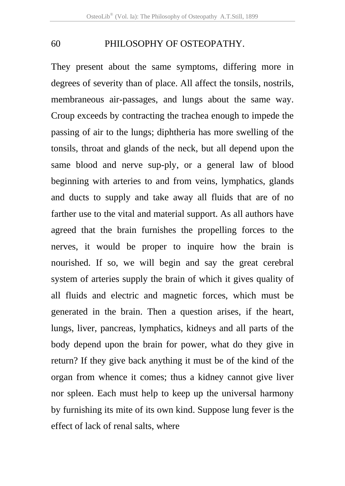They present about the same symptoms, differing more in degrees of severity than of place. All affect the tonsils, nostrils, membraneous air-passages, and lungs about the same way. Croup exceeds by contracting the trachea enough to impede the passing of air to the lungs; diphtheria has more swelling of the tonsils, throat and glands of the neck, but all depend upon the same blood and nerve sup-ply, or a general law of blood beginning with arteries to and from veins, lymphatics, glands and ducts to supply and take away all fluids that are of no farther use to the vital and material support. As all authors have agreed that the brain furnishes the propelling forces to the nerves, it would be proper to inquire how the brain is nourished. If so, we will begin and say the great cerebral system of arteries supply the brain of which it gives quality of all fluids and electric and magnetic forces, which must be generated in the brain. Then a question arises, if the heart, lungs, liver, pancreas, lymphatics, kidneys and all parts of the body depend upon the brain for power, what do they give in return? If they give back anything it must be of the kind of the organ from whence it comes; thus a kidney cannot give liver nor spleen. Each must help to keep up the universal harmony by furnishing its mite of its own kind. Suppose lung fever is the effect of lack of renal salts, where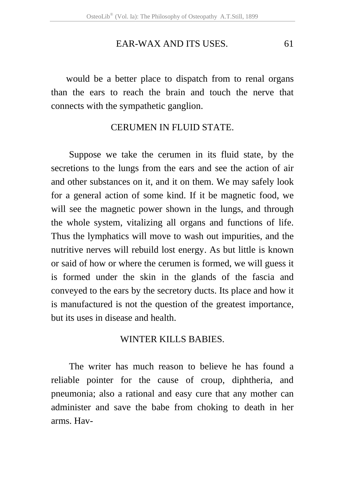#### EAR-WAX AND ITS USES. 61

would be a better place to dispatch from to renal organs than the ears to reach the brain and touch the nerve that connects with the sympathetic ganglion.

#### CERUMEN IN FLUID STATE.

Suppose we take the cerumen in its fluid state, by the secretions to the lungs from the ears and see the action of air and other substances on it, and it on them. We may safely look for a general action of some kind. If it be magnetic food, we will see the magnetic power shown in the lungs, and through the whole system, vitalizing all organs and functions of life. Thus the lymphatics will move to wash out impurities, and the nutritive nerves will rebuild lost energy. As but little is known or said of how or where the cerumen is formed, we will guess it is formed under the skin in the glands of the fascia and conveyed to the ears by the secretory ducts. Its place and how it is manufactured is not the question of the greatest importance, but its uses in disease and health.

#### WINTER KILLS BABIES.

The writer has much reason to believe he has found a reliable pointer for the cause of croup, diphtheria, and pneumonia; also a rational and easy cure that any mother can administer and save the babe from choking to death in her arms. Hav-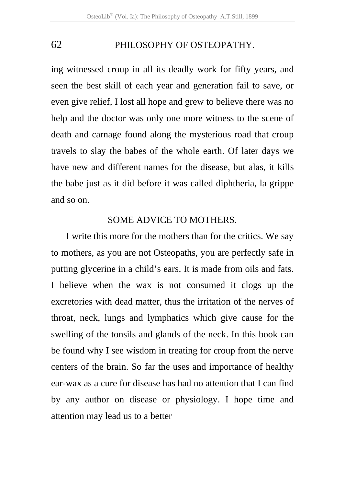ing witnessed croup in all its deadly work for fifty years, and seen the best skill of each year and generation fail to save, or even give relief, I lost all hope and grew to believe there was no help and the doctor was only one more witness to the scene of death and carnage found along the mysterious road that croup travels to slay the babes of the whole earth. Of later days we have new and different names for the disease, but alas, it kills the babe just as it did before it was called diphtheria, la grippe and so on.

#### SOME ADVICE TO MOTHERS.

 I write this more for the mothers than for the critics. We say to mothers, as you are not Osteopaths, you are perfectly safe in putting glycerine in a child's ears. It is made from oils and fats. I believe when the wax is not consumed it clogs up the excretories with dead matter, thus the irritation of the nerves of throat, neck, lungs and lymphatics which give cause for the swelling of the tonsils and glands of the neck. In this book can be found why I see wisdom in treating for croup from the nerve centers of the brain. So far the uses and importance of healthy ear-wax as a cure for disease has had no attention that I can find by any author on disease or physiology. I hope time and attention may lead us to a better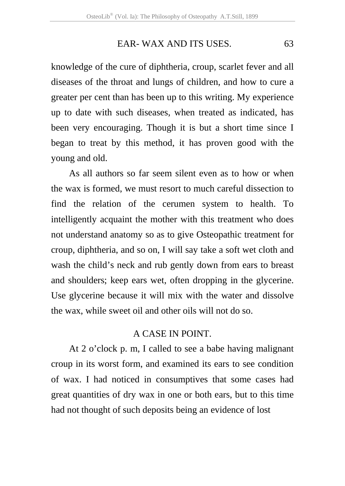#### EAR- WAX AND ITS USES. 63

knowledge of the cure of diphtheria, croup, scarlet fever and all diseases of the throat and lungs of children, and how to cure a greater per cent than has been up to this writing. My experience up to date with such diseases, when treated as indicated, has been very encouraging. Though it is but a short time since I began to treat by this method, it has proven good with the young and old.

As all authors so far seem silent even as to how or when the wax is formed, we must resort to much careful dissection to find the relation of the cerumen system to health. To intelligently acquaint the mother with this treatment who does not understand anatomy so as to give Osteopathic treatment for croup, diphtheria, and so on, I will say take a soft wet cloth and wash the child's neck and rub gently down from ears to breast and shoulders; keep ears wet, often dropping in the glycerine. Use glycerine because it will mix with the water and dissolve the wax, while sweet oil and other oils will not do so.

## A CASE IN POINT.

At 2 o'clock p. m, I called to see a babe having malignant croup in its worst form, and examined its ears to see condition of wax. I had noticed in consumptives that some cases had great quantities of dry wax in one or both ears, but to this time had not thought of such deposits being an evidence of lost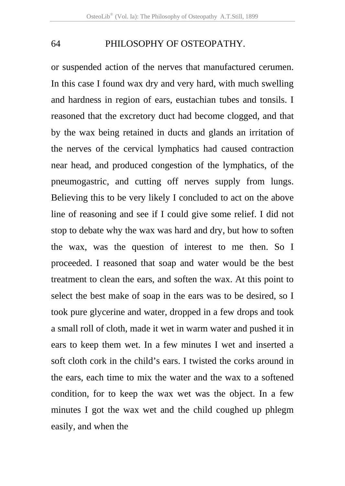or suspended action of the nerves that manufactured cerumen. In this case I found wax dry and very hard, with much swelling and hardness in region of ears, eustachian tubes and tonsils. I reasoned that the excretory duct had become clogged, and that by the wax being retained in ducts and glands an irritation of the nerves of the cervical lymphatics had caused contraction near head, and produced congestion of the lymphatics, of the pneumogastric, and cutting off nerves supply from lungs. Believing this to be very likely I concluded to act on the above line of reasoning and see if I could give some relief. I did not stop to debate why the wax was hard and dry, but how to soften the wax, was the question of interest to me then. So I proceeded. I reasoned that soap and water would be the best treatment to clean the ears, and soften the wax. At this point to select the best make of soap in the ears was to be desired, so I took pure glycerine and water, dropped in a few drops and took a small roll of cloth, made it wet in warm water and pushed it in ears to keep them wet. In a few minutes I wet and inserted a soft cloth cork in the child's ears. I twisted the corks around in the ears, each time to mix the water and the wax to a softened condition, for to keep the wax wet was the object. In a few minutes I got the wax wet and the child coughed up phlegm easily, and when the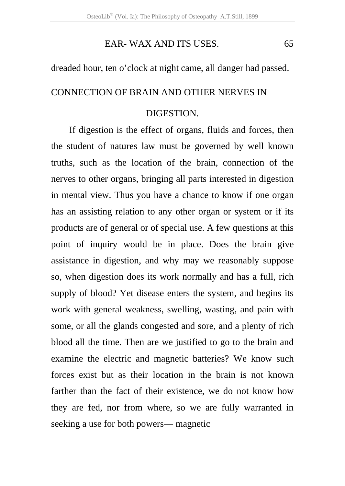## EAR- WAX AND ITS USES. 65

#### dreaded hour, ten o'clock at night came, all danger had passed.

## CONNECTION OF BRAIN AND OTHER NERVES IN

## DIGESTION.

If digestion is the effect of organs, fluids and forces, then the student of natures law must be governed by well known truths, such as the location of the brain, connection of the nerves to other organs, bringing all parts interested in digestion in mental view. Thus you have a chance to know if one organ has an assisting relation to any other organ or system or if its products are of general or of special use. A few questions at this point of inquiry would be in place. Does the brain give assistance in digestion, and why may we reasonably suppose so, when digestion does its work normally and has a full, rich supply of blood? Yet disease enters the system, and begins its work with general weakness, swelling, wasting, and pain with some, or all the glands congested and sore, and a plenty of rich blood all the time. Then are we justified to go to the brain and examine the electric and magnetic batteries? We know such forces exist but as their location in the brain is not known farther than the fact of their existence, we do not know how they are fed, nor from where, so we are fully warranted in seeking a use for both powers― magnetic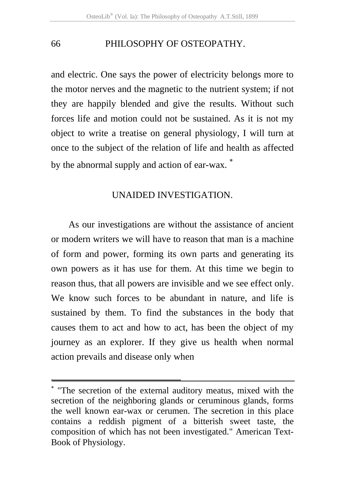and electric. One says the power of electricity belongs more to the motor nerves and the magnetic to the nutrient system; if not they are happily blended and give the results. Without such forces life and motion could not be sustained. As it is not my object to write a treatise on general physiology, I will turn at once to the subject of the relation of life and health as affected by the abnormal supply and action of ear-wax. <sup>\*</sup>

## UNAIDED INVESTIGATION.

As our investigations are without the assistance of ancient or modern writers we will have to reason that man is a machine of form and power, forming its own parts and generating its own powers as it has use for them. At this time we begin to reason thus, that all powers are invisible and we see effect only. We know such forces to be abundant in nature, and life is sustained by them. To find the substances in the body that causes them to act and how to act, has been the object of my journey as an explorer. If they give us health when normal action prevails and disease only when

.

<sup>∗</sup> "The secretion of the external auditory meatus, mixed with the secretion of the neighboring glands or ceruminous glands, forms the well known ear-wax or cerumen. The secretion in this place contains a reddish pigment of a bitterish sweet taste, the composition of which has not been investigated." American Text-Book of Physiology.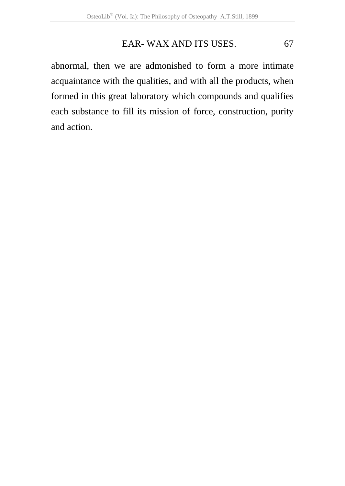## EAR- WAX AND ITS USES. 67

abnormal, then we are admonished to form a more intimate acquaintance with the qualities, and with all the products, when formed in this great laboratory which compounds and qualifies each substance to fill its mission of force, construction, purity and action.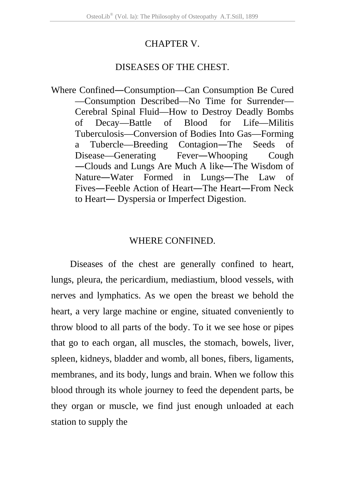## CHAPTER V.

## DISEASES OF THE CHEST.

Where Confined―Consumption—Can Consumption Be Cured —Consumption Described—No Time for Surrender— Cerebral Spinal Fluid—How to Destroy Deadly Bombs of Decay—Battle of Blood for Life—Militis Tuberculosis—Conversion of Bodies Into Gas—Forming a Tubercle—Breeding Contagion―The Seeds of Disease—Generating Fever―Whooping Cough ―Clouds and Lungs Are Much A like―The Wisdom of Nature―Water Formed in Lungs―The Law of Fives―Feeble Action of Heart―The Heart―From Neck to Heart― Dyspersia or Imperfect Digestion.

## WHERE CONFINED.

Diseases of the chest are generally confined to heart, lungs, pleura, the pericardium, mediastium, blood vessels, with nerves and lymphatics. As we open the breast we behold the heart, a very large machine or engine, situated conveniently to throw blood to all parts of the body. To it we see hose or pipes that go to each organ, all muscles, the stomach, bowels, liver, spleen, kidneys, bladder and womb, all bones, fibers, ligaments, membranes, and its body, lungs and brain. When we follow this blood through its whole journey to feed the dependent parts, be they organ or muscle, we find just enough unloaded at each station to supply the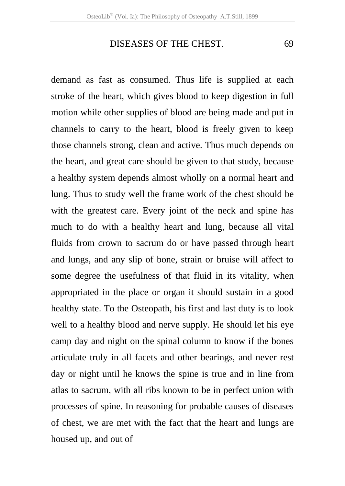demand as fast as consumed. Thus life is supplied at each stroke of the heart, which gives blood to keep digestion in full motion while other supplies of blood are being made and put in channels to carry to the heart, blood is freely given to keep those channels strong, clean and active. Thus much depends on the heart, and great care should be given to that study, because a healthy system depends almost wholly on a normal heart and lung. Thus to study well the frame work of the chest should be with the greatest care. Every joint of the neck and spine has much to do with a healthy heart and lung, because all vital fluids from crown to sacrum do or have passed through heart and lungs, and any slip of bone, strain or bruise will affect to some degree the usefulness of that fluid in its vitality, when appropriated in the place or organ it should sustain in a good healthy state. To the Osteopath, his first and last duty is to look well to a healthy blood and nerve supply. He should let his eye camp day and night on the spinal column to know if the bones articulate truly in all facets and other bearings, and never rest day or night until he knows the spine is true and in line from atlas to sacrum, with all ribs known to be in perfect union with processes of spine. In reasoning for probable causes of diseases of chest, we are met with the fact that the heart and lungs are housed up, and out of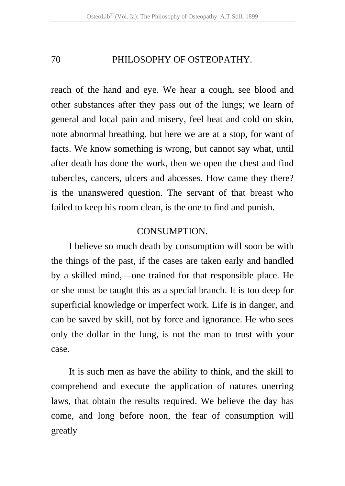reach of the hand and eye. We hear a cough, see blood and other substances after they pass out of the lungs; we learn of general and local pain and misery, feel heat and cold on skin, note abnormal breathing, but here we are at a stop, for want of facts. We know something is wrong, but cannot say what, until after death has done the work, then we open the chest and find tubercles, cancers, ulcers and abcesses. How came they there? is the unanswered question. The servant of that breast who failed to keep his room clean, is the one to find and punish.

#### **CONSUMPTION**

I believe so much death by consumption will soon be with the things of the past, if the cases are taken early and handled by a skilled mind,—one trained for that responsible place. He or she must be taught this as a special branch. It is too deep for superficial knowledge or imperfect work. Life is in danger, and can be saved by skill, not by force and ignorance. He who sees only the dollar in the lung, is not the man to trust with your case.

It is such men as have the ability to think, and the skill to comprehend and execute the application of natures unerring laws, that obtain the results required. We believe the day has come, and long before noon, the fear of consumption will greatly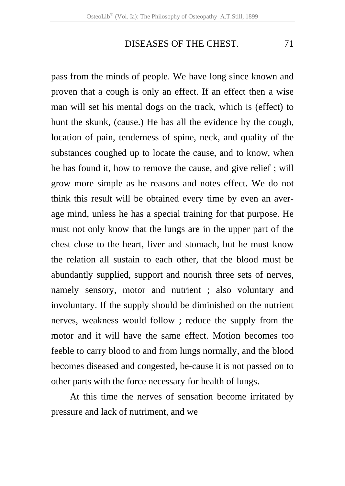pass from the minds of people. We have long since known and proven that a cough is only an effect. If an effect then a wise man will set his mental dogs on the track, which is (effect) to hunt the skunk, (cause.) He has all the evidence by the cough, location of pain, tenderness of spine, neck, and quality of the substances coughed up to locate the cause, and to know, when he has found it, how to remove the cause, and give relief ; will grow more simple as he reasons and notes effect. We do not think this result will be obtained every time by even an average mind, unless he has a special training for that purpose. He must not only know that the lungs are in the upper part of the chest close to the heart, liver and stomach, but he must know the relation all sustain to each other, that the blood must be abundantly supplied, support and nourish three sets of nerves, namely sensory, motor and nutrient ; also voluntary and involuntary. If the supply should be diminished on the nutrient nerves, weakness would follow ; reduce the supply from the motor and it will have the same effect. Motion becomes too feeble to carry blood to and from lungs normally, and the blood becomes diseased and congested, be-cause it is not passed on to other parts with the force necessary for health of lungs.

At this time the nerves of sensation become irritated by pressure and lack of nutriment, and we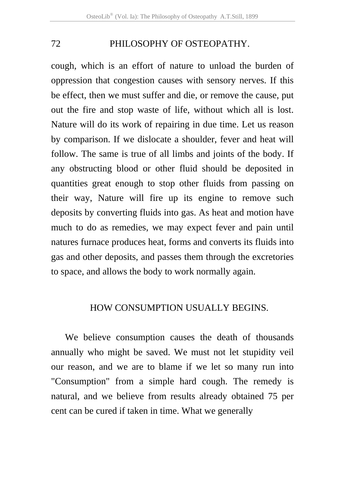cough, which is an effort of nature to unload the burden of oppression that congestion causes with sensory nerves. If this be effect, then we must suffer and die, or remove the cause, put out the fire and stop waste of life, without which all is lost. Nature will do its work of repairing in due time. Let us reason by comparison. If we dislocate a shoulder, fever and heat will follow. The same is true of all limbs and joints of the body. If any obstructing blood or other fluid should be deposited in quantities great enough to stop other fluids from passing on their way, Nature will fire up its engine to remove such deposits by converting fluids into gas. As heat and motion have much to do as remedies, we may expect fever and pain until natures furnace produces heat, forms and converts its fluids into gas and other deposits, and passes them through the excretories to space, and allows the body to work normally again.

#### HOW CONSUMPTION USUALLY BEGINS.

We believe consumption causes the death of thousands annually who might be saved. We must not let stupidity veil our reason, and we are to blame if we let so many run into "Consumption" from a simple hard cough. The remedy is natural, and we believe from results already obtained 75 per cent can be cured if taken in time. What we generally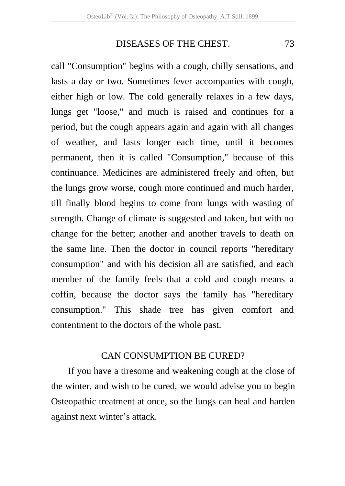call "Consumption" begins with a cough, chilly sensations, and lasts a day or two. Sometimes fever accompanies with cough, either high or low. The cold generally relaxes in a few days, lungs get "loose," and much is raised and continues for a period, but the cough appears again and again with all changes of weather, and lasts longer each time, until it becomes permanent, then it is called "Consumption," because of this continuance. Medicines are administered freely and often, but the lungs grow worse, cough more continued and much harder, till finally blood begins to come from lungs with wasting of strength. Change of climate is suggested and taken, but with no change for the better; another and another travels to death on the same line. Then the doctor in council reports "hereditary consumption" and with his decision all are satisfied, and each member of the family feels that a cold and cough means a coffin, because the doctor says the family has "hereditary consumption." This shade tree has given comfort and contentment to the doctors of the whole past.

#### CAN CONSUMPTION BE CURED?

If you have a tiresome and weakening cough at the close of the winter, and wish to be cured, we would advise you to begin Osteopathic treatment at once, so the lungs can heal and harden against next winter's attack.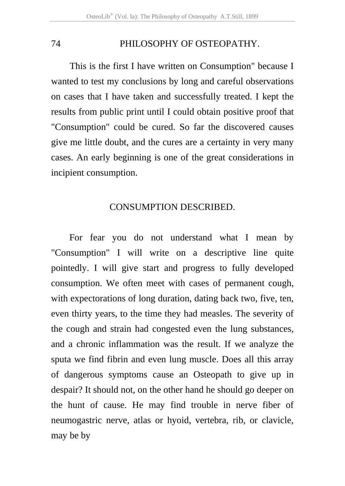This is the first I have written on Consumption" because I wanted to test my conclusions by long and careful observations on cases that I have taken and successfully treated. I kept the results from public print until I could obtain positive proof that "Consumption" could be cured. So far the discovered causes give me little doubt, and the cures are a certainty in very many cases. An early beginning is one of the great considerations in incipient consumption.

#### CONSUMPTION DESCRIBED.

For fear you do not understand what I mean by "Consumption" I will write on a descriptive line quite pointedly. I will give start and progress to fully developed consumption. We often meet with cases of permanent cough, with expectorations of long duration, dating back two, five, ten, even thirty years, to the time they had measles. The severity of the cough and strain had congested even the lung substances, and a chronic inflammation was the result. If we analyze the sputa we find fibrin and even lung muscle. Does all this array of dangerous symptoms cause an Osteopath to give up in despair? It should not, on the other hand he should go deeper on the hunt of cause. He may find trouble in nerve fiber of neumogastric nerve, atlas or hyoid, vertebra, rib, or clavicle, may be by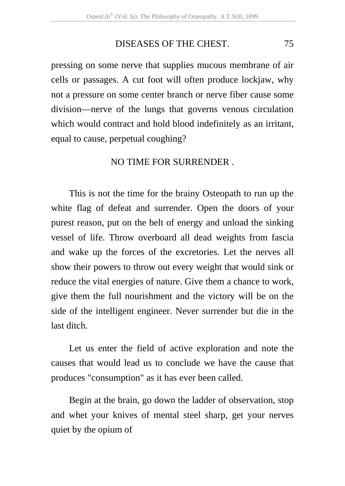pressing on some nerve that supplies mucous membrane of air cells or passages. A cut foot will often produce lockjaw, why not a pressure on some center branch or nerve fiber cause some division—nerve of the lungs that governs venous circulation which would contract and hold blood indefinitely as an irritant, equal to cause, perpetual coughing?

## NO TIME FOR SURRENDER .

This is not the time for the brainy Osteopath to run up the white flag of defeat and surrender. Open the doors of your purest reason, put on the belt of energy and unload the sinking vessel of life. Throw overboard all dead weights from fascia and wake up the forces of the excretories. Let the nerves all show their powers to throw out every weight that would sink or reduce the vital energies of nature. Give them a chance to work, give them the full nourishment and the victory will be on the side of the intelligent engineer. Never surrender but die in the last ditch.

Let us enter the field of active exploration and note the causes that would lead us to conclude we have the cause that produces "consumption" as it has ever been called.

Begin at the brain, go down the ladder of observation, stop and whet your knives of mental steel sharp, get your nerves quiet by the opium of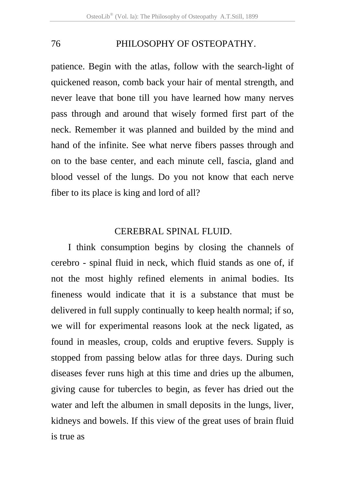patience. Begin with the atlas, follow with the search-light of quickened reason, comb back your hair of mental strength, and never leave that bone till you have learned how many nerves pass through and around that wisely formed first part of the neck. Remember it was planned and builded by the mind and hand of the infinite. See what nerve fibers passes through and on to the base center, and each minute cell, fascia, gland and blood vessel of the lungs. Do you not know that each nerve fiber to its place is king and lord of all?

## CEREBRAL SPINAL FLUID.

I think consumption begins by closing the channels of cerebro - spinal fluid in neck, which fluid stands as one of, if not the most highly refined elements in animal bodies. Its fineness would indicate that it is a substance that must be delivered in full supply continually to keep health normal; if so, we will for experimental reasons look at the neck ligated, as found in measles, croup, colds and eruptive fevers. Supply is stopped from passing below atlas for three days. During such diseases fever runs high at this time and dries up the albumen, giving cause for tubercles to begin, as fever has dried out the water and left the albumen in small deposits in the lungs, liver, kidneys and bowels. If this view of the great uses of brain fluid is true as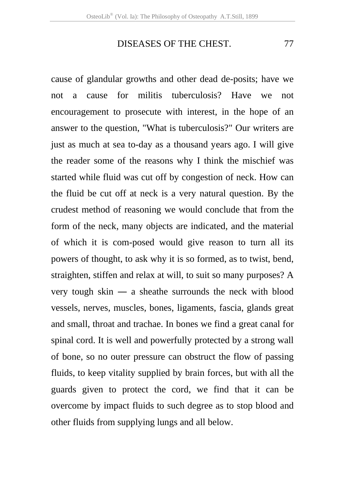cause of glandular growths and other dead de-posits; have we not a cause for militis tuberculosis? Have we not encouragement to prosecute with interest, in the hope of an answer to the question, "What is tuberculosis?" Our writers are just as much at sea to-day as a thousand years ago. I will give the reader some of the reasons why I think the mischief was started while fluid was cut off by congestion of neck. How can the fluid be cut off at neck is a very natural question. By the crudest method of reasoning we would conclude that from the form of the neck, many objects are indicated, and the material of which it is com-posed would give reason to turn all its powers of thought, to ask why it is so formed, as to twist, bend, straighten, stiffen and relax at will, to suit so many purposes? A very tough skin ― a sheathe surrounds the neck with blood vessels, nerves, muscles, bones, ligaments, fascia, glands great and small, throat and trachae. In bones we find a great canal for spinal cord. It is well and powerfully protected by a strong wall of bone, so no outer pressure can obstruct the flow of passing fluids, to keep vitality supplied by brain forces, but with all the guards given to protect the cord, we find that it can be overcome by impact fluids to such degree as to stop blood and other fluids from supplying lungs and all below.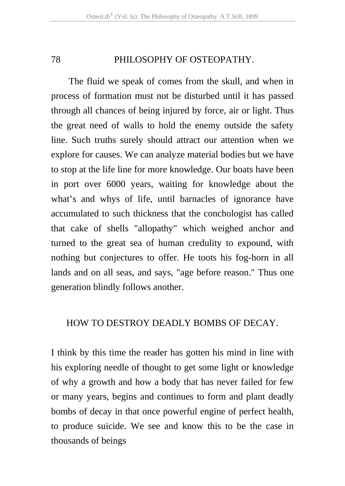The fluid we speak of comes from the skull, and when in process of formation must not be disturbed until it has passed through all chances of being injured by force, air or light. Thus the great need of walls to hold the enemy outside the safety line. Such truths surely should attract our attention when we explore for causes. We can analyze material bodies but we have to stop at the life line for more knowledge. Our boats have been in port over 6000 years, waiting for knowledge about the what's and whys of life, until barnacles of ignorance have accumulated to such thickness that the conchologist has called that cake of shells "allopathy" which weighed anchor and turned to the great sea of human credulity to expound, with nothing but conjectures to offer. He toots his fog-horn in all lands and on all seas, and says, "age before reason." Thus one generation blindly follows another.

## HOW TO DESTROY DEADLY BOMBS OF DECAY.

I think by this time the reader has gotten his mind in line with his exploring needle of thought to get some light or knowledge of why a growth and how a body that has never failed for few or many years, begins and continues to form and plant deadly bombs of decay in that once powerful engine of perfect health, to produce suicide. We see and know this to be the case in thousands of beings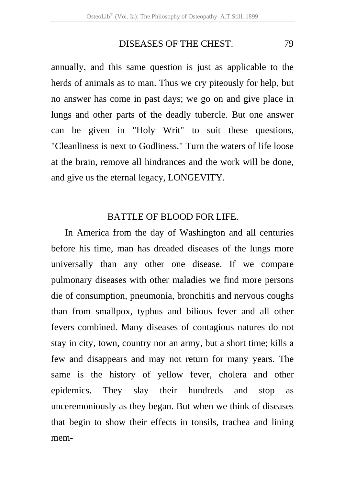annually, and this same question is just as applicable to the herds of animals as to man. Thus we cry piteously for help, but no answer has come in past days; we go on and give place in lungs and other parts of the deadly tubercle. But one answer can be given in "Holy Writ" to suit these questions, "Cleanliness is next to Godliness." Turn the waters of life loose at the brain, remove all hindrances and the work will be done, and give us the eternal legacy, LONGEVITY.

## BATTLE OF BLOOD FOR LIFE.

In America from the day of Washington and all centuries before his time, man has dreaded diseases of the lungs more universally than any other one disease. If we compare pulmonary diseases with other maladies we find more persons die of consumption, pneumonia, bronchitis and nervous coughs than from smallpox, typhus and bilious fever and all other fevers combined. Many diseases of contagious natures do not stay in city, town, country nor an army, but a short time; kills a few and disappears and may not return for many years. The same is the history of yellow fever, cholera and other epidemics. They slay their hundreds and stop as unceremoniously as they began. But when we think of diseases that begin to show their effects in tonsils, trachea and lining mem-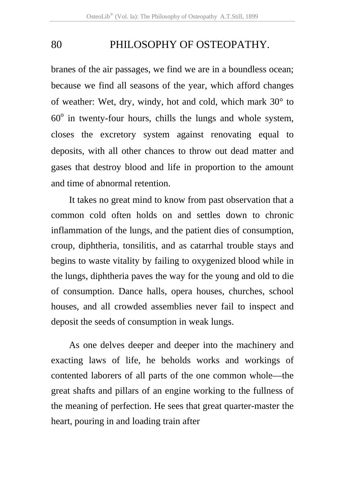branes of the air passages, we find we are in a boundless ocean; because we find all seasons of the year, which afford changes of weather: Wet, dry, windy, hot and cold, which mark 30° to  $60^\circ$  in twenty-four hours, chills the lungs and whole system, closes the excretory system against renovating equal to deposits, with all other chances to throw out dead matter and gases that destroy blood and life in proportion to the amount and time of abnormal retention.

It takes no great mind to know from past observation that a common cold often holds on and settles down to chronic inflammation of the lungs, and the patient dies of consumption, croup, diphtheria, tonsilitis, and as catarrhal trouble stays and begins to waste vitality by failing to oxygenized blood while in the lungs, diphtheria paves the way for the young and old to die of consumption. Dance halls, opera houses, churches, school houses, and all crowded assemblies never fail to inspect and deposit the seeds of consumption in weak lungs.

As one delves deeper and deeper into the machinery and exacting laws of life, he beholds works and workings of contented laborers of all parts of the one common whole—the great shafts and pillars of an engine working to the fullness of the meaning of perfection. He sees that great quarter-master the heart, pouring in and loading train after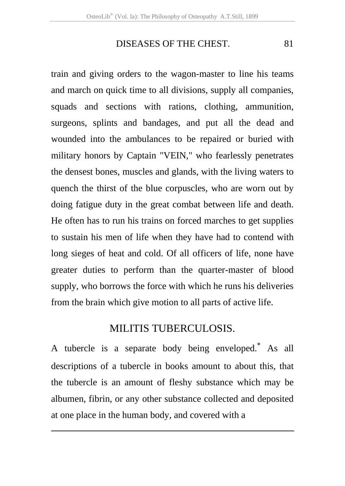train and giving orders to the wagon-master to line his teams and march on quick time to all divisions, supply all companies, squads and sections with rations, clothing, ammunition, surgeons, splints and bandages, and put all the dead and wounded into the ambulances to be repaired or buried with military honors by Captain "VEIN," who fearlessly penetrates the densest bones, muscles and glands, with the living waters to quench the thirst of the blue corpuscles, who are worn out by doing fatigue duty in the great combat between life and death. He often has to run his trains on forced marches to get supplies to sustain his men of life when they have had to contend with long sieges of heat and cold. Of all officers of life, none have greater duties to perform than the quarter-master of blood supply, who borrows the force with which he runs his deliveries from the brain which give motion to all parts of active life.

## MILITIS TUBERCULOSIS.

A tubercle is a separate body being enveloped.<sup>\*</sup> As all descriptions of a tubercle in books amount to about this, that the tubercle is an amount of fleshy substance which may be albumen, fibrin, or any other substance collected and deposited at one place in the human body, and covered with a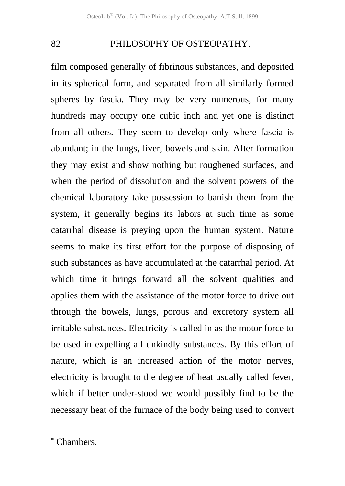film composed generally of fibrinous substances, and deposited in its spherical form, and separated from all similarly formed spheres by fascia. They may be very numerous, for many hundreds may occupy one cubic inch and yet one is distinct from all others. They seem to develop only where fascia is abundant; in the lungs, liver, bowels and skin. After formation they may exist and show nothing but roughened surfaces, and when the period of dissolution and the solvent powers of the chemical laboratory take possession to banish them from the system, it generally begins its labors at such time as some catarrhal disease is preying upon the human system. Nature seems to make its first effort for the purpose of disposing of such substances as have accumulated at the catarrhal period. At which time it brings forward all the solvent qualities and applies them with the assistance of the motor force to drive out through the bowels, lungs, porous and excretory system all irritable substances. Electricity is called in as the motor force to be used in expelling all unkindly substances. By this effort of nature, which is an increased action of the motor nerves, electricity is brought to the degree of heat usually called fever, which if better under-stood we would possibly find to be the necessary heat of the furnace of the body being used to convert

 $\overline{a}$ 

<sup>∗</sup> Chambers.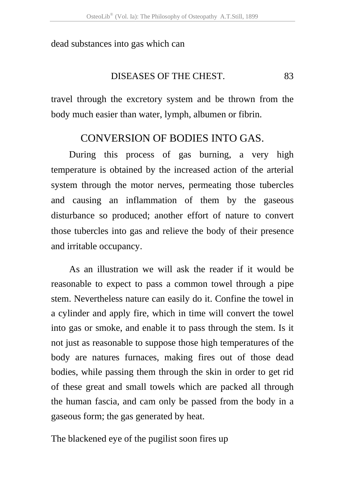dead substances into gas which can

#### DISEASES OF THE CHEST. 83

travel through the excretory system and be thrown from the body much easier than water, lymph, albumen or fibrin.

## CONVERSION OF BODIES INTO GAS.

During this process of gas burning, a very high temperature is obtained by the increased action of the arterial system through the motor nerves, permeating those tubercles and causing an inflammation of them by the gaseous disturbance so produced; another effort of nature to convert those tubercles into gas and relieve the body of their presence and irritable occupancy.

As an illustration we will ask the reader if it would be reasonable to expect to pass a common towel through a pipe stem. Nevertheless nature can easily do it. Confine the towel in a cylinder and apply fire, which in time will convert the towel into gas or smoke, and enable it to pass through the stem. Is it not just as reasonable to suppose those high temperatures of the body are natures furnaces, making fires out of those dead bodies, while passing them through the skin in order to get rid of these great and small towels which are packed all through the human fascia, and cam only be passed from the body in a gaseous form; the gas generated by heat.

The blackened eye of the pugilist soon fires up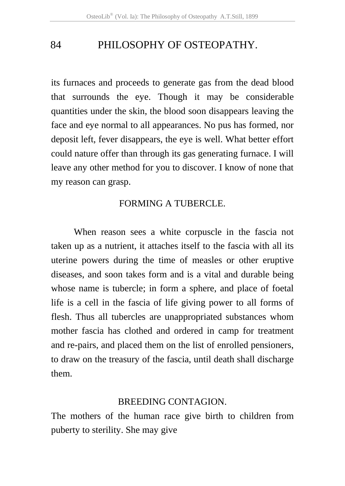its furnaces and proceeds to generate gas from the dead blood that surrounds the eye. Though it may be considerable quantities under the skin, the blood soon disappears leaving the face and eye normal to all appearances. No pus has formed, nor deposit left, fever disappears, the eye is well. What better effort could nature offer than through its gas generating furnace. I will leave any other method for you to discover. I know of none that my reason can grasp.

## FORMING A TUBERCLE.

When reason sees a white corpuscle in the fascia not taken up as a nutrient, it attaches itself to the fascia with all its uterine powers during the time of measles or other eruptive diseases, and soon takes form and is a vital and durable being whose name is tubercle; in form a sphere, and place of foetal life is a cell in the fascia of life giving power to all forms of flesh. Thus all tubercles are unappropriated substances whom mother fascia has clothed and ordered in camp for treatment and re-pairs, and placed them on the list of enrolled pensioners, to draw on the treasury of the fascia, until death shall discharge them.

## BREEDING CONTAGION.

The mothers of the human race give birth to children from puberty to sterility. She may give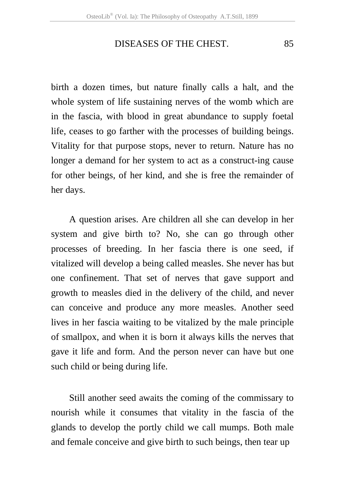birth a dozen times, but nature finally calls a halt, and the whole system of life sustaining nerves of the womb which are in the fascia, with blood in great abundance to supply foetal life, ceases to go farther with the processes of building beings. Vitality for that purpose stops, never to return. Nature has no longer a demand for her system to act as a construct-ing cause for other beings, of her kind, and she is free the remainder of her days.

A question arises. Are children all she can develop in her system and give birth to? No, she can go through other processes of breeding. In her fascia there is one seed, if vitalized will develop a being called measles. She never has but one confinement. That set of nerves that gave support and growth to measles died in the delivery of the child, and never can conceive and produce any more measles. Another seed lives in her fascia waiting to be vitalized by the male principle of smallpox, and when it is born it always kills the nerves that gave it life and form. And the person never can have but one such child or being during life.

Still another seed awaits the coming of the commissary to nourish while it consumes that vitality in the fascia of the glands to develop the portly child we call mumps. Both male and female conceive and give birth to such beings, then tear up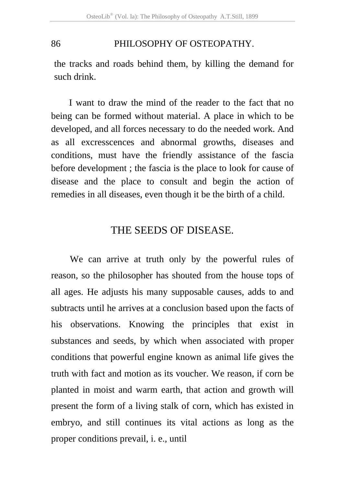the tracks and roads behind them, by killing the demand for such drink.

I want to draw the mind of the reader to the fact that no being can be formed without material. A place in which to be developed, and all forces necessary to do the needed work. And as all excresscences and abnormal growths, diseases and conditions, must have the friendly assistance of the fascia before development ; the fascia is the place to look for cause of disease and the place to consult and begin the action of remedies in all diseases, even though it be the birth of a child.

## THE SEEDS OF DISEASE.

We can arrive at truth only by the powerful rules of reason, so the philosopher has shouted from the house tops of all ages. He adjusts his many supposable causes, adds to and subtracts until he arrives at a conclusion based upon the facts of his observations. Knowing the principles that exist in substances and seeds, by which when associated with proper conditions that powerful engine known as animal life gives the truth with fact and motion as its voucher. We reason, if corn be planted in moist and warm earth, that action and growth will present the form of a living stalk of corn, which has existed in embryo, and still continues its vital actions as long as the proper conditions prevail, i. e., until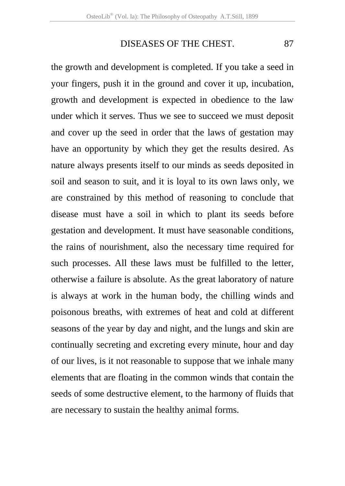the growth and development is completed. If you take a seed in your fingers, push it in the ground and cover it up, incubation, growth and development is expected in obedience to the law under which it serves. Thus we see to succeed we must deposit and cover up the seed in order that the laws of gestation may have an opportunity by which they get the results desired. As nature always presents itself to our minds as seeds deposited in soil and season to suit, and it is loyal to its own laws only, we are constrained by this method of reasoning to conclude that disease must have a soil in which to plant its seeds before gestation and development. It must have seasonable conditions, the rains of nourishment, also the necessary time required for such processes. All these laws must be fulfilled to the letter, otherwise a failure is absolute. As the great laboratory of nature is always at work in the human body, the chilling winds and poisonous breaths, with extremes of heat and cold at different seasons of the year by day and night, and the lungs and skin are continually secreting and excreting every minute, hour and day of our lives, is it not reasonable to suppose that we inhale many elements that are floating in the common winds that contain the seeds of some destructive element, to the harmony of fluids that are necessary to sustain the healthy animal forms.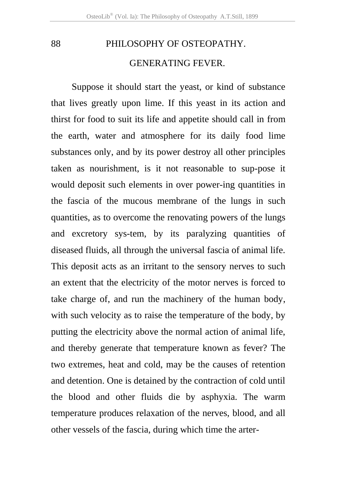88 PHILOSOPHY OF OSTEOPATHY. GENERATING FEVER.

 Suppose it should start the yeast, or kind of substance that lives greatly upon lime. If this yeast in its action and thirst for food to suit its life and appetite should call in from the earth, water and atmosphere for its daily food lime substances only, and by its power destroy all other principles taken as nourishment, is it not reasonable to sup-pose it would deposit such elements in over power-ing quantities in the fascia of the mucous membrane of the lungs in such quantities, as to overcome the renovating powers of the lungs and excretory sys-tem, by its paralyzing quantities of diseased fluids, all through the universal fascia of animal life. This deposit acts as an irritant to the sensory nerves to such an extent that the electricity of the motor nerves is forced to take charge of, and run the machinery of the human body, with such velocity as to raise the temperature of the body, by putting the electricity above the normal action of animal life, and thereby generate that temperature known as fever? The two extremes, heat and cold, may be the causes of retention and detention. One is detained by the contraction of cold until the blood and other fluids die by asphyxia. The warm temperature produces relaxation of the nerves, blood, and all other vessels of the fascia, during which time the arter-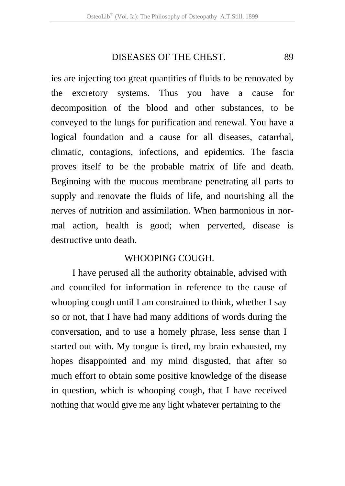ies are injecting too great quantities of fluids to be renovated by the excretory systems. Thus you have a cause for decomposition of the blood and other substances, to be conveyed to the lungs for purification and renewal. You have a logical foundation and a cause for all diseases, catarrhal, climatic, contagions, infections, and epidemics. The fascia proves itself to be the probable matrix of life and death. Beginning with the mucous membrane penetrating all parts to supply and renovate the fluids of life, and nourishing all the nerves of nutrition and assimilation. When harmonious in normal action, health is good; when perverted, disease is destructive unto death.

## WHOOPING COUGH.

 I have perused all the authority obtainable, advised with and counciled for information in reference to the cause of whooping cough until I am constrained to think, whether I say so or not, that I have had many additions of words during the conversation, and to use a homely phrase, less sense than I started out with. My tongue is tired, my brain exhausted, my hopes disappointed and my mind disgusted, that after so much effort to obtain some positive knowledge of the disease in question, which is whooping cough, that I have received nothing that would give me any light whatever pertaining to the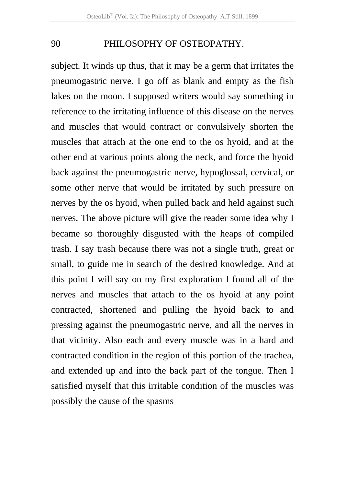subject. It winds up thus, that it may be a germ that irritates the pneumogastric nerve. I go off as blank and empty as the fish lakes on the moon. I supposed writers would say something in reference to the irritating influence of this disease on the nerves and muscles that would contract or convulsively shorten the muscles that attach at the one end to the os hyoid, and at the other end at various points along the neck, and force the hyoid back against the pneumogastric nerve, hypoglossal, cervical, or some other nerve that would be irritated by such pressure on nerves by the os hyoid, when pulled back and held against such nerves. The above picture will give the reader some idea why I became so thoroughly disgusted with the heaps of compiled trash. I say trash because there was not a single truth, great or small, to guide me in search of the desired knowledge. And at this point I will say on my first exploration I found all of the nerves and muscles that attach to the os hyoid at any point contracted, shortened and pulling the hyoid back to and pressing against the pneumogastric nerve, and all the nerves in that vicinity. Also each and every muscle was in a hard and contracted condition in the region of this portion of the trachea, and extended up and into the back part of the tongue. Then I satisfied myself that this irritable condition of the muscles was possibly the cause of the spasms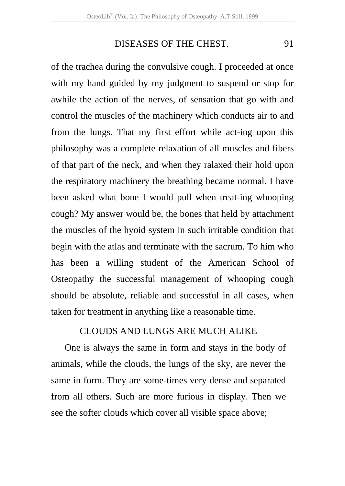of the trachea during the convulsive cough. I proceeded at once with my hand guided by my judgment to suspend or stop for awhile the action of the nerves, of sensation that go with and control the muscles of the machinery which conducts air to and from the lungs. That my first effort while act-ing upon this philosophy was a complete relaxation of all muscles and fibers of that part of the neck, and when they ralaxed their hold upon the respiratory machinery the breathing became normal. I have been asked what bone I would pull when treat-ing whooping cough? My answer would be, the bones that held by attachment the muscles of the hyoid system in such irritable condition that begin with the atlas and terminate with the sacrum. To him who has been a willing student of the American School of Osteopathy the successful management of whooping cough should be absolute, reliable and successful in all cases, when taken for treatment in anything like a reasonable time.

## CLOUDS AND LUNGS ARE MUCH ALIKE

 One is always the same in form and stays in the body of animals, while the clouds, the lungs of the sky, are never the same in form. They are some-times very dense and separated from all others. Such are more furious in display. Then we see the softer clouds which cover all visible space above;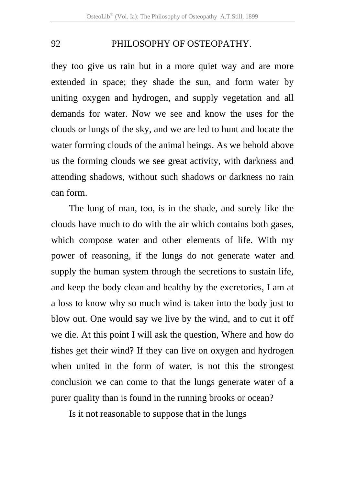they too give us rain but in a more quiet way and are more extended in space; they shade the sun, and form water by uniting oxygen and hydrogen, and supply vegetation and all demands for water. Now we see and know the uses for the clouds or lungs of the sky, and we are led to hunt and locate the water forming clouds of the animal beings. As we behold above us the forming clouds we see great activity, with darkness and attending shadows, without such shadows or darkness no rain can form.

The lung of man, too, is in the shade, and surely like the clouds have much to do with the air which contains both gases, which compose water and other elements of life. With my power of reasoning, if the lungs do not generate water and supply the human system through the secretions to sustain life, and keep the body clean and healthy by the excretories, I am at a loss to know why so much wind is taken into the body just to blow out. One would say we live by the wind, and to cut it off we die. At this point I will ask the question, Where and how do fishes get their wind? If they can live on oxygen and hydrogen when united in the form of water, is not this the strongest conclusion we can come to that the lungs generate water of a purer quality than is found in the running brooks or ocean?

Is it not reasonable to suppose that in the lungs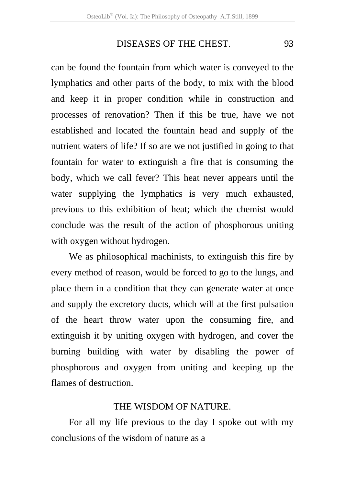can be found the fountain from which water is conveyed to the lymphatics and other parts of the body, to mix with the blood and keep it in proper condition while in construction and processes of renovation? Then if this be true, have we not established and located the fountain head and supply of the nutrient waters of life? If so are we not justified in going to that fountain for water to extinguish a fire that is consuming the body, which we call fever? This heat never appears until the water supplying the lymphatics is very much exhausted, previous to this exhibition of heat; which the chemist would conclude was the result of the action of phosphorous uniting with oxygen without hydrogen.

We as philosophical machinists, to extinguish this fire by every method of reason, would be forced to go to the lungs, and place them in a condition that they can generate water at once and supply the excretory ducts, which will at the first pulsation of the heart throw water upon the consuming fire, and extinguish it by uniting oxygen with hydrogen, and cover the burning building with water by disabling the power of phosphorous and oxygen from uniting and keeping up the flames of destruction.

### THE WISDOM OF NATURE.

For all my life previous to the day I spoke out with my conclusions of the wisdom of nature as a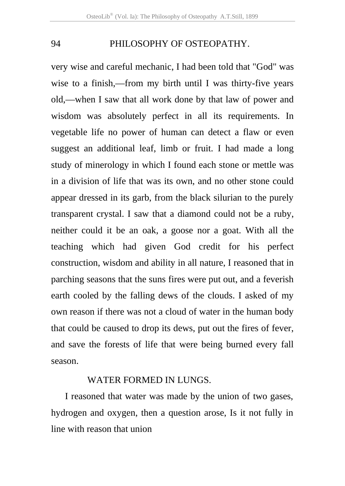very wise and careful mechanic, I had been told that "God" was wise to a finish,—from my birth until I was thirty-five years old,—when I saw that all work done by that law of power and wisdom was absolutely perfect in all its requirements. In vegetable life no power of human can detect a flaw or even suggest an additional leaf, limb or fruit. I had made a long study of minerology in which I found each stone or mettle was in a division of life that was its own, and no other stone could appear dressed in its garb, from the black silurian to the purely transparent crystal. I saw that a diamond could not be a ruby, neither could it be an oak, a goose nor a goat. With all the teaching which had given God credit for his perfect construction, wisdom and ability in all nature, I reasoned that in parching seasons that the suns fires were put out, and a feverish earth cooled by the falling dews of the clouds. I asked of my own reason if there was not a cloud of water in the human body that could be caused to drop its dews, put out the fires of fever, and save the forests of life that were being burned every fall season.

#### WATER FORMED IN LUNGS.

I reasoned that water was made by the union of two gases, hydrogen and oxygen, then a question arose, Is it not fully in line with reason that union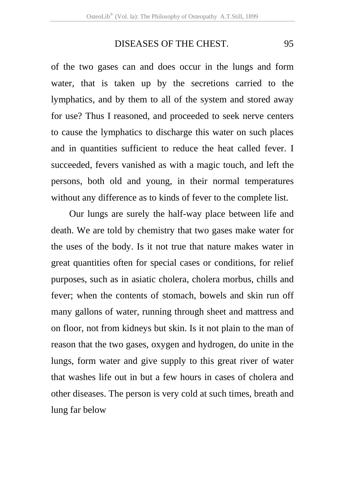of the two gases can and does occur in the lungs and form water, that is taken up by the secretions carried to the lymphatics, and by them to all of the system and stored away for use? Thus I reasoned, and proceeded to seek nerve centers to cause the lymphatics to discharge this water on such places and in quantities sufficient to reduce the heat called fever. I succeeded, fevers vanished as with a magic touch, and left the persons, both old and young, in their normal temperatures without any difference as to kinds of fever to the complete list.

Our lungs are surely the half-way place between life and death. We are told by chemistry that two gases make water for the uses of the body. Is it not true that nature makes water in great quantities often for special cases or conditions, for relief purposes, such as in asiatic cholera, cholera morbus, chills and fever; when the contents of stomach, bowels and skin run off many gallons of water, running through sheet and mattress and on floor, not from kidneys but skin. Is it not plain to the man of reason that the two gases, oxygen and hydrogen, do unite in the lungs, form water and give supply to this great river of water that washes life out in but a few hours in cases of cholera and other diseases. The person is very cold at such times, breath and lung far below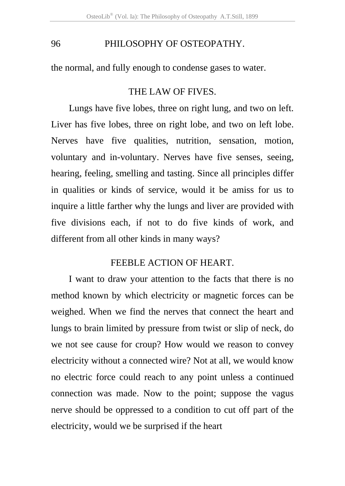the normal, and fully enough to condense gases to water.

## THE LAW OF FIVES.

Lungs have five lobes, three on right lung, and two on left. Liver has five lobes, three on right lobe, and two on left lobe. Nerves have five qualities, nutrition, sensation, motion, voluntary and in-voluntary. Nerves have five senses, seeing, hearing, feeling, smelling and tasting. Since all principles differ in qualities or kinds of service, would it be amiss for us to inquire a little farther why the lungs and liver are provided with five divisions each, if not to do five kinds of work, and different from all other kinds in many ways?

## FEEBLE ACTION OF HEART.

I want to draw your attention to the facts that there is no method known by which electricity or magnetic forces can be weighed. When we find the nerves that connect the heart and lungs to brain limited by pressure from twist or slip of neck, do we not see cause for croup? How would we reason to convey electricity without a connected wire? Not at all, we would know no electric force could reach to any point unless a continued connection was made. Now to the point; suppose the vagus nerve should be oppressed to a condition to cut off part of the electricity, would we be surprised if the heart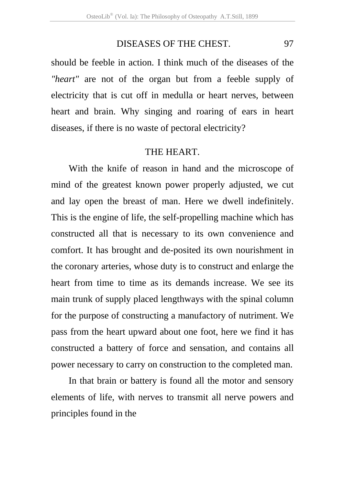should be feeble in action. I think much of the diseases of the *"heart"* are not of the organ but from a feeble supply of electricity that is cut off in medulla or heart nerves, between heart and brain. Why singing and roaring of ears in heart diseases, if there is no waste of pectoral electricity?

## THE HEART.

With the knife of reason in hand and the microscope of mind of the greatest known power properly adjusted, we cut and lay open the breast of man. Here we dwell indefinitely. This is the engine of life, the self-propelling machine which has constructed all that is necessary to its own convenience and comfort. It has brought and de-posited its own nourishment in the coronary arteries, whose duty is to construct and enlarge the heart from time to time as its demands increase. We see its main trunk of supply placed lengthways with the spinal column for the purpose of constructing a manufactory of nutriment. We pass from the heart upward about one foot, here we find it has constructed a battery of force and sensation, and contains all power necessary to carry on construction to the completed man.

In that brain or battery is found all the motor and sensory elements of life, with nerves to transmit all nerve powers and principles found in the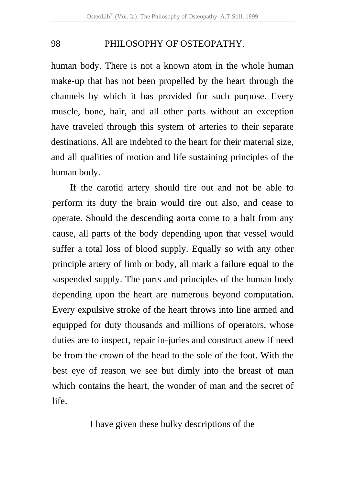human body. There is not a known atom in the whole human make-up that has not been propelled by the heart through the channels by which it has provided for such purpose. Every muscle, bone, hair, and all other parts without an exception have traveled through this system of arteries to their separate destinations. All are indebted to the heart for their material size, and all qualities of motion and life sustaining principles of the human body.

If the carotid artery should tire out and not be able to perform its duty the brain would tire out also, and cease to operate. Should the descending aorta come to a halt from any cause, all parts of the body depending upon that vessel would suffer a total loss of blood supply. Equally so with any other principle artery of limb or body, all mark a failure equal to the suspended supply. The parts and principles of the human body depending upon the heart are numerous beyond computation. Every expulsive stroke of the heart throws into line armed and equipped for duty thousands and millions of operators, whose duties are to inspect, repair in-juries and construct anew if need be from the crown of the head to the sole of the foot. With the best eye of reason we see but dimly into the breast of man which contains the heart, the wonder of man and the secret of life.

I have given these bulky descriptions of the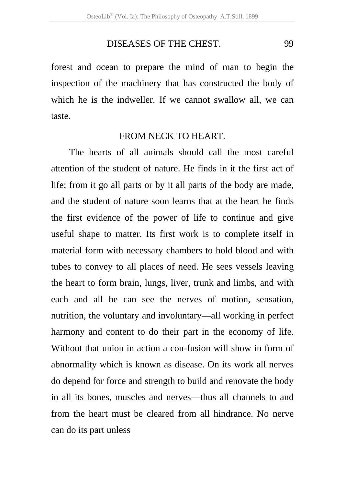forest and ocean to prepare the mind of man to begin the inspection of the machinery that has constructed the body of which he is the indweller. If we cannot swallow all, we can taste.

## FROM NECK TO HEART.

 The hearts of all animals should call the most careful attention of the student of nature. He finds in it the first act of life; from it go all parts or by it all parts of the body are made, and the student of nature soon learns that at the heart he finds the first evidence of the power of life to continue and give useful shape to matter. Its first work is to complete itself in material form with necessary chambers to hold blood and with tubes to convey to all places of need. He sees vessels leaving the heart to form brain, lungs, liver, trunk and limbs, and with each and all he can see the nerves of motion, sensation, nutrition, the voluntary and involuntary—all working in perfect harmony and content to do their part in the economy of life. Without that union in action a con-fusion will show in form of abnormality which is known as disease. On its work all nerves do depend for force and strength to build and renovate the body in all its bones, muscles and nerves—thus all channels to and from the heart must be cleared from all hindrance. No nerve can do its part unless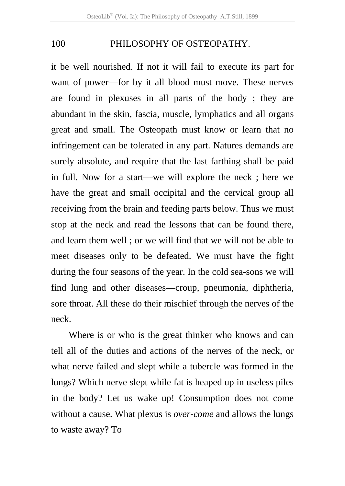it be well nourished. If not it will fail to execute its part for want of power—for by it all blood must move. These nerves are found in plexuses in all parts of the body ; they are abundant in the skin, fascia, muscle, lymphatics and all organs great and small. The Osteopath must know or learn that no infringement can be tolerated in any part. Natures demands are surely absolute, and require that the last farthing shall be paid in full. Now for a start—we will explore the neck ; here we have the great and small occipital and the cervical group all receiving from the brain and feeding parts below. Thus we must stop at the neck and read the lessons that can be found there, and learn them well ; or we will find that we will not be able to meet diseases only to be defeated. We must have the fight during the four seasons of the year. In the cold sea-sons we will find lung and other diseases—croup, pneumonia, diphtheria, sore throat. All these do their mischief through the nerves of the neck.

Where is or who is the great thinker who knows and can tell all of the duties and actions of the nerves of the neck, or what nerve failed and slept while a tubercle was formed in the lungs? Which nerve slept while fat is heaped up in useless piles in the body? Let us wake up! Consumption does not come without a cause. What plexus is *over-come* and allows the lungs to waste away? To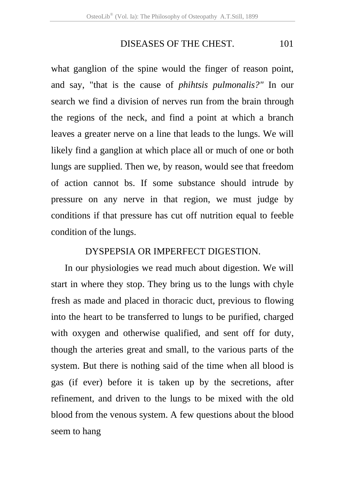### DISEASES OF THE CHEST. 101

what ganglion of the spine would the finger of reason point, and say, "that is the cause of *phihtsis pulmonalis?"* In our search we find a division of nerves run from the brain through the regions of the neck, and find a point at which a branch leaves a greater nerve on a line that leads to the lungs. We will likely find a ganglion at which place all or much of one or both lungs are supplied. Then we, by reason, would see that freedom of action cannot bs. If some substance should intrude by pressure on any nerve in that region, we must judge by conditions if that pressure has cut off nutrition equal to feeble condition of the lungs.

#### DYSPEPSIA OR IMPERFECT DIGESTION.

 In our physiologies we read much about digestion. We will start in where they stop. They bring us to the lungs with chyle fresh as made and placed in thoracic duct, previous to flowing into the heart to be transferred to lungs to be purified, charged with oxygen and otherwise qualified, and sent off for duty, though the arteries great and small, to the various parts of the system. But there is nothing said of the time when all blood is gas (if ever) before it is taken up by the secretions, after refinement, and driven to the lungs to be mixed with the old blood from the venous system. A few questions about the blood seem to hang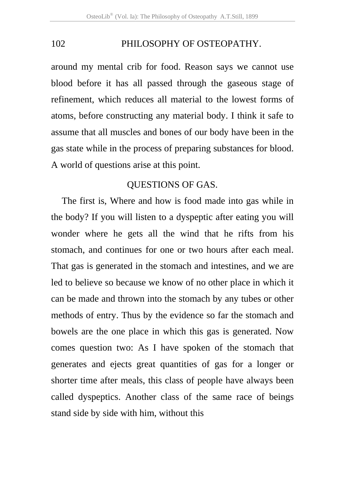around my mental crib for food. Reason says we cannot use blood before it has all passed through the gaseous stage of refinement, which reduces all material to the lowest forms of atoms, before constructing any material body. I think it safe to assume that all muscles and bones of our body have been in the gas state while in the process of preparing substances for blood. A world of questions arise at this point.

# QUESTIONS OF GAS.

The first is, Where and how is food made into gas while in the body? If you will listen to a dyspeptic after eating you will wonder where he gets all the wind that he rifts from his stomach, and continues for one or two hours after each meal. That gas is generated in the stomach and intestines, and we are led to believe so because we know of no other place in which it can be made and thrown into the stomach by any tubes or other methods of entry. Thus by the evidence so far the stomach and bowels are the one place in which this gas is generated. Now comes question two: As I have spoken of the stomach that generates and ejects great quantities of gas for a longer or shorter time after meals, this class of people have always been called dyspeptics. Another class of the same race of beings stand side by side with him, without this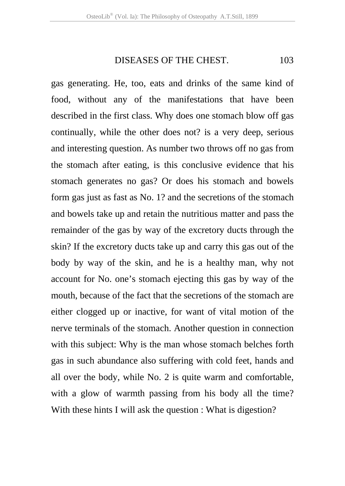#### DISEASES OF THE CHEST. 103

gas generating. He, too, eats and drinks of the same kind of food, without any of the manifestations that have been described in the first class. Why does one stomach blow off gas continually, while the other does not? is a very deep, serious and interesting question. As number two throws off no gas from the stomach after eating, is this conclusive evidence that his stomach generates no gas? Or does his stomach and bowels form gas just as fast as No. 1? and the secretions of the stomach and bowels take up and retain the nutritious matter and pass the remainder of the gas by way of the excretory ducts through the skin? If the excretory ducts take up and carry this gas out of the body by way of the skin, and he is a healthy man, why not account for No. one's stomach ejecting this gas by way of the mouth, because of the fact that the secretions of the stomach are either clogged up or inactive, for want of vital motion of the nerve terminals of the stomach. Another question in connection with this subject: Why is the man whose stomach belches forth gas in such abundance also suffering with cold feet, hands and all over the body, while No. 2 is quite warm and comfortable, with a glow of warmth passing from his body all the time? With these hints I will ask the question : What is digestion?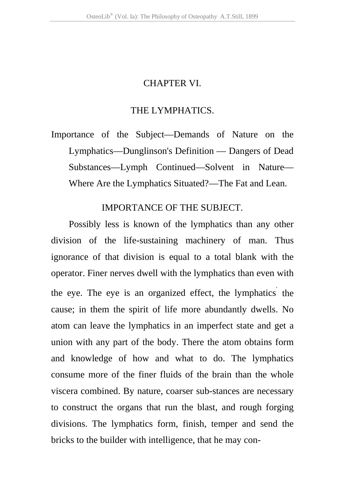## CHAPTER VI.

#### THE LYMPHATICS.

Importance of the Subject—Demands of Nature on the Lymphatics—Dunglinson's Definition — Dangers of Dead Substances—Lymph Continued—Solvent in Nature— Where Are the Lymphatics Situated?—The Fat and Lean.

#### IMPORTANCE OF THE SUBJECT.

Possibly less is known of the lymphatics than any other division of the life-sustaining machinery of man. Thus ignorance of that division is equal to a total blank with the operator. Finer nerves dwell with the lymphatics than even with the eye. The eye is an organized effect, the lymphatics. the cause; in them the spirit of life more abundantly dwells. No atom can leave the lymphatics in an imperfect state and get a union with any part of the body. There the atom obtains form and knowledge of how and what to do. The lymphatics consume more of the finer fluids of the brain than the whole viscera combined. By nature, coarser sub-stances are necessary to construct the organs that run the blast, and rough forging divisions. The lymphatics form, finish, temper and send the bricks to the builder with intelligence, that he may con-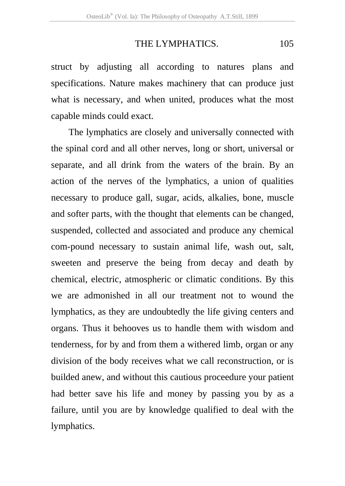## THE LYMPHATICS. 105

struct by adjusting all according to natures plans and specifications. Nature makes machinery that can produce just what is necessary, and when united, produces what the most capable minds could exact.

The lymphatics are closely and universally connected with the spinal cord and all other nerves, long or short, universal or separate, and all drink from the waters of the brain. By an action of the nerves of the lymphatics, a union of qualities necessary to produce gall, sugar, acids, alkalies, bone, muscle and softer parts, with the thought that elements can be changed, suspended, collected and associated and produce any chemical com-pound necessary to sustain animal life, wash out, salt, sweeten and preserve the being from decay and death by chemical, electric, atmospheric or climatic conditions. By this we are admonished in all our treatment not to wound the lymphatics, as they are undoubtedly the life giving centers and organs. Thus it behooves us to handle them with wisdom and tenderness, for by and from them a withered limb, organ or any division of the body receives what we call reconstruction, or is builded anew, and without this cautious proceedure your patient had better save his life and money by passing you by as a failure, until you are by knowledge qualified to deal with the lymphatics.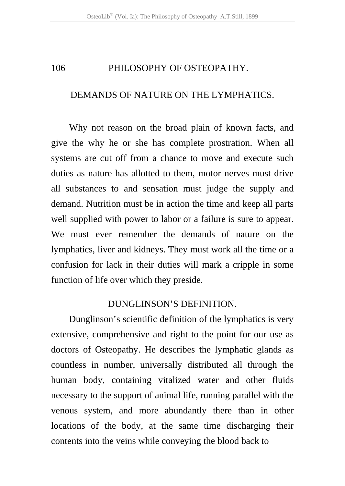## DEMANDS OF NATURE ON THE LYMPHATICS.

Why not reason on the broad plain of known facts, and give the why he or she has complete prostration. When all systems are cut off from a chance to move and execute such duties as nature has allotted to them, motor nerves must drive all substances to and sensation must judge the supply and demand. Nutrition must be in action the time and keep all parts well supplied with power to labor or a failure is sure to appear. We must ever remember the demands of nature on the lymphatics, liver and kidneys. They must work all the time or a confusion for lack in their duties will mark a cripple in some function of life over which they preside.

## DUNGLINSON'S DEFINITION.

Dunglinson's scientific definition of the lymphatics is very extensive, comprehensive and right to the point for our use as doctors of Osteopathy. He describes the lymphatic glands as countless in number, universally distributed all through the human body, containing vitalized water and other fluids necessary to the support of animal life, running parallel with the venous system, and more abundantly there than in other locations of the body, at the same time discharging their contents into the veins while conveying the blood back to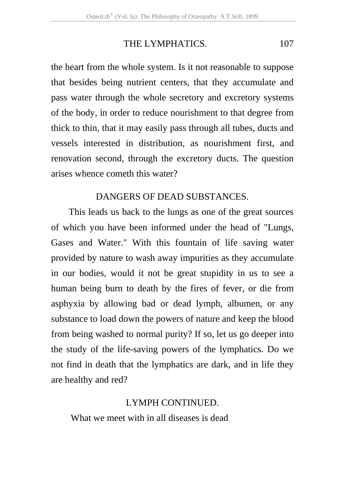# THE LYMPHATICS. 107

the heart from the whole system. Is it not reasonable to suppose that besides being nutrient centers, that they accumulate and pass water through the whole secretory and excretory systems of the body, in order to reduce nourishment to that degree from thick to thin, that it may easily pass through all tubes, ducts and vessels interested in distribution, as nourishment first, and renovation second, through the excretory ducts. The question arises whence cometh this water?

## DANGERS OF DEAD SUBSTANCES.

This leads us back to the lungs as one of the great sources of which you have been informed under the head of "Lungs, Gases and Water." With this fountain of life saving water provided by nature to wash away impurities as they accumulate in our bodies, would it not be great stupidity in us to see a human being burn to death by the fires of fever, or die from asphyxia by allowing bad or dead lymph, albumen, or any substance to load down the powers of nature and keep the blood from being washed to normal purity? If so, let us go deeper into the study of the life-saving powers of the lymphatics. Do we not find in death that the lymphatics are dark, and in life they are healthy and red?

## LYMPH CONTINUED.

What we meet with in all diseases is dead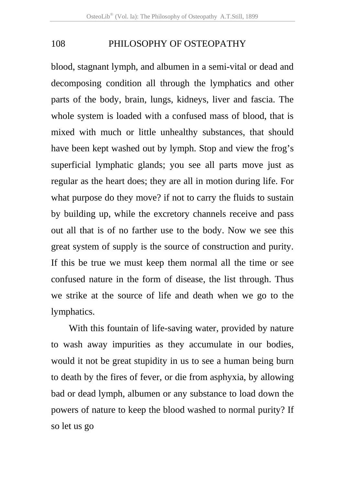blood, stagnant lymph, and albumen in a semi-vital or dead and decomposing condition all through the lymphatics and other parts of the body, brain, lungs, kidneys, liver and fascia. The whole system is loaded with a confused mass of blood, that is mixed with much or little unhealthy substances, that should have been kept washed out by lymph. Stop and view the frog's superficial lymphatic glands; you see all parts move just as regular as the heart does; they are all in motion during life. For what purpose do they move? if not to carry the fluids to sustain by building up, while the excretory channels receive and pass out all that is of no farther use to the body. Now we see this great system of supply is the source of construction and purity. If this be true we must keep them normal all the time or see confused nature in the form of disease, the list through. Thus we strike at the source of life and death when we go to the lymphatics.

With this fountain of life-saving water, provided by nature to wash away impurities as they accumulate in our bodies, would it not be great stupidity in us to see a human being burn to death by the fires of fever, or die from asphyxia, by allowing bad or dead lymph, albumen or any substance to load down the powers of nature to keep the blood washed to normal purity? If so let us go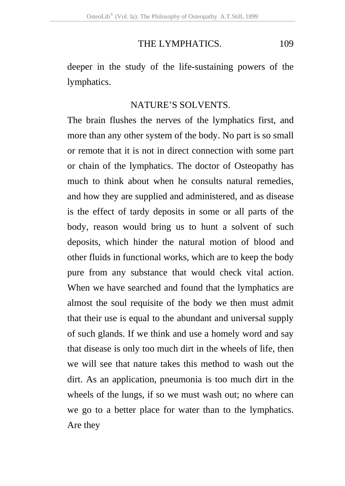## THE LYMPHATICS. 109

deeper in the study of the life-sustaining powers of the lymphatics.

#### NATURE'S SOLVENTS.

The brain flushes the nerves of the lymphatics first, and more than any other system of the body. No part is so small or remote that it is not in direct connection with some part or chain of the lymphatics. The doctor of Osteopathy has much to think about when he consults natural remedies, and how they are supplied and administered, and as disease is the effect of tardy deposits in some or all parts of the body, reason would bring us to hunt a solvent of such deposits, which hinder the natural motion of blood and other fluids in functional works, which are to keep the body pure from any substance that would check vital action. When we have searched and found that the lymphatics are almost the soul requisite of the body we then must admit that their use is equal to the abundant and universal supply of such glands. If we think and use a homely word and say that disease is only too much dirt in the wheels of life, then we will see that nature takes this method to wash out the dirt. As an application, pneumonia is too much dirt in the wheels of the lungs, if so we must wash out; no where can we go to a better place for water than to the lymphatics. Are they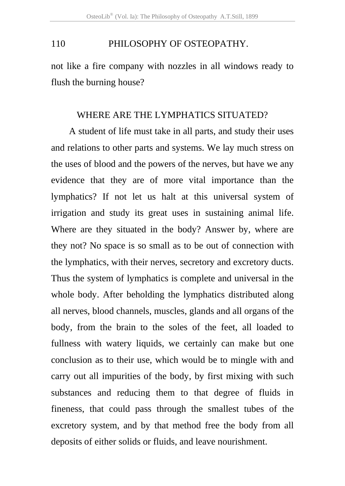not like a fire company with nozzles in all windows ready to flush the burning house?

### WHERE ARE THE LYMPHATICS SITUATED?

A student of life must take in all parts, and study their uses and relations to other parts and systems. We lay much stress on the uses of blood and the powers of the nerves, but have we any evidence that they are of more vital importance than the lymphatics? If not let us halt at this universal system of irrigation and study its great uses in sustaining animal life. Where are they situated in the body? Answer by, where are they not? No space is so small as to be out of connection with the lymphatics, with their nerves, secretory and excretory ducts. Thus the system of lymphatics is complete and universal in the whole body. After beholding the lymphatics distributed along all nerves, blood channels, muscles, glands and all organs of the body, from the brain to the soles of the feet, all loaded to fullness with watery liquids, we certainly can make but one conclusion as to their use, which would be to mingle with and carry out all impurities of the body, by first mixing with such substances and reducing them to that degree of fluids in fineness, that could pass through the smallest tubes of the excretory system, and by that method free the body from all deposits of either solids or fluids, and leave nourishment.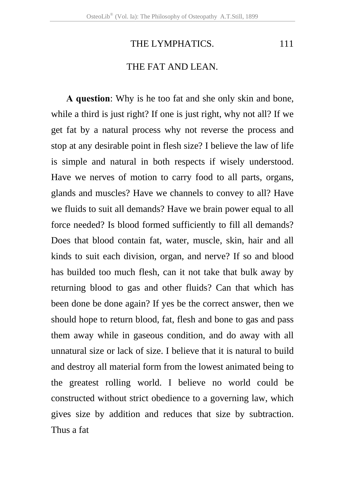# THE LYMPHATICS. 111

## THE FAT AND LEAN.

**A question**: Why is he too fat and she only skin and bone, while a third is just right? If one is just right, why not all? If we get fat by a natural process why not reverse the process and stop at any desirable point in flesh size? I believe the law of life is simple and natural in both respects if wisely understood. Have we nerves of motion to carry food to all parts, organs, glands and muscles? Have we channels to convey to all? Have we fluids to suit all demands? Have we brain power equal to all force needed? Is blood formed sufficiently to fill all demands? Does that blood contain fat, water, muscle, skin, hair and all kinds to suit each division, organ, and nerve? If so and blood has builded too much flesh, can it not take that bulk away by returning blood to gas and other fluids? Can that which has been done be done again? If yes be the correct answer, then we should hope to return blood, fat, flesh and bone to gas and pass them away while in gaseous condition, and do away with all unnatural size or lack of size. I believe that it is natural to build and destroy all material form from the lowest animated being to the greatest rolling world. I believe no world could be constructed without strict obedience to a governing law, which gives size by addition and reduces that size by subtraction. Thus a fat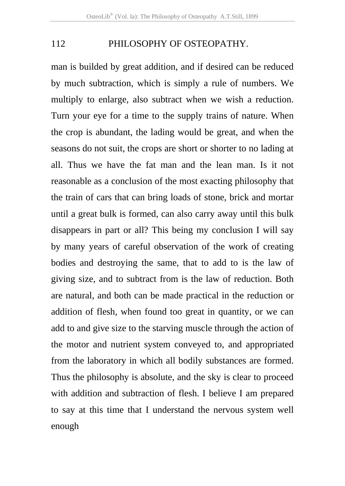man is builded by great addition, and if desired can be reduced by much subtraction, which is simply a rule of numbers. We multiply to enlarge, also subtract when we wish a reduction. Turn your eye for a time to the supply trains of nature. When the crop is abundant, the lading would be great, and when the seasons do not suit, the crops are short or shorter to no lading at all. Thus we have the fat man and the lean man. Is it not reasonable as a conclusion of the most exacting philosophy that the train of cars that can bring loads of stone, brick and mortar until a great bulk is formed, can also carry away until this bulk disappears in part or all? This being my conclusion I will say by many years of careful observation of the work of creating bodies and destroying the same, that to add to is the law of giving size, and to subtract from is the law of reduction. Both are natural, and both can be made practical in the reduction or addition of flesh, when found too great in quantity, or we can add to and give size to the starving muscle through the action of the motor and nutrient system conveyed to, and appropriated from the laboratory in which all bodily substances are formed. Thus the philosophy is absolute, and the sky is clear to proceed with addition and subtraction of flesh. I believe I am prepared to say at this time that I understand the nervous system well enough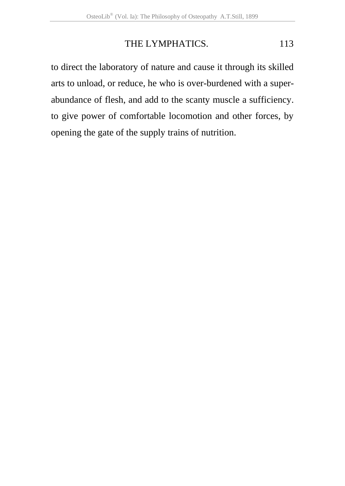# THE LYMPHATICS. 113

to direct the laboratory of nature and cause it through its skilled arts to unload, or reduce, he who is over-burdened with a superabundance of flesh, and add to the scanty muscle a sufficiency. to give power of comfortable locomotion and other forces, by opening the gate of the supply trains of nutrition.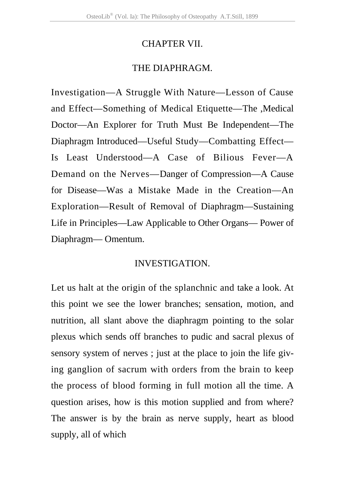## CHAPTER VII.

## THE DIAPHRAGM.

Investigation—A Struggle With Nature—Lesson of Cause and Effect—Something of Medical Etiquette—The ,Medical Doctor—An Explorer for Truth Must Be Independent—The Diaphragm Introduced—Useful Study—Combatting Effect— Is Least Understood—A Case of Bilious Fever—A Demand on the Nerves—Danger of Compression—A Cause for Disease—Was a Mistake Made in the Creation—An Exploration—Result of Removal of Diaphragm—Sustaining Life in Principles—Law Applicable to Other Organs— Power of Diaphragm— Omentum.

## INVESTIGATION.

Let us halt at the origin of the splanchnic and take a look. At this point we see the lower branches; sensation, motion, and nutrition, all slant above the diaphragm pointing to the solar plexus which sends off branches to pudic and sacral plexus of sensory system of nerves ; just at the place to join the life giving ganglion of sacrum with orders from the brain to keep the process of blood forming in full motion all the time. A question arises, how is this motion supplied and from where? The answer is by the brain as nerve supply, heart as blood supply, all of which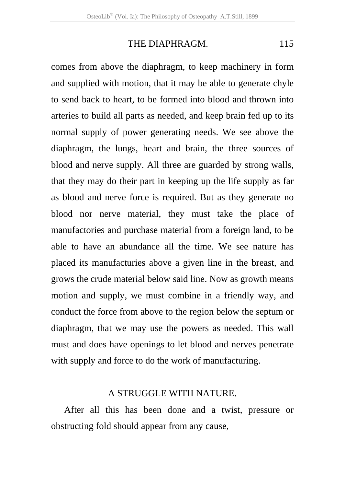comes from above the diaphragm, to keep machinery in form and supplied with motion, that it may be able to generate chyle to send back to heart, to be formed into blood and thrown into arteries to build all parts as needed, and keep brain fed up to its normal supply of power generating needs. We see above the diaphragm, the lungs, heart and brain, the three sources of blood and nerve supply. All three are guarded by strong walls, that they may do their part in keeping up the life supply as far as blood and nerve force is required. But as they generate no blood nor nerve material, they must take the place of manufactories and purchase material from a foreign land, to be able to have an abundance all the time. We see nature has placed its manufacturies above a given line in the breast, and grows the crude material below said line. Now as growth means motion and supply, we must combine in a friendly way, and conduct the force from above to the region below the septum or diaphragm, that we may use the powers as needed. This wall must and does have openings to let blood and nerves penetrate with supply and force to do the work of manufacturing.

#### A STRUGGLE WITH NATURE.

 After all this has been done and a twist, pressure or obstructing fold should appear from any cause,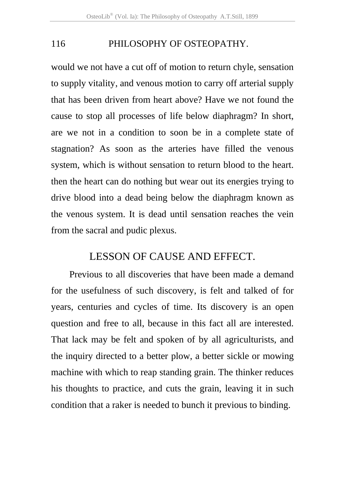would we not have a cut off of motion to return chyle, sensation to supply vitality, and venous motion to carry off arterial supply that has been driven from heart above? Have we not found the cause to stop all processes of life below diaphragm? In short, are we not in a condition to soon be in a complete state of stagnation? As soon as the arteries have filled the venous system, which is without sensation to return blood to the heart. then the heart can do nothing but wear out its energies trying to drive blood into a dead being below the diaphragm known as the venous system. It is dead until sensation reaches the vein from the sacral and pudic plexus.

# LESSON OF CAUSE AND EFFECT.

Previous to all discoveries that have been made a demand for the usefulness of such discovery, is felt and talked of for years, centuries and cycles of time. Its discovery is an open question and free to all, because in this fact all are interested. That lack may be felt and spoken of by all agriculturists, and the inquiry directed to a better plow, a better sickle or mowing machine with which to reap standing grain. The thinker reduces his thoughts to practice, and cuts the grain, leaving it in such condition that a raker is needed to bunch it previous to binding.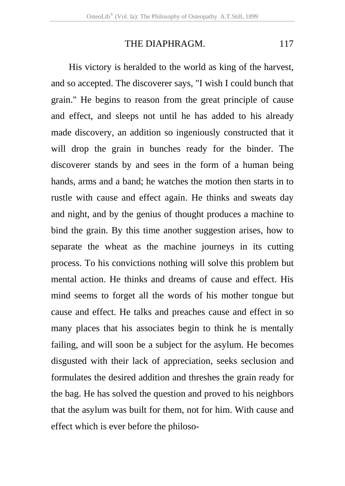His victory is heralded to the world as king of the harvest, and so accepted. The discoverer says, "I wish I could bunch that grain." He begins to reason from the great principle of cause and effect, and sleeps not until he has added to his already made discovery, an addition so ingeniously constructed that it will drop the grain in bunches ready for the binder. The discoverer stands by and sees in the form of a human being hands, arms and a band; he watches the motion then starts in to rustle with cause and effect again. He thinks and sweats day and night, and by the genius of thought produces a machine to bind the grain. By this time another suggestion arises, how to separate the wheat as the machine journeys in its cutting process. To his convictions nothing will solve this problem but mental action. He thinks and dreams of cause and effect. His mind seems to forget all the words of his mother tongue but cause and effect. He talks and preaches cause and effect in so many places that his associates begin to think he is mentally failing, and will soon be a subject for the asylum. He becomes disgusted with their lack of appreciation, seeks seclusion and formulates the desired addition and threshes the grain ready for the bag. He has solved the question and proved to his neighbors that the asylum was built for them, not for him. With cause and effect which is ever before the philoso-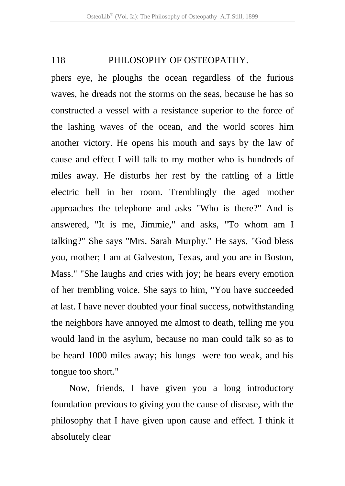phers eye, he ploughs the ocean regardless of the furious waves, he dreads not the storms on the seas, because he has so constructed a vessel with a resistance superior to the force of the lashing waves of the ocean, and the world scores him another victory. He opens his mouth and says by the law of cause and effect I will talk to my mother who is hundreds of miles away. He disturbs her rest by the rattling of a little electric bell in her room. Tremblingly the aged mother approaches the telephone and asks "Who is there?" And is answered, "It is me, Jimmie," and asks, "To whom am I talking?" She says "Mrs. Sarah Murphy." He says, "God bless you, mother; I am at Galveston, Texas, and you are in Boston, Mass." "She laughs and cries with joy; he hears every emotion of her trembling voice. She says to him, "You have succeeded at last. I have never doubted your final success, notwithstanding the neighbors have annoyed me almost to death, telling me you would land in the asylum, because no man could talk so as to be heard 1000 miles away; his lungs were too weak, and his tongue too short."

Now, friends, I have given you a long introductory foundation previous to giving you the cause of disease, with the philosophy that I have given upon cause and effect. I think it absolutely clear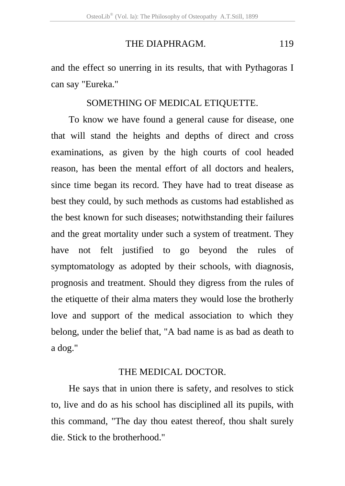and the effect so unerring in its results, that with Pythagoras I can say "Eureka."

#### SOMETHING OF MEDICAL ETIQUETTE.

To know we have found a general cause for disease, one that will stand the heights and depths of direct and cross examinations, as given by the high courts of cool headed reason, has been the mental effort of all doctors and healers, since time began its record. They have had to treat disease as best they could, by such methods as customs had established as the best known for such diseases; notwithstanding their failures and the great mortality under such a system of treatment. They have not felt justified to go beyond the rules of symptomatology as adopted by their schools, with diagnosis, prognosis and treatment. Should they digress from the rules of the etiquette of their alma maters they would lose the brotherly love and support of the medical association to which they belong, under the belief that, "A bad name is as bad as death to a dog."

#### THE MEDICAL DOCTOR.

He says that in union there is safety, and resolves to stick to, live and do as his school has disciplined all its pupils, with this command, "The day thou eatest thereof, thou shalt surely die. Stick to the brotherhood."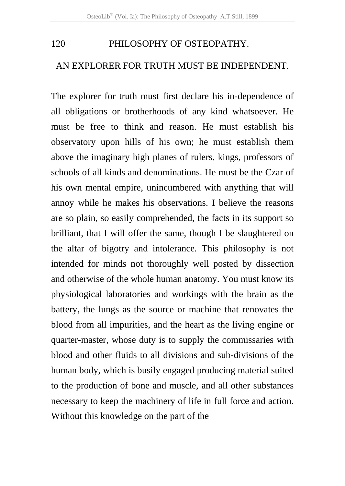## AN EXPLORER FOR TRUTH MUST BE INDEPENDENT.

The explorer for truth must first declare his in-dependence of all obligations or brotherhoods of any kind whatsoever. He must be free to think and reason. He must establish his observatory upon hills of his own; he must establish them above the imaginary high planes of rulers, kings, professors of schools of all kinds and denominations. He must be the Czar of his own mental empire, unincumbered with anything that will annoy while he makes his observations. I believe the reasons are so plain, so easily comprehended, the facts in its support so brilliant, that I will offer the same, though I be slaughtered on the altar of bigotry and intolerance. This philosophy is not intended for minds not thoroughly well posted by dissection and otherwise of the whole human anatomy. You must know its physiological laboratories and workings with the brain as the battery, the lungs as the source or machine that renovates the blood from all impurities, and the heart as the living engine or quarter-master, whose duty is to supply the commissaries with blood and other fluids to all divisions and sub-divisions of the human body, which is busily engaged producing material suited to the production of bone and muscle, and all other substances necessary to keep the machinery of life in full force and action. Without this knowledge on the part of the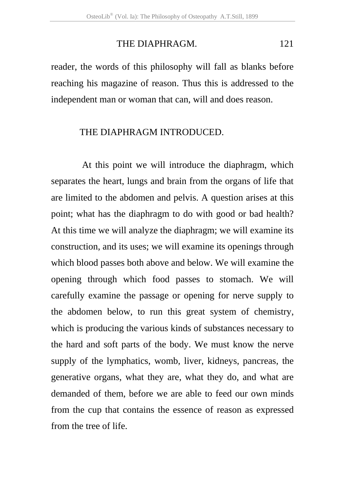reader, the words of this philosophy will fall as blanks before reaching his magazine of reason. Thus this is addressed to the independent man or woman that can, will and does reason.

#### THE DIAPHRAGM INTRODUCED.

 At this point we will introduce the diaphragm, which separates the heart, lungs and brain from the organs of life that are limited to the abdomen and pelvis. A question arises at this point; what has the diaphragm to do with good or bad health? At this time we will analyze the diaphragm; we will examine its construction, and its uses; we will examine its openings through which blood passes both above and below. We will examine the opening through which food passes to stomach. We will carefully examine the passage or opening for nerve supply to the abdomen below, to run this great system of chemistry, which is producing the various kinds of substances necessary to the hard and soft parts of the body. We must know the nerve supply of the lymphatics, womb, liver, kidneys, pancreas, the generative organs, what they are, what they do, and what are demanded of them, before we are able to feed our own minds from the cup that contains the essence of reason as expressed from the tree of life.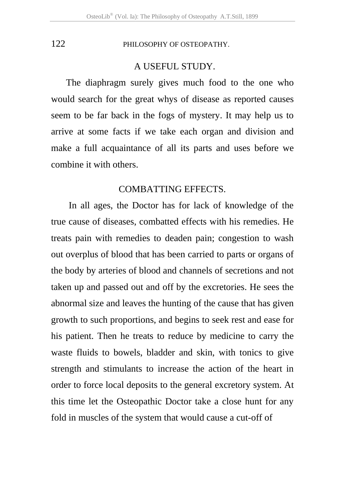### A USEFUL STUDY.

The diaphragm surely gives much food to the one who would search for the great whys of disease as reported causes seem to be far back in the fogs of mystery. It may help us to arrive at some facts if we take each organ and division and make a full acquaintance of all its parts and uses before we combine it with others.

#### COMBATTING EFFECTS.

In all ages, the Doctor has for lack of knowledge of the true cause of diseases, combatted effects with his remedies. He treats pain with remedies to deaden pain; congestion to wash out overplus of blood that has been carried to parts or organs of the body by arteries of blood and channels of secretions and not taken up and passed out and off by the excretories. He sees the abnormal size and leaves the hunting of the cause that has given growth to such proportions, and begins to seek rest and ease for his patient. Then he treats to reduce by medicine to carry the waste fluids to bowels, bladder and skin, with tonics to give strength and stimulants to increase the action of the heart in order to force local deposits to the general excretory system. At this time let the Osteopathic Doctor take a close hunt for any fold in muscles of the system that would cause a cut-off of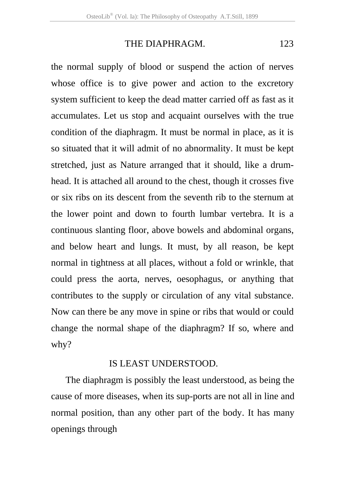the normal supply of blood or suspend the action of nerves whose office is to give power and action to the excretory system sufficient to keep the dead matter carried off as fast as it accumulates. Let us stop and acquaint ourselves with the true condition of the diaphragm. It must be normal in place, as it is so situated that it will admit of no abnormality. It must be kept stretched, just as Nature arranged that it should, like a drumhead. It is attached all around to the chest, though it crosses five or six ribs on its descent from the seventh rib to the sternum at the lower point and down to fourth lumbar vertebra. It is a continuous slanting floor, above bowels and abdominal organs, and below heart and lungs. It must, by all reason, be kept normal in tightness at all places, without a fold or wrinkle, that could press the aorta, nerves, oesophagus, or anything that contributes to the supply or circulation of any vital substance. Now can there be any move in spine or ribs that would or could change the normal shape of the diaphragm? If so, where and why?

### IS LEAST UNDERSTOOD.

The diaphragm is possibly the least understood, as being the cause of more diseases, when its sup-ports are not all in line and normal position, than any other part of the body. It has many openings through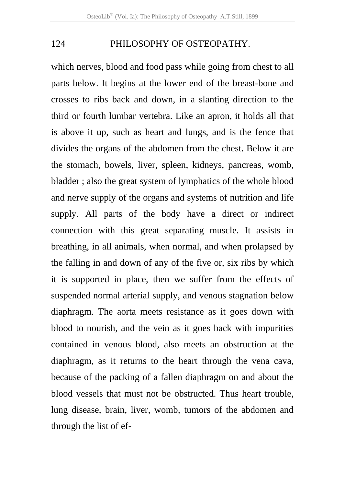which nerves, blood and food pass while going from chest to all parts below. It begins at the lower end of the breast-bone and crosses to ribs back and down, in a slanting direction to the third or fourth lumbar vertebra. Like an apron, it holds all that is above it up, such as heart and lungs, and is the fence that divides the organs of the abdomen from the chest. Below it are the stomach, bowels, liver, spleen, kidneys, pancreas, womb, bladder ; also the great system of lymphatics of the whole blood and nerve supply of the organs and systems of nutrition and life supply. All parts of the body have a direct or indirect connection with this great separating muscle. It assists in breathing, in all animals, when normal, and when prolapsed by the falling in and down of any of the five or, six ribs by which it is supported in place, then we suffer from the effects of suspended normal arterial supply, and venous stagnation below diaphragm. The aorta meets resistance as it goes down with blood to nourish, and the vein as it goes back with impurities contained in venous blood, also meets an obstruction at the diaphragm, as it returns to the heart through the vena cava, because of the packing of a fallen diaphragm on and about the blood vessels that must not be obstructed. Thus heart trouble, lung disease, brain, liver, womb, tumors of the abdomen and through the list of ef-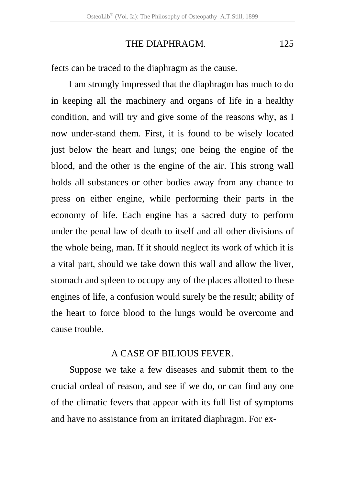fects can be traced to the diaphragm as the cause.

I am strongly impressed that the diaphragm has much to do in keeping all the machinery and organs of life in a healthy condition, and will try and give some of the reasons why, as I now under-stand them. First, it is found to be wisely located just below the heart and lungs; one being the engine of the blood, and the other is the engine of the air. This strong wall holds all substances or other bodies away from any chance to press on either engine, while performing their parts in the economy of life. Each engine has a sacred duty to perform under the penal law of death to itself and all other divisions of the whole being, man. If it should neglect its work of which it is a vital part, should we take down this wall and allow the liver, stomach and spleen to occupy any of the places allotted to these engines of life, a confusion would surely be the result; ability of the heart to force blood to the lungs would be overcome and cause trouble.

#### A CASE OF BILIOUS FEVER.

Suppose we take a few diseases and submit them to the crucial ordeal of reason, and see if we do, or can find any one of the climatic fevers that appear with its full list of symptoms and have no assistance from an irritated diaphragm. For ex-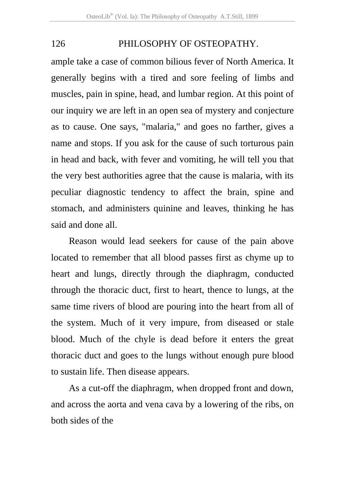ample take a case of common bilious fever of North America. It generally begins with a tired and sore feeling of limbs and muscles, pain in spine, head, and lumbar region. At this point of our inquiry we are left in an open sea of mystery and conjecture as to cause. One says, "malaria," and goes no farther, gives a name and stops. If you ask for the cause of such torturous pain in head and back, with fever and vomiting, he will tell you that the very best authorities agree that the cause is malaria, with its peculiar diagnostic tendency to affect the brain, spine and stomach, and administers quinine and leaves, thinking he has said and done all.

Reason would lead seekers for cause of the pain above located to remember that all blood passes first as chyme up to heart and lungs, directly through the diaphragm, conducted through the thoracic duct, first to heart, thence to lungs, at the same time rivers of blood are pouring into the heart from all of the system. Much of it very impure, from diseased or stale blood. Much of the chyle is dead before it enters the great thoracic duct and goes to the lungs without enough pure blood to sustain life. Then disease appears.

As a cut-off the diaphragm, when dropped front and down, and across the aorta and vena cava by a lowering of the ribs, on both sides of the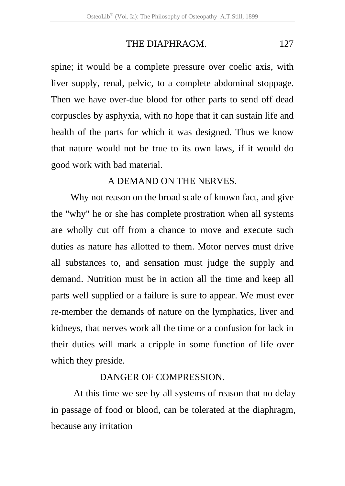spine; it would be a complete pressure over coelic axis, with liver supply, renal, pelvic, to a complete abdominal stoppage. Then we have over-due blood for other parts to send off dead corpuscles by asphyxia, with no hope that it can sustain life and health of the parts for which it was designed. Thus we know that nature would not be true to its own laws, if it would do good work with bad material.

### A DEMAND ON THE NERVES.

 Why not reason on the broad scale of known fact, and give the "why" he or she has complete prostration when all systems are wholly cut off from a chance to move and execute such duties as nature has allotted to them. Motor nerves must drive all substances to, and sensation must judge the supply and demand. Nutrition must be in action all the time and keep all parts well supplied or a failure is sure to appear. We must ever re-member the demands of nature on the lymphatics, liver and kidneys, that nerves work all the time or a confusion for lack in their duties will mark a cripple in some function of life over which they preside.

### DANGER OF COMPRESSION.

 At this time we see by all systems of reason that no delay in passage of food or blood, can be tolerated at the diaphragm, because any irritation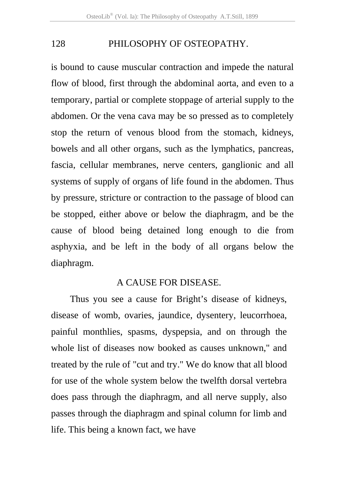is bound to cause muscular contraction and impede the natural flow of blood, first through the abdominal aorta, and even to a temporary, partial or complete stoppage of arterial supply to the abdomen. Or the vena cava may be so pressed as to completely stop the return of venous blood from the stomach, kidneys, bowels and all other organs, such as the lymphatics, pancreas, fascia, cellular membranes, nerve centers, ganglionic and all systems of supply of organs of life found in the abdomen. Thus by pressure, stricture or contraction to the passage of blood can be stopped, either above or below the diaphragm, and be the cause of blood being detained long enough to die from asphyxia, and be left in the body of all organs below the diaphragm.

#### A CAUSE FOR DISEASE.

Thus you see a cause for Bright's disease of kidneys, disease of womb, ovaries, jaundice, dysentery, leucorrhoea, painful monthlies, spasms, dyspepsia, and on through the whole list of diseases now booked as causes unknown," and treated by the rule of "cut and try." We do know that all blood for use of the whole system below the twelfth dorsal vertebra does pass through the diaphragm, and all nerve supply, also passes through the diaphragm and spinal column for limb and life. This being a known fact, we have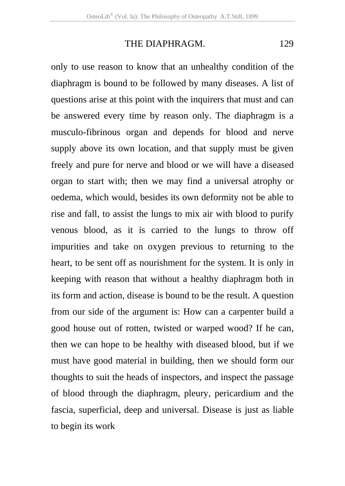only to use reason to know that an unhealthy condition of the diaphragm is bound to be followed by many diseases. A list of questions arise at this point with the inquirers that must and can be answered every time by reason only. The diaphragm is a musculo-fibrinous organ and depends for blood and nerve supply above its own location, and that supply must be given freely and pure for nerve and blood or we will have a diseased organ to start with; then we may find a universal atrophy or oedema, which would, besides its own deformity not be able to rise and fall, to assist the lungs to mix air with blood to purify venous blood, as it is carried to the lungs to throw off impurities and take on oxygen previous to returning to the heart, to be sent off as nourishment for the system. It is only in keeping with reason that without a healthy diaphragm both in its form and action, disease is bound to be the result. A question from our side of the argument is: How can a carpenter build a good house out of rotten, twisted or warped wood? If he can, then we can hope to be healthy with diseased blood, but if we must have good material in building, then we should form our thoughts to suit the heads of inspectors, and inspect the passage of blood through the diaphragm, pleury, pericardium and the fascia, superficial, deep and universal. Disease is just as liable to begin its work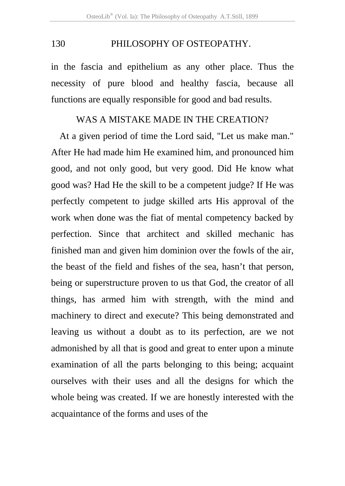in the fascia and epithelium as any other place. Thus the necessity of pure blood and healthy fascia, because all functions are equally responsible for good and bad results.

#### WAS A MISTAKE MADE IN THE CREATION?

At a given period of time the Lord said, "Let us make man." After He had made him He examined him, and pronounced him good, and not only good, but very good. Did He know what good was? Had He the skill to be a competent judge? If He was perfectly competent to judge skilled arts His approval of the work when done was the fiat of mental competency backed by perfection. Since that architect and skilled mechanic has finished man and given him dominion over the fowls of the air, the beast of the field and fishes of the sea, hasn't that person, being or superstructure proven to us that God, the creator of all things, has armed him with strength, with the mind and machinery to direct and execute? This being demonstrated and leaving us without a doubt as to its perfection, are we not admonished by all that is good and great to enter upon a minute examination of all the parts belonging to this being; acquaint ourselves with their uses and all the designs for which the whole being was created. If we are honestly interested with the acquaintance of the forms and uses of the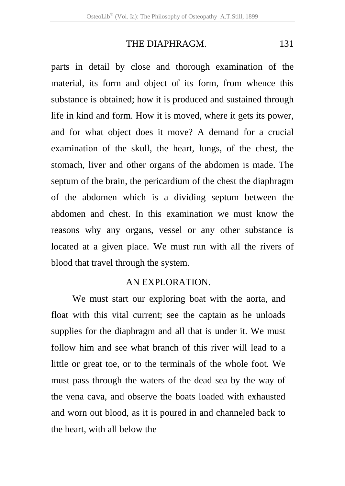parts in detail by close and thorough examination of the material, its form and object of its form, from whence this substance is obtained; how it is produced and sustained through life in kind and form. How it is moved, where it gets its power, and for what object does it move? A demand for a crucial examination of the skull, the heart, lungs, of the chest, the stomach, liver and other organs of the abdomen is made. The septum of the brain, the pericardium of the chest the diaphragm of the abdomen which is a dividing septum between the abdomen and chest. In this examination we must know the reasons why any organs, vessel or any other substance is located at a given place. We must run with all the rivers of blood that travel through the system.

## AN EXPLORATION.

 We must start our exploring boat with the aorta, and float with this vital current; see the captain as he unloads supplies for the diaphragm and all that is under it. We must follow him and see what branch of this river will lead to a little or great toe, or to the terminals of the whole foot. We must pass through the waters of the dead sea by the way of the vena cava, and observe the boats loaded with exhausted and worn out blood, as it is poured in and channeled back to the heart, with all below the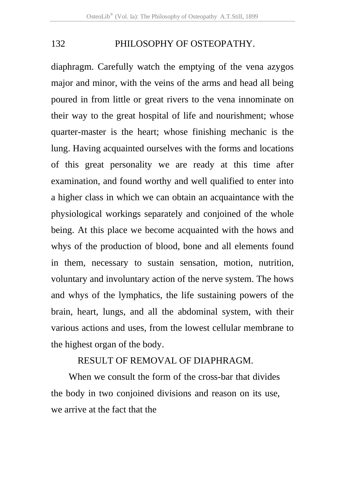diaphragm. Carefully watch the emptying of the vena azygos major and minor, with the veins of the arms and head all being poured in from little or great rivers to the vena innominate on their way to the great hospital of life and nourishment; whose quarter-master is the heart; whose finishing mechanic is the lung. Having acquainted ourselves with the forms and locations of this great personality we are ready at this time after examination, and found worthy and well qualified to enter into a higher class in which we can obtain an acquaintance with the physiological workings separately and conjoined of the whole being. At this place we become acquainted with the hows and whys of the production of blood, bone and all elements found in them, necessary to sustain sensation, motion, nutrition, voluntary and involuntary action of the nerve system. The hows and whys of the lymphatics, the life sustaining powers of the brain, heart, lungs, and all the abdominal system, with their various actions and uses, from the lowest cellular membrane to the highest organ of the body.

## RESULT OF REMOVAL OF DIAPHRAGM.

When we consult the form of the cross-bar that divides the body in two conjoined divisions and reason on its use, we arrive at the fact that the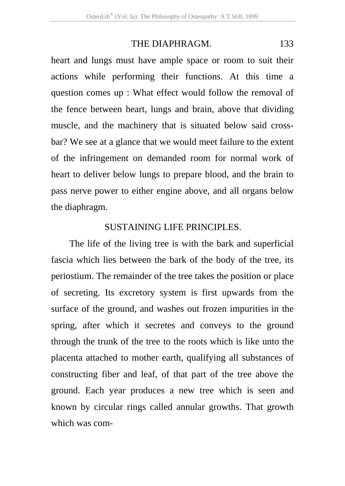heart and lungs must have ample space or room to suit their actions while performing their functions. At this time a question comes up : What effect would follow the removal of the fence between heart, lungs and brain, above that dividing muscle, and the machinery that is situated below said crossbar? We see at a glance that we would meet failure to the extent of the infringement on demanded room for normal work of heart to deliver below lungs to prepare blood, and the brain to pass nerve power to either engine above, and all organs below the diaphragm.

#### SUSTAINING LIFE PRINCIPLES.

The life of the living tree is with the bark and superficial fascia which lies between the bark of the body of the tree, its periostium. The remainder of the tree takes the position or place of secreting. Its excretory system is first upwards from the surface of the ground, and washes out frozen impurities in the spring, after which it secretes and conveys to the ground through the trunk of the tree to the roots which is like unto the placenta attached to mother earth, qualifying all substances of constructing fiber and leaf, of that part of the tree above the ground. Each year produces a new tree which is seen and known by circular rings called annular growths. That growth which was com-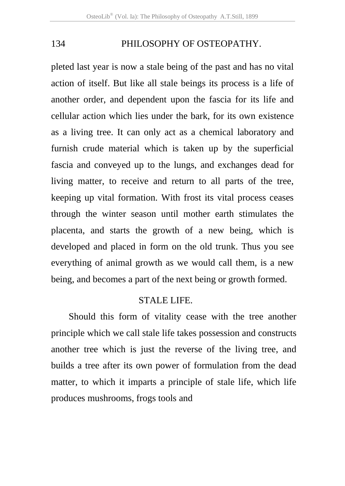pleted last year is now a stale being of the past and has no vital action of itself. But like all stale beings its process is a life of another order, and dependent upon the fascia for its life and cellular action which lies under the bark, for its own existence as a living tree. It can only act as a chemical laboratory and furnish crude material which is taken up by the superficial fascia and conveyed up to the lungs, and exchanges dead for living matter, to receive and return to all parts of the tree, keeping up vital formation. With frost its vital process ceases through the winter season until mother earth stimulates the placenta, and starts the growth of a new being, which is developed and placed in form on the old trunk. Thus you see everything of animal growth as we would call them, is a new being, and becomes a part of the next being or growth formed.

### STALE LIFE.

Should this form of vitality cease with the tree another principle which we call stale life takes possession and constructs another tree which is just the reverse of the living tree, and builds a tree after its own power of formulation from the dead matter, to which it imparts a principle of stale life, which life produces mushrooms, frogs tools and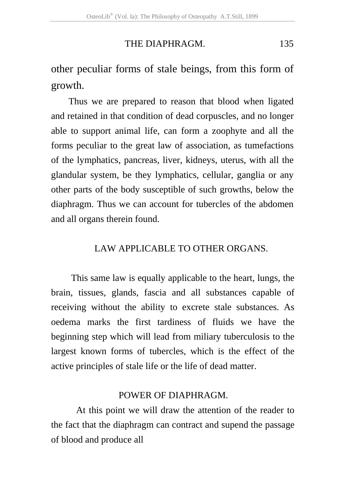other peculiar forms of stale beings, from this form of growth.

Thus we are prepared to reason that blood when ligated and retained in that condition of dead corpuscles, and no longer able to support animal life, can form a zoophyte and all the forms peculiar to the great law of association, as tumefactions of the lymphatics, pancreas, liver, kidneys, uterus, with all the glandular system, be they lymphatics, cellular, ganglia or any other parts of the body susceptible of such growths, below the diaphragm. Thus we can account for tubercles of the abdomen and all organs therein found.

## LAW APPLICABLE TO OTHER ORGANS.

 This same law is equally applicable to the heart, lungs, the brain, tissues, glands, fascia and all substances capable of receiving without the ability to excrete stale substances. As oedema marks the first tardiness of fluids we have the beginning step which will lead from miliary tuberculosis to the largest known forms of tubercles, which is the effect of the active principles of stale life or the life of dead matter.

#### POWER OF DIAPHRAGM.

 At this point we will draw the attention of the reader to the fact that the diaphragm can contract and supend the passage of blood and produce all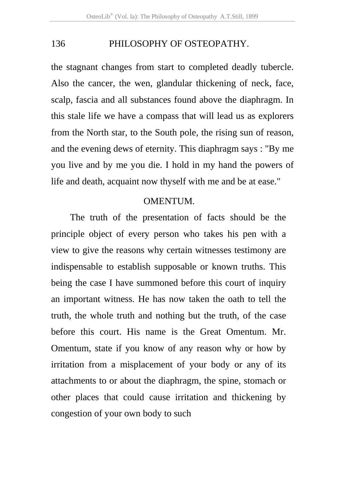the stagnant changes from start to completed deadly tubercle. Also the cancer, the wen, glandular thickening of neck, face, scalp, fascia and all substances found above the diaphragm. In this stale life we have a compass that will lead us as explorers from the North star, to the South pole, the rising sun of reason, and the evening dews of eternity. This diaphragm says : "By me you live and by me you die. I hold in my hand the powers of life and death, acquaint now thyself with me and be at ease."

## OMENTUM.

The truth of the presentation of facts should be the principle object of every person who takes his pen with a view to give the reasons why certain witnesses testimony are indispensable to establish supposable or known truths. This being the case I have summoned before this court of inquiry an important witness. He has now taken the oath to tell the truth, the whole truth and nothing but the truth, of the case before this court. His name is the Great Omentum. Mr. Omentum, state if you know of any reason why or how by irritation from a misplacement of your body or any of its attachments to or about the diaphragm, the spine, stomach or other places that could cause irritation and thickening by congestion of your own body to such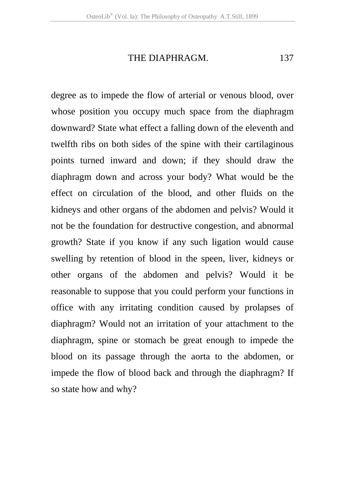THE DIAPHRAGM. 137

degree as to impede the flow of arterial or venous blood, over whose position you occupy much space from the diaphragm downward? State what effect a falling down of the eleventh and twelfth ribs on both sides of the spine with their cartilaginous points turned inward and down; if they should draw the diaphragm down and across your body? What would be the effect on circulation of the blood, and other fluids on the kidneys and other organs of the abdomen and pelvis? Would it not be the foundation for destructive congestion, and abnormal growth? State if you know if any such ligation would cause swelling by retention of blood in the speen, liver, kidneys or other organs of the abdomen and pelvis? Would it be reasonable to suppose that you could perform your functions in office with any irritating condition caused by prolapses of diaphragm? Would not an irritation of your attachment to the diaphragm, spine or stomach be great enough to impede the blood on its passage through the aorta to the abdomen, or impede the flow of blood back and through the diaphragm? If so state how and why?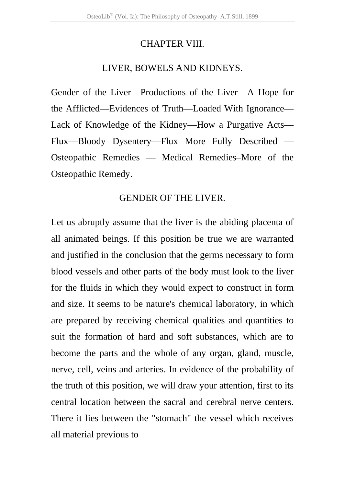### CHAPTER VIII.

# LIVER, BOWELS AND KIDNEYS.

Gender of the Liver—Productions of the Liver—A Hope for the Afflicted—Evidences of Truth—Loaded With Ignorance— Lack of Knowledge of the Kidney—How a Purgative Acts— Flux—Bloody Dysentery—Flux More Fully Described — Osteopathic Remedies — Medical Remedies–More of the Osteopathic Remedy.

# GENDER OF THE LIVER.

Let us abruptly assume that the liver is the abiding placenta of all animated beings. If this position be true we are warranted and justified in the conclusion that the germs necessary to form blood vessels and other parts of the body must look to the liver for the fluids in which they would expect to construct in form and size. It seems to be nature's chemical laboratory, in which are prepared by receiving chemical qualities and quantities to suit the formation of hard and soft substances, which are to become the parts and the whole of any organ, gland, muscle, nerve, cell, veins and arteries. In evidence of the probability of the truth of this position, we will draw your attention, first to its central location between the sacral and cerebral nerve centers. There it lies between the "stomach" the vessel which receives all material previous to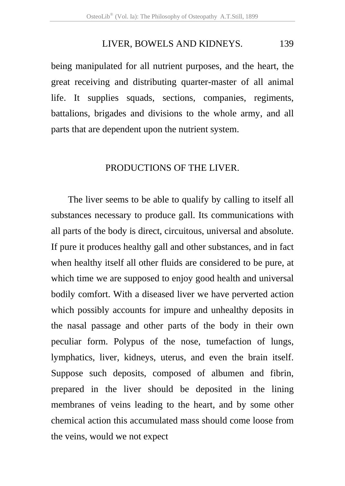#### LIVER, BOWELS AND KIDNEYS. 139

being manipulated for all nutrient purposes, and the heart, the great receiving and distributing quarter-master of all animal life. It supplies squads, sections, companies, regiments, battalions, brigades and divisions to the whole army, and all parts that are dependent upon the nutrient system.

#### PRODUCTIONS OF THE LIVER.

 The liver seems to be able to qualify by calling to itself all substances necessary to produce gall. Its communications with all parts of the body is direct, circuitous, universal and absolute. If pure it produces healthy gall and other substances, and in fact when healthy itself all other fluids are considered to be pure, at which time we are supposed to enjoy good health and universal bodily comfort. With a diseased liver we have perverted action which possibly accounts for impure and unhealthy deposits in the nasal passage and other parts of the body in their own peculiar form. Polypus of the nose, tumefaction of lungs, lymphatics, liver, kidneys, uterus, and even the brain itself. Suppose such deposits, composed of albumen and fibrin, prepared in the liver should be deposited in the lining membranes of veins leading to the heart, and by some other chemical action this accumulated mass should come loose from the veins, would we not expect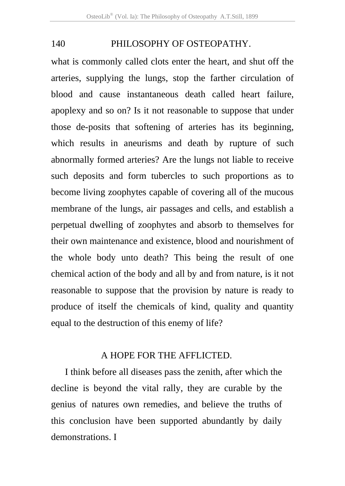what is commonly called clots enter the heart, and shut off the arteries, supplying the lungs, stop the farther circulation of blood and cause instantaneous death called heart failure, apoplexy and so on? Is it not reasonable to suppose that under those de-posits that softening of arteries has its beginning, which results in aneurisms and death by rupture of such abnormally formed arteries? Are the lungs not liable to receive such deposits and form tubercles to such proportions as to become living zoophytes capable of covering all of the mucous membrane of the lungs, air passages and cells, and establish a perpetual dwelling of zoophytes and absorb to themselves for their own maintenance and existence, blood and nourishment of the whole body unto death? This being the result of one chemical action of the body and all by and from nature, is it not reasonable to suppose that the provision by nature is ready to produce of itself the chemicals of kind, quality and quantity equal to the destruction of this enemy of life?

### A HOPE FOR THE AFFLICTED.

I think before all diseases pass the zenith, after which the decline is beyond the vital rally, they are curable by the genius of natures own remedies, and believe the truths of this conclusion have been supported abundantly by daily demonstrations. I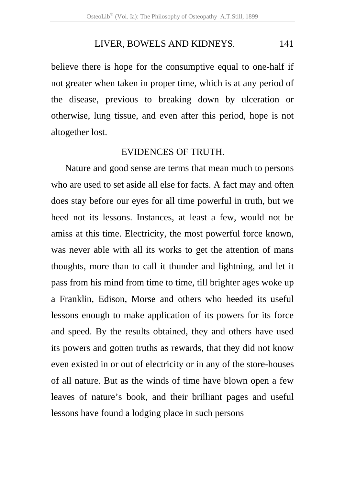#### LIVER, BOWELS AND KIDNEYS. 141

believe there is hope for the consumptive equal to one-half if not greater when taken in proper time, which is at any period of the disease, previous to breaking down by ulceration or otherwise, lung tissue, and even after this period, hope is not altogether lost.

### EVIDENCES OF TRUTH.

Nature and good sense are terms that mean much to persons who are used to set aside all else for facts. A fact may and often does stay before our eyes for all time powerful in truth, but we heed not its lessons. Instances, at least a few, would not be amiss at this time. Electricity, the most powerful force known, was never able with all its works to get the attention of mans thoughts, more than to call it thunder and lightning, and let it pass from his mind from time to time, till brighter ages woke up a Franklin, Edison, Morse and others who heeded its useful lessons enough to make application of its powers for its force and speed. By the results obtained, they and others have used its powers and gotten truths as rewards, that they did not know even existed in or out of electricity or in any of the store-houses of all nature. But as the winds of time have blown open a few leaves of nature's book, and their brilliant pages and useful lessons have found a lodging place in such persons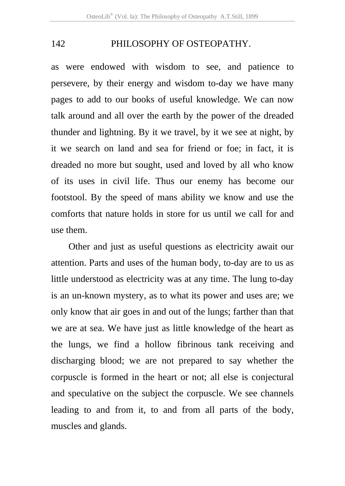as were endowed with wisdom to see, and patience to persevere, by their energy and wisdom to-day we have many pages to add to our books of useful knowledge. We can now talk around and all over the earth by the power of the dreaded thunder and lightning. By it we travel, by it we see at night, by it we search on land and sea for friend or foe; in fact, it is dreaded no more but sought, used and loved by all who know of its uses in civil life. Thus our enemy has become our footstool. By the speed of mans ability we know and use the comforts that nature holds in store for us until we call for and use them.

Other and just as useful questions as electricity await our attention. Parts and uses of the human body, to-day are to us as little understood as electricity was at any time. The lung to-day is an un-known mystery, as to what its power and uses are; we only know that air goes in and out of the lungs; farther than that we are at sea. We have just as little knowledge of the heart as the lungs, we find a hollow fibrinous tank receiving and discharging blood; we are not prepared to say whether the corpuscle is formed in the heart or not; all else is conjectural and speculative on the subject the corpuscle. We see channels leading to and from it, to and from all parts of the body, muscles and glands.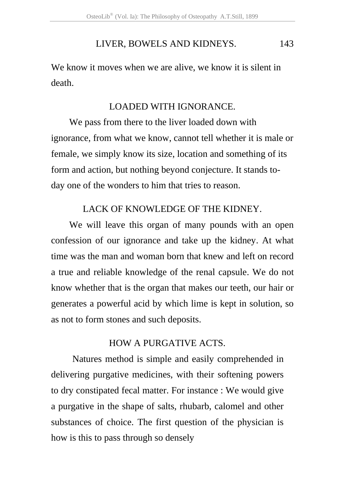# LIVER, BOWELS AND KIDNEYS. 143

We know it moves when we are alive, we know it is silent in death.

#### LOADED WITH IGNORANCE.

We pass from there to the liver loaded down with ignorance, from what we know, cannot tell whether it is male or female, we simply know its size, location and something of its form and action, but nothing beyond conjecture. It stands today one of the wonders to him that tries to reason.

# LACK OF KNOWLEDGE OF THE KIDNEY.

We will leave this organ of many pounds with an open confession of our ignorance and take up the kidney. At what time was the man and woman born that knew and left on record a true and reliable knowledge of the renal capsule. We do not know whether that is the organ that makes our teeth, our hair or generates a powerful acid by which lime is kept in solution, so as not to form stones and such deposits.

# HOW A PURGATIVE ACTS.

 Natures method is simple and easily comprehended in delivering purgative medicines, with their softening powers to dry constipated fecal matter. For instance : We would give a purgative in the shape of salts, rhubarb, calomel and other substances of choice. The first question of the physician is how is this to pass through so densely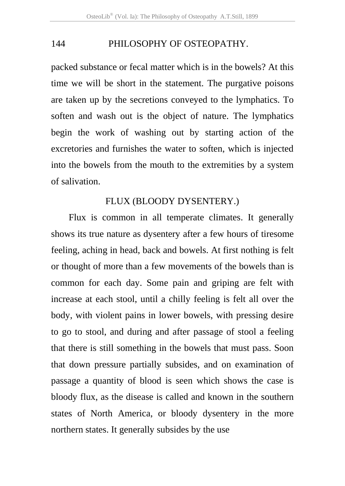packed substance or fecal matter which is in the bowels? At this time we will be short in the statement. The purgative poisons are taken up by the secretions conveyed to the lymphatics. To soften and wash out is the object of nature. The lymphatics begin the work of washing out by starting action of the excretories and furnishes the water to soften, which is injected into the bowels from the mouth to the extremities by a system of salivation.

#### FLUX (BLOODY DYSENTERY.)

Flux is common in all temperate climates. It generally shows its true nature as dysentery after a few hours of tiresome feeling, aching in head, back and bowels. At first nothing is felt or thought of more than a few movements of the bowels than is common for each day. Some pain and griping are felt with increase at each stool, until a chilly feeling is felt all over the body, with violent pains in lower bowels, with pressing desire to go to stool, and during and after passage of stool a feeling that there is still something in the bowels that must pass. Soon that down pressure partially subsides, and on examination of passage a quantity of blood is seen which shows the case is bloody flux, as the disease is called and known in the southern states of North America, or bloody dysentery in the more northern states. It generally subsides by the use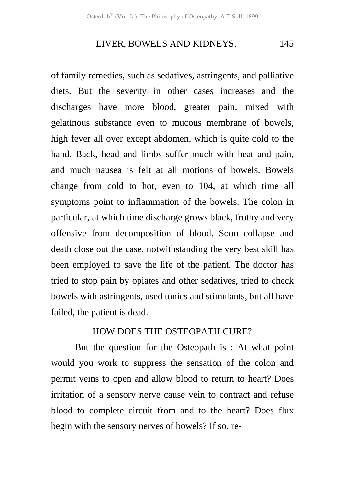#### LIVER, BOWELS AND KIDNEYS. 145

of family remedies, such as sedatives, astringents, and palliative diets. But the severity in other cases increases and the discharges have more blood, greater pain, mixed with gelatinous substance even to mucous membrane of bowels, high fever all over except abdomen, which is quite cold to the hand. Back, head and limbs suffer much with heat and pain, and much nausea is felt at all motions of bowels. Bowels change from cold to hot, even to 104, at which time all symptoms point to inflammation of the bowels. The colon in particular, at which time discharge grows black, frothy and very offensive from decomposition of blood. Soon collapse and death close out the case, notwithstanding the very best skill has been employed to save the life of the patient. The doctor has tried to stop pain by opiates and other sedatives, tried to check bowels with astringents, used tonics and stimulants, but all have failed, the patient is dead.

# HOW DOES THE OSTEOPATH CURE?

But the question for the Osteopath is : At what point would you work to suppress the sensation of the colon and permit veins to open and allow blood to return to heart? Does irritation of a sensory nerve cause vein to contract and refuse blood to complete circuit from and to the heart? Does flux begin with the sensory nerves of bowels? If so, re-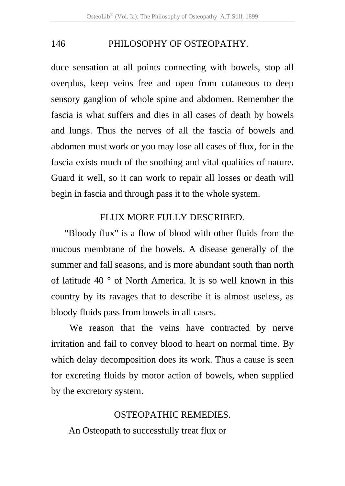duce sensation at all points connecting with bowels, stop all overplus, keep veins free and open from cutaneous to deep sensory ganglion of whole spine and abdomen. Remember the fascia is what suffers and dies in all cases of death by bowels and lungs. Thus the nerves of all the fascia of bowels and abdomen must work or you may lose all cases of flux, for in the fascia exists much of the soothing and vital qualities of nature. Guard it well, so it can work to repair all losses or death will begin in fascia and through pass it to the whole system.

# FLUX MORE FULLY DESCRIBED.

"Bloody flux" is a flow of blood with other fluids from the mucous membrane of the bowels. A disease generally of the summer and fall seasons, and is more abundant south than north of latitude 40 ° of North America. It is so well known in this country by its ravages that to describe it is almost useless, as bloody fluids pass from bowels in all cases.

We reason that the veins have contracted by nerve irritation and fail to convey blood to heart on normal time. By which delay decomposition does its work. Thus a cause is seen for excreting fluids by motor action of bowels, when supplied by the excretory system.

# OSTEOPATHIC REMEDIES.

An Osteopath to successfully treat flux or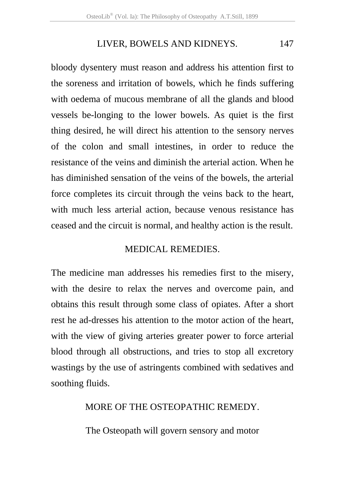## LIVER, BOWELS AND KIDNEYS. 147

bloody dysentery must reason and address his attention first to the soreness and irritation of bowels, which he finds suffering with oedema of mucous membrane of all the glands and blood vessels be-longing to the lower bowels. As quiet is the first thing desired, he will direct his attention to the sensory nerves of the colon and small intestines, in order to reduce the resistance of the veins and diminish the arterial action. When he has diminished sensation of the veins of the bowels, the arterial force completes its circuit through the veins back to the heart, with much less arterial action, because venous resistance has ceased and the circuit is normal, and healthy action is the result.

# MEDICAL REMEDIES.

The medicine man addresses his remedies first to the misery, with the desire to relax the nerves and overcome pain, and obtains this result through some class of opiates. After a short rest he ad-dresses his attention to the motor action of the heart, with the view of giving arteries greater power to force arterial blood through all obstructions, and tries to stop all excretory wastings by the use of astringents combined with sedatives and soothing fluids.

# MORE OF THE OSTEOPATHIC REMEDY.

The Osteopath will govern sensory and motor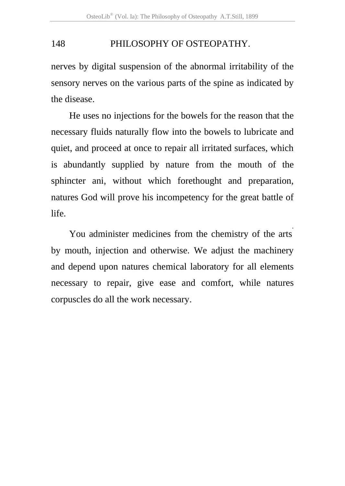nerves by digital suspension of the abnormal irritability of the sensory nerves on the various parts of the spine as indicated by the disease.

He uses no injections for the bowels for the reason that the necessary fluids naturally flow into the bowels to lubricate and quiet, and proceed at once to repair all irritated surfaces, which is abundantly supplied by nature from the mouth of the sphincter ani, without which forethought and preparation, natures God will prove his incompetency for the great battle of life.

You administer medicines from the chemistry of the arts. by mouth, injection and otherwise. We adjust the machinery and depend upon natures chemical laboratory for all elements necessary to repair, give ease and comfort, while natures corpuscles do all the work necessary.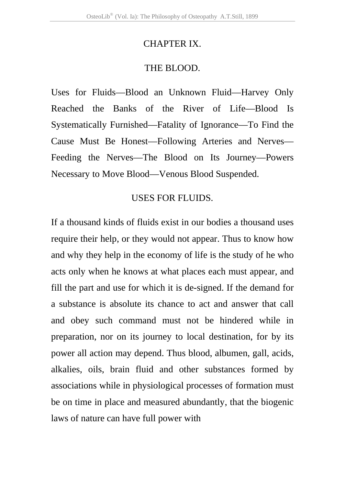#### CHAPTER IX.

#### THE BLOOD.

Uses for Fluids—Blood an Unknown Fluid—Harvey Only Reached the Banks of the River of Life—Blood Is Systematically Furnished—Fatality of Ignorance—To Find the Cause Must Be Honest—Following Arteries and Nerves— Feeding the Nerves—The Blood on Its Journey—Powers Necessary to Move Blood—Venous Blood Suspended.

#### USES FOR FLUIDS.

If a thousand kinds of fluids exist in our bodies a thousand uses require their help, or they would not appear. Thus to know how and why they help in the economy of life is the study of he who acts only when he knows at what places each must appear, and fill the part and use for which it is de-signed. If the demand for a substance is absolute its chance to act and answer that call and obey such command must not be hindered while in preparation, nor on its journey to local destination, for by its power all action may depend. Thus blood, albumen, gall, acids, alkalies, oils, brain fluid and other substances formed by associations while in physiological processes of formation must be on time in place and measured abundantly, that the biogenic laws of nature can have full power with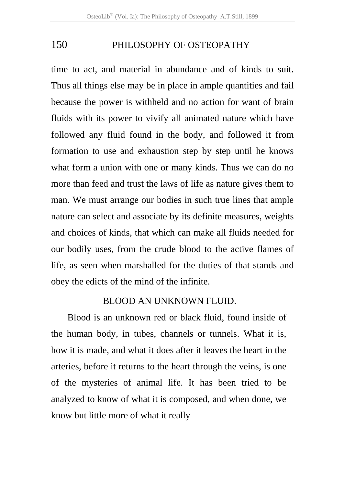time to act, and material in abundance and of kinds to suit. Thus all things else may be in place in ample quantities and fail because the power is withheld and no action for want of brain fluids with its power to vivify all animated nature which have followed any fluid found in the body, and followed it from formation to use and exhaustion step by step until he knows what form a union with one or many kinds. Thus we can do no more than feed and trust the laws of life as nature gives them to man. We must arrange our bodies in such true lines that ample nature can select and associate by its definite measures, weights and choices of kinds, that which can make all fluids needed for our bodily uses, from the crude blood to the active flames of life, as seen when marshalled for the duties of that stands and obey the edicts of the mind of the infinite.

# BLOOD AN UNKNOWN FLUID.

Blood is an unknown red or black fluid, found inside of the human body, in tubes, channels or tunnels. What it is, how it is made, and what it does after it leaves the heart in the arteries, before it returns to the heart through the veins, is one of the mysteries of animal life. It has been tried to be analyzed to know of what it is composed, and when done, we know but little more of what it really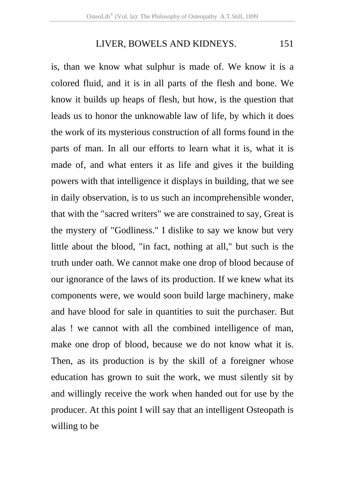## LIVER, BOWELS AND KIDNEYS. 151

is, than we know what sulphur is made of. We know it is a colored fluid, and it is in all parts of the flesh and bone. We know it builds up heaps of flesh, but how, is the question that leads us to honor the unknowable law of life, by which it does the work of its mysterious construction of all forms found in the parts of man. In all our efforts to learn what it is, what it is made of, and what enters it as life and gives it the building powers with that intelligence it displays in building, that we see in daily observation, is to us such an incomprehensible wonder, that with the "sacred writers" we are constrained to say, Great is the mystery of "Godliness." I dislike to say we know but very little about the blood, "in fact, nothing at all," but such is the truth under oath. We cannot make one drop of blood because of our ignorance of the laws of its production. If we knew what its components were, we would soon build large machinery, make and have blood for sale in quantities to suit the purchaser. But alas ! we cannot with all the combined intelligence of man, make one drop of blood, because we do not know what it is. Then, as its production is by the skill of a foreigner whose education has grown to suit the work, we must silently sit by and willingly receive the work when handed out for use by the producer. At this point I will say that an intelligent Osteopath is willing to be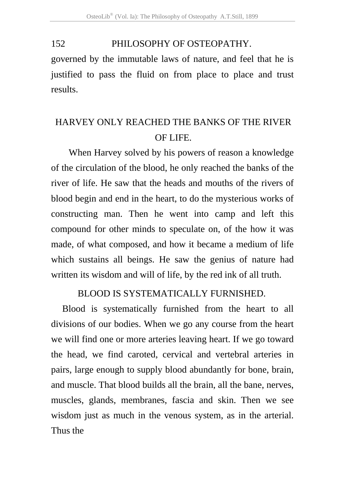governed by the immutable laws of nature, and feel that he is justified to pass the fluid on from place to place and trust results.

# HARVEY ONLY REACHED THE BANKS OF THE RIVER OF LIFE.

When Harvey solved by his powers of reason a knowledge of the circulation of the blood, he only reached the banks of the river of life. He saw that the heads and mouths of the rivers of blood begin and end in the heart, to do the mysterious works of constructing man. Then he went into camp and left this compound for other minds to speculate on, of the how it was made, of what composed, and how it became a medium of life which sustains all beings. He saw the genius of nature had written its wisdom and will of life, by the red ink of all truth.

# BLOOD IS SYSTEMATICALLY FURNISHED.

 Blood is systematically furnished from the heart to all divisions of our bodies. When we go any course from the heart we will find one or more arteries leaving heart. If we go toward the head, we find caroted, cervical and vertebral arteries in pairs, large enough to supply blood abundantly for bone, brain, and muscle. That blood builds all the brain, all the bane, nerves, muscles, glands, membranes, fascia and skin. Then we see wisdom just as much in the venous system, as in the arterial. Thus the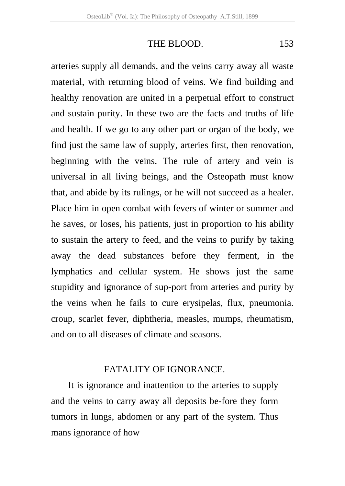THE BLOOD. 153

arteries supply all demands, and the veins carry away all waste material, with returning blood of veins. We find building and healthy renovation are united in a perpetual effort to construct and sustain purity. In these two are the facts and truths of life and health. If we go to any other part or organ of the body, we find just the same law of supply, arteries first, then renovation, beginning with the veins. The rule of artery and vein is universal in all living beings, and the Osteopath must know that, and abide by its rulings, or he will not succeed as a healer. Place him in open combat with fevers of winter or summer and he saves, or loses, his patients, just in proportion to his ability to sustain the artery to feed, and the veins to purify by taking away the dead substances before they ferment, in the lymphatics and cellular system. He shows just the same stupidity and ignorance of sup-port from arteries and purity by the veins when he fails to cure erysipelas, flux, pneumonia. croup, scarlet fever, diphtheria, measles, mumps, rheumatism, and on to all diseases of climate and seasons.

# FATALITY OF IGNORANCE.

It is ignorance and inattention to the arteries to supply and the veins to carry away all deposits be-fore they form tumors in lungs, abdomen or any part of the system. Thus mans ignorance of how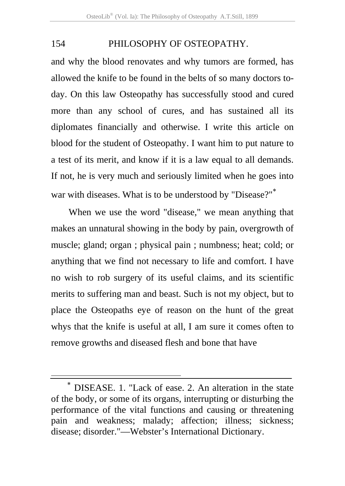and why the blood renovates and why tumors are formed, has allowed the knife to be found in the belts of so many doctors today. On this law Osteopathy has successfully stood and cured more than any school of cures, and has sustained all its diplomates financially and otherwise. I write this article on blood for the student of Osteopathy. I want him to put nature to a test of its merit, and know if it is a law equal to all demands. If not, he is very much and seriously limited when he goes into war with diseases. What is to be understood by "Disease?"<sup>\*</sup>

When we use the word "disease," we mean anything that makes an unnatural showing in the body by pain, overgrowth of muscle; gland; organ ; physical pain ; numbness; heat; cold; or anything that we find not necessary to life and comfort. I have no wish to rob surgery of its useful claims, and its scientific merits to suffering man and beast. Such is not my object, but to place the Osteopaths eye of reason on the hunt of the great whys that the knife is useful at all, I am sure it comes often to remove growths and diseased flesh and bone that have

 $\overline{a}$ 

DISEASE. 1. "Lack of ease. 2. An alteration in the state of the body, or some of its organs, interrupting or disturbing the performance of the vital functions and causing or threatening pain and weakness; malady; affection; illness; sickness; disease; disorder."—Webster's International Dictionary.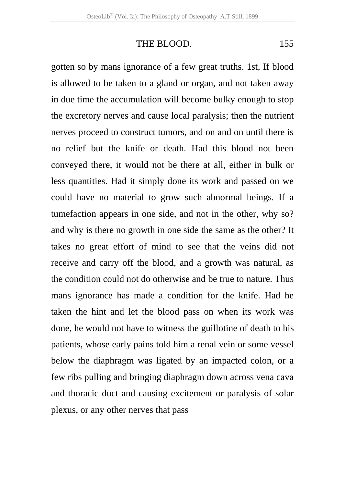THE BLOOD. 155

gotten so by mans ignorance of a few great truths. 1st, If blood is allowed to be taken to a gland or organ, and not taken away in due time the accumulation will become bulky enough to stop the excretory nerves and cause local paralysis; then the nutrient nerves proceed to construct tumors, and on and on until there is no relief but the knife or death. Had this blood not been conveyed there, it would not be there at all, either in bulk or less quantities. Had it simply done its work and passed on we could have no material to grow such abnormal beings. If a tumefaction appears in one side, and not in the other, why so? and why is there no growth in one side the same as the other? It takes no great effort of mind to see that the veins did not receive and carry off the blood, and a growth was natural, as the condition could not do otherwise and be true to nature. Thus mans ignorance has made a condition for the knife. Had he taken the hint and let the blood pass on when its work was done, he would not have to witness the guillotine of death to his patients, whose early pains told him a renal vein or some vessel below the diaphragm was ligated by an impacted colon, or a few ribs pulling and bringing diaphragm down across vena cava and thoracic duct and causing excitement or paralysis of solar plexus, or any other nerves that pass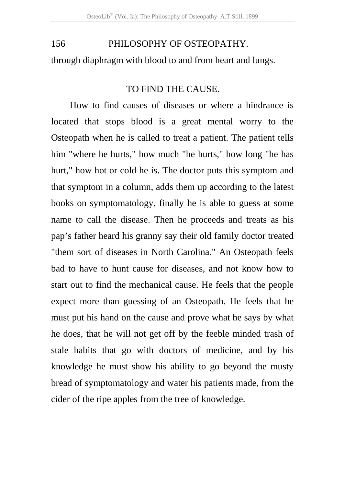through diaphragm with blood to and from heart and lungs.

#### TO FIND THE CAUSE.

 How to find causes of diseases or where a hindrance is located that stops blood is a great mental worry to the Osteopath when he is called to treat a patient. The patient tells him "where he hurts," how much "he hurts," how long "he has hurt," how hot or cold he is. The doctor puts this symptom and that symptom in a column, adds them up according to the latest books on symptomatology, finally he is able to guess at some name to call the disease. Then he proceeds and treats as his pap's father heard his granny say their old family doctor treated "them sort of diseases in North Carolina." An Osteopath feels bad to have to hunt cause for diseases, and not know how to start out to find the mechanical cause. He feels that the people expect more than guessing of an Osteopath. He feels that he must put his hand on the cause and prove what he says by what he does, that he will not get off by the feeble minded trash of stale habits that go with doctors of medicine, and by his knowledge he must show his ability to go beyond the musty bread of symptomatology and water his patients made, from the cider of the ripe apples from the tree of knowledge.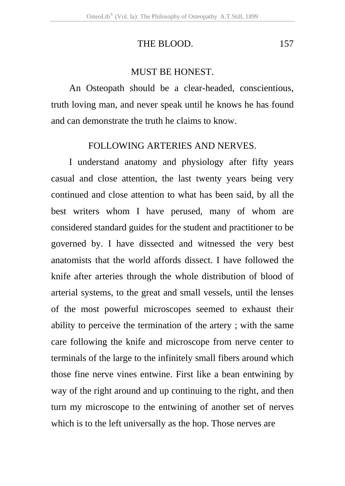# THE BLOOD. 157

### MUST BE HONEST.

An Osteopath should be a clear-headed, conscientious, truth loving man, and never speak until he knows he has found and can demonstrate the truth he claims to know.

## FOLLOWING ARTERIES AND NERVES.

I understand anatomy and physiology after fifty years casual and close attention, the last twenty years being very continued and close attention to what has been said, by all the best writers whom I have perused, many of whom are considered standard guides for the student and practitioner to be governed by. I have dissected and witnessed the very best anatomists that the world affords dissect. I have followed the knife after arteries through the whole distribution of blood of arterial systems, to the great and small vessels, until the lenses of the most powerful microscopes seemed to exhaust their ability to perceive the termination of the artery ; with the same care following the knife and microscope from nerve center to terminals of the large to the infinitely small fibers around which those fine nerve vines entwine. First like a bean entwining by way of the right around and up continuing to the right, and then turn my microscope to the entwining of another set of nerves which is to the left universally as the hop. Those nerves are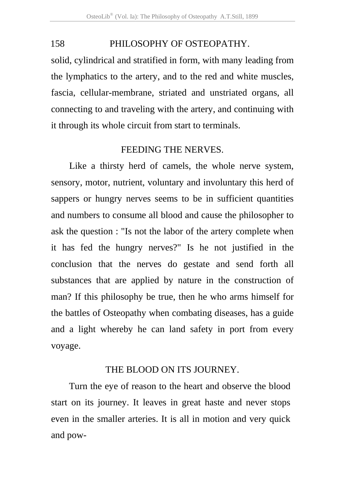solid, cylindrical and stratified in form, with many leading from the lymphatics to the artery, and to the red and white muscles, fascia, cellular-membrane, striated and unstriated organs, all connecting to and traveling with the artery, and continuing with it through its whole circuit from start to terminals.

#### FEEDING THE NERVES.

Like a thirsty herd of camels, the whole nerve system, sensory, motor, nutrient, voluntary and involuntary this herd of sappers or hungry nerves seems to be in sufficient quantities and numbers to consume all blood and cause the philosopher to ask the question : "Is not the labor of the artery complete when it has fed the hungry nerves?" Is he not justified in the conclusion that the nerves do gestate and send forth all substances that are applied by nature in the construction of man? If this philosophy be true, then he who arms himself for the battles of Osteopathy when combating diseases, has a guide and a light whereby he can land safety in port from every voyage.

#### THE BLOOD ON ITS JOURNEY.

Turn the eye of reason to the heart and observe the blood start on its journey. It leaves in great haste and never stops even in the smaller arteries. It is all in motion and very quick and pow-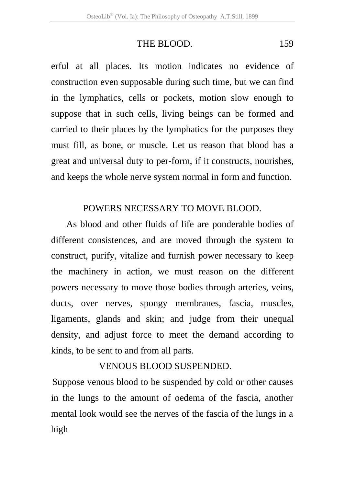### THE BLOOD. 159

erful at all places. Its motion indicates no evidence of construction even supposable during such time, but we can find in the lymphatics, cells or pockets, motion slow enough to suppose that in such cells, living beings can be formed and carried to their places by the lymphatics for the purposes they must fill, as bone, or muscle. Let us reason that blood has a great and universal duty to per-form, if it constructs, nourishes, and keeps the whole nerve system normal in form and function.

#### POWERS NECESSARY TO MOVE BLOOD.

As blood and other fluids of life are ponderable bodies of different consistences, and are moved through the system to construct, purify, vitalize and furnish power necessary to keep the machinery in action, we must reason on the different powers necessary to move those bodies through arteries, veins, ducts, over nerves, spongy membranes, fascia, muscles, ligaments, glands and skin; and judge from their unequal density, and adjust force to meet the demand according to kinds, to be sent to and from all parts.

## VENOUS BLOOD SUSPENDED.

Suppose venous blood to be suspended by cold or other causes in the lungs to the amount of oedema of the fascia, another mental look would see the nerves of the fascia of the lungs in a high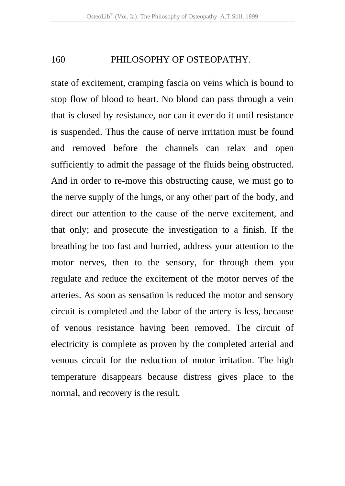state of excitement, cramping fascia on veins which is bound to stop flow of blood to heart. No blood can pass through a vein that is closed by resistance, nor can it ever do it until resistance is suspended. Thus the cause of nerve irritation must be found and removed before the channels can relax and open sufficiently to admit the passage of the fluids being obstructed. And in order to re-move this obstructing cause, we must go to the nerve supply of the lungs, or any other part of the body, and direct our attention to the cause of the nerve excitement, and that only; and prosecute the investigation to a finish. If the breathing be too fast and hurried, address your attention to the motor nerves, then to the sensory, for through them you regulate and reduce the excitement of the motor nerves of the arteries. As soon as sensation is reduced the motor and sensory circuit is completed and the labor of the artery is less, because of venous resistance having been removed. The circuit of electricity is complete as proven by the completed arterial and venous circuit for the reduction of motor irritation. The high temperature disappears because distress gives place to the normal, and recovery is the result.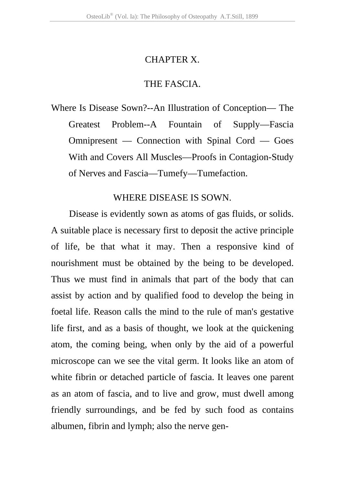### CHAPTER X.

# THE FASCIA.

Where Is Disease Sown?--An Illustration of Conception— The Greatest Problem--A Fountain of Supply—Fascia Omnipresent — Connection with Spinal Cord — Goes With and Covers All Muscles—Proofs in Contagion-Study of Nerves and Fascia—Tumefy—Tumefaction.

# WHERE DISEASE IS SOWN.

Disease is evidently sown as atoms of gas fluids, or solids. A suitable place is necessary first to deposit the active principle of life, be that what it may. Then a responsive kind of nourishment must be obtained by the being to be developed. Thus we must find in animals that part of the body that can assist by action and by qualified food to develop the being in foetal life. Reason calls the mind to the rule of man's gestative life first, and as a basis of thought, we look at the quickening atom, the coming being, when only by the aid of a powerful microscope can we see the vital germ. It looks like an atom of white fibrin or detached particle of fascia. It leaves one parent as an atom of fascia, and to live and grow, must dwell among friendly surroundings, and be fed by such food as contains albumen, fibrin and lymph; also the nerve gen-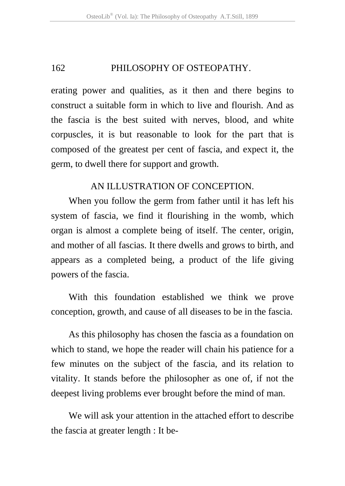erating power and qualities, as it then and there begins to construct a suitable form in which to live and flourish. And as the fascia is the best suited with nerves, blood, and white corpuscles, it is but reasonable to look for the part that is composed of the greatest per cent of fascia, and expect it, the germ, to dwell there for support and growth.

# AN ILLUSTRATION OF CONCEPTION.

When you follow the germ from father until it has left his system of fascia, we find it flourishing in the womb, which organ is almost a complete being of itself. The center, origin, and mother of all fascias. It there dwells and grows to birth, and appears as a completed being, a product of the life giving powers of the fascia.

With this foundation established we think we prove conception, growth, and cause of all diseases to be in the fascia.

As this philosophy has chosen the fascia as a foundation on which to stand, we hope the reader will chain his patience for a few minutes on the subject of the fascia, and its relation to vitality. It stands before the philosopher as one of, if not the deepest living problems ever brought before the mind of man.

We will ask your attention in the attached effort to describe the fascia at greater length : It be-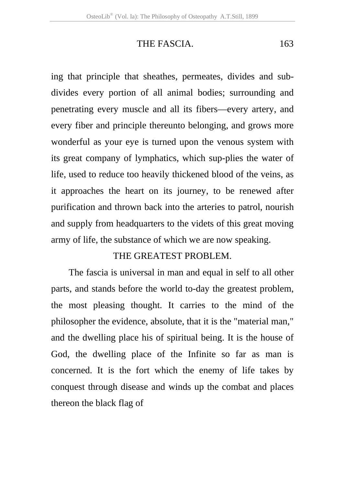# THE FASCIA. 163

ing that principle that sheathes, permeates, divides and subdivides every portion of all animal bodies; surrounding and penetrating every muscle and all its fibers—every artery, and every fiber and principle thereunto belonging, and grows more wonderful as your eye is turned upon the venous system with its great company of lymphatics, which sup-plies the water of life, used to reduce too heavily thickened blood of the veins, as it approaches the heart on its journey, to be renewed after purification and thrown back into the arteries to patrol, nourish and supply from headquarters to the videts of this great moving army of life, the substance of which we are now speaking.

# THE GREATEST PROBLEM.

The fascia is universal in man and equal in self to all other parts, and stands before the world to-day the greatest problem, the most pleasing thought. It carries to the mind of the philosopher the evidence, absolute, that it is the "material man," and the dwelling place his of spiritual being. It is the house of God, the dwelling place of the Infinite so far as man is concerned. It is the fort which the enemy of life takes by conquest through disease and winds up the combat and places thereon the black flag of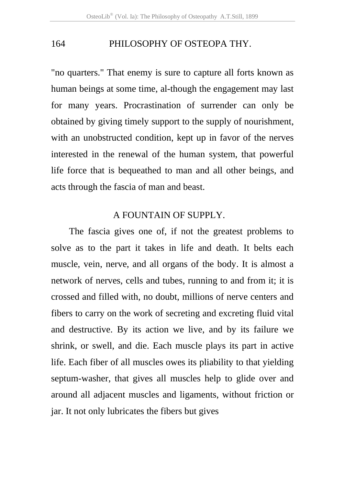"no quarters." That enemy is sure to capture all forts known as human beings at some time, al-though the engagement may last for many years. Procrastination of surrender can only be obtained by giving timely support to the supply of nourishment, with an unobstructed condition, kept up in favor of the nerves interested in the renewal of the human system, that powerful life force that is bequeathed to man and all other beings, and acts through the fascia of man and beast.

# A FOUNTAIN OF SUPPLY.

The fascia gives one of, if not the greatest problems to solve as to the part it takes in life and death. It belts each muscle, vein, nerve, and all organs of the body. It is almost a network of nerves, cells and tubes, running to and from it; it is crossed and filled with, no doubt, millions of nerve centers and fibers to carry on the work of secreting and excreting fluid vital and destructive. By its action we live, and by its failure we shrink, or swell, and die. Each muscle plays its part in active life. Each fiber of all muscles owes its pliability to that yielding septum-washer, that gives all muscles help to glide over and around all adjacent muscles and ligaments, without friction or jar. It not only lubricates the fibers but gives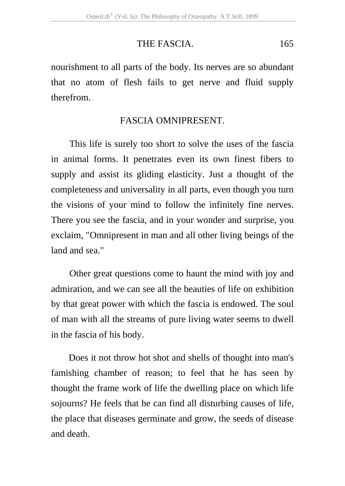# THE FASCIA. 165

nourishment to all parts of the body. Its nerves are so abundant that no atom of flesh fails to get nerve and fluid supply therefrom.

# FASCIA OMNIPRESENT.

This life is surely too short to solve the uses of the fascia in animal forms. It penetrates even its own finest fibers to supply and assist its gliding elasticity. Just a thought of the completeness and universality in all parts, even though you turn the visions of your mind to follow the infinitely fine nerves. There you see the fascia, and in your wonder and surprise, you exclaim, "Omnipresent in man and all other living beings of the land and sea."

Other great questions come to haunt the mind with joy and admiration, and we can see all the beauties of life on exhibition by that great power with which the fascia is endowed. The soul of man with all the streams of pure living water seems to dwell in the fascia of his body.

Does it not throw hot shot and shells of thought into man's famishing chamber of reason; to feel that he has seen by thought the frame work of life the dwelling place on which life sojourns? He feels that he can find all disturbing causes of life, the place that diseases germinate and grow, the seeds of disease and death.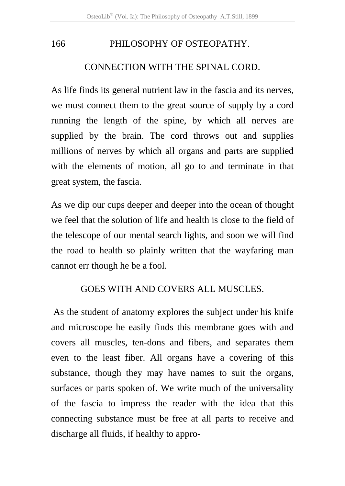#### CONNECTION WITH THE SPINAL CORD.

As life finds its general nutrient law in the fascia and its nerves, we must connect them to the great source of supply by a cord running the length of the spine, by which all nerves are supplied by the brain. The cord throws out and supplies millions of nerves by which all organs and parts are supplied with the elements of motion, all go to and terminate in that great system, the fascia.

As we dip our cups deeper and deeper into the ocean of thought we feel that the solution of life and health is close to the field of the telescope of our mental search lights, and soon we will find the road to health so plainly written that the wayfaring man cannot err though he be a fool.

# GOES WITH AND COVERS ALL MUSCLES.

 As the student of anatomy explores the subject under his knife and microscope he easily finds this membrane goes with and covers all muscles, ten-dons and fibers, and separates them even to the least fiber. All organs have a covering of this substance, though they may have names to suit the organs, surfaces or parts spoken of. We write much of the universality of the fascia to impress the reader with the idea that this connecting substance must be free at all parts to receive and discharge all fluids, if healthy to appro-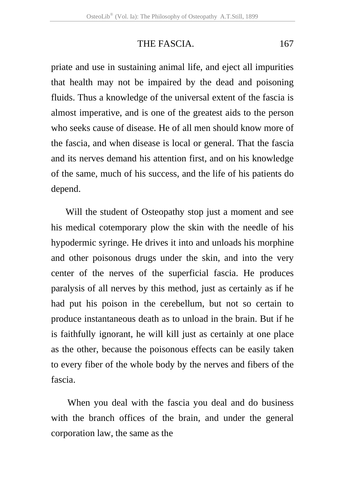### THE FASCIA. 167

priate and use in sustaining animal life, and eject all impurities that health may not be impaired by the dead and poisoning fluids. Thus a knowledge of the universal extent of the fascia is almost imperative, and is one of the greatest aids to the person who seeks cause of disease. He of all men should know more of the fascia, and when disease is local or general. That the fascia and its nerves demand his attention first, and on his knowledge of the same, much of his success, and the life of his patients do depend.

Will the student of Osteopathy stop just a moment and see his medical cotemporary plow the skin with the needle of his hypodermic syringe. He drives it into and unloads his morphine and other poisonous drugs under the skin, and into the very center of the nerves of the superficial fascia. He produces paralysis of all nerves by this method, just as certainly as if he had put his poison in the cerebellum, but not so certain to produce instantaneous death as to unload in the brain. But if he is faithfully ignorant, he will kill just as certainly at one place as the other, because the poisonous effects can be easily taken to every fiber of the whole body by the nerves and fibers of the fascia.

When you deal with the fascia you deal and do business with the branch offices of the brain, and under the general corporation law, the same as the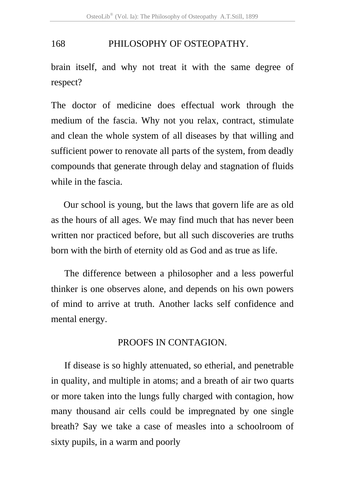brain itself, and why not treat it with the same degree of respect?

The doctor of medicine does effectual work through the medium of the fascia. Why not you relax, contract, stimulate and clean the whole system of all diseases by that willing and sufficient power to renovate all parts of the system, from deadly compounds that generate through delay and stagnation of fluids while in the fascia.

Our school is young, but the laws that govern life are as old as the hours of all ages. We may find much that has never been written nor practiced before, but all such discoveries are truths born with the birth of eternity old as God and as true as life.

The difference between a philosopher and a less powerful thinker is one observes alone, and depends on his own powers of mind to arrive at truth. Another lacks self confidence and mental energy.

#### PROOFS IN CONTAGION.

If disease is so highly attenuated, so etherial, and penetrable in quality, and multiple in atoms; and a breath of air two quarts or more taken into the lungs fully charged with contagion, how many thousand air cells could be impregnated by one single breath? Say we take a case of measles into a schoolroom of sixty pupils, in a warm and poorly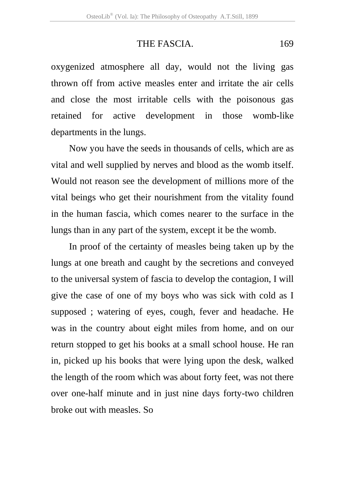# THE FASCIA. 169

oxygenized atmosphere all day, would not the living gas thrown off from active measles enter and irritate the air cells and close the most irritable cells with the poisonous gas retained for active development in those womb-like departments in the lungs.

Now you have the seeds in thousands of cells, which are as vital and well supplied by nerves and blood as the womb itself. Would not reason see the development of millions more of the vital beings who get their nourishment from the vitality found in the human fascia, which comes nearer to the surface in the lungs than in any part of the system, except it be the womb.

In proof of the certainty of measles being taken up by the lungs at one breath and caught by the secretions and conveyed to the universal system of fascia to develop the contagion, I will give the case of one of my boys who was sick with cold as I supposed ; watering of eyes, cough, fever and headache. He was in the country about eight miles from home, and on our return stopped to get his books at a small school house. He ran in, picked up his books that were lying upon the desk, walked the length of the room which was about forty feet, was not there over one-half minute and in just nine days forty-two children broke out with measles. So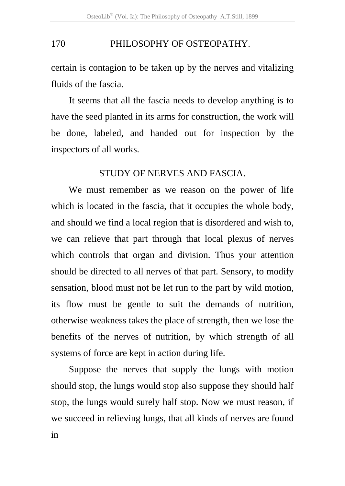certain is contagion to be taken up by the nerves and vitalizing fluids of the fascia.

It seems that all the fascia needs to develop anything is to have the seed planted in its arms for construction, the work will be done, labeled, and handed out for inspection by the inspectors of all works.

## STUDY OF NERVES AND FASCIA.

We must remember as we reason on the power of life which is located in the fascia, that it occupies the whole body, and should we find a local region that is disordered and wish to, we can relieve that part through that local plexus of nerves which controls that organ and division. Thus your attention should be directed to all nerves of that part. Sensory, to modify sensation, blood must not be let run to the part by wild motion, its flow must be gentle to suit the demands of nutrition, otherwise weakness takes the place of strength, then we lose the benefits of the nerves of nutrition, by which strength of all systems of force are kept in action during life.

Suppose the nerves that supply the lungs with motion should stop, the lungs would stop also suppose they should half stop, the lungs would surely half stop. Now we must reason, if we succeed in relieving lungs, that all kinds of nerves are found in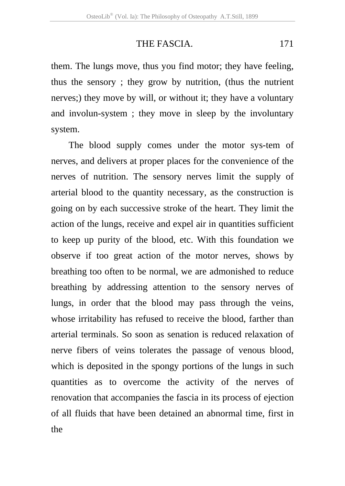# THE FASCIA. 171

them. The lungs move, thus you find motor; they have feeling, thus the sensory ; they grow by nutrition, (thus the nutrient nerves;) they move by will, or without it; they have a voluntary and involun-system ; they move in sleep by the involuntary system.

The blood supply comes under the motor sys-tem of nerves, and delivers at proper places for the convenience of the nerves of nutrition. The sensory nerves limit the supply of arterial blood to the quantity necessary, as the construction is going on by each successive stroke of the heart. They limit the action of the lungs, receive and expel air in quantities sufficient to keep up purity of the blood, etc. With this foundation we observe if too great action of the motor nerves, shows by breathing too often to be normal, we are admonished to reduce breathing by addressing attention to the sensory nerves of lungs, in order that the blood may pass through the veins, whose irritability has refused to receive the blood, farther than arterial terminals. So soon as senation is reduced relaxation of nerve fibers of veins tolerates the passage of venous blood, which is deposited in the spongy portions of the lungs in such quantities as to overcome the activity of the nerves of renovation that accompanies the fascia in its process of ejection of all fluids that have been detained an abnormal time, first in the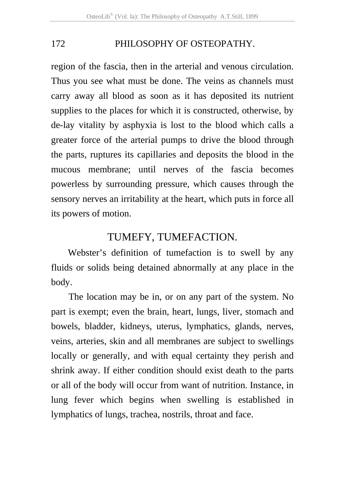region of the fascia, then in the arterial and venous circulation. Thus you see what must be done. The veins as channels must carry away all blood as soon as it has deposited its nutrient supplies to the places for which it is constructed, otherwise, by de-lay vitality by asphyxia is lost to the blood which calls a greater force of the arterial pumps to drive the blood through the parts, ruptures its capillaries and deposits the blood in the mucous membrane; until nerves of the fascia becomes powerless by surrounding pressure, which causes through the sensory nerves an irritability at the heart, which puts in force all its powers of motion.

## TUMEFY, TUMEFACTION.

Webster's definition of tumefaction is to swell by any fluids or solids being detained abnormally at any place in the body.

The location may be in, or on any part of the system. No part is exempt; even the brain, heart, lungs, liver, stomach and bowels, bladder, kidneys, uterus, lymphatics, glands, nerves, veins, arteries, skin and all membranes are subject to swellings locally or generally, and with equal certainty they perish and shrink away. If either condition should exist death to the parts or all of the body will occur from want of nutrition. Instance, in lung fever which begins when swelling is established in lymphatics of lungs, trachea, nostrils, throat and face.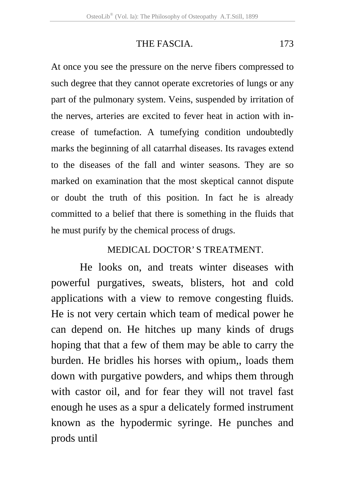## THE FASCIA. 173

At once you see the pressure on the nerve fibers compressed to such degree that they cannot operate excretories of lungs or any part of the pulmonary system. Veins, suspended by irritation of the nerves, arteries are excited to fever heat in action with increase of tumefaction. A tumefying condition undoubtedly marks the beginning of all catarrhal diseases. Its ravages extend to the diseases of the fall and winter seasons. They are so marked on examination that the most skeptical cannot dispute or doubt the truth of this position. In fact he is already committed to a belief that there is something in the fluids that he must purify by the chemical process of drugs.

## MEDICAL DOCTOR' S TREATMENT.

 He looks on, and treats winter diseases with powerful purgatives, sweats, blisters, hot and cold applications with a view to remove congesting fluids. He is not very certain which team of medical power he can depend on. He hitches up many kinds of drugs hoping that that a few of them may be able to carry the burden. He bridles his horses with opium,, loads them down with purgative powders, and whips them through with castor oil, and for fear they will not travel fast enough he uses as a spur a delicately formed instrument known as the hypodermic syringe. He punches and prods until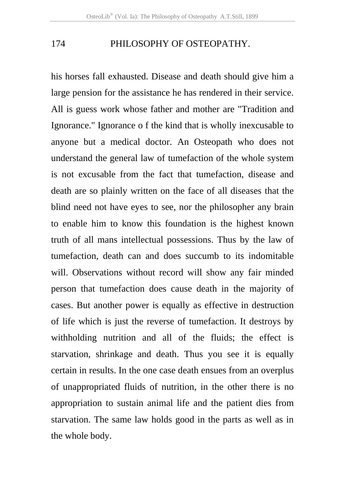his horses fall exhausted. Disease and death should give him a large pension for the assistance he has rendered in their service. All is guess work whose father and mother are "Tradition and Ignorance." Ignorance o f the kind that is wholly inexcusable to anyone but a medical doctor. An Osteopath who does not understand the general law of tumefaction of the whole system is not excusable from the fact that tumefaction, disease and death are so plainly written on the face of all diseases that the blind need not have eyes to see, nor the philosopher any brain to enable him to know this foundation is the highest known truth of all mans intellectual possessions. Thus by the law of tumefaction, death can and does succumb to its indomitable will. Observations without record will show any fair minded person that tumefaction does cause death in the majority of cases. But another power is equally as effective in destruction of life which is just the reverse of tumefaction. It destroys by withholding nutrition and all of the fluids; the effect is starvation, shrinkage and death. Thus you see it is equally certain in results. In the one case death ensues from an overplus of unappropriated fluids of nutrition, in the other there is no appropriation to sustain animal life and the patient dies from starvation. The same law holds good in the parts as well as in the whole body.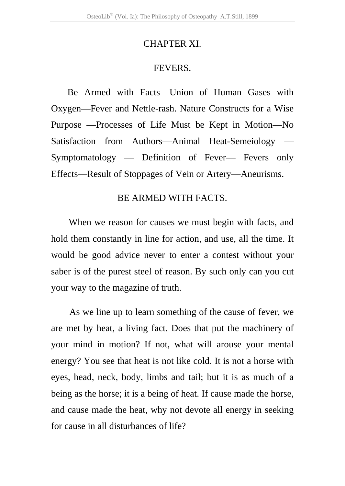#### CHAPTER XI.

#### FEVERS.

Be Armed with Facts—Union of Human Gases with Oxygen—Fever and Nettle-rash. Nature Constructs for a Wise Purpose —Processes of Life Must be Kept in Motion—No Satisfaction from Authors—Animal Heat-Semeiology — Symptomatology — Definition of Fever— Fevers only Effects—Result of Stoppages of Vein or Artery—Aneurisms.

## BE ARMED WITH FACTS.

When we reason for causes we must begin with facts, and hold them constantly in line for action, and use, all the time. It would be good advice never to enter a contest without your saber is of the purest steel of reason. By such only can you cut your way to the magazine of truth.

As we line up to learn something of the cause of fever, we are met by heat, a living fact. Does that put the machinery of your mind in motion? If not, what will arouse your mental energy? You see that heat is not like cold. It is not a horse with eyes, head, neck, body, limbs and tail; but it is as much of a being as the horse; it is a being of heat. If cause made the horse, and cause made the heat, why not devote all energy in seeking for cause in all disturbances of life?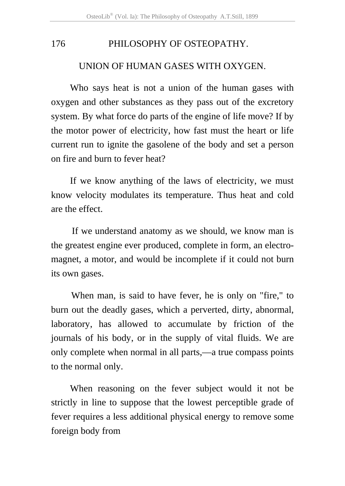#### UNION OF HUMAN GASES WITH OXYGEN.

Who says heat is not a union of the human gases with oxygen and other substances as they pass out of the excretory system. By what force do parts of the engine of life move? If by the motor power of electricity, how fast must the heart or life current run to ignite the gasolene of the body and set a person on fire and burn to fever heat?

If we know anything of the laws of electricity, we must know velocity modulates its temperature. Thus heat and cold are the effect.

If we understand anatomy as we should, we know man is the greatest engine ever produced, complete in form, an electromagnet, a motor, and would be incomplete if it could not burn its own gases.

When man, is said to have fever, he is only on "fire," to burn out the deadly gases, which a perverted, dirty, abnormal, laboratory, has allowed to accumulate by friction of the journals of his body, or in the supply of vital fluids. We are only complete when normal in all parts,—a true compass points to the normal only.

When reasoning on the fever subject would it not be strictly in line to suppose that the lowest perceptible grade of fever requires a less additional physical energy to remove some foreign body from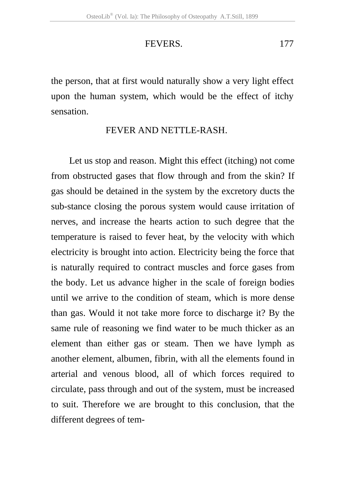#### FEVERS. 177

the person, that at first would naturally show a very light effect upon the human system, which would be the effect of itchy sensation.

#### FEVER AND NETTLE-RASH.

 Let us stop and reason. Might this effect (itching) not come from obstructed gases that flow through and from the skin? If gas should be detained in the system by the excretory ducts the sub-stance closing the porous system would cause irritation of nerves, and increase the hearts action to such degree that the temperature is raised to fever heat, by the velocity with which electricity is brought into action. Electricity being the force that is naturally required to contract muscles and force gases from the body. Let us advance higher in the scale of foreign bodies until we arrive to the condition of steam, which is more dense than gas. Would it not take more force to discharge it? By the same rule of reasoning we find water to be much thicker as an element than either gas or steam. Then we have lymph as another element, albumen, fibrin, with all the elements found in arterial and venous blood, all of which forces required to circulate, pass through and out of the system, must be increased to suit. Therefore we are brought to this conclusion, that the different degrees of tem-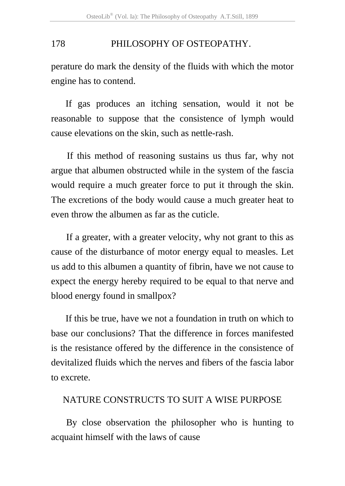perature do mark the density of the fluids with which the motor engine has to contend.

If gas produces an itching sensation, would it not be reasonable to suppose that the consistence of lymph would cause elevations on the skin, such as nettle-rash.

If this method of reasoning sustains us thus far, why not argue that albumen obstructed while in the system of the fascia would require a much greater force to put it through the skin. The excretions of the body would cause a much greater heat to even throw the albumen as far as the cuticle.

If a greater, with a greater velocity, why not grant to this as cause of the disturbance of motor energy equal to measles. Let us add to this albumen a quantity of fibrin, have we not cause to expect the energy hereby required to be equal to that nerve and blood energy found in smallpox?

If this be true, have we not a foundation in truth on which to base our conclusions? That the difference in forces manifested is the resistance offered by the difference in the consistence of devitalized fluids which the nerves and fibers of the fascia labor to excrete.

## NATURE CONSTRUCTS TO SUIT A WISE PURPOSE

By close observation the philosopher who is hunting to acquaint himself with the laws of cause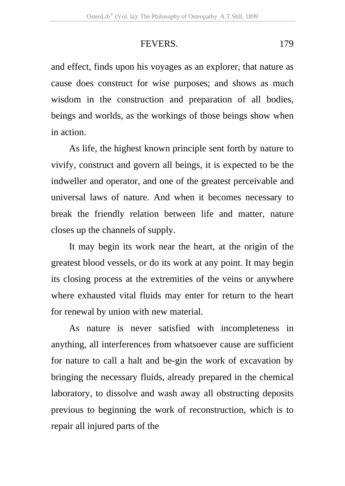## FEVERS. 179

and effect, finds upon his voyages as an explorer, that nature as cause does construct for wise purposes; and shows as much wisdom in the construction and preparation of all bodies, beings and worlds, as the workings of those beings show when in action.

As life, the highest known principle sent forth by nature to vivify, construct and govern all beings, it is expected to be the indweller and operator, and one of the greatest perceivable and universal laws of nature. And when it becomes necessary to break the friendly relation between life and matter, nature closes up the channels of supply.

It may begin its work near the heart, at the origin of the greatest blood vessels, or do its work at any point. It may begin its closing process at the extremities of the veins or anywhere where exhausted vital fluids may enter for return to the heart for renewal by union with new material.

As nature is never satisfied with incompleteness in anything, all interferences from whatsoever cause are sufficient for nature to call a halt and be-gin the work of excavation by bringing the necessary fluids, already prepared in the chemical laboratory, to dissolve and wash away all obstructing deposits previous to beginning the work of reconstruction, which is to repair all injured parts of the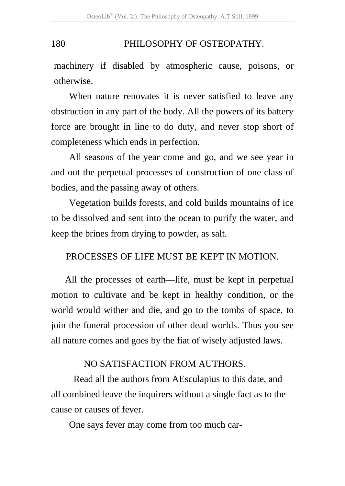machinery if disabled by atmospheric cause, poisons, or otherwise.

When nature renovates it is never satisfied to leave any obstruction in any part of the body. All the powers of its battery force are brought in line to do duty, and never stop short of completeness which ends in perfection.

All seasons of the year come and go, and we see year in and out the perpetual processes of construction of one class of bodies, and the passing away of others.

Vegetation builds forests, and cold builds mountains of ice to be dissolved and sent into the ocean to purify the water, and keep the brines from drying to powder, as salt.

## PROCESSES OF LIFE MUST BE KEPT IN MOTION.

All the processes of earth—life, must be kept in perpetual motion to cultivate and be kept in healthy condition, or the world would wither and die, and go to the tombs of space, to join the funeral procession of other dead worlds. Thus you see all nature comes and goes by the fiat of wisely adjusted laws.

## NO SATISFACTION FROM AUTHORS.

Read all the authors from AEsculapius to this date, and all combined leave the inquirers without a single fact as to the cause or causes of fever.

One says fever may come from too much car-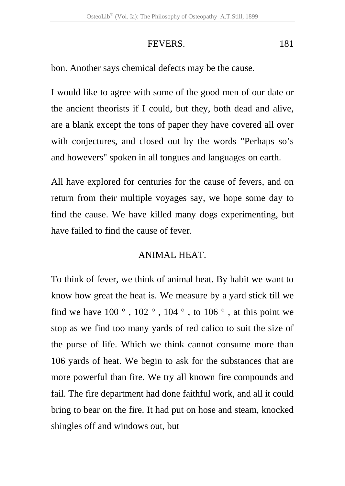## FEVERS. 181

bon. Another says chemical defects may be the cause.

I would like to agree with some of the good men of our date or the ancient theorists if I could, but they, both dead and alive, are a blank except the tons of paper they have covered all over with conjectures, and closed out by the words "Perhaps so's and howevers" spoken in all tongues and languages on earth.

All have explored for centuries for the cause of fevers, and on return from their multiple voyages say, we hope some day to find the cause. We have killed many dogs experimenting, but have failed to find the cause of fever.

## ANIMAL HEAT.

To think of fever, we think of animal heat. By habit we want to know how great the heat is. We measure by a yard stick till we find we have  $100^\circ$ ,  $102^\circ$ ,  $104^\circ$ , to  $106^\circ$ , at this point we stop as we find too many yards of red calico to suit the size of the purse of life. Which we think cannot consume more than 106 yards of heat. We begin to ask for the substances that are more powerful than fire. We try all known fire compounds and fail. The fire department had done faithful work, and all it could bring to bear on the fire. It had put on hose and steam, knocked shingles off and windows out, but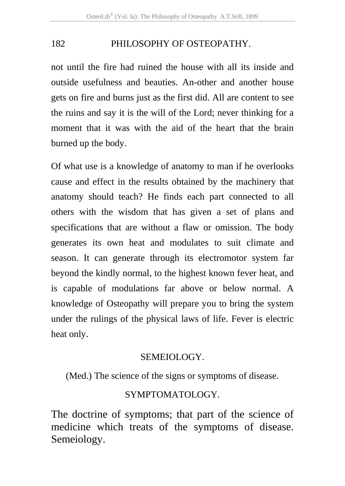not until the fire had ruined the house with all its inside and outside usefulness and beauties. An-other and another house gets on fire and burns just as the first did. All are content to see the ruins and say it is the will of the Lord; never thinking for a moment that it was with the aid of the heart that the brain burned up the body.

Of what use is a knowledge of anatomy to man if he overlooks cause and effect in the results obtained by the machinery that anatomy should teach? He finds each part connected to all others with the wisdom that has given a set of plans and specifications that are without a flaw or omission. The body generates its own heat and modulates to suit climate and season. It can generate through its electromotor system far beyond the kindly normal, to the highest known fever heat, and is capable of modulations far above or below normal. A knowledge of Osteopathy will prepare you to bring the system under the rulings of the physical laws of life. Fever is electric heat only.

#### SEMEIOLOGY.

(Med.) The science of the signs or symptoms of disease.

## SYMPTOMATOLOGY.

The doctrine of symptoms; that part of the science of medicine which treats of the symptoms of disease. Semeiology.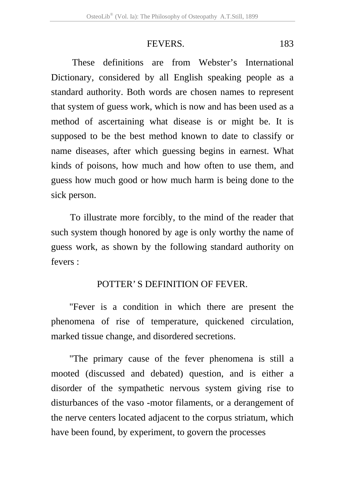#### FEVERS. 183

 These definitions are from Webster's International Dictionary, considered by all English speaking people as a standard authority. Both words are chosen names to represent that system of guess work, which is now and has been used as a method of ascertaining what disease is or might be. It is supposed to be the best method known to date to classify or name diseases, after which guessing begins in earnest. What kinds of poisons, how much and how often to use them, and guess how much good or how much harm is being done to the sick person.

To illustrate more forcibly, to the mind of the reader that such system though honored by age is only worthy the name of guess work, as shown by the following standard authority on fevers :

## POTTER' S DEFINITION OF FEVER.

"Fever is a condition in which there are present the phenomena of rise of temperature, quickened circulation, marked tissue change, and disordered secretions.

"The primary cause of the fever phenomena is still a mooted (discussed and debated) question, and is either a disorder of the sympathetic nervous system giving rise to disturbances of the vaso -motor filaments, or a derangement of the nerve centers located adjacent to the corpus striatum, which have been found, by experiment, to govern the processes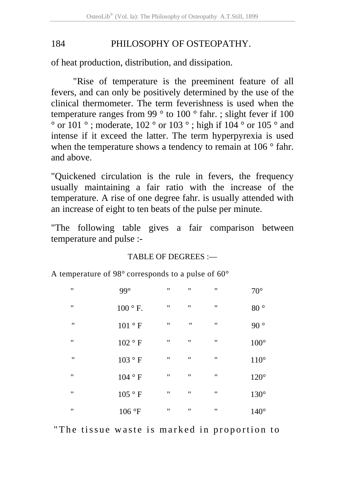of heat production, distribution, and dissipation.

"Rise of temperature is the preeminent feature of all fevers, and can only be positively determined by the use of the clinical thermometer. The term feverishness is used when the temperature ranges from 99 ° to 100 ° fahr. ; slight fever if 100  $\degree$  or 101  $\degree$ ; moderate, 102  $\degree$  or 103  $\degree$ ; high if 104  $\degree$  or 105  $\degree$  and intense if it exceed the latter. The term hyperpyrexia is used when the temperature shows a tendency to remain at 106 ° fahr. and above.

"Quickened circulation is the rule in fevers, the frequency usually maintaining a fair ratio with the increase of the temperature. A rise of one degree fahr. is usually attended with an increase of eight to ten beats of the pulse per minute.

"The following table gives a fair comparison between temperature and pulse :-

#### TABLE OF DEGREES :—

A temperature of 98° corresponds to a pulse of 60°

| $\mathbf{H}$   | 99°             | $\blacksquare$ | $\mathbf{H}$   | $\blacksquare$ | $70^{\circ}$  |
|----------------|-----------------|----------------|----------------|----------------|---------------|
| $\blacksquare$ | $100 \circ F$ . | $\blacksquare$ | $\mathbf{H}$   | $\blacksquare$ | $80^{\circ}$  |
| $\blacksquare$ | 101 ° F         | $\blacksquare$ | $\blacksquare$ | $\blacksquare$ | $90^{\circ}$  |
| $\blacksquare$ | 102 ° F         | $\blacksquare$ | $\mathbf{H}$   | $\blacksquare$ | $100^\circ$   |
| $\blacksquare$ | 103 ° F         | $\blacksquare$ | $\mathbf{H}$   | $\blacksquare$ | $110^{\circ}$ |
| $\blacksquare$ | 104 ° F         | $\blacksquare$ | $\mathbf{H}$   | $\blacksquare$ | $120^\circ$   |
| $\blacksquare$ | 105 ° F         | Ħ              | $\mathbf{H}$   | $\blacksquare$ | $130^\circ$   |
| .,             | 106 °F          | $\blacksquare$ | $\mathbf{H}$   | $\blacksquare$ | $140^\circ$   |

"The tissue waste is marked in proportion to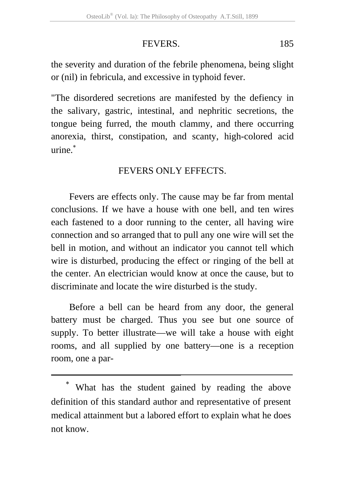## FEVERS. 185

the severity and duration of the febrile phenomena, being slight or (nil) in febricula, and excessive in typhoid fever.

"The disordered secretions are manifested by the defiency in the salivary, gastric, intestinal, and nephritic secretions, the tongue being furred, the mouth clammy, and there occurring anorexia, thirst, constipation, and scanty, high-colored acid urine.<sup>∗</sup>

## FEVERS ONLY EFFECTS.

Fevers are effects only. The cause may be far from mental conclusions. If we have a house with one bell, and ten wires each fastened to a door running to the center, all having wire connection and so arranged that to pull any one wire will set the bell in motion, and without an indicator you cannot tell which wire is disturbed, producing the effect or ringing of the bell at the center. An electrician would know at once the cause, but to discriminate and locate the wire disturbed is the study.

Before a bell can be heard from any door, the general battery must be charged. Thus you see but one source of supply. To better illustrate—we will take a house with eight rooms, and all supplied by one battery—one is a reception room, one a par-

What has the student gained by reading the above definition of this standard author and representative of present medical attainment but a labored effort to explain what he does not know.

1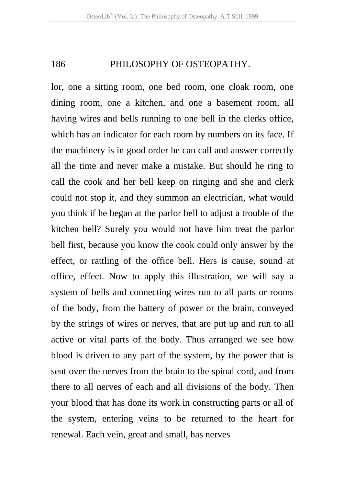lor, one a sitting room, one bed room, one cloak room, one dining room, one a kitchen, and one a basement room, all having wires and bells running to one bell in the clerks office, which has an indicator for each room by numbers on its face. If the machinery is in good order he can call and answer correctly all the time and never make a mistake. But should he ring to call the cook and her bell keep on ringing and she and clerk could not stop it, and they summon an electrician, what would you think if he began at the parlor bell to adjust a trouble of the kitchen bell? Surely you would not have him treat the parlor bell first, because you know the cook could only answer by the effect, or rattling of the office bell. Hers is cause, sound at office, effect. Now to apply this illustration, we will say a system of bells and connecting wires run to all parts or rooms of the body, from the battery of power or the brain, conveyed by the strings of wires or nerves, that are put up and run to all active or vital parts of the body. Thus arranged we see how blood is driven to any part of the system, by the power that is sent over the nerves from the brain to the spinal cord, and from there to all nerves of each and all divisions of the body. Then your blood that has done its work in constructing parts or all of the system, entering veins to be returned to the heart for renewal. Each vein, great and small, has nerves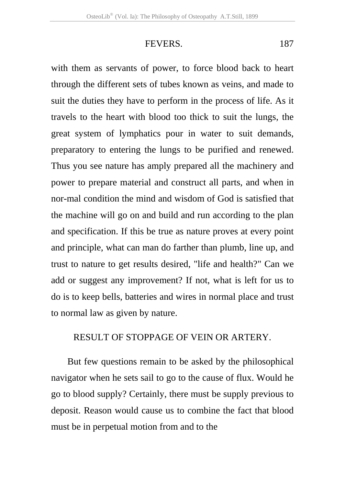#### FEVERS. 187

with them as servants of power, to force blood back to heart through the different sets of tubes known as veins, and made to suit the duties they have to perform in the process of life. As it travels to the heart with blood too thick to suit the lungs, the great system of lymphatics pour in water to suit demands, preparatory to entering the lungs to be purified and renewed. Thus you see nature has amply prepared all the machinery and power to prepare material and construct all parts, and when in nor-mal condition the mind and wisdom of God is satisfied that the machine will go on and build and run according to the plan and specification. If this be true as nature proves at every point and principle, what can man do farther than plumb, line up, and trust to nature to get results desired, "life and health?" Can we add or suggest any improvement? If not, what is left for us to do is to keep bells, batteries and wires in normal place and trust to normal law as given by nature.

## RESULT OF STOPPAGE OF VEIN OR ARTERY.

But few questions remain to be asked by the philosophical navigator when he sets sail to go to the cause of flux. Would he go to blood supply? Certainly, there must be supply previous to deposit. Reason would cause us to combine the fact that blood must be in perpetual motion from and to the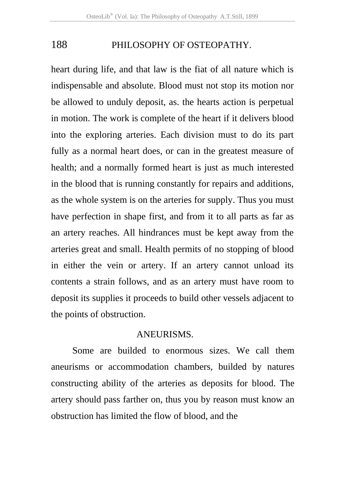heart during life, and that law is the fiat of all nature which is indispensable and absolute. Blood must not stop its motion nor be allowed to unduly deposit, as. the hearts action is perpetual in motion. The work is complete of the heart if it delivers blood into the exploring arteries. Each division must to do its part fully as a normal heart does, or can in the greatest measure of health; and a normally formed heart is just as much interested in the blood that is running constantly for repairs and additions, as the whole system is on the arteries for supply. Thus you must have perfection in shape first, and from it to all parts as far as an artery reaches. All hindrances must be kept away from the arteries great and small. Health permits of no stopping of blood in either the vein or artery. If an artery cannot unload its contents a strain follows, and as an artery must have room to deposit its supplies it proceeds to build other vessels adjacent to the points of obstruction.

#### ANEURISMS.

 Some are builded to enormous sizes. We call them aneurisms or accommodation chambers, builded by natures constructing ability of the arteries as deposits for blood. The artery should pass farther on, thus you by reason must know an obstruction has limited the flow of blood, and the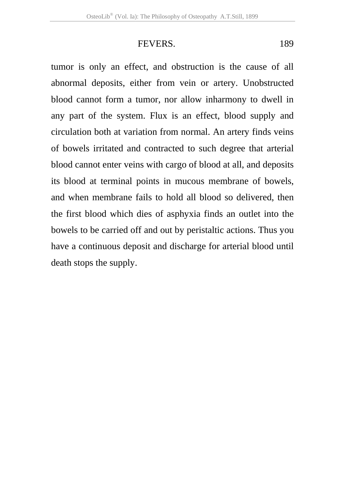## FEVERS. 189

tumor is only an effect, and obstruction is the cause of all abnormal deposits, either from vein or artery. Unobstructed blood cannot form a tumor, nor allow inharmony to dwell in any part of the system. Flux is an effect, blood supply and circulation both at variation from normal. An artery finds veins of bowels irritated and contracted to such degree that arterial blood cannot enter veins with cargo of blood at all, and deposits its blood at terminal points in mucous membrane of bowels, and when membrane fails to hold all blood so delivered, then the first blood which dies of asphyxia finds an outlet into the bowels to be carried off and out by peristaltic actions. Thus you have a continuous deposit and discharge for arterial blood until death stops the supply.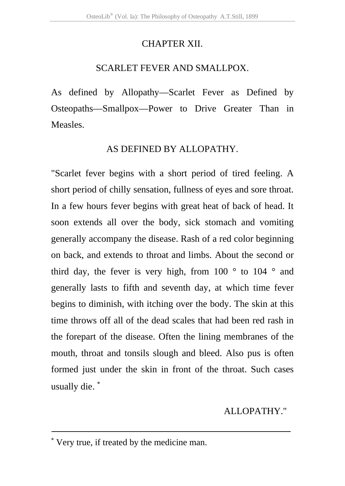## CHAPTER XII.

## SCARLET FEVER AND SMALLPOX.

As defined by Allopathy—Scarlet Fever as Defined by Osteopaths—Smallpox—Power to Drive Greater Than in Measles.

## AS DEFINED BY ALLOPATHY.

"Scarlet fever begins with a short period of tired feeling. A short period of chilly sensation, fullness of eyes and sore throat. In a few hours fever begins with great heat of back of head. It soon extends all over the body, sick stomach and vomiting generally accompany the disease. Rash of a red color beginning on back, and extends to throat and limbs. About the second or third day, the fever is very high, from  $100^\circ$  to  $104^\circ$  and generally lasts to fifth and seventh day, at which time fever begins to diminish, with itching over the body. The skin at this time throws off all of the dead scales that had been red rash in the forepart of the disease. Often the lining membranes of the mouth, throat and tonsils slough and bleed. Also pus is often formed just under the skin in front of the throat. Such cases usually die. <sup>∗</sup>

## ALLOPATHY."

1

<sup>∗</sup> Very true, if treated by the medicine man.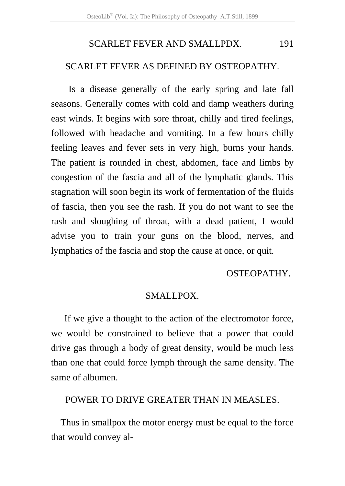## SCARLET FEVER AND SMALLPDX. 191

#### SCARLET FEVER AS DEFINED BY OSTEOPATHY.

 Is a disease generally of the early spring and late fall seasons. Generally comes with cold and damp weathers during east winds. It begins with sore throat, chilly and tired feelings, followed with headache and vomiting. In a few hours chilly feeling leaves and fever sets in very high, burns your hands. The patient is rounded in chest, abdomen, face and limbs by congestion of the fascia and all of the lymphatic glands. This stagnation will soon begin its work of fermentation of the fluids of fascia, then you see the rash. If you do not want to see the rash and sloughing of throat, with a dead patient, I would advise you to train your guns on the blood, nerves, and lymphatics of the fascia and stop the cause at once, or quit.

#### OSTEOPATHY.

#### SMALLPOX.

If we give a thought to the action of the electromotor force, we would be constrained to believe that a power that could drive gas through a body of great density, would be much less than one that could force lymph through the same density. The same of albumen.

POWER TO DRIVE GREATER THAN IN MEASLES.

Thus in smallpox the motor energy must be equal to the force that would convey al-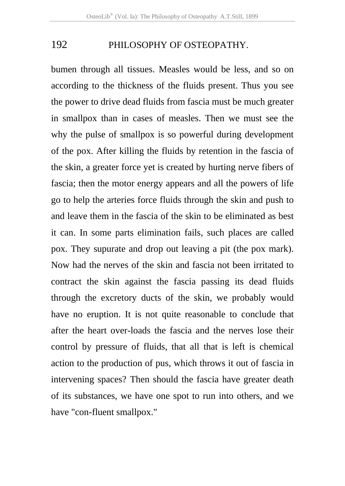bumen through all tissues. Measles would be less, and so on according to the thickness of the fluids present. Thus you see the power to drive dead fluids from fascia must be much greater in smallpox than in cases of measles. Then we must see the why the pulse of smallpox is so powerful during development of the pox. After killing the fluids by retention in the fascia of the skin, a greater force yet is created by hurting nerve fibers of fascia; then the motor energy appears and all the powers of life go to help the arteries force fluids through the skin and push to and leave them in the fascia of the skin to be eliminated as best it can. In some parts elimination fails, such places are called pox. They supurate and drop out leaving a pit (the pox mark). Now had the nerves of the skin and fascia not been irritated to contract the skin against the fascia passing its dead fluids through the excretory ducts of the skin, we probably would have no eruption. It is not quite reasonable to conclude that after the heart over-loads the fascia and the nerves lose their control by pressure of fluids, that all that is left is chemical action to the production of pus, which throws it out of fascia in intervening spaces? Then should the fascia have greater death of its substances, we have one spot to run into others, and we have "con-fluent smallpox."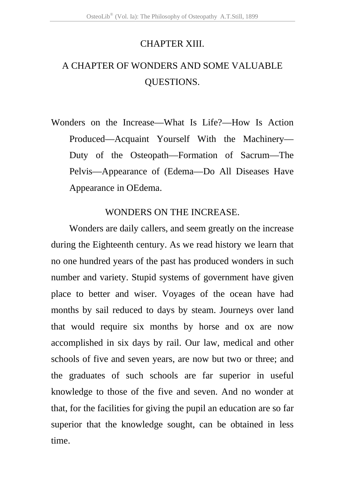## CHAPTER XIII.

# A CHAPTER OF WONDERS AND SOME VALUABLE QUESTIONS.

Wonders on the Increase—What Is Life?—How Is Action Produced—Acquaint Yourself With the Machinery— Duty of the Osteopath—Formation of Sacrum—The Pelvis—Appearance of (Edema—Do All Diseases Have Appearance in OEdema.

## WONDERS ON THE INCREASE.

Wonders are daily callers, and seem greatly on the increase during the Eighteenth century. As we read history we learn that no one hundred years of the past has produced wonders in such number and variety. Stupid systems of government have given place to better and wiser. Voyages of the ocean have had months by sail reduced to days by steam. Journeys over land that would require six months by horse and ox are now accomplished in six days by rail. Our law, medical and other schools of five and seven years, are now but two or three; and the graduates of such schools are far superior in useful knowledge to those of the five and seven. And no wonder at that, for the facilities for giving the pupil an education are so far superior that the knowledge sought, can be obtained in less time.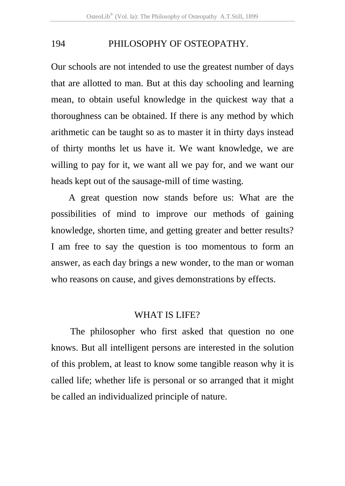Our schools are not intended to use the greatest number of days that are allotted to man. But at this day schooling and learning mean, to obtain useful knowledge in the quickest way that a thoroughness can be obtained. If there is any method by which arithmetic can be taught so as to master it in thirty days instead of thirty months let us have it. We want knowledge, we are willing to pay for it, we want all we pay for, and we want our heads kept out of the sausage-mill of time wasting.

A great question now stands before us: What are the possibilities of mind to improve our methods of gaining knowledge, shorten time, and getting greater and better results? I am free to say the question is too momentous to form an answer, as each day brings a new wonder, to the man or woman who reasons on cause, and gives demonstrations by effects.

### WHAT IS LIFE?

The philosopher who first asked that question no one knows. But all intelligent persons are interested in the solution of this problem, at least to know some tangible reason why it is called life; whether life is personal or so arranged that it might be called an individualized principle of nature.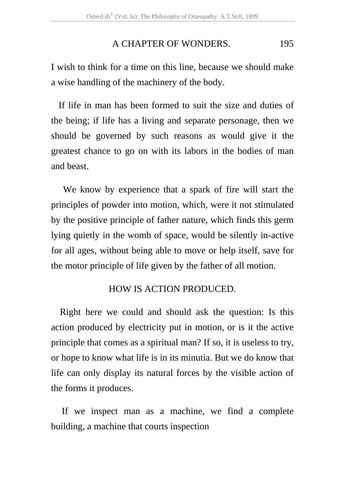#### A CHAPTER OF WONDERS. 195

I wish to think for a time on this line, because we should make a wise handling of the machinery of the body.

If life in man has been formed to suit the size and duties of the being; if life has a living and separate personage, then we should be governed by such reasons as would give it the greatest chance to go on with its labors in the bodies of man and beast.

We know by experience that a spark of fire will start the principles of powder into motion, which, were it not stimulated by the positive principle of father nature, which finds this germ lying quietly in the womb of space, would be silently in-active for all ages, without being able to move or help itself, save for the motor principle of life given by the father of all motion.

#### HOW IS ACTION PRODUCED.

Right here we could and should ask the question: Is this action produced by electricity put in motion, or is it the active principle that comes as a spiritual man? If so, it is useless to try, or hope to know what life is in its minutia. But we do know that life can only display its natural forces by the visible action of the forms it produces.

If we inspect man as a machine, we find a complete building, a machine that courts inspection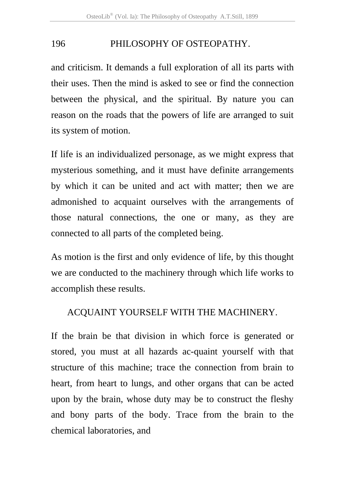and criticism. It demands a full exploration of all its parts with their uses. Then the mind is asked to see or find the connection between the physical, and the spiritual. By nature you can reason on the roads that the powers of life are arranged to suit its system of motion.

If life is an individualized personage, as we might express that mysterious something, and it must have definite arrangements by which it can be united and act with matter; then we are admonished to acquaint ourselves with the arrangements of those natural connections, the one or many, as they are connected to all parts of the completed being.

As motion is the first and only evidence of life, by this thought we are conducted to the machinery through which life works to accomplish these results.

## ACQUAINT YOURSELF WITH THE MACHINERY.

If the brain be that division in which force is generated or stored, you must at all hazards ac-quaint yourself with that structure of this machine; trace the connection from brain to heart, from heart to lungs, and other organs that can be acted upon by the brain, whose duty may be to construct the fleshy and bony parts of the body. Trace from the brain to the chemical laboratories, and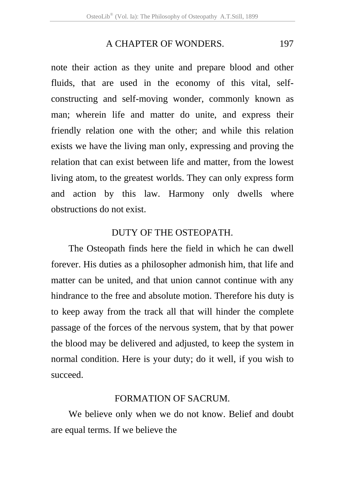## A CHAPTER OF WONDERS. 197

note their action as they unite and prepare blood and other fluids, that are used in the economy of this vital, selfconstructing and self-moving wonder, commonly known as man; wherein life and matter do unite, and express their friendly relation one with the other; and while this relation exists we have the living man only, expressing and proving the relation that can exist between life and matter, from the lowest living atom, to the greatest worlds. They can only express form and action by this law. Harmony only dwells where obstructions do not exist.

### DUTY OF THE OSTEOPATH.

The Osteopath finds here the field in which he can dwell forever. His duties as a philosopher admonish him, that life and matter can be united, and that union cannot continue with any hindrance to the free and absolute motion. Therefore his duty is to keep away from the track all that will hinder the complete passage of the forces of the nervous system, that by that power the blood may be delivered and adjusted, to keep the system in normal condition. Here is your duty; do it well, if you wish to succeed.

## FORMATION OF SACRUM.

We believe only when we do not know. Belief and doubt are equal terms. If we believe the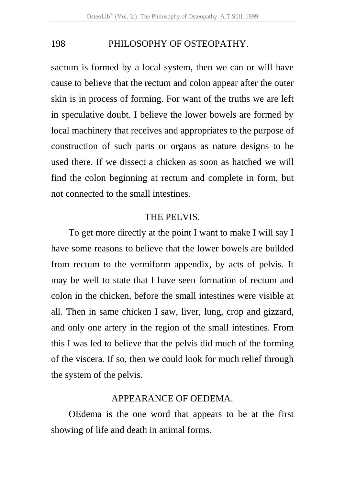sacrum is formed by a local system, then we can or will have cause to believe that the rectum and colon appear after the outer skin is in process of forming. For want of the truths we are left in speculative doubt. I believe the lower bowels are formed by local machinery that receives and appropriates to the purpose of construction of such parts or organs as nature designs to be used there. If we dissect a chicken as soon as hatched we will find the colon beginning at rectum and complete in form, but not connected to the small intestines.

## THE PELVIS.

To get more directly at the point I want to make I will say I have some reasons to believe that the lower bowels are builded from rectum to the vermiform appendix, by acts of pelvis. It may be well to state that I have seen formation of rectum and colon in the chicken, before the small intestines were visible at all. Then in same chicken I saw, liver, lung, crop and gizzard, and only one artery in the region of the small intestines. From this I was led to believe that the pelvis did much of the forming of the viscera. If so, then we could look for much relief through the system of the pelvis.

## APPEARANCE OF OEDEMA.

OEdema is the one word that appears to be at the first showing of life and death in animal forms.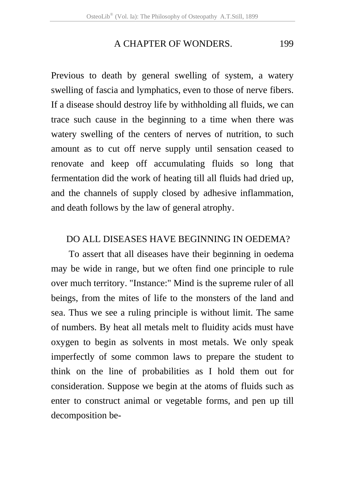## A CHAPTER OF WONDERS. 199

Previous to death by general swelling of system, a watery swelling of fascia and lymphatics, even to those of nerve fibers. If a disease should destroy life by withholding all fluids, we can trace such cause in the beginning to a time when there was watery swelling of the centers of nerves of nutrition, to such amount as to cut off nerve supply until sensation ceased to renovate and keep off accumulating fluids so long that fermentation did the work of heating till all fluids had dried up, and the channels of supply closed by adhesive inflammation, and death follows by the law of general atrophy.

## DO ALL DISEASES HAVE BEGINNING IN OEDEMA?

To assert that all diseases have their beginning in oedema may be wide in range, but we often find one principle to rule over much territory. "Instance:" Mind is the supreme ruler of all beings, from the mites of life to the monsters of the land and sea. Thus we see a ruling principle is without limit. The same of numbers. By heat all metals melt to fluidity acids must have oxygen to begin as solvents in most metals. We only speak imperfectly of some common laws to prepare the student to think on the line of probabilities as I hold them out for consideration. Suppose we begin at the atoms of fluids such as enter to construct animal or vegetable forms, and pen up till decomposition be-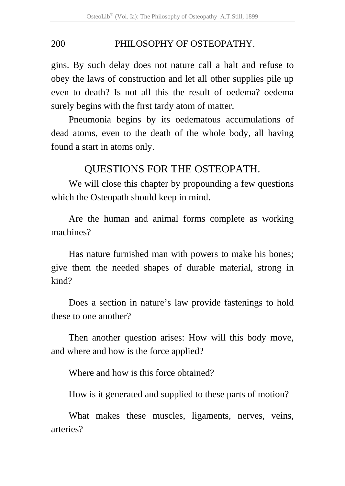gins. By such delay does not nature call a halt and refuse to obey the laws of construction and let all other supplies pile up even to death? Is not all this the result of oedema? oedema surely begins with the first tardy atom of matter.

Pneumonia begins by its oedematous accumulations of dead atoms, even to the death of the whole body, all having found a start in atoms only.

## QUESTIONS FOR THE OSTEOPATH.

We will close this chapter by propounding a few questions which the Osteopath should keep in mind.

Are the human and animal forms complete as working machines?

Has nature furnished man with powers to make his bones; give them the needed shapes of durable material, strong in kind?

Does a section in nature's law provide fastenings to hold these to one another?

Then another question arises: How will this body move, and where and how is the force applied?

Where and how is this force obtained?

How is it generated and supplied to these parts of motion?

What makes these muscles, ligaments, nerves, veins, arteries?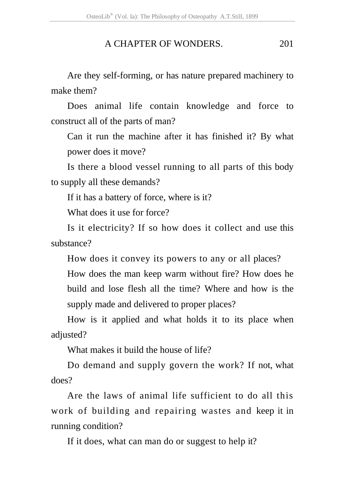## A CHAPTER OF WONDERS. 201

Are they self-forming, or has nature prepared machinery to make them?

Does animal life contain knowledge and force to construct all of the parts of man?

Can it run the machine after it has finished it? By what power does it move?

Is there a blood vessel running to all parts of this body to supply all these demands?

If it has a battery of force, where is it?

What does it use for force?

Is it electricity? If so how does it collect and use this substance?

How does it convey its powers to any or all places? How does the man keep warm without fire? How does he build and lose flesh all the time? Where and how is the supply made and delivered to proper places?

How is it applied and what holds it to its place when adjusted?

What makes it build the house of life?

Do demand and supply govern the work? If not, what does?

Are the laws of animal life sufficient to do all this work of building and repairing wastes and keep it in running condition?

If it does, what can man do or suggest to help it?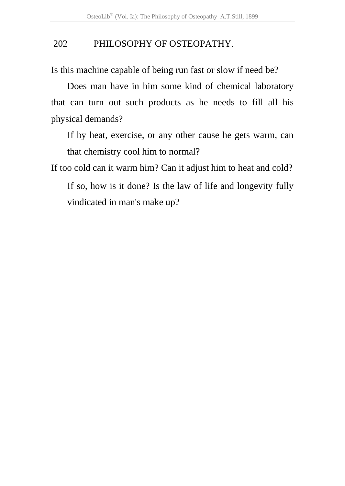Is this machine capable of being run fast or slow if need be?

Does man have in him some kind of chemical laboratory that can turn out such products as he needs to fill all his physical demands?

If by heat, exercise, or any other cause he gets warm, can that chemistry cool him to normal?

If too cold can it warm him? Can it adjust him to heat and cold?

If so, how is it done? Is the law of life and longevity fully vindicated in man's make up?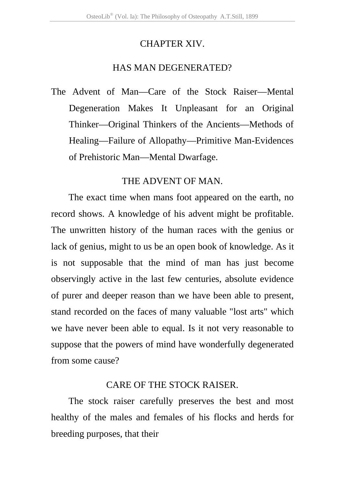## CHAPTER XIV.

## HAS MAN DEGENERATED?

The Advent of Man—Care of the Stock Raiser—Mental Degeneration Makes It Unpleasant for an Original Thinker—Original Thinkers of the Ancients—Methods of Healing—Failure of Allopathy—Primitive Man-Evidences of Prehistoric Man—Mental Dwarfage.

## THE ADVENT OF MAN.

The exact time when mans foot appeared on the earth, no record shows. A knowledge of his advent might be profitable. The unwritten history of the human races with the genius or lack of genius, might to us be an open book of knowledge. As it is not supposable that the mind of man has just become observingly active in the last few centuries, absolute evidence of purer and deeper reason than we have been able to present, stand recorded on the faces of many valuable "lost arts" which we have never been able to equal. Is it not very reasonable to suppose that the powers of mind have wonderfully degenerated from some cause?

## CARE OF THE STOCK RAISER.

The stock raiser carefully preserves the best and most healthy of the males and females of his flocks and herds for breeding purposes, that their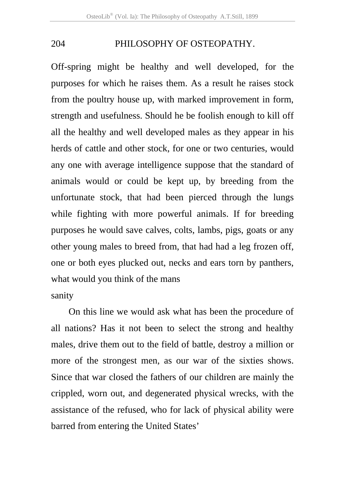Off-spring might be healthy and well developed, for the purposes for which he raises them. As a result he raises stock from the poultry house up, with marked improvement in form, strength and usefulness. Should he be foolish enough to kill off all the healthy and well developed males as they appear in his herds of cattle and other stock, for one or two centuries, would any one with average intelligence suppose that the standard of animals would or could be kept up, by breeding from the unfortunate stock, that had been pierced through the lungs while fighting with more powerful animals. If for breeding purposes he would save calves, colts, lambs, pigs, goats or any other young males to breed from, that had had a leg frozen off, one or both eyes plucked out, necks and ears torn by panthers, what would you think of the mans

## sanity

On this line we would ask what has been the procedure of all nations? Has it not been to select the strong and healthy males, drive them out to the field of battle, destroy a million or more of the strongest men, as our war of the sixties shows. Since that war closed the fathers of our children are mainly the crippled, worn out, and degenerated physical wrecks, with the assistance of the refused, who for lack of physical ability were barred from entering the United States'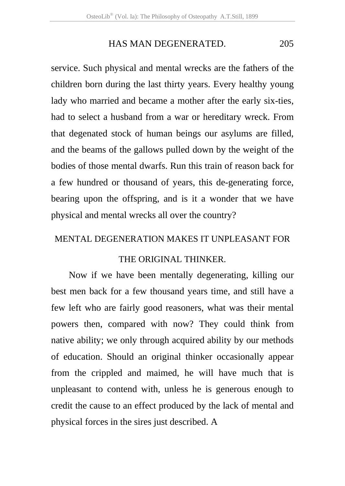## HAS MAN DEGENERATED. 205

service. Such physical and mental wrecks are the fathers of the children born during the last thirty years. Every healthy young lady who married and became a mother after the early six-ties, had to select a husband from a war or hereditary wreck. From that degenated stock of human beings our asylums are filled, and the beams of the gallows pulled down by the weight of the bodies of those mental dwarfs. Run this train of reason back for a few hundred or thousand of years, this de-generating force, bearing upon the offspring, and is it a wonder that we have physical and mental wrecks all over the country?

## MENTAL DEGENERATION MAKES IT UNPLEASANT FOR

## THE ORIGINAL THINKER.

Now if we have been mentally degenerating, killing our best men back for a few thousand years time, and still have a few left who are fairly good reasoners, what was their mental powers then, compared with now? They could think from native ability; we only through acquired ability by our methods of education. Should an original thinker occasionally appear from the crippled and maimed, he will have much that is unpleasant to contend with, unless he is generous enough to credit the cause to an effect produced by the lack of mental and physical forces in the sires just described. A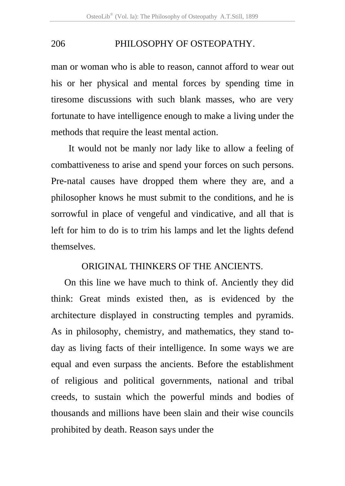man or woman who is able to reason, cannot afford to wear out his or her physical and mental forces by spending time in tiresome discussions with such blank masses, who are very fortunate to have intelligence enough to make a living under the methods that require the least mental action.

It would not be manly nor lady like to allow a feeling of combattiveness to arise and spend your forces on such persons. Pre-natal causes have dropped them where they are, and a philosopher knows he must submit to the conditions, and he is sorrowful in place of vengeful and vindicative, and all that is left for him to do is to trim his lamps and let the lights defend themselves.

#### ORIGINAL THINKERS OF THE ANCIENTS.

 On this line we have much to think of. Anciently they did think: Great minds existed then, as is evidenced by the architecture displayed in constructing temples and pyramids. As in philosophy, chemistry, and mathematics, they stand today as living facts of their intelligence. In some ways we are equal and even surpass the ancients. Before the establishment of religious and political governments, national and tribal creeds, to sustain which the powerful minds and bodies of thousands and millions have been slain and their wise councils prohibited by death. Reason says under the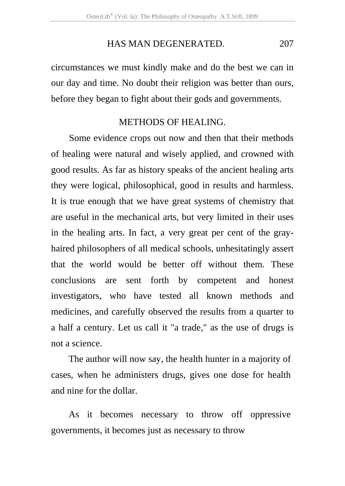### HAS MAN DEGENERATED. 207

circumstances we must kindly make and do the best we can in our day and time. No doubt their religion was better than ours, before they began to fight about their gods and governments.

### METHODS OF HEALING.

Some evidence crops out now and then that their methods of healing were natural and wisely applied, and crowned with good results. As far as history speaks of the ancient healing arts they were logical, philosophical, good in results and harmless. It is true enough that we have great systems of chemistry that are useful in the mechanical arts, but very limited in their uses in the healing arts. In fact, a very great per cent of the grayhaired philosophers of all medical schools, unhesitatingly assert that the world would be better off without them. These conclusions are sent forth by competent and honest investigators, who have tested all known methods and medicines, and carefully observed the results from a quarter to a half a century. Let us call it "a trade," as the use of drugs is not a science.

The author will now say, the health hunter in a majority of cases, when he administers drugs, gives one dose for health and nine for the dollar.

As it becomes necessary to throw off oppressive governments, it becomes just as necessary to throw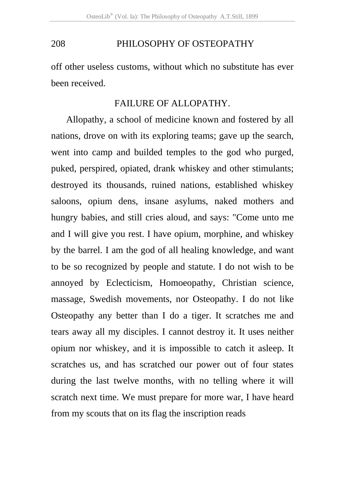off other useless customs, without which no substitute has ever been received.

#### FAILURE OF ALLOPATHY.

Allopathy, a school of medicine known and fostered by all nations, drove on with its exploring teams; gave up the search, went into camp and builded temples to the god who purged, puked, perspired, opiated, drank whiskey and other stimulants; destroyed its thousands, ruined nations, established whiskey saloons, opium dens, insane asylums, naked mothers and hungry babies, and still cries aloud, and says: "Come unto me and I will give you rest. I have opium, morphine, and whiskey by the barrel. I am the god of all healing knowledge, and want to be so recognized by people and statute. I do not wish to be annoyed by Eclecticism, Homoeopathy, Christian science, massage, Swedish movements, nor Osteopathy. I do not like Osteopathy any better than I do a tiger. It scratches me and tears away all my disciples. I cannot destroy it. It uses neither opium nor whiskey, and it is impossible to catch it asleep. It scratches us, and has scratched our power out of four states during the last twelve months, with no telling where it will scratch next time. We must prepare for more war, I have heard from my scouts that on its flag the inscription reads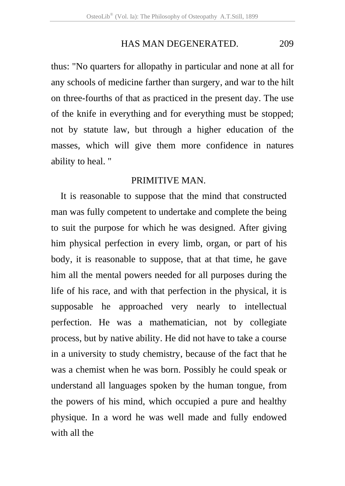#### HAS MAN DEGENERATED. 209

thus: "No quarters for allopathy in particular and none at all for any schools of medicine farther than surgery, and war to the hilt on three-fourths of that as practiced in the present day. The use of the knife in everything and for everything must be stopped; not by statute law, but through a higher education of the masses, which will give them more confidence in natures ability to heal. "

#### PRIMITIVE MAN.

It is reasonable to suppose that the mind that constructed man was fully competent to undertake and complete the being to suit the purpose for which he was designed. After giving him physical perfection in every limb, organ, or part of his body, it is reasonable to suppose, that at that time, he gave him all the mental powers needed for all purposes during the life of his race, and with that perfection in the physical, it is supposable he approached very nearly to intellectual perfection. He was a mathematician, not by collegiate process, but by native ability. He did not have to take a course in a university to study chemistry, because of the fact that he was a chemist when he was born. Possibly he could speak or understand all languages spoken by the human tongue, from the powers of his mind, which occupied a pure and healthy physique. In a word he was well made and fully endowed with all the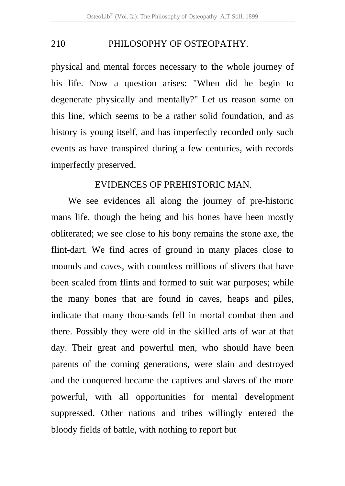physical and mental forces necessary to the whole journey of his life. Now a question arises: "When did he begin to degenerate physically and mentally?" Let us reason some on this line, which seems to be a rather solid foundation, and as history is young itself, and has imperfectly recorded only such events as have transpired during a few centuries, with records imperfectly preserved.

#### EVIDENCES OF PREHISTORIC MAN.

 We see evidences all along the journey of pre-historic mans life, though the being and his bones have been mostly obliterated; we see close to his bony remains the stone axe, the flint-dart. We find acres of ground in many places close to mounds and caves, with countless millions of slivers that have been scaled from flints and formed to suit war purposes; while the many bones that are found in caves, heaps and piles, indicate that many thou-sands fell in mortal combat then and there. Possibly they were old in the skilled arts of war at that day. Their great and powerful men, who should have been parents of the coming generations, were slain and destroyed and the conquered became the captives and slaves of the more powerful, with all opportunities for mental development suppressed. Other nations and tribes willingly entered the bloody fields of battle, with nothing to report but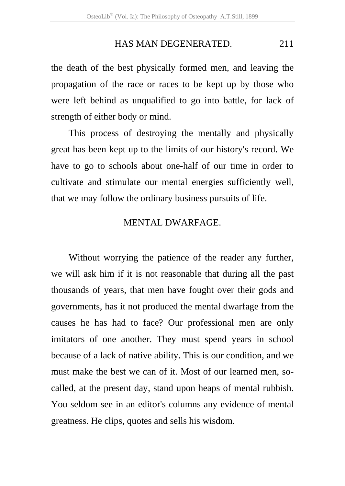#### HAS MAN DEGENERATED. 211

the death of the best physically formed men, and leaving the propagation of the race or races to be kept up by those who were left behind as unqualified to go into battle, for lack of strength of either body or mind.

This process of destroying the mentally and physically great has been kept up to the limits of our history's record. We have to go to schools about one-half of our time in order to cultivate and stimulate our mental energies sufficiently well, that we may follow the ordinary business pursuits of life.

#### MENTAL DWARFAGE.

Without worrying the patience of the reader any further, we will ask him if it is not reasonable that during all the past thousands of years, that men have fought over their gods and governments, has it not produced the mental dwarfage from the causes he has had to face? Our professional men are only imitators of one another. They must spend years in school because of a lack of native ability. This is our condition, and we must make the best we can of it. Most of our learned men, socalled, at the present day, stand upon heaps of mental rubbish. You seldom see in an editor's columns any evidence of mental greatness. He clips, quotes and sells his wisdom.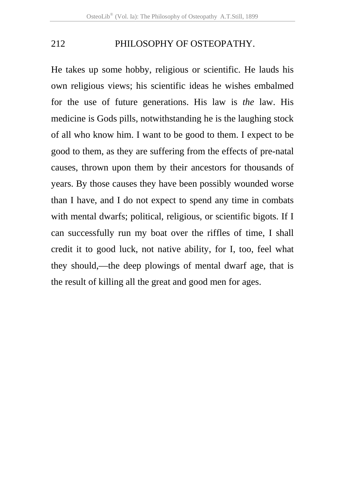He takes up some hobby, religious or scientific. He lauds his own religious views; his scientific ideas he wishes embalmed for the use of future generations. His law is *the* law. His medicine is Gods pills, notwithstanding he is the laughing stock of all who know him. I want to be good to them. I expect to be good to them, as they are suffering from the effects of pre-natal causes, thrown upon them by their ancestors for thousands of years. By those causes they have been possibly wounded worse than I have, and I do not expect to spend any time in combats with mental dwarfs; political, religious, or scientific bigots. If I can successfully run my boat over the riffles of time, I shall credit it to good luck, not native ability, for I, too, feel what they should,—the deep plowings of mental dwarf age, that is the result of killing all the great and good men for ages.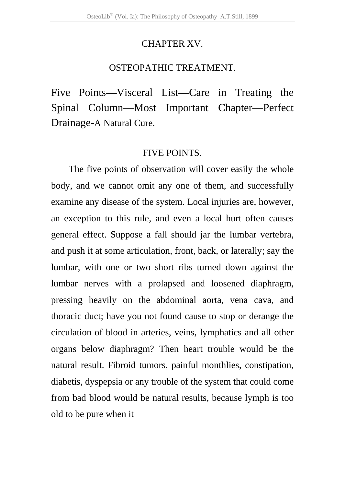#### CHAPTER XV.

#### OSTEOPATHIC TREATMENT.

Five Points—Visceral List—Care in Treating the Spinal Column—Most Important Chapter—Perfect Drainage-A Natural Cure.

#### FIVE POINTS.

The five points of observation will cover easily the whole body, and we cannot omit any one of them, and successfully examine any disease of the system. Local injuries are, however, an exception to this rule, and even a local hurt often causes general effect. Suppose a fall should jar the lumbar vertebra, and push it at some articulation, front, back, or laterally; say the lumbar, with one or two short ribs turned down against the lumbar nerves with a prolapsed and loosened diaphragm, pressing heavily on the abdominal aorta, vena cava, and thoracic duct; have you not found cause to stop or derange the circulation of blood in arteries, veins, lymphatics and all other organs below diaphragm? Then heart trouble would be the natural result. Fibroid tumors, painful monthlies, constipation, diabetis, dyspepsia or any trouble of the system that could come from bad blood would be natural results, because lymph is too old to be pure when it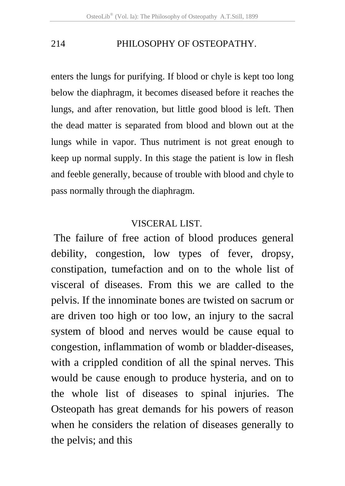enters the lungs for purifying. If blood or chyle is kept too long below the diaphragm, it becomes diseased before it reaches the lungs, and after renovation, but little good blood is left. Then the dead matter is separated from blood and blown out at the lungs while in vapor. Thus nutriment is not great enough to keep up normal supply. In this stage the patient is low in flesh and feeble generally, because of trouble with blood and chyle to pass normally through the diaphragm.

#### VISCERAL LIST.

 The failure of free action of blood produces general debility, congestion, low types of fever, dropsy, constipation, tumefaction and on to the whole list of visceral of diseases. From this we are called to the pelvis. If the innominate bones are twisted on sacrum or are driven too high or too low, an injury to the sacral system of blood and nerves would be cause equal to congestion, inflammation of womb or bladder-diseases, with a crippled condition of all the spinal nerves. This would be cause enough to produce hysteria, and on to the whole list of diseases to spinal injuries. The Osteopath has great demands for his powers of reason when he considers the relation of diseases generally to the pelvis; and this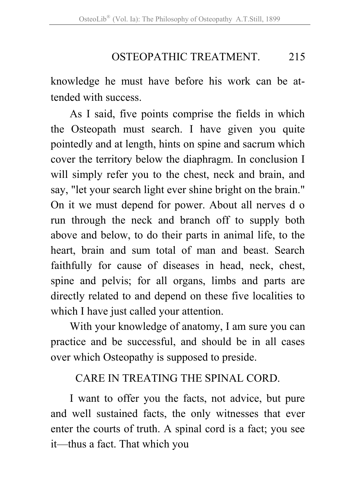# OSTEOPATHIC TREATMENT. 215

knowledge he must have before his work can be attended with success.

As I said, five points comprise the fields in which the Osteopath must search. I have given you quite pointedly and at length, hints on spine and sacrum which cover the territory below the diaphragm. In conclusion I will simply refer you to the chest, neck and brain, and say, "let your search light ever shine bright on the brain." On it we must depend for power. About all nerves d o run through the neck and branch off to supply both above and below, to do their parts in animal life, to the heart, brain and sum total of man and beast. Search faithfully for cause of diseases in head, neck, chest, spine and pelvis; for all organs, limbs and parts are directly related to and depend on these five localities to which I have just called your attention.

With your knowledge of anatomy, I am sure you can practice and be successful, and should be in all cases over which Osteopathy is supposed to preside.

# CARE IN TREATING THE SPINAL CORD.

I want to offer you the facts, not advice, but pure and well sustained facts, the only witnesses that ever enter the courts of truth. A spinal cord is a fact; you see it—thus a fact. That which you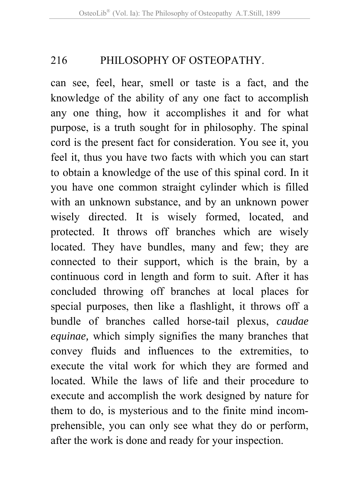can see, feel, hear, smell or taste is a fact, and the knowledge of the ability of any one fact to accomplish any one thing, how it accomplishes it and for what purpose, is a truth sought for in philosophy. The spinal cord is the present fact for consideration. You see it, you feel it, thus you have two facts with which you can start to obtain a knowledge of the use of this spinal cord. In it you have one common straight cylinder which is filled with an unknown substance, and by an unknown power wisely directed. It is wisely formed, located, and protected. It throws off branches which are wisely located. They have bundles, many and few; they are connected to their support, which is the brain, by a continuous cord in length and form to suit. After it has concluded throwing off branches at local places for special purposes, then like a flashlight, it throws off a bundle of branches called horse-tail plexus, *caudae equinae,* which simply signifies the many branches that convey fluids and influences to the extremities, to execute the vital work for which they are formed and located. While the laws of life and their procedure to execute and accomplish the work designed by nature for them to do, is mysterious and to the finite mind incomprehensible, you can only see what they do or perform, after the work is done and ready for your inspection.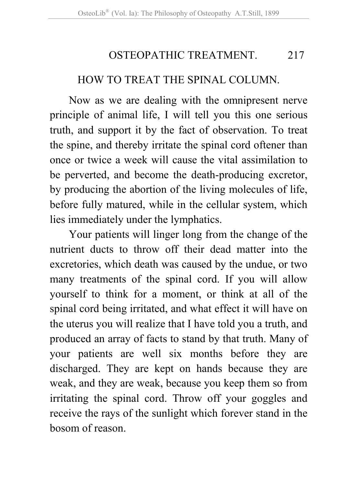# OSTEOPATHIC TREATMENT. 217

## HOW TO TREAT THE SPINAL COLUMN.

Now as we are dealing with the omnipresent nerve principle of animal life, I will tell you this one serious truth, and support it by the fact of observation. To treat the spine, and thereby irritate the spinal cord oftener than once or twice a week will cause the vital assimilation to be perverted, and become the death-producing excretor, by producing the abortion of the living molecules of life, before fully matured, while in the cellular system, which lies immediately under the lymphatics.

Your patients will linger long from the change of the nutrient ducts to throw off their dead matter into the excretories, which death was caused by the undue, or two many treatments of the spinal cord. If you will allow yourself to think for a moment, or think at all of the spinal cord being irritated, and what effect it will have on the uterus you will realize that I have told you a truth, and produced an array of facts to stand by that truth. Many of your patients are well six months before they are discharged. They are kept on hands because they are weak, and they are weak, because you keep them so from irritating the spinal cord. Throw off your goggles and receive the rays of the sunlight which forever stand in the bosom of reason.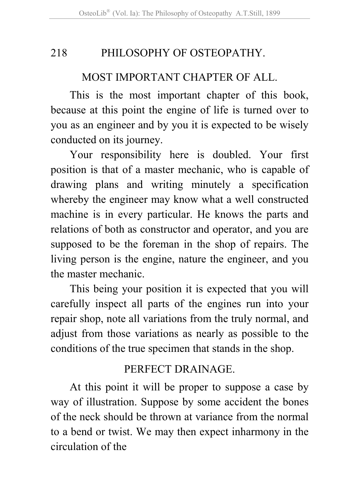## MOST IMPORTANT CHAPTER OF ALL.

This is the most important chapter of this book, because at this point the engine of life is turned over to you as an engineer and by you it is expected to be wisely conducted on its journey.

Your responsibility here is doubled. Your first position is that of a master mechanic, who is capable of drawing plans and writing minutely a specification whereby the engineer may know what a well constructed machine is in every particular. He knows the parts and relations of both as constructor and operator, and you are supposed to be the foreman in the shop of repairs. The living person is the engine, nature the engineer, and you the master mechanic.

This being your position it is expected that you will carefully inspect all parts of the engines run into your repair shop, note all variations from the truly normal, and adjust from those variations as nearly as possible to the conditions of the true specimen that stands in the shop.

# PERFECT DRAINAGE.

At this point it will be proper to suppose a case by way of illustration. Suppose by some accident the bones of the neck should be thrown at variance from the normal to a bend or twist. We may then expect inharmony in the circulation of the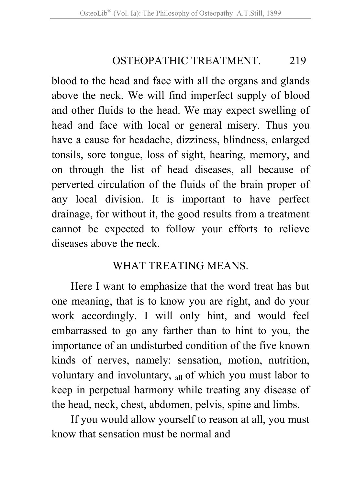# OSTEOPATHIC TREATMENT 219

blood to the head and face with all the organs and glands above the neck. We will find imperfect supply of blood and other fluids to the head. We may expect swelling of head and face with local or general misery. Thus you have a cause for headache, dizziness, blindness, enlarged tonsils, sore tongue, loss of sight, hearing, memory, and on through the list of head diseases, all because of perverted circulation of the fluids of the brain proper of any local division. It is important to have perfect drainage, for without it, the good results from a treatment cannot be expected to follow your efforts to relieve diseases above the neck.

# WHAT TREATING MEANS.

Here I want to emphasize that the word treat has but one meaning, that is to know you are right, and do your work accordingly. I will only hint, and would feel embarrassed to go any farther than to hint to you, the importance of an undisturbed condition of the five known kinds of nerves, namely: sensation, motion, nutrition, voluntary and involuntary, all of which you must labor to keep in perpetual harmony while treating any disease of the head, neck, chest, abdomen, pelvis, spine and limbs.

If you would allow yourself to reason at all, you must know that sensation must be normal and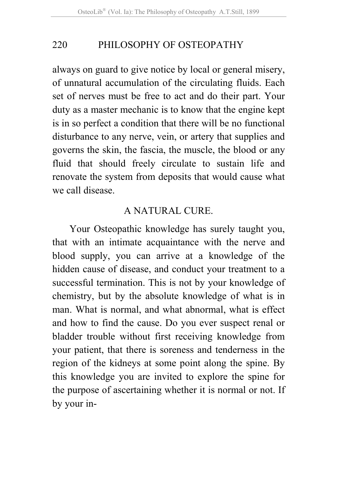always on guard to give notice by local or general misery, of unnatural accumulation of the circulating fluids. Each set of nerves must be free to act and do their part. Your duty as a master mechanic is to know that the engine kept is in so perfect a condition that there will be no functional disturbance to any nerve, vein, or artery that supplies and governs the skin, the fascia, the muscle, the blood or any fluid that should freely circulate to sustain life and renovate the system from deposits that would cause what we call disease.

### A NATURAL CURE.

Your Osteopathic knowledge has surely taught you, that with an intimate acquaintance with the nerve and blood supply, you can arrive at a knowledge of the hidden cause of disease, and conduct your treatment to a successful termination. This is not by your knowledge of chemistry, but by the absolute knowledge of what is in man. What is normal, and what abnormal, what is effect and how to find the cause. Do you ever suspect renal or bladder trouble without first receiving knowledge from your patient, that there is soreness and tenderness in the region of the kidneys at some point along the spine. By this knowledge you are invited to explore the spine for the purpose of ascertaining whether it is normal or not. If by your in-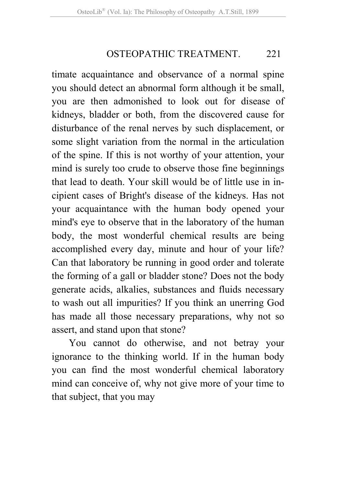### OSTEOPATHIC TREATMENT. 221

timate acquaintance and observance of a normal spine you should detect an abnormal form although it be small, you are then admonished to look out for disease of kidneys, bladder or both, from the discovered cause for disturbance of the renal nerves by such displacement, or some slight variation from the normal in the articulation of the spine. If this is not worthy of your attention, your mind is surely too crude to observe those fine beginnings that lead to death. Your skill would be of little use in incipient cases of Bright's disease of the kidneys. Has not your acquaintance with the human body opened your mind's eye to observe that in the laboratory of the human body, the most wonderful chemical results are being accomplished every day, minute and hour of your life? Can that laboratory be running in good order and tolerate the forming of a gall or bladder stone? Does not the body generate acids, alkalies, substances and fluids necessary to wash out all impurities? If you think an unerring God has made all those necessary preparations, why not so assert, and stand upon that stone?

You cannot do otherwise, and not betray your ignorance to the thinking world. If in the human body you can find the most wonderful chemical laboratory mind can conceive of, why not give more of your time to that subject, that you may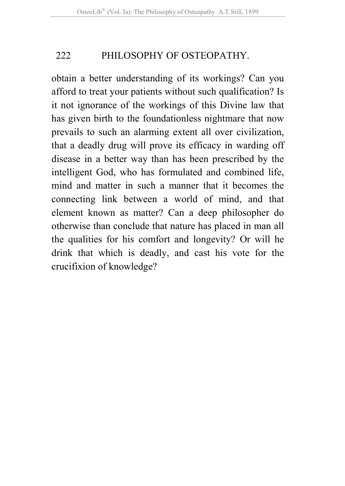obtain a better understanding of its workings? Can you afford to treat your patients without such qualification? Is it not ignorance of the workings of this Divine law that has given birth to the foundationless nightmare that now prevails to such an alarming extent all over civilization, that a deadly drug will prove its efficacy in warding off disease in a better way than has been prescribed by the intelligent God, who has formulated and combined life, mind and matter in such a manner that it becomes the connecting link between a world of mind, and that element known as matter? Can a deep philosopher do otherwise than conclude that nature has placed in man all the qualities for his comfort and longevity? Or will he drink that which is deadly, and cast his vote for the crucifixion of knowledge?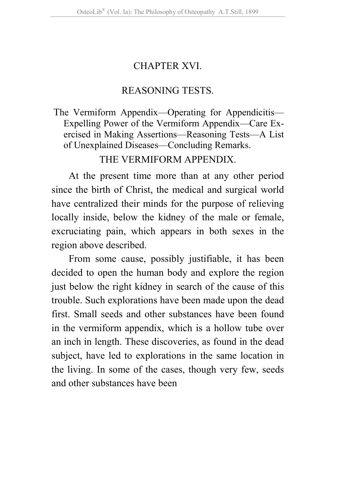# CHAPTER XVI.

## REASONING TESTS.

### The Vermiform Appendix—Operating for Appendicitis— Expelling Power of the Vermiform Appendix—Care Exercised in Making Assertions—Reasoning Tests—A List of Unexplained Diseases—Concluding Remarks.

## THE VERMIFORM APPENDIX.

At the present time more than at any other period since the birth of Christ, the medical and surgical world have centralized their minds for the purpose of relieving locally inside, below the kidney of the male or female, excruciating pain, which appears in both sexes in the region above described.

From some cause, possibly justifiable, it has been decided to open the human body and explore the region just below the right kidney in search of the cause of this trouble. Such explorations have been made upon the dead first. Small seeds and other substances have been found in the vermiform appendix, which is a hollow tube over an inch in length. These discoveries, as found in the dead subject, have led to explorations in the same location in the living. In some of the cases, though very few, seeds and other substances have been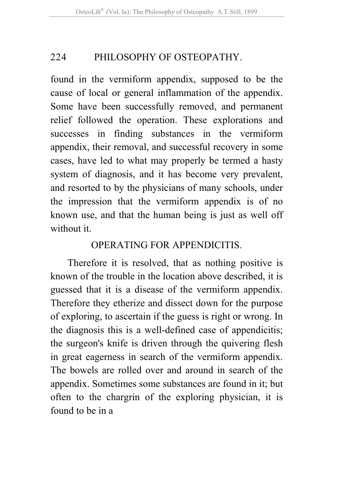found in the vermiform appendix, supposed to be the cause of local or general inflammation of the appendix. Some have been successfully removed, and permanent relief followed the operation. These explorations and successes in finding substances in the vermiform appendix, their removal, and successful recovery in some cases, have led to what may properly be termed a hasty system of diagnosis, and it has become very prevalent, and resorted to by the physicians of many schools, under the impression that the vermiform appendix is of no known use, and that the human being is just as well off without it.

## OPERATING FOR APPENDICITIS.

Therefore it is resolved, that as nothing positive is known of the trouble in the location above described, it is guessed that it is a disease of the vermiform appendix. Therefore they etherize and dissect down for the purpose of exploring, to ascertain if the guess is right or wrong. In the diagnosis this is a well-defined case of appendicitis; the surgeon's knife is driven through the quivering flesh in great eagerness in search of the vermiform appendix. The bowels are rolled over and around in search of the appendix. Sometimes some substances are found in it; but often to the chargrin of the exploring physician, it is found to be in a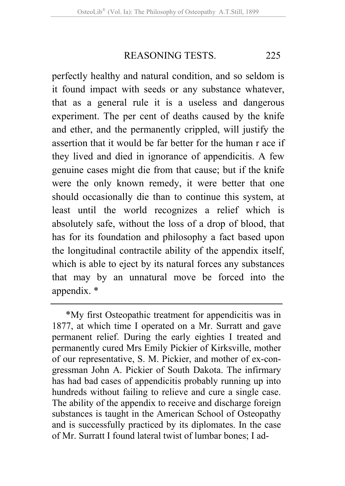REASONING TESTS 225

perfectly healthy and natural condition, and so seldom is it found impact with seeds or any substance whatever, that as a general rule it is a useless and dangerous experiment. The per cent of deaths caused by the knife and ether, and the permanently crippled, will justify the assertion that it would be far better for the human r ace if they lived and died in ignorance of appendicitis. A few genuine cases might die from that cause; but if the knife were the only known remedy, it were better that one should occasionally die than to continue this system, at least until the world recognizes a relief which is absolutely safe, without the loss of a drop of blood, that has for its foundation and philosophy a fact based upon the longitudinal contractile ability of the appendix itself, which is able to eject by its natural forces any substances that may by an unnatural move be forced into the appendix. \*

<sup>\*</sup>My first Osteopathic treatment for appendicitis was in 1877, at which time I operated on a Mr. Surratt and gave permanent relief. During the early eighties I treated and permanently cured Mrs Emily Pickier of Kirksville, mother of our representative, S. M. Pickier, and mother of ex-congressman John A. Pickier of South Dakota. The infirmary has had bad cases of appendicitis probably running up into hundreds without failing to relieve and cure a single case. The ability of the appendix to receive and discharge foreign substances is taught in the American School of Osteopathy and is successfully practiced by its diplomates. In the case of Mr. Surratt I found lateral twist of lumbar bones; I ad-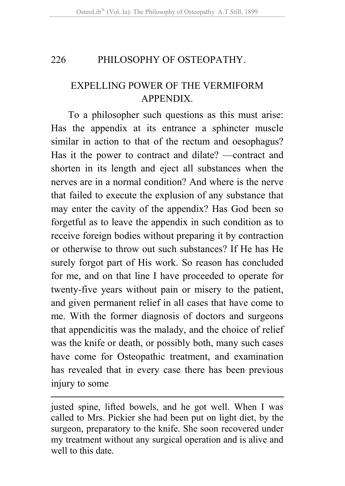## EXPELLING POWER OF THE VERMIFORM **APPENDIX**

To a philosopher such questions as this must arise: Has the appendix at its entrance a sphincter muscle similar in action to that of the rectum and oesophagus? Has it the power to contract and dilate? —contract and shorten in its length and eject all substances when the nerves are in a normal condition? And where is the nerve that failed to execute the explusion of any substance that may enter the cavity of the appendix? Has God been so forgetful as to leave the appendix in such condition as to receive foreign bodies without preparing it by contraction or otherwise to throw out such substances? If He has He surely forgot part of His work. So reason has concluded for me, and on that line I have proceeded to operate for twenty-five years without pain or misery to the patient, and given permanent relief in all cases that have come to me. With the former diagnosis of doctors and surgeons that appendicitis was the malady, and the choice of relief was the knife or death, or possibly both, many such cases have come for Osteopathic treatment, and examination has revealed that in every case there has been previous injury to some

justed spine, lifted bowels, and he got well. When I was called to Mrs. Pickier she had been put on light diet, by the surgeon, preparatory to the knife. She soon recovered under my treatment without any surgical operation and is alive and well to this date.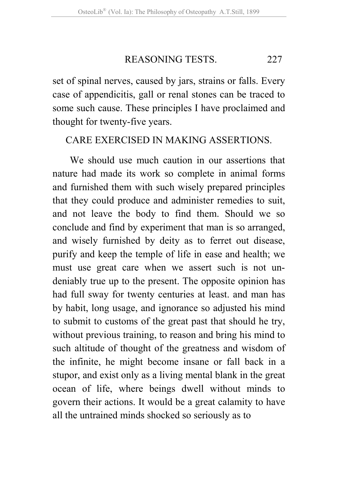REASONING TESTS 227

set of spinal nerves, caused by jars, strains or falls. Every case of appendicitis, gall or renal stones can be traced to some such cause. These principles I have proclaimed and thought for twenty-five years.

### CARE EXERCISED IN MAKING ASSERTIONS.

We should use much caution in our assertions that nature had made its work so complete in animal forms and furnished them with such wisely prepared principles that they could produce and administer remedies to suit, and not leave the body to find them. Should we so conclude and find by experiment that man is so arranged, and wisely furnished by deity as to ferret out disease, purify and keep the temple of life in ease and health; we must use great care when we assert such is not undeniably true up to the present. The opposite opinion has had full sway for twenty centuries at least. and man has by habit, long usage, and ignorance so adjusted his mind to submit to customs of the great past that should he try, without previous training, to reason and bring his mind to such altitude of thought of the greatness and wisdom of the infinite, he might become insane or fall back in a stupor, and exist only as a living mental blank in the great ocean of life, where beings dwell without minds to govern their actions. It would be a great calamity to have all the untrained minds shocked so seriously as to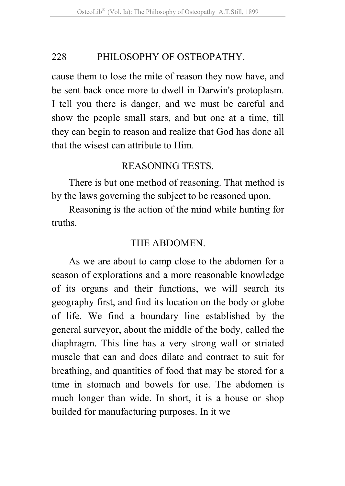cause them to lose the mite of reason they now have, and be sent back once more to dwell in Darwin's protoplasm. I tell you there is danger, and we must be careful and show the people small stars, and but one at a time, till they can begin to reason and realize that God has done all that the wisest can attribute to Him.

## REASONING TESTS.

There is but one method of reasoning. That method is by the laws governing the subject to be reasoned upon.

Reasoning is the action of the mind while hunting for truths.

### THE ABDOMEN.

As we are about to camp close to the abdomen for a season of explorations and a more reasonable knowledge of its organs and their functions, we will search its geography first, and find its location on the body or globe of life. We find a boundary line established by the general surveyor, about the middle of the body, called the diaphragm. This line has a very strong wall or striated muscle that can and does dilate and contract to suit for breathing, and quantities of food that may be stored for a time in stomach and bowels for use. The abdomen is much longer than wide. In short, it is a house or shop builded for manufacturing purposes. In it we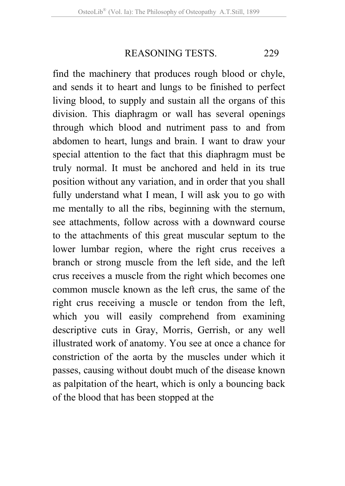REASONING TESTS 229

find the machinery that produces rough blood or chyle, and sends it to heart and lungs to be finished to perfect living blood, to supply and sustain all the organs of this division. This diaphragm or wall has several openings through which blood and nutriment pass to and from abdomen to heart, lungs and brain. I want to draw your special attention to the fact that this diaphragm must be truly normal. It must be anchored and held in its true position without any variation, and in order that you shall fully understand what I mean, I will ask you to go with me mentally to all the ribs, beginning with the sternum, see attachments, follow across with a downward course to the attachments of this great muscular septum to the lower lumbar region, where the right crus receives a branch or strong muscle from the left side, and the left crus receives a muscle from the right which becomes one common muscle known as the left crus, the same of the right crus receiving a muscle or tendon from the left, which you will easily comprehend from examining descriptive cuts in Gray, Morris, Gerrish, or any well illustrated work of anatomy. You see at once a chance for constriction of the aorta by the muscles under which it passes, causing without doubt much of the disease known as palpitation of the heart, which is only a bouncing back of the blood that has been stopped at the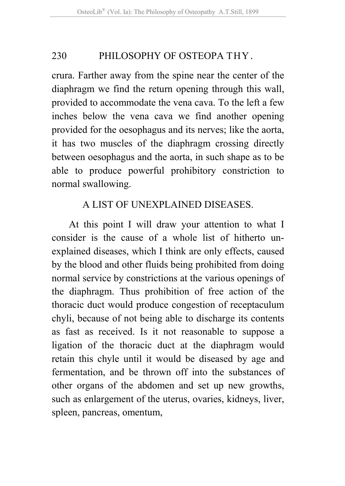crura. Farther away from the spine near the center of the diaphragm we find the return opening through this wall, provided to accommodate the vena cava. To the left a few inches below the vena cava we find another opening provided for the oesophagus and its nerves; like the aorta, it has two muscles of the diaphragm crossing directly between oesophagus and the aorta, in such shape as to be able to produce powerful prohibitory constriction to normal swallowing.

## A LIST OF UNEXPLAINED DISEASES.

At this point I will draw your attention to what I consider is the cause of a whole list of hitherto unexplained diseases, which I think are only effects, caused by the blood and other fluids being prohibited from doing normal service by constrictions at the various openings of the diaphragm. Thus prohibition of free action of the thoracic duct would produce congestion of receptaculum chyli, because of not being able to discharge its contents as fast as received. Is it not reasonable to suppose a ligation of the thoracic duct at the diaphragm would retain this chyle until it would be diseased by age and fermentation, and be thrown off into the substances of other organs of the abdomen and set up new growths, such as enlargement of the uterus, ovaries, kidneys, liver, spleen, pancreas, omentum,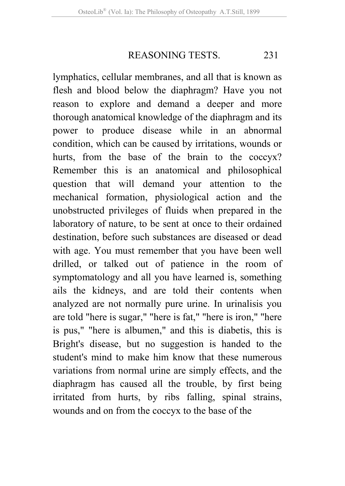REASONING TESTS. 231

lymphatics, cellular membranes, and all that is known as flesh and blood below the diaphragm? Have you not reason to explore and demand a deeper and more thorough anatomical knowledge of the diaphragm and its power to produce disease while in an abnormal condition, which can be caused by irritations, wounds or hurts, from the base of the brain to the coccyx? Remember this is an anatomical and philosophical question that will demand your attention to the mechanical formation, physiological action and the unobstructed privileges of fluids when prepared in the laboratory of nature, to be sent at once to their ordained destination, before such substances are diseased or dead with age. You must remember that you have been well drilled, or talked out of patience in the room of symptomatology and all you have learned is, something ails the kidneys, and are told their contents when analyzed are not normally pure urine. In urinalisis you are told "here is sugar," "here is fat," "here is iron," "here is pus," "here is albumen," and this is diabetis, this is Bright's disease, but no suggestion is handed to the student's mind to make him know that these numerous variations from normal urine are simply effects, and the diaphragm has caused all the trouble, by first being irritated from hurts, by ribs falling, spinal strains, wounds and on from the coccyx to the base of the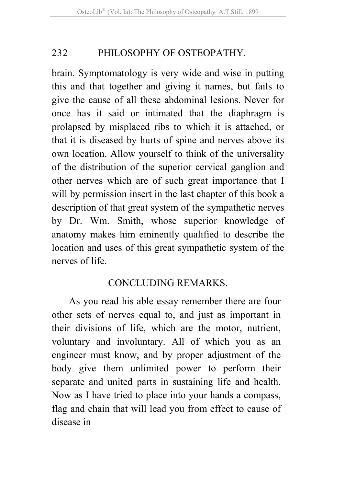brain. Symptomatology is very wide and wise in putting this and that together and giving it names, but fails to give the cause of all these abdominal lesions. Never for once has it said or intimated that the diaphragm is prolapsed by misplaced ribs to which it is attached, or that it is diseased by hurts of spine and nerves above its own location. Allow yourself to think of the universality of the distribution of the superior cervical ganglion and other nerves which are of such great importance that I will by permission insert in the last chapter of this book a description of that great system of the sympathetic nerves by Dr. Wm. Smith, whose superior knowledge of anatomy makes him eminently qualified to describe the location and uses of this great sympathetic system of the nerves of life.

## CONCLUDING REMARKS.

As you read his able essay remember there are four other sets of nerves equal to, and just as important in their divisions of life, which are the motor, nutrient, voluntary and involuntary. All of which you as an engineer must know, and by proper adjustment of the body give them unlimited power to perform their separate and united parts in sustaining life and health. Now as I have tried to place into your hands a compass, flag and chain that will lead you from effect to cause of disease in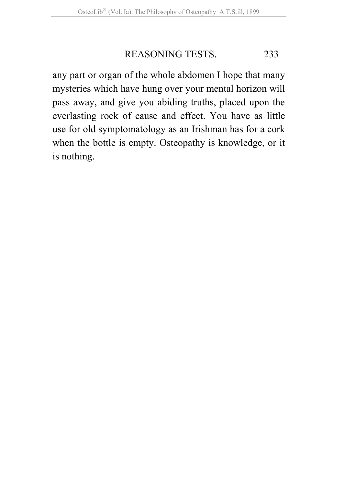## REASONING TESTS. 233

any part or organ of the whole abdomen I hope that many mysteries which have hung over your mental horizon will pass away, and give you abiding truths, placed upon the everlasting rock of cause and effect. You have as little use for old symptomatology as an Irishman has for a cork when the bottle is empty. Osteopathy is knowledge, or it is nothing.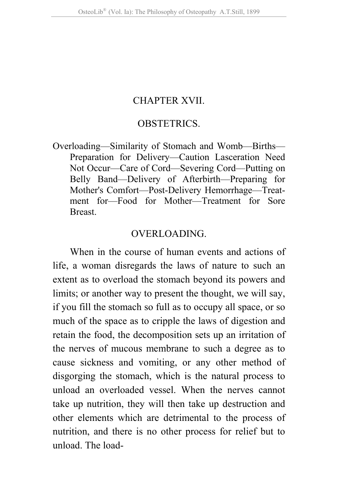### CHAPTER XVII.

#### OBSTETRICS.

Overloading—Similarity of Stomach and Womb—Births— Preparation for Delivery—Caution Lasceration Need Not Occur—Care of Cord—Severing Cord—Putting on Belly Band—Delivery of Afterbirth—Preparing for Mother's Comfort—Post-Delivery Hemorrhage—Treatment for—Food for Mother—Treatment for Sore **Breast** 

#### OVERLOADING.

When in the course of human events and actions of life, a woman disregards the laws of nature to such an extent as to overload the stomach beyond its powers and limits; or another way to present the thought, we will say, if you fill the stomach so full as to occupy all space, or so much of the space as to cripple the laws of digestion and retain the food, the decomposition sets up an irritation of the nerves of mucous membrane to such a degree as to cause sickness and vomiting, or any other method of disgorging the stomach, which is the natural process to unload an overloaded vessel. When the nerves cannot take up nutrition, they will then take up destruction and other elements which are detrimental to the process of nutrition, and there is no other process for relief but to unload. The load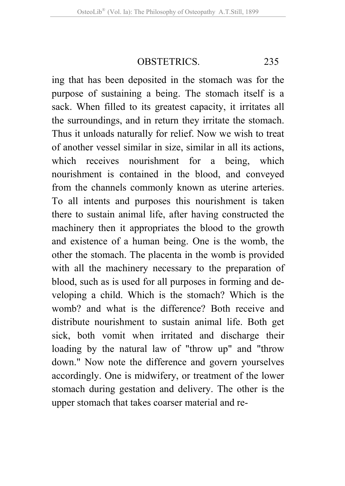OBSTETRICS. 235

ing that has been deposited in the stomach was for the purpose of sustaining a being. The stomach itself is a sack. When filled to its greatest capacity, it irritates all the surroundings, and in return they irritate the stomach. Thus it unloads naturally for relief. Now we wish to treat of another vessel similar in size, similar in all its actions, which receives nourishment for a being, which nourishment is contained in the blood, and conveyed from the channels commonly known as uterine arteries. To all intents and purposes this nourishment is taken there to sustain animal life, after having constructed the machinery then it appropriates the blood to the growth and existence of a human being. One is the womb, the other the stomach. The placenta in the womb is provided with all the machinery necessary to the preparation of blood, such as is used for all purposes in forming and developing a child. Which is the stomach? Which is the womb? and what is the difference? Both receive and distribute nourishment to sustain animal life. Both get sick, both vomit when irritated and discharge their loading by the natural law of "throw up" and "throw down." Now note the difference and govern yourselves accordingly. One is midwifery, or treatment of the lower stomach during gestation and delivery. The other is the upper stomach that takes coarser material and re-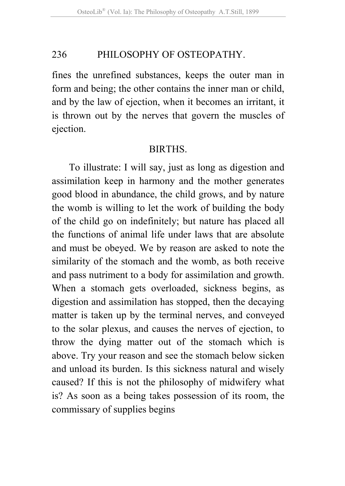fines the unrefined substances, keeps the outer man in form and being; the other contains the inner man or child, and by the law of ejection, when it becomes an irritant, it is thrown out by the nerves that govern the muscles of ejection.

#### **BIRTHS**

To illustrate: I will say, just as long as digestion and assimilation keep in harmony and the mother generates good blood in abundance, the child grows, and by nature the womb is willing to let the work of building the body of the child go on indefinitely; but nature has placed all the functions of animal life under laws that are absolute and must be obeyed. We by reason are asked to note the similarity of the stomach and the womb, as both receive and pass nutriment to a body for assimilation and growth. When a stomach gets overloaded, sickness begins, as digestion and assimilation has stopped, then the decaying matter is taken up by the terminal nerves, and conveyed to the solar plexus, and causes the nerves of ejection, to throw the dying matter out of the stomach which is above. Try your reason and see the stomach below sicken and unload its burden. Is this sickness natural and wisely caused? If this is not the philosophy of midwifery what is? As soon as a being takes possession of its room, the commissary of supplies begins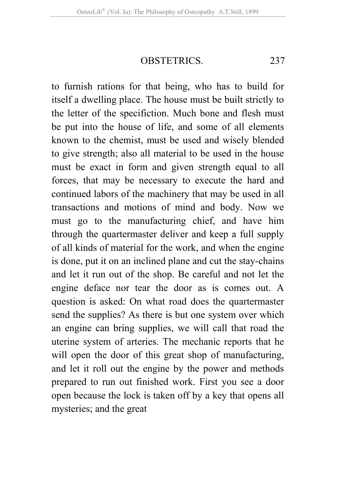OBSTETRICS. 237

to furnish rations for that being, who has to build for itself a dwelling place. The house must be built strictly to the letter of the specifiction. Much bone and flesh must be put into the house of life, and some of all elements known to the chemist, must be used and wisely blended to give strength; also all material to be used in the house must be exact in form and given strength equal to all forces, that may be necessary to execute the hard and continued labors of the machinery that may be used in all transactions and motions of mind and body. Now we must go to the manufacturing chief, and have him through the quartermaster deliver and keep a full supply of all kinds of material for the work, and when the engine is done, put it on an inclined plane and cut the stay-chains and let it run out of the shop. Be careful and not let the engine deface nor tear the door as is comes out. A question is asked: On what road does the quartermaster send the supplies? As there is but one system over which an engine can bring supplies, we will call that road the uterine system of arteries. The mechanic reports that he will open the door of this great shop of manufacturing, and let it roll out the engine by the power and methods prepared to run out finished work. First you see a door open because the lock is taken off by a key that opens all mysteries; and the great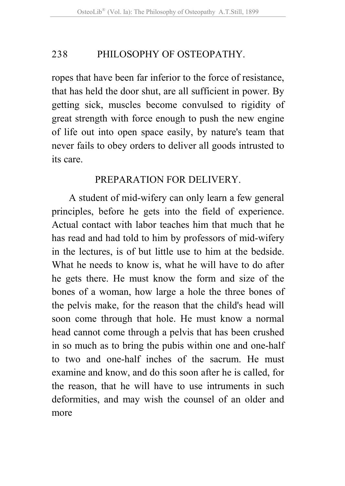ropes that have been far inferior to the force of resistance, that has held the door shut, are all sufficient in power. By getting sick, muscles become convulsed to rigidity of great strength with force enough to push the new engine of life out into open space easily, by nature's team that never fails to obey orders to deliver all goods intrusted to its care.

## PREPARATION FOR DELIVERY.

A student of mid-wifery can only learn a few general principles, before he gets into the field of experience. Actual contact with labor teaches him that much that he has read and had told to him by professors of mid-wifery in the lectures, is of but little use to him at the bedside. What he needs to know is, what he will have to do after he gets there. He must know the form and size of the bones of a woman, how large a hole the three bones of the pelvis make, for the reason that the child's head will soon come through that hole. He must know a normal head cannot come through a pelvis that has been crushed in so much as to bring the pubis within one and one-half to two and one-half inches of the sacrum. He must examine and know, and do this soon after he is called, for the reason, that he will have to use intruments in such deformities, and may wish the counsel of an older and more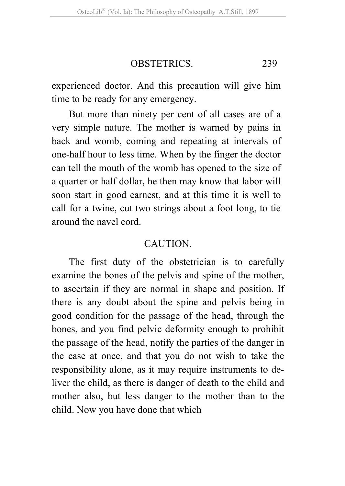### OBSTETRICS. 239

experienced doctor. And this precaution will give him time to be ready for any emergency.

But more than ninety per cent of all cases are of a very simple nature. The mother is warned by pains in back and womb, coming and repeating at intervals of one-half hour to less time. When by the finger the doctor can tell the mouth of the womb has opened to the size of a quarter or half dollar, he then may know that labor will soon start in good earnest, and at this time it is well to call for a twine, cut two strings about a foot long, to tie around the navel cord.

### **CAUTION**

The first duty of the obstetrician is to carefully examine the bones of the pelvis and spine of the mother, to ascertain if they are normal in shape and position. If there is any doubt about the spine and pelvis being in good condition for the passage of the head, through the bones, and you find pelvic deformity enough to prohibit the passage of the head, notify the parties of the danger in the case at once, and that you do not wish to take the responsibility alone, as it may require instruments to deliver the child, as there is danger of death to the child and mother also, but less danger to the mother than to the child. Now you have done that which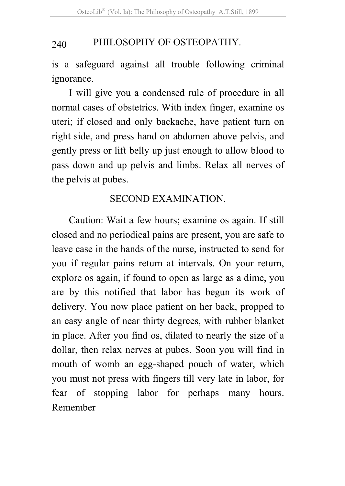is a safeguard against all trouble following criminal ignorance.

I will give you a condensed rule of procedure in all normal cases of obstetrics. With index finger, examine os uteri; if closed and only backache, have patient turn on right side, and press hand on abdomen above pelvis, and gently press or lift belly up just enough to allow blood to pass down and up pelvis and limbs. Relax all nerves of the pelvis at pubes.

## SECOND EXAMINATION.

Caution: Wait a few hours; examine os again. If still closed and no periodical pains are present, you are safe to leave case in the hands of the nurse, instructed to send for you if regular pains return at intervals. On your return, explore os again, if found to open as large as a dime, you are by this notified that labor has begun its work of delivery. You now place patient on her back, propped to an easy angle of near thirty degrees, with rubber blanket in place. After you find os, dilated to nearly the size of a dollar, then relax nerves at pubes. Soon you will find in mouth of womb an egg-shaped pouch of water, which you must not press with fingers till very late in labor, for fear of stopping labor for perhaps many hours. Remember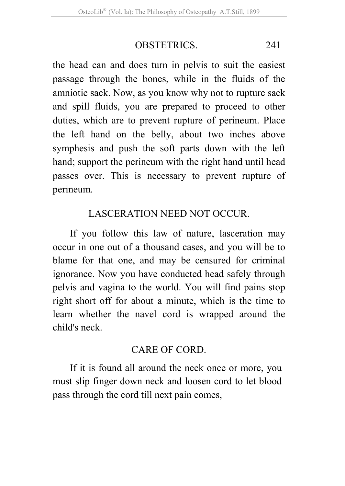## OBSTETRICS. 241

the head can and does turn in pelvis to suit the easiest passage through the bones, while in the fluids of the amniotic sack. Now, as you know why not to rupture sack and spill fluids, you are prepared to proceed to other duties, which are to prevent rupture of perineum. Place the left hand on the belly, about two inches above symphesis and push the soft parts down with the left hand; support the perineum with the right hand until head passes over. This is necessary to prevent rupture of perineum.

# LASCERATION NEED NOT OCCUR.

If you follow this law of nature, lasceration may occur in one out of a thousand cases, and you will be to blame for that one, and may be censured for criminal ignorance. Now you have conducted head safely through pelvis and vagina to the world. You will find pains stop right short off for about a minute, which is the time to learn whether the navel cord is wrapped around the child's neck.

## CARE OF CORD.

If it is found all around the neck once or more, you must slip finger down neck and loosen cord to let blood pass through the cord till next pain comes,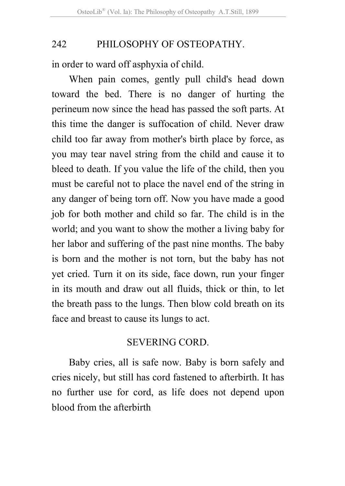in order to ward off asphyxia of child.

When pain comes, gently pull child's head down toward the bed. There is no danger of hurting the perineum now since the head has passed the soft parts. At this time the danger is suffocation of child. Never draw child too far away from mother's birth place by force, as you may tear navel string from the child and cause it to bleed to death. If you value the life of the child, then you must be careful not to place the navel end of the string in any danger of being torn off. Now you have made a good job for both mother and child so far. The child is in the world; and you want to show the mother a living baby for her labor and suffering of the past nine months. The baby is born and the mother is not torn, but the baby has not yet cried. Turn it on its side, face down, run your finger in its mouth and draw out all fluids, thick or thin, to let the breath pass to the lungs. Then blow cold breath on its face and breast to cause its lungs to act.

### SEVERING CORD.

Baby cries, all is safe now. Baby is born safely and cries nicely, but still has cord fastened to afterbirth. It has no further use for cord, as life does not depend upon blood from the afterbirth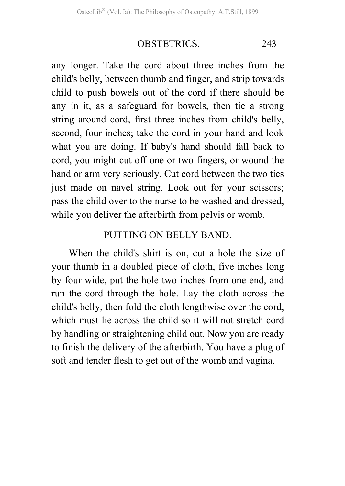# OBSTETRICS. 243

any longer. Take the cord about three inches from the child's belly, between thumb and finger, and strip towards child to push bowels out of the cord if there should be any in it, as a safeguard for bowels, then tie a strong string around cord, first three inches from child's belly, second, four inches; take the cord in your hand and look what you are doing. If baby's hand should fall back to cord, you might cut off one or two fingers, or wound the hand or arm very seriously. Cut cord between the two ties just made on navel string. Look out for your scissors; pass the child over to the nurse to be washed and dressed, while you deliver the afterbirth from pelvis or womb.

### PUTTING ON BELLY BAND.

When the child's shirt is on, cut a hole the size of your thumb in a doubled piece of cloth, five inches long by four wide, put the hole two inches from one end, and run the cord through the hole. Lay the cloth across the child's belly, then fold the cloth lengthwise over the cord, which must lie across the child so it will not stretch cord by handling or straightening child out. Now you are ready to finish the delivery of the afterbirth. You have a plug of soft and tender flesh to get out of the womb and vagina.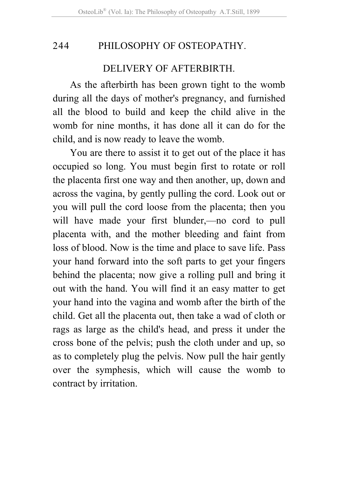#### DELIVERY OF AFTERBIRTH.

As the afterbirth has been grown tight to the womb during all the days of mother's pregnancy, and furnished all the blood to build and keep the child alive in the womb for nine months, it has done all it can do for the child, and is now ready to leave the womb.

You are there to assist it to get out of the place it has occupied so long. You must begin first to rotate or roll the placenta first one way and then another, up, down and across the vagina, by gently pulling the cord. Look out or you will pull the cord loose from the placenta; then you will have made your first blunder,—no cord to pull placenta with, and the mother bleeding and faint from loss of blood. Now is the time and place to save life. Pass your hand forward into the soft parts to get your fingers behind the placenta; now give a rolling pull and bring it out with the hand. You will find it an easy matter to get your hand into the vagina and womb after the birth of the child. Get all the placenta out, then take a wad of cloth or rags as large as the child's head, and press it under the cross bone of the pelvis; push the cloth under and up, so as to completely plug the pelvis. Now pull the hair gently over the symphesis, which will cause the womb to contract by irritation.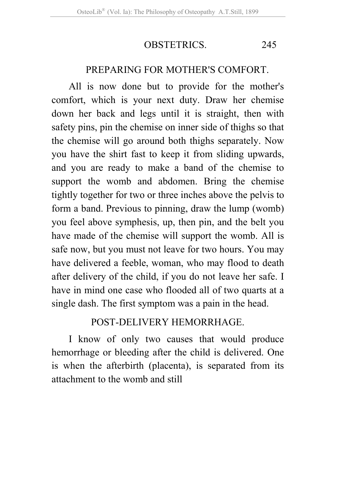### OBSTETRICS. 245

#### PREPARING FOR MOTHER'S COMFORT.

All is now done but to provide for the mother's comfort, which is your next duty. Draw her chemise down her back and legs until it is straight, then with safety pins, pin the chemise on inner side of thighs so that the chemise will go around both thighs separately. Now you have the shirt fast to keep it from sliding upwards, and you are ready to make a band of the chemise to support the womb and abdomen. Bring the chemise tightly together for two or three inches above the pelvis to form a band. Previous to pinning, draw the lump (womb) you feel above symphesis, up, then pin, and the belt you have made of the chemise will support the womb. All is safe now, but you must not leave for two hours. You may have delivered a feeble, woman, who may flood to death after delivery of the child, if you do not leave her safe. I have in mind one case who flooded all of two quarts at a single dash. The first symptom was a pain in the head.

### POST-DELIVERY HEMORRHAGE.

I know of only two causes that would produce hemorrhage or bleeding after the child is delivered. One is when the afterbirth (placenta), is separated from its attachment to the womb and still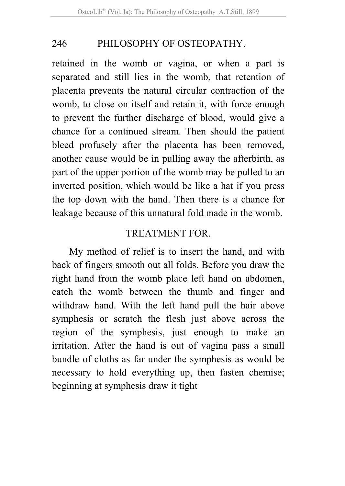retained in the womb or vagina, or when a part is separated and still lies in the womb, that retention of placenta prevents the natural circular contraction of the womb, to close on itself and retain it, with force enough to prevent the further discharge of blood, would give a chance for a continued stream. Then should the patient bleed profusely after the placenta has been removed, another cause would be in pulling away the afterbirth, as part of the upper portion of the womb may be pulled to an inverted position, which would be like a hat if you press the top down with the hand. Then there is a chance for leakage because of this unnatural fold made in the womb.

### TREATMENT FOR.

My method of relief is to insert the hand, and with back of fingers smooth out all folds. Before you draw the right hand from the womb place left hand on abdomen, catch the womb between the thumb and finger and withdraw hand. With the left hand pull the hair above symphesis or scratch the flesh just above across the region of the symphesis, just enough to make an irritation. After the hand is out of vagina pass a small bundle of cloths as far under the symphesis as would be necessary to hold everything up, then fasten chemise; beginning at symphesis draw it tight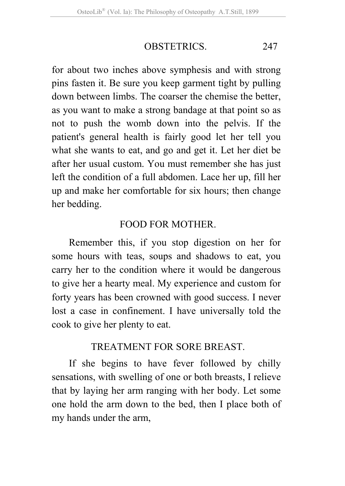### OBSTETRICS. 247

for about two inches above symphesis and with strong pins fasten it. Be sure you keep garment tight by pulling down between limbs. The coarser the chemise the better, as you want to make a strong bandage at that point so as not to push the womb down into the pelvis. If the patient's general health is fairly good let her tell you what she wants to eat, and go and get it. Let her diet be after her usual custom. You must remember she has just left the condition of a full abdomen. Lace her up, fill her up and make her comfortable for six hours; then change her bedding.

### FOOD FOR MOTHER.

Remember this, if you stop digestion on her for some hours with teas, soups and shadows to eat, you carry her to the condition where it would be dangerous to give her a hearty meal. My experience and custom for forty years has been crowned with good success. I never lost a case in confinement. I have universally told the cook to give her plenty to eat.

#### TREATMENT FOR SORE BREAST.

If she begins to have fever followed by chilly sensations, with swelling of one or both breasts, I relieve that by laying her arm ranging with her body. Let some one hold the arm down to the bed, then I place both of my hands under the arm,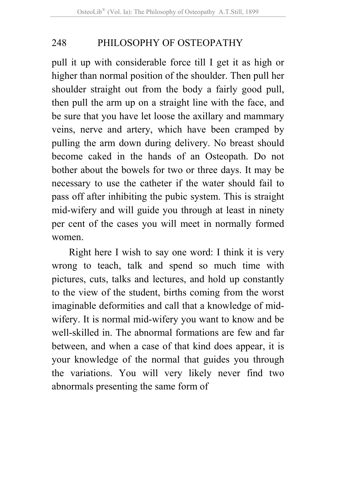pull it up with considerable force till I get it as high or higher than normal position of the shoulder. Then pull her shoulder straight out from the body a fairly good pull, then pull the arm up on a straight line with the face, and be sure that you have let loose the axillary and mammary veins, nerve and artery, which have been cramped by pulling the arm down during delivery. No breast should become caked in the hands of an Osteopath. Do not bother about the bowels for two or three days. It may be necessary to use the catheter if the water should fail to pass off after inhibiting the pubic system. This is straight mid-wifery and will guide you through at least in ninety per cent of the cases you will meet in normally formed women.

Right here I wish to say one word: I think it is very wrong to teach, talk and spend so much time with pictures, cuts, talks and lectures, and hold up constantly to the view of the student, births coming from the worst imaginable deformities and call that a knowledge of midwifery. It is normal mid-wifery you want to know and be well-skilled in. The abnormal formations are few and far between, and when a case of that kind does appear, it is your knowledge of the normal that guides you through the variations. You will very likely never find two abnormals presenting the same form of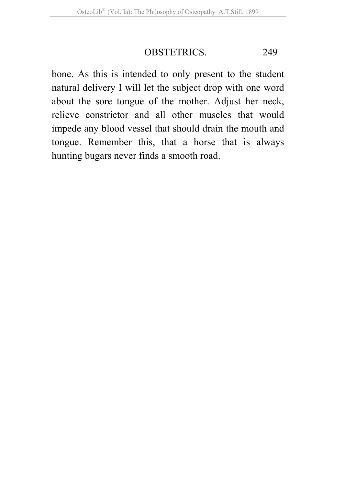### OBSTETRICS. 249

bone. As this is intended to only present to the student natural delivery I will let the subject drop with one word about the sore tongue of the mother. Adjust her neck, relieve constrictor and all other muscles that would impede any blood vessel that should drain the mouth and tongue. Remember this, that a horse that is always hunting bugars never finds a smooth road.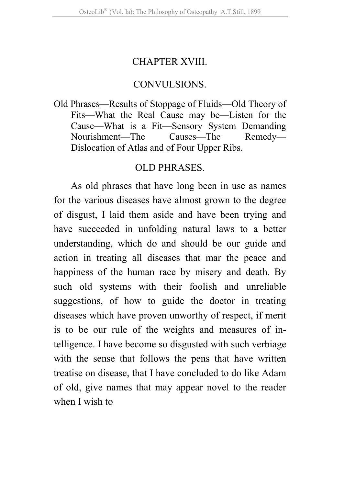#### CHAPTER XVIII.

#### CONVULSIONS.

Old Phrases—Results of Stoppage of Fluids—Old Theory of Fits—What the Real Cause may be—Listen for the Cause—What is a Fit—Sensory System Demanding Nourishment—The Causes—The Remedy— Dislocation of Atlas and of Four Upper Ribs.

#### OLD PHRASES.

As old phrases that have long been in use as names for the various diseases have almost grown to the degree of disgust, I laid them aside and have been trying and have succeeded in unfolding natural laws to a better understanding, which do and should be our guide and action in treating all diseases that mar the peace and happiness of the human race by misery and death. By such old systems with their foolish and unreliable suggestions, of how to guide the doctor in treating diseases which have proven unworthy of respect, if merit is to be our rule of the weights and measures of intelligence. I have become so disgusted with such verbiage with the sense that follows the pens that have written treatise on disease, that I have concluded to do like Adam of old, give names that may appear novel to the reader when I wish to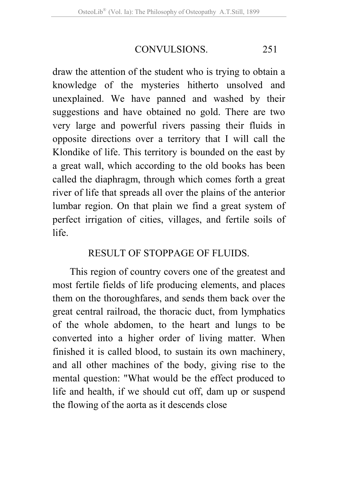### CONVULSIONS. 251

draw the attention of the student who is trying to obtain a knowledge of the mysteries hitherto unsolved and unexplained. We have panned and washed by their suggestions and have obtained no gold. There are two very large and powerful rivers passing their fluids in opposite directions over a territory that I will call the Klondike of life. This territory is bounded on the east by a great wall, which according to the old books has been called the diaphragm, through which comes forth a great river of life that spreads all over the plains of the anterior lumbar region. On that plain we find a great system of perfect irrigation of cities, villages, and fertile soils of life.

### RESULT OF STOPPAGE OF FLUIDS.

This region of country covers one of the greatest and most fertile fields of life producing elements, and places them on the thoroughfares, and sends them back over the great central railroad, the thoracic duct, from lymphatics of the whole abdomen, to the heart and lungs to be converted into a higher order of living matter. When finished it is called blood, to sustain its own machinery, and all other machines of the body, giving rise to the mental question: "What would be the effect produced to life and health, if we should cut off, dam up or suspend the flowing of the aorta as it descends close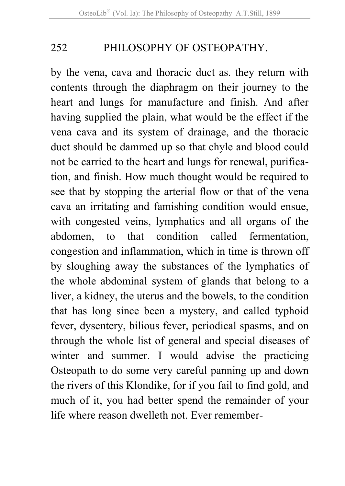by the vena, cava and thoracic duct as. they return with contents through the diaphragm on their journey to the heart and lungs for manufacture and finish. And after having supplied the plain, what would be the effect if the vena cava and its system of drainage, and the thoracic duct should be dammed up so that chyle and blood could not be carried to the heart and lungs for renewal, purification, and finish. How much thought would be required to see that by stopping the arterial flow or that of the vena cava an irritating and famishing condition would ensue, with congested veins, lymphatics and all organs of the abdomen, to that condition called fermentation, congestion and inflammation, which in time is thrown off by sloughing away the substances of the lymphatics of the whole abdominal system of glands that belong to a liver, a kidney, the uterus and the bowels, to the condition that has long since been a mystery, and called typhoid fever, dysentery, bilious fever, periodical spasms, and on through the whole list of general and special diseases of winter and summer. I would advise the practicing Osteopath to do some very careful panning up and down the rivers of this Klondike, for if you fail to find gold, and much of it, you had better spend the remainder of your life where reason dwelleth not. Ever remember-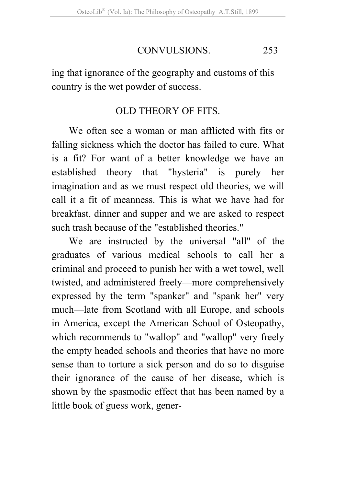### CONVULSIONS. 253

ing that ignorance of the geography and customs of this country is the wet powder of success.

#### OLD THEORY OF FITS.

We often see a woman or man afflicted with fits or falling sickness which the doctor has failed to cure. What is a fit? For want of a better knowledge we have an established theory that "hysteria" is purely her imagination and as we must respect old theories, we will call it a fit of meanness. This is what we have had for breakfast, dinner and supper and we are asked to respect such trash because of the "established theories."

We are instructed by the universal "all" of the graduates of various medical schools to call her a criminal and proceed to punish her with a wet towel, well twisted, and administered freely—more comprehensively expressed by the term "spanker" and "spank her" very much—late from Scotland with all Europe, and schools in America, except the American School of Osteopathy, which recommends to "wallop" and "wallop" very freely the empty headed schools and theories that have no more sense than to torture a sick person and do so to disguise their ignorance of the cause of her disease, which is shown by the spasmodic effect that has been named by a little book of guess work, gener-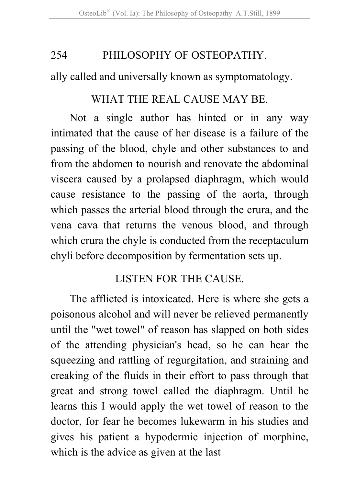ally called and universally known as symptomatology.

### WHAT THE REAL CAUSE MAY BE.

Not a single author has hinted or in any way intimated that the cause of her disease is a failure of the passing of the blood, chyle and other substances to and from the abdomen to nourish and renovate the abdominal viscera caused by a prolapsed diaphragm, which would cause resistance to the passing of the aorta, through which passes the arterial blood through the crura, and the vena cava that returns the venous blood, and through which crura the chyle is conducted from the receptaculum chyli before decomposition by fermentation sets up.

### LISTEN FOR THE CAUSE.

The afflicted is intoxicated. Here is where she gets a poisonous alcohol and will never be relieved permanently until the "wet towel" of reason has slapped on both sides of the attending physician's head, so he can hear the squeezing and rattling of regurgitation, and straining and creaking of the fluids in their effort to pass through that great and strong towel called the diaphragm. Until he learns this I would apply the wet towel of reason to the doctor, for fear he becomes lukewarm in his studies and gives his patient a hypodermic injection of morphine, which is the advice as given at the last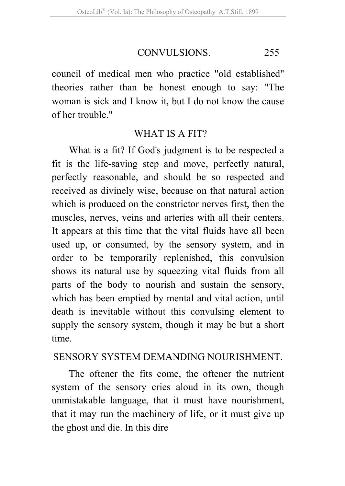#### CONVULSIONS. 255

council of medical men who practice "old established" theories rather than be honest enough to say: "The woman is sick and I know it, but I do not know the cause of her trouble."

#### WHAT IS A FIT?

What is a fit? If God's judgment is to be respected a fit is the life-saving step and move, perfectly natural, perfectly reasonable, and should be so respected and received as divinely wise, because on that natural action which is produced on the constrictor nerves first, then the muscles, nerves, veins and arteries with all their centers. It appears at this time that the vital fluids have all been used up, or consumed, by the sensory system, and in order to be temporarily replenished, this convulsion shows its natural use by squeezing vital fluids from all parts of the body to nourish and sustain the sensory, which has been emptied by mental and vital action, until death is inevitable without this convulsing element to supply the sensory system, though it may be but a short time.

#### SENSORY SYSTEM DEMANDING NOURISHMENT.

The oftener the fits come, the oftener the nutrient system of the sensory cries aloud in its own, though unmistakable language, that it must have nourishment, that it may run the machinery of life, or it must give up the ghost and die. In this dire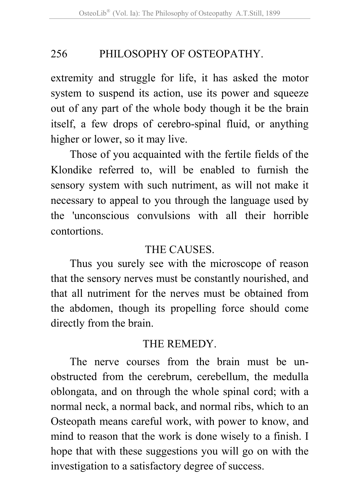extremity and struggle for life, it has asked the motor system to suspend its action, use its power and squeeze out of any part of the whole body though it be the brain itself, a few drops of cerebro-spinal fluid, or anything higher or lower, so it may live.

Those of you acquainted with the fertile fields of the Klondike referred to, will be enabled to furnish the sensory system with such nutriment, as will not make it necessary to appeal to you through the language used by the 'unconscious convulsions with all their horrible contortions.

### THE CAUSES.

Thus you surely see with the microscope of reason that the sensory nerves must be constantly nourished, and that all nutriment for the nerves must be obtained from the abdomen, though its propelling force should come directly from the brain.

### THE REMEDY.

The nerve courses from the brain must be unobstructed from the cerebrum, cerebellum, the medulla oblongata, and on through the whole spinal cord; with a normal neck, a normal back, and normal ribs, which to an Osteopath means careful work, with power to know, and mind to reason that the work is done wisely to a finish. I hope that with these suggestions you will go on with the investigation to a satisfactory degree of success.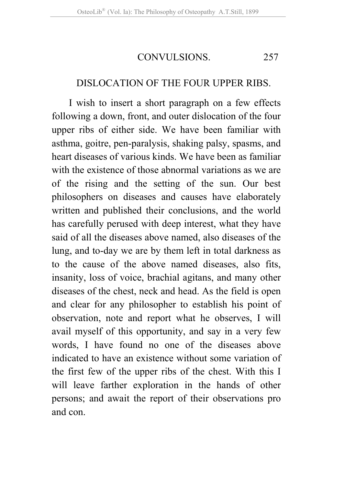CONVULSIONS. 257

### DISLOCATION OF THE FOUR UPPER RIBS.

I wish to insert a short paragraph on a few effects following a down, front, and outer dislocation of the four upper ribs of either side. We have been familiar with asthma, goitre, pen-paralysis, shaking palsy, spasms, and heart diseases of various kinds. We have been as familiar with the existence of those abnormal variations as we are of the rising and the setting of the sun. Our best philosophers on diseases and causes have elaborately written and published their conclusions, and the world has carefully perused with deep interest, what they have said of all the diseases above named, also diseases of the lung, and to-day we are by them left in total darkness as to the cause of the above named diseases, also fits, insanity, loss of voice, brachial agitans, and many other diseases of the chest, neck and head. As the field is open and clear for any philosopher to establish his point of observation, note and report what he observes, I will avail myself of this opportunity, and say in a very few words, I have found no one of the diseases above indicated to have an existence without some variation of the first few of the upper ribs of the chest. With this I will leave farther exploration in the hands of other persons; and await the report of their observations pro and con.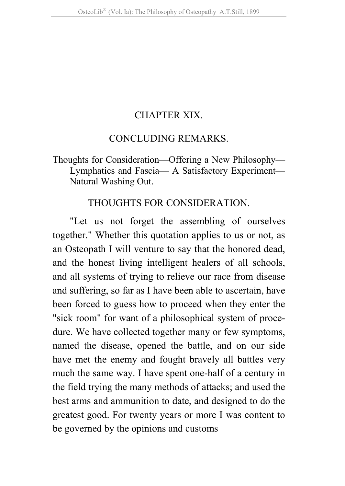### CHAPTER XIX.

#### CONCLUDING REMARKS.

### Thoughts for Consideration—Offering a New Philosophy— Lymphatics and Fascia— A Satisfactory Experiment— Natural Washing Out.

#### THOUGHTS FOR CONSIDERATION.

"Let us not forget the assembling of ourselves together." Whether this quotation applies to us or not, as an Osteopath I will venture to say that the honored dead, and the honest living intelligent healers of all schools, and all systems of trying to relieve our race from disease and suffering, so far as I have been able to ascertain, have been forced to guess how to proceed when they enter the "sick room" for want of a philosophical system of procedure. We have collected together many or few symptoms, named the disease, opened the battle, and on our side have met the enemy and fought bravely all battles very much the same way. I have spent one-half of a century in the field trying the many methods of attacks; and used the best arms and ammunition to date, and designed to do the greatest good. For twenty years or more I was content to be governed by the opinions and customs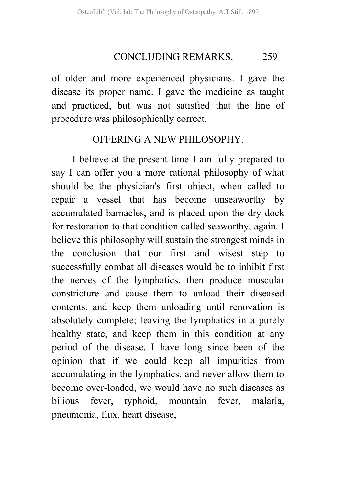#### CONCLUDING REMARKS. 259

of older and more experienced physicians. I gave the disease its proper name. I gave the medicine as taught and practiced, but was not satisfied that the line of procedure was philosophically correct.

### OFFERING A NEW PHILOSOPHY.

I believe at the present time I am fully prepared to say I can offer you a more rational philosophy of what should be the physician's first object, when called to repair a vessel that has become unseaworthy by accumulated barnacles, and is placed upon the dry dock for restoration to that condition called seaworthy, again. I believe this philosophy will sustain the strongest minds in the conclusion that our first and wisest step to successfully combat all diseases would be to inhibit first the nerves of the lymphatics, then produce muscular constricture and cause them to unload their diseased contents, and keep them unloading until renovation is absolutely complete; leaving the lymphatics in a purely healthy state, and keep them in this condition at any period of the disease. I have long since been of the opinion that if we could keep all impurities from accumulating in the lymphatics, and never allow them to become over-loaded, we would have no such diseases as bilious fever, typhoid, mountain fever, malaria, pneumonia, flux, heart disease,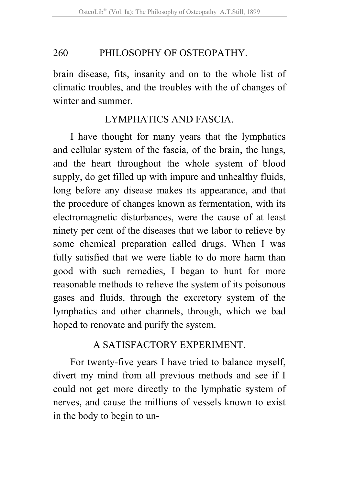brain disease, fits, insanity and on to the whole list of climatic troubles, and the troubles with the of changes of winter and summer.

### LYMPHATICS AND FASCIA.

I have thought for many years that the lymphatics and cellular system of the fascia, of the brain, the lungs, and the heart throughout the whole system of blood supply, do get filled up with impure and unhealthy fluids, long before any disease makes its appearance, and that the procedure of changes known as fermentation, with its electromagnetic disturbances, were the cause of at least ninety per cent of the diseases that we labor to relieve by some chemical preparation called drugs. When I was fully satisfied that we were liable to do more harm than good with such remedies, I began to hunt for more reasonable methods to relieve the system of its poisonous gases and fluids, through the excretory system of the lymphatics and other channels, through, which we bad hoped to renovate and purify the system.

### A SATISFACTORY EXPERIMENT.

For twenty-five years I have tried to balance myself, divert my mind from all previous methods and see if I could not get more directly to the lymphatic system of nerves, and cause the millions of vessels known to exist in the body to begin to un-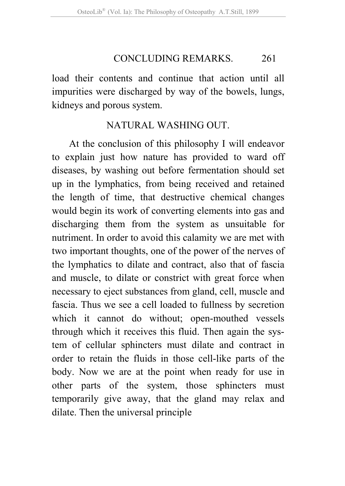#### CONCLUDING REMARKS. 261

load their contents and continue that action until all impurities were discharged by way of the bowels, lungs, kidneys and porous system.

### NATURAL WASHING OUT.

At the conclusion of this philosophy I will endeavor to explain just how nature has provided to ward off diseases, by washing out before fermentation should set up in the lymphatics, from being received and retained the length of time, that destructive chemical changes would begin its work of converting elements into gas and discharging them from the system as unsuitable for nutriment. In order to avoid this calamity we are met with two important thoughts, one of the power of the nerves of the lymphatics to dilate and contract, also that of fascia and muscle, to dilate or constrict with great force when necessary to eject substances from gland, cell, muscle and fascia. Thus we see a cell loaded to fullness by secretion which it cannot do without; open-mouthed vessels through which it receives this fluid. Then again the system of cellular sphincters must dilate and contract in order to retain the fluids in those cell-like parts of the body. Now we are at the point when ready for use in other parts of the system, those sphincters must temporarily give away, that the gland may relax and dilate. Then the universal principle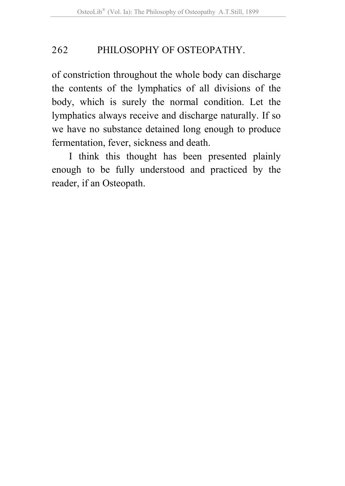of constriction throughout the whole body can discharge the contents of the lymphatics of all divisions of the body, which is surely the normal condition. Let the lymphatics always receive and discharge naturally. If so we have no substance detained long enough to produce fermentation, fever, sickness and death.

I think this thought has been presented plainly enough to be fully understood and practiced by the reader, if an Osteopath.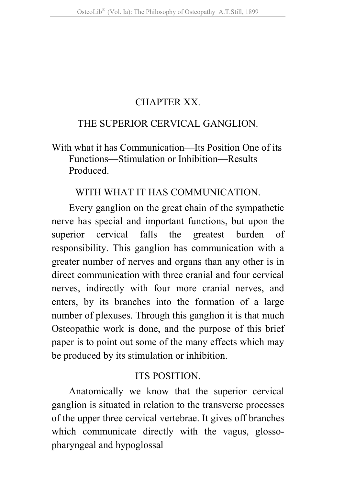### CHAPTER XX.

### THE SUPERIOR CERVICAL GANGLION.

With what it has Communication—Its Position One of its Functions—Stimulation or Inhibition—Results Produced.

#### WITH WHAT IT HAS COMMUNICATION.

Every ganglion on the great chain of the sympathetic nerve has special and important functions, but upon the superior cervical falls the greatest burden of responsibility. This ganglion has communication with a greater number of nerves and organs than any other is in direct communication with three cranial and four cervical nerves, indirectly with four more cranial nerves, and enters, by its branches into the formation of a large number of plexuses. Through this ganglion it is that much Osteopathic work is done, and the purpose of this brief paper is to point out some of the many effects which may be produced by its stimulation or inhibition.

### ITS POSITION.

Anatomically we know that the superior cervical ganglion is situated in relation to the transverse processes of the upper three cervical vertebrae. It gives off branches which communicate directly with the vagus, glossopharyngeal and hypoglossal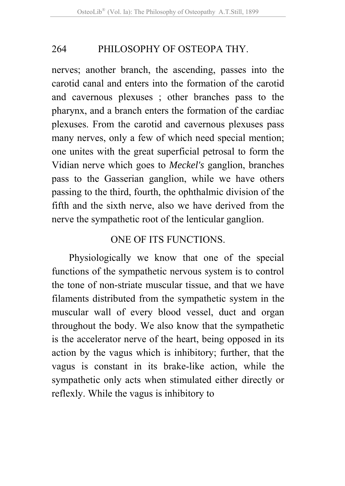nerves; another branch, the ascending, passes into the carotid canal and enters into the formation of the carotid and cavernous plexuses ; other branches pass to the pharynx, and a branch enters the formation of the cardiac plexuses. From the carotid and cavernous plexuses pass many nerves, only a few of which need special mention; one unites with the great superficial petrosal to form the Vidian nerve which goes to *Meckel's* ganglion, branches pass to the Gasserian ganglion, while we have others passing to the third, fourth, the ophthalmic division of the fifth and the sixth nerve, also we have derived from the nerve the sympathetic root of the lenticular ganglion.

### ONE OF ITS FUNCTIONS.

Physiologically we know that one of the special functions of the sympathetic nervous system is to control the tone of non-striate muscular tissue, and that we have filaments distributed from the sympathetic system in the muscular wall of every blood vessel, duct and organ throughout the body. We also know that the sympathetic is the accelerator nerve of the heart, being opposed in its action by the vagus which is inhibitory; further, that the vagus is constant in its brake-like action, while the sympathetic only acts when stimulated either directly or reflexly. While the vagus is inhibitory to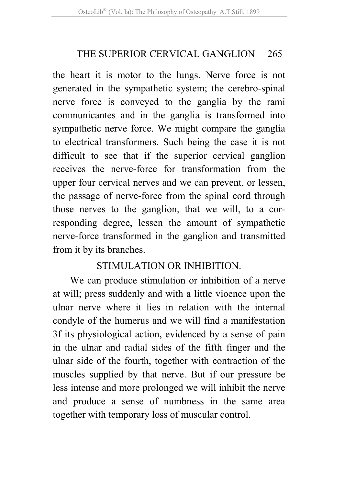### THE SUPERIOR CERVICAL GANGLION 265

the heart it is motor to the lungs. Nerve force is not generated in the sympathetic system; the cerebro-spinal nerve force is conveyed to the ganglia by the rami communicantes and in the ganglia is transformed into sympathetic nerve force. We might compare the ganglia to electrical transformers. Such being the case it is not difficult to see that if the superior cervical ganglion receives the nerve-force for transformation from the upper four cervical nerves and we can prevent, or lessen, the passage of nerve-force from the spinal cord through those nerves to the ganglion, that we will, to a corresponding degree, lessen the amount of sympathetic nerve-force transformed in the ganglion and transmitted from it by its branches.

### STIMULATION OR INHIBITION.

We can produce stimulation or inhibition of a nerve at will; press suddenly and with a little vioence upon the ulnar nerve where it lies in relation with the internal condyle of the humerus and we will find a manifestation 3f its physiological action, evidenced by a sense of pain in the ulnar and radial sides of the fifth finger and the ulnar side of the fourth, together with contraction of the muscles supplied by that nerve. But if our pressure be less intense and more prolonged we will inhibit the nerve and produce a sense of numbness in the same area together with temporary loss of muscular control.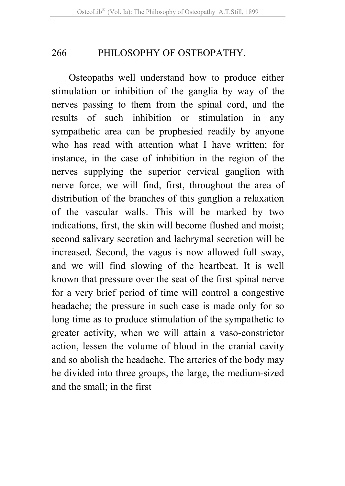Osteopaths well understand how to produce either stimulation or inhibition of the ganglia by way of the nerves passing to them from the spinal cord, and the results of such inhibition or stimulation in any sympathetic area can be prophesied readily by anyone who has read with attention what I have written; for instance, in the case of inhibition in the region of the nerves supplying the superior cervical ganglion with nerve force, we will find, first, throughout the area of distribution of the branches of this ganglion a relaxation of the vascular walls. This will be marked by two indications, first, the skin will become flushed and moist; second salivary secretion and lachrymal secretion will be increased. Second, the vagus is now allowed full sway, and we will find slowing of the heartbeat. It is well known that pressure over the seat of the first spinal nerve for a very brief period of time will control a congestive headache; the pressure in such case is made only for so long time as to produce stimulation of the sympathetic to greater activity, when we will attain a vaso-constrictor action, lessen the volume of blood in the cranial cavity and so abolish the headache. The arteries of the body may be divided into three groups, the large, the medium-sized and the small; in the first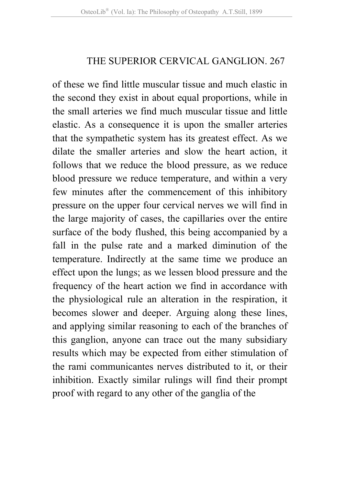### THE SUPERIOR CERVICAL GANGLION. 267

of these we find little muscular tissue and much elastic in the second they exist in about equal proportions, while in the small arteries we find much muscular tissue and little elastic. As a consequence it is upon the smaller arteries that the sympathetic system has its greatest effect. As we dilate the smaller arteries and slow the heart action, it follows that we reduce the blood pressure, as we reduce blood pressure we reduce temperature, and within a very few minutes after the commencement of this inhibitory pressure on the upper four cervical nerves we will find in the large majority of cases, the capillaries over the entire surface of the body flushed, this being accompanied by a fall in the pulse rate and a marked diminution of the temperature. Indirectly at the same time we produce an effect upon the lungs; as we lessen blood pressure and the frequency of the heart action we find in accordance with the physiological rule an alteration in the respiration, it becomes slower and deeper. Arguing along these lines, and applying similar reasoning to each of the branches of this ganglion, anyone can trace out the many subsidiary results which may be expected from either stimulation of the rami communicantes nerves distributed to it, or their inhibition. Exactly similar rulings will find their prompt proof with regard to any other of the ganglia of the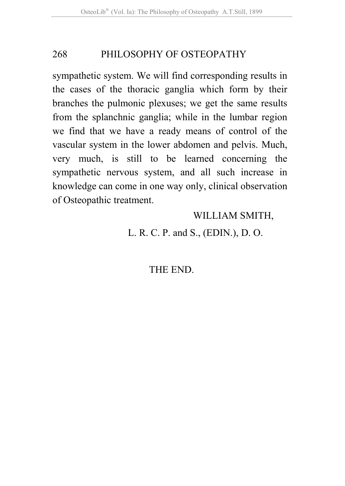sympathetic system. We will find corresponding results in the cases of the thoracic ganglia which form by their branches the pulmonic plexuses; we get the same results from the splanchnic ganglia; while in the lumbar region we find that we have a ready means of control of the vascular system in the lower abdomen and pelvis. Much, very much, is still to be learned concerning the sympathetic nervous system, and all such increase in knowledge can come in one way only, clinical observation of Osteopathic treatment.

### WILLIAM SMITH,

L. R. C. P. and S., (EDIN.), D. O.

THE END.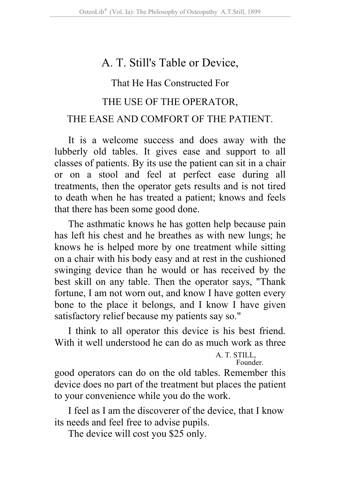# A. T. Still's Table or Device,

### That He Has Constructed For

### THE USE OF THE OPERATOR,

### THE EASE AND COMFORT OF THE PATIENT.

It is a welcome success and does away with the lubberly old tables. It gives ease and support to all classes of patients. By its use the patient can sit in a chair or on a stool and feel at perfect ease during all treatments, then the operator gets results and is not tired to death when he has treated a patient; knows and feels that there has been some good done.

The asthmatic knows he has gotten help because pain has left his chest and he breathes as with new lungs; he knows he is helped more by one treatment while sitting on a chair with his body easy and at rest in the cushioned swinging device than he would or has received by the best skill on any table. Then the operator says, "Thank fortune, I am not worn out, and know I have gotten every bone to the place it belongs, and I know I have given satisfactory relief because my patients say so."

I think to all operator this device is his best friend. With it well understood he can do as much work as three

> A. T. STILL, Founder.

good operators can do on the old tables. Remember this device does no part of the treatment but places the patient to your convenience while you do the work.

I feel as I am the discoverer of the device, that I know its needs and feel free to advise pupils.

The device will cost you \$25 only.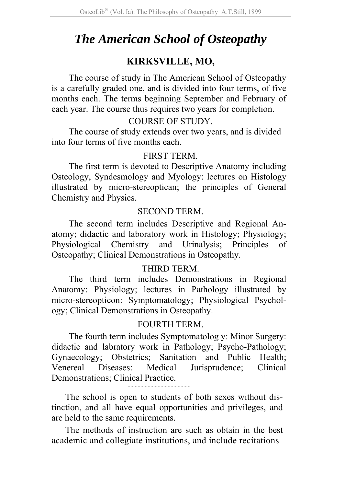# *The American School of Osteopathy*

### **KIRKSVILLE, MO,**

The course of study in The American School of Osteopathy is a carefully graded one, and is divided into four terms, of five months each. The terms beginning September and February of each year. The course thus requires two years for completion.

#### COURSE OF STUDY.

The course of study extends over two years, and is divided into four terms of five months each.

#### FIRST TERM.

The first term is devoted to Descriptive Anatomy including Osteology, Syndesmology and Myology: lectures on Histology illustrated by micro-stereoptican; the principles of General Chemistry and Physics.

#### SECOND TERM.

The second term includes Descriptive and Regional Anatomy; didactic and laboratory work in Histology; Physiology; Physiological Chemistry and Urinalysis; Principles of Osteopathy; Clinical Demonstrations in Osteopathy.

#### THIRD TERM.

The third term includes Demonstrations in Regional Anatomy: Physiology; lectures in Pathology illustrated by micro-stereopticon: Symptomatology; Physiological Psychology; Clinical Demonstrations in Osteopathy.

#### FOURTH TERM.

The fourth term includes Symptomatolog y: Minor Surgery: didactic and labratory work in Pathology; Psycho-Pathology; Gynaecology; Obstetrics; Sanitation and Public Health; Venereal Diseases: Medical Jurisprudence; Clinical Demonstrations; Clinical Practice.

The school is open to students of both sexes without distinction, and all have equal opportunities and privileges, and are held to the same requirements.

The methods of instruction are such as obtain in the best academic and collegiate institutions, and include recitations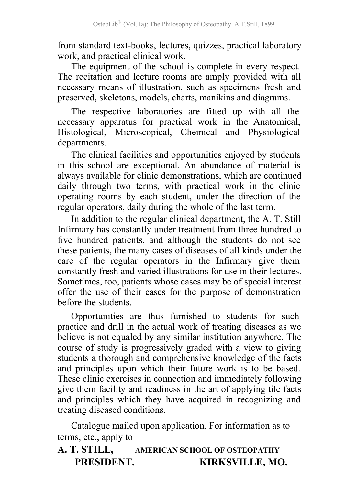from standard text-books, lectures, quizzes, practical laboratory work, and practical clinical work.

The equipment of the school is complete in every respect. The recitation and lecture rooms are amply provided with all necessary means of illustration, such as specimens fresh and preserved, skeletons, models, charts, manikins and diagrams.

The respective laboratories are fitted up with all the necessary apparatus for practical work in the Anatomical, Histological, Microscopical, Chemical and Physiological departments.

The clinical facilities and opportunities enjoyed by students in this school are exceptional. An abundance of material is always available for clinic demonstrations, which are continued daily through two terms, with practical work in the clinic operating rooms by each student, under the direction of the regular operators, daily during the whole of the last term.

In addition to the regular clinical department, the A. T. Still Infirmary has constantly under treatment from three hundred to five hundred patients, and although the students do not see these patients, the many cases of diseases of all kinds under the care of the regular operators in the Infirmary give them constantly fresh and varied illustrations for use in their lectures. Sometimes, too, patients whose cases may be of special interest offer the use of their cases for the purpose of demonstration before the students.

Opportunities are thus furnished to students for such practice and drill in the actual work of treating diseases as we believe is not equaled by any similar institution anywhere. The course of study is progressively graded with a view to giving students a thorough and comprehensive knowledge of the facts and principles upon which their future work is to be based. These clinic exercises in connection and immediately following give them facility and readiness in the art of applying tile facts and principles which they have acquired in recognizing and treating diseased conditions.

Catalogue mailed upon application. For information as to terms, etc., apply to

#### **A. T. STILL, AMERICAN SCHOOL OF OSTEOPATHY PRESIDENT. KIRKSVILLE, MO.**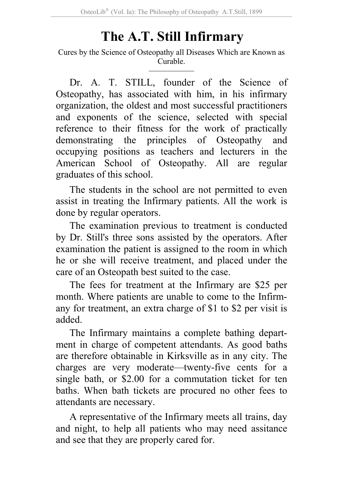# **The A.T. Still Infirmary**

Cures by the Science of Osteopathy all Diseases Which are Known as Curable.

Dr. A. T. STILL, founder of the Science of Osteopathy, has associated with him, in his infirmary organization, the oldest and most successful practitioners and exponents of the science, selected with special reference to their fitness for the work of practically demonstrating the principles of Osteopathy and occupying positions as teachers and lecturers in the American School of Osteopathy. All are regular graduates of this school.

The students in the school are not permitted to even assist in treating the Infirmary patients. All the work is done by regular operators.

The examination previous to treatment is conducted by Dr. Still's three sons assisted by the operators. After examination the patient is assigned to the room in which he or she will receive treatment, and placed under the care of an Osteopath best suited to the case.

The fees for treatment at the Infirmary are \$25 per month. Where patients are unable to come to the Infirmany for treatment, an extra charge of \$1 to \$2 per visit is added.

The Infirmary maintains a complete bathing department in charge of competent attendants. As good baths are therefore obtainable in Kirksville as in any city. The charges are very moderate—twenty-five cents for a single bath, or \$2.00 for a commutation ticket for ten baths. When bath tickets are procured no other fees to attendants are necessary.

A representative of the Infirmary meets all trains, day and night, to help all patients who may need assitance and see that they are properly cared for.